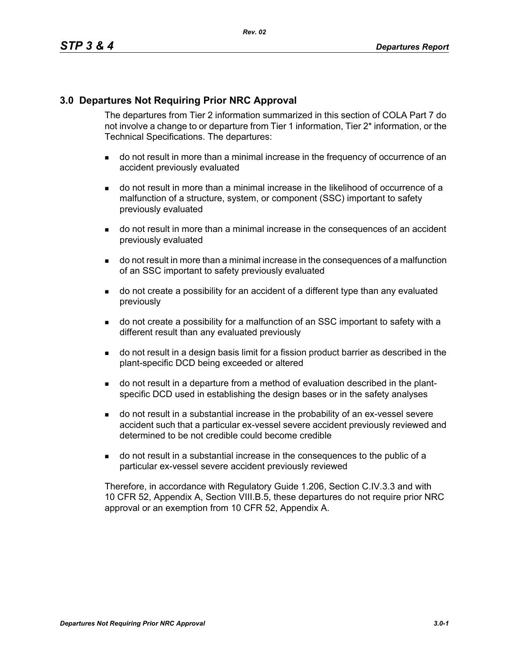## **3.0 Departures Not Requiring Prior NRC Approval**

The departures from Tier 2 information summarized in this section of COLA Part 7 do not involve a change to or departure from Tier 1 information, Tier 2\* information, or the Technical Specifications. The departures:

- do not result in more than a minimal increase in the frequency of occurrence of an accident previously evaluated
- do not result in more than a minimal increase in the likelihood of occurrence of a malfunction of a structure, system, or component (SSC) important to safety previously evaluated
- do not result in more than a minimal increase in the consequences of an accident previously evaluated
- do not result in more than a minimal increase in the consequences of a malfunction of an SSC important to safety previously evaluated
- do not create a possibility for an accident of a different type than any evaluated previously
- do not create a possibility for a malfunction of an SSC important to safety with a different result than any evaluated previously
- do not result in a design basis limit for a fission product barrier as described in the plant-specific DCD being exceeded or altered
- do not result in a departure from a method of evaluation described in the plantspecific DCD used in establishing the design bases or in the safety analyses
- do not result in a substantial increase in the probability of an ex-vessel severe accident such that a particular ex-vessel severe accident previously reviewed and determined to be not credible could become credible
- do not result in a substantial increase in the consequences to the public of a particular ex-vessel severe accident previously reviewed

Therefore, in accordance with Regulatory Guide 1.206, Section C.IV.3.3 and with 10 CFR 52, Appendix A, Section VIII.B.5, these departures do not require prior NRC approval or an exemption from 10 CFR 52, Appendix A.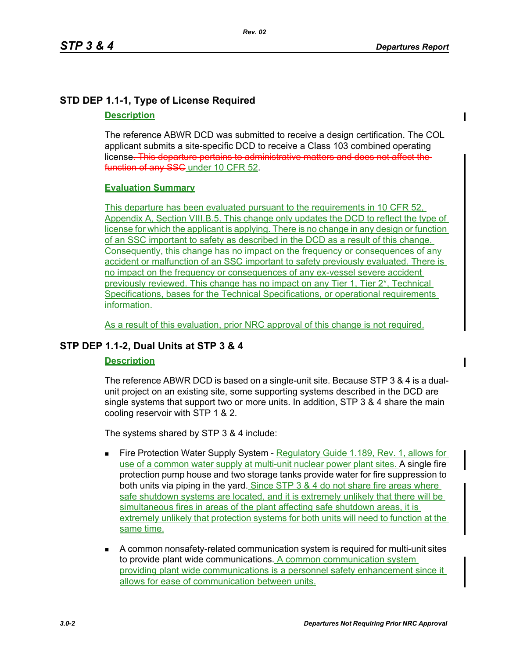# **STD DEP 1.1-1, Type of License Required**

# **Description**

The reference ABWR DCD was submitted to receive a design certification. The COL applicant submits a site-specific DCD to receive a Class 103 combined operating license. This departure pertains to administrative matters and does not affect the function of any SSC under 10 CFR 52.

# **Evaluation Summary**

This departure has been evaluated pursuant to the requirements in 10 CFR 52. Appendix A, Section VIII.B.5. This change only updates the DCD to reflect the type of license for which the applicant is applying. There is no change in any design or function of an SSC important to safety as described in the DCD as a result of this change. Consequently, this change has no impact on the frequency or consequences of any accident or malfunction of an SSC important to safety previously evaluated. There is no impact on the frequency or consequences of any ex-vessel severe accident previously reviewed. This change has no impact on any Tier 1, Tier 2\*, Technical Specifications, bases for the Technical Specifications, or operational requirements information.

As a result of this evaluation, prior NRC approval of this change is not required.

# **STP DEP 1.1-2, Dual Units at STP 3 & 4**

# **Description**

The reference ABWR DCD is based on a single-unit site. Because STP 3 & 4 is a dualunit project on an existing site, some supporting systems described in the DCD are single systems that support two or more units. In addition, STP 3 & 4 share the main cooling reservoir with STP 1 & 2.

The systems shared by STP 3 & 4 include:

- Fire Protection Water Supply System Regulatory Guide 1.189, Rev. 1, allows for use of a common water supply at multi-unit nuclear power plant sites. A single fire protection pump house and two storage tanks provide water for fire suppression to both units via piping in the yard. Since STP 3 & 4 do not share fire areas where safe shutdown systems are located, and it is extremely unlikely that there will be simultaneous fires in areas of the plant affecting safe shutdown areas, it is extremely unlikely that protection systems for both units will need to function at the same time.
- A common nonsafety-related communication system is required for multi-unit sites to provide plant wide communications. A common communication system providing plant wide communications is a personnel safety enhancement since it allows for ease of communication between units.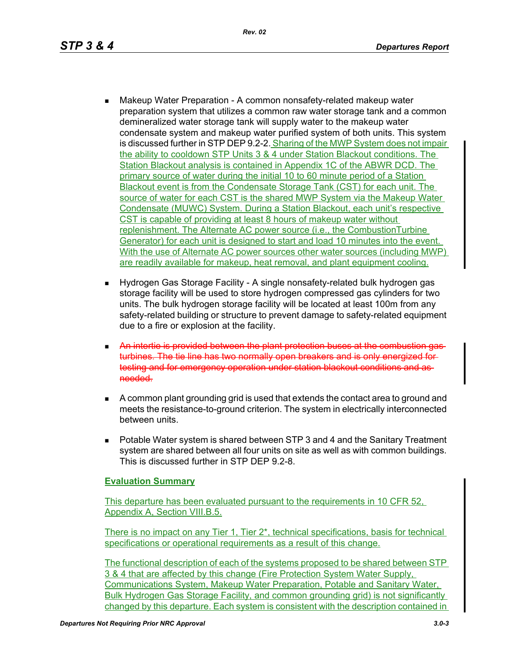- Makeup Water Preparation A common nonsafety-related makeup water preparation system that utilizes a common raw water storage tank and a common demineralized water storage tank will supply water to the makeup water condensate system and makeup water purified system of both units. This system is discussed further in STP DEP 9.2-2. Sharing of the MWP System does not impair the ability to cooldown STP Units 3 & 4 under Station Blackout conditions. The Station Blackout analysis is contained in Appendix 1C of the ABWR DCD. The primary source of water during the initial 10 to 60 minute period of a Station Blackout event is from the Condensate Storage Tank (CST) for each unit. The source of water for each CST is the shared MWP System via the Makeup Water Condensate (MUWC) System. During a Station Blackout, each unit's respective CST is capable of providing at least 8 hours of makeup water without replenishment. The Alternate AC power source (i.e., the CombustionTurbine Generator) for each unit is designed to start and load 10 minutes into the event. With the use of Alternate AC power sources other water sources (including MWP) are readily available for makeup, heat removal, and plant equipment cooling.
- Hydrogen Gas Storage Facility A single nonsafety-related bulk hydrogen gas storage facility will be used to store hydrogen compressed gas cylinders for two units. The bulk hydrogen storage facility will be located at least 100m from any safety-related building or structure to prevent damage to safety-related equipment due to a fire or explosion at the facility.
- **An intertie is provided between the plant protection buses at the combustion** turbines. The tie line has two normally open breakers and is only energized for testing and for emergency operation under station blackout conditions and needed.
- A common plant grounding grid is used that extends the contact area to ground and meets the resistance-to-ground criterion. The system in electrically interconnected between units.
- **Potable Water system is shared between STP 3 and 4 and the Sanitary Treatment** system are shared between all four units on site as well as with common buildings. This is discussed further in STP DEP 9.2-8.

## **Evaluation Summary**

This departure has been evaluated pursuant to the requirements in 10 CFR 52, Appendix A, Section VIII.B.5.

There is no impact on any Tier 1, Tier 2\*, technical specifications, basis for technical specifications or operational requirements as a result of this change.

The functional description of each of the systems proposed to be shared between STP 3 & 4 that are affected by this change (Fire Protection System Water Supply, Communications System, Makeup Water Preparation, Potable and Sanitary Water, Bulk Hydrogen Gas Storage Facility, and common grounding grid) is not significantly changed by this departure. Each system is consistent with the description contained in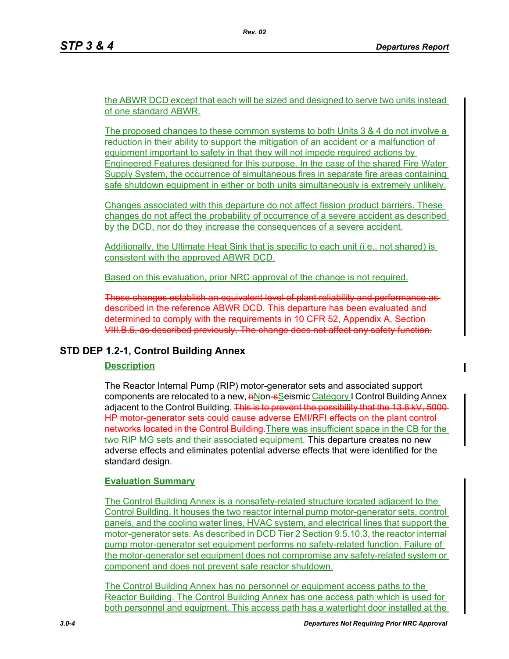the ABWR DCD except that each will be sized and designed to serve two units instead of one standard ABWR.

The proposed changes to these common systems to both Units 3 & 4 do not involve a reduction in their ability to support the mitigation of an accident or a malfunction of equipment important to safety in that they will not impede required actions by Engineered Features designed for this purpose. In the case of the shared Fire Water Supply System, the occurrence of simultaneous fires in separate fire areas containing safe shutdown equipment in either or both units simultaneously is extremely unlikely.

Changes associated with this departure do not affect fission product barriers. These changes do not affect the probability of occurrence of a severe accident as described by the DCD, nor do they increase the consequences of a severe accident.

Additionally, the Ultimate Heat Sink that is specific to each unit (i.e., not shared) is consistent with the approved ABWR DCD.

Based on this evaluation, prior NRC approval of the change is not required.

These changes establish an equivalent level of plant reliability and performance as described in the reference ABWR DCD. This departure has been evaluated and determined to comply with the requirements in 10 CFR 52, Appendix A, Section VIII.B.5, as described previously. The change does not affect any safety function.

## **STD DEP 1.2-1, Control Building Annex**

### **Description**

The Reactor Internal Pump (RIP) motor-generator sets and associated support components are relocated to a new,  $n\text{Non-}$ Seismic Category I Control Building Annex adiacent to the Control Building. This is to prevent the possibility that the 13.8 kV, 5000-HP motor-generator sets could cause adverse EMI/RFI effects on the plant controlnetworks located in the Control Building. There was insufficient space in the CB for the two RIP MG sets and their associated equipment. This departure creates no new adverse effects and eliminates potential adverse effects that were identified for the standard design.

### **Evaluation Summary**

The Control Building Annex is a nonsafety-related structure located adjacent to the Control Building. It houses the two reactor internal pump motor-generator sets, control panels, and the cooling water lines, HVAC system, and electrical lines that support the motor-generator sets. As described in DCD Tier 2 Section 9.5.10.3, the reactor internal pump motor-generator set equipment performs no safety-related function. Failure of the motor-generator set equipment does not compromise any safety-related system or component and does not prevent safe reactor shutdown.

The Control Building Annex has no personnel or equipment access paths to the Reactor Building. The Control Building Annex has one access path which is used for both personnel and equipment. This access path has a watertight door installed at the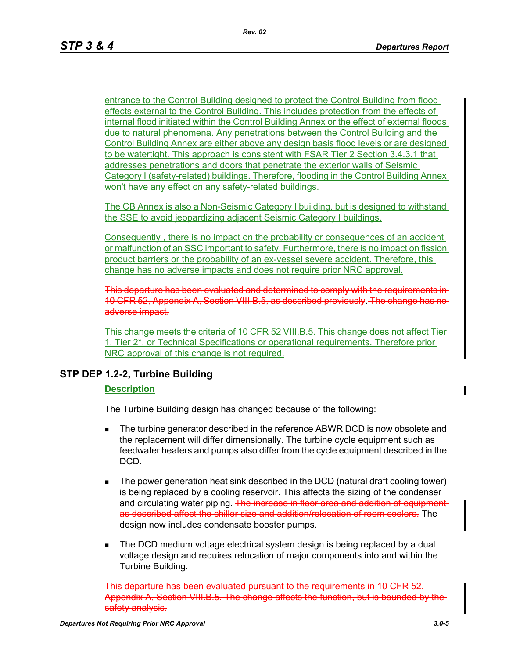entrance to the Control Building designed to protect the Control Building from flood effects external to the Control Building. This includes protection from the effects of internal flood initiated within the Control Building Annex or the effect of external floods due to natural phenomena. Any penetrations between the Control Building and the Control Building Annex are either above any design basis flood levels or are designed to be watertight. This approach is consistent with FSAR Tier 2 Section 3.4.3.1 that addresses penetrations and doors that penetrate the exterior walls of Seismic Category I (safety-related) buildings. Therefore, flooding in the Control Building Annex won't have any effect on any safety-related buildings.

The CB Annex is also a Non-Seismic Category I building, but is designed to withstand the SSE to avoid jeopardizing adjacent Seismic Category I buildings.

Consequently , there is no impact on the probability or consequences of an accident or malfunction of an SSC important to safety. Furthermore, there is no impact on fission product barriers or the probability of an ex-vessel severe accident. Therefore, this change has no adverse impacts and does not require prior NRC approval.

This departure has been evaluated and determined to comply with the requirements in 10 CFR 52, Appendix A, Section VIII.B.5, as described previously. The change has adverse impact.

This change meets the criteria of 10 CFR 52 VIII.B.5. This change does not affect Tier 1, Tier 2\*, or Technical Specifications or operational requirements. Therefore prior NRC approval of this change is not required.

# **STP DEP 1.2-2, Turbine Building**

### **Description**

The Turbine Building design has changed because of the following:

- **The turbine generator described in the reference ABWR DCD is now obsolete and** the replacement will differ dimensionally. The turbine cycle equipment such as feedwater heaters and pumps also differ from the cycle equipment described in the DCD.
- The power generation heat sink described in the DCD (natural draft cooling tower) is being replaced by a cooling reservoir. This affects the sizing of the condenser and circulating water piping. The increase in floor area and addition of equipment as described affect the chiller size and addition/relocation of room coolers. The design now includes condensate booster pumps.
- The DCD medium voltage electrical system design is being replaced by a dual voltage design and requires relocation of major components into and within the Turbine Building.

This departure has been evaluated pursuant to the requirements in 10 CFR 52, Appendix A, Section VIII.B.5. The change affects the function, but is safety analysis.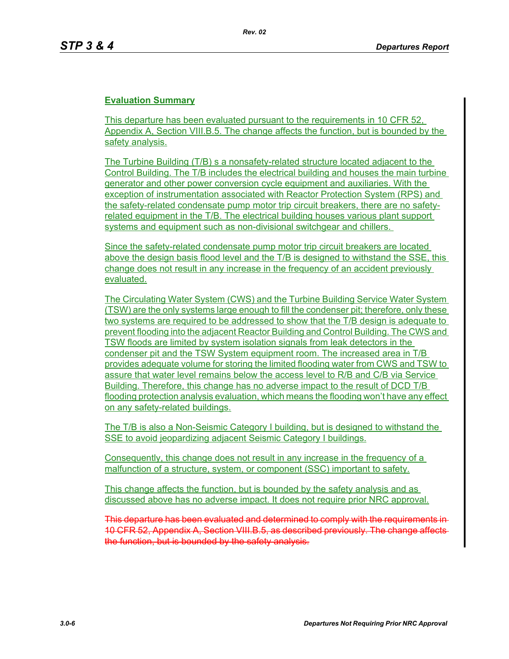## **Evaluation Summary**

This departure has been evaluated pursuant to the requirements in 10 CFR 52, Appendix A, Section VIII.B.5. The change affects the function, but is bounded by the safety analysis.

The Turbine Building (T/B) s a nonsafety-related structure located adjacent to the Control Building. The T/B includes the electrical building and houses the main turbine generator and other power conversion cycle equipment and auxiliaries. With the exception of instrumentation associated with Reactor Protection System (RPS) and the safety-related condensate pump motor trip circuit breakers, there are no safetyrelated equipment in the T/B. The electrical building houses various plant support systems and equipment such as non-divisional switchgear and chillers.

Since the safety-related condensate pump motor trip circuit breakers are located above the design basis flood level and the T/B is designed to withstand the SSE, this change does not result in any increase in the frequency of an accident previously evaluated.

The Circulating Water System (CWS) and the Turbine Building Service Water System (TSW) are the only systems large enough to fill the condenser pit; therefore, only these two systems are required to be addressed to show that the T/B design is adequate to prevent flooding into the adjacent Reactor Building and Control Building. The CWS and TSW floods are limited by system isolation signals from leak detectors in the condenser pit and the TSW System equipment room. The increased area in T/B provides adequate volume for storing the limited flooding water from CWS and TSW to assure that water level remains below the access level to R/B and C/B via Service Building. Therefore, this change has no adverse impact to the result of DCD T/B flooding protection analysis evaluation, which means the flooding won't have any effect on any safety-related buildings.

The T/B is also a Non-Seismic Category I building, but is designed to withstand the SSE to avoid jeopardizing adjacent Seismic Category I buildings.

Consequently, this change does not result in any increase in the frequency of a malfunction of a structure, system, or component (SSC) important to safety.

This change affects the function, but is bounded by the safety analysis and as discussed above has no adverse impact. It does not require prior NRC approval.

This departure has been evaluated and determined to comply with the requirements in 10 CFR 52, Appendix A, Section VIII.B.5, as described previously. The change affects the function, but is bounded by the safety analysis.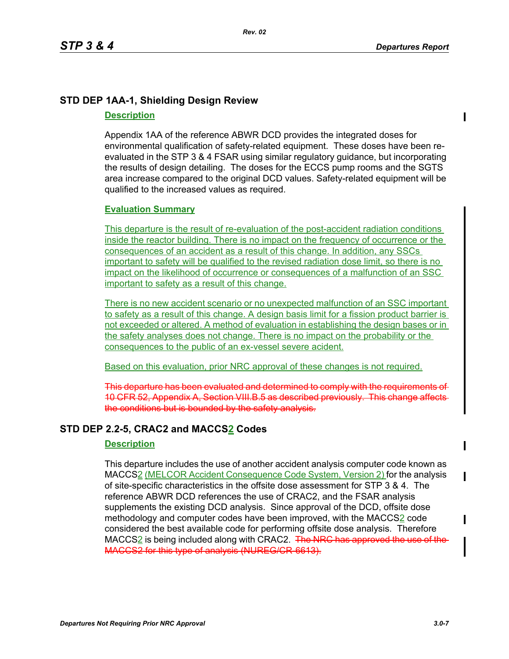# **STD DEP 1AA-1, Shielding Design Review**

### **Description**

Appendix 1AA of the reference ABWR DCD provides the integrated doses for environmental qualification of safety-related equipment. These doses have been reevaluated in the STP 3 & 4 FSAR using similar regulatory guidance, but incorporating the results of design detailing. The doses for the ECCS pump rooms and the SGTS area increase compared to the original DCD values. Safety-related equipment will be qualified to the increased values as required.

## **Evaluation Summary**

This departure is the result of re-evaluation of the post-accident radiation conditions inside the reactor building. There is no impact on the frequency of occurrence or the consequences of an accident as a result of this change. In addition, any SSCs important to safety will be qualified to the revised radiation dose limit, so there is no impact on the likelihood of occurrence or consequences of a malfunction of an SSC important to safety as a result of this change.

There is no new accident scenario or no unexpected malfunction of an SSC important to safety as a result of this change. A design basis limit for a fission product barrier is not exceeded or altered. A method of evaluation in establishing the design bases or in the safety analyses does not change. There is no impact on the probability or the consequences to the public of an ex-vessel severe acident.

Based on this evaluation, prior NRC approval of these changes is not required.

This departure has been evaluated and determined to comply with the requirements of 10 CFR 52, Appendix A, Section VIII.B.5 as described previously. This change affects the conditions but is bounded by the safety analysis.

# **STD DEP 2.2-5, CRAC2 and MACCS2 Codes**

## **Description**

This departure includes the use of another accident analysis computer code known as MACCS2 (MELCOR Accident Consequence Code System, Version 2) for the analysis of site-specific characteristics in the offsite dose assessment for STP 3 & 4. The reference ABWR DCD references the use of CRAC2, and the FSAR analysis supplements the existing DCD analysis. Since approval of the DCD, offsite dose methodology and computer codes have been improved, with the MACCS2 code considered the best available code for performing offsite dose analysis. Therefore MACCS2 is being included along with CRAC2. The NRC has approved the use of the MACCS2 for this type of analysis (NUREG/CR-6613).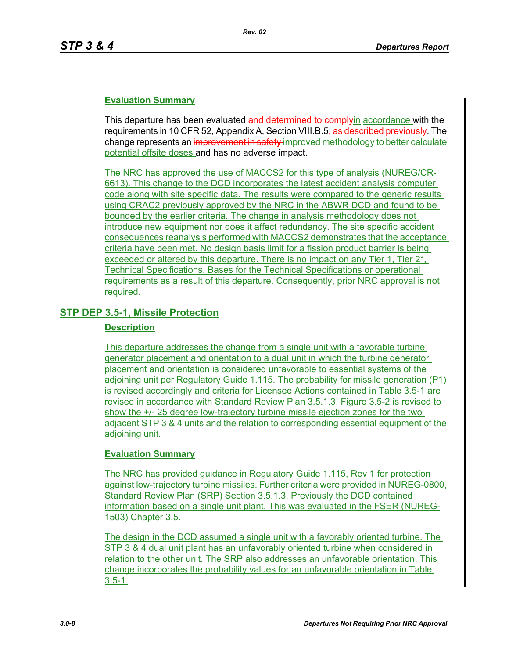## **Evaluation Summary**

This departure has been evaluated and determined to comply in accordance with the requirements in 10 CFR 52, Appendix A, Section VIII.B.5<del>, as described previously</del>. The change represents an improvement in safety improved methodology to better calculate potential offsite doses and has no adverse impact.

The NRC has approved the use of MACCS2 for this type of analysis (NUREG/CR-6613). This change to the DCD incorporates the latest accident analysis computer code along with site specific data. The results were compared to the generic results using CRAC2 previously approved by the NRC in the ABWR DCD and found to be bounded by the earlier criteria. The change in analysis methodology does not introduce new equipment nor does it affect redundancy. The site specific accident consequences reanalysis performed with MACCS2 demonstrates that the acceptance criteria have been met. No design basis limit for a fission product barrier is being exceeded or altered by this departure. There is no impact on any Tier 1, Tier  $2^*$ , Technical Specifications, Bases for the Technical Specifications or operational requirements as a result of this departure. Consequently, prior NRC approval is not required.

# **STP DEP 3.5-1, Missile Protection**

### **Description**

This departure addresses the change from a single unit with a favorable turbine generator placement and orientation to a dual unit in which the turbine generator placement and orientation is considered unfavorable to essential systems of the adjoining unit per Regulatory Guide 1.115. The probability for missile generation (P1) is revised accordingly and criteria for Licensee Actions contained in Table 3.5-1 are revised in accordance with Standard Review Plan 3.5.1.3. Figure 3.5-2 is revised to show the +/- 25 degree low-trajectory turbine missile ejection zones for the two adjacent STP 3 & 4 units and the relation to corresponding essential equipment of the adioining unit.

## **Evaluation Summary**

The NRC has provided guidance in Regulatory Guide 1.115, Rev 1 for protection against low-trajectory turbine missiles. Further criteria were provided in NUREG-0800, Standard Review Plan (SRP) Section 3.5.1.3. Previously the DCD contained information based on a single unit plant. This was evaluated in the FSER (NUREG-1503) Chapter 3.5.

The design in the DCD assumed a single unit with a favorably oriented turbine. The STP 3 & 4 dual unit plant has an unfavorably oriented turbine when considered in relation to the other unit. The SRP also addresses an unfavorable orientation. This change incorporates the probability values for an unfavorable orientation in Table 3.5-1.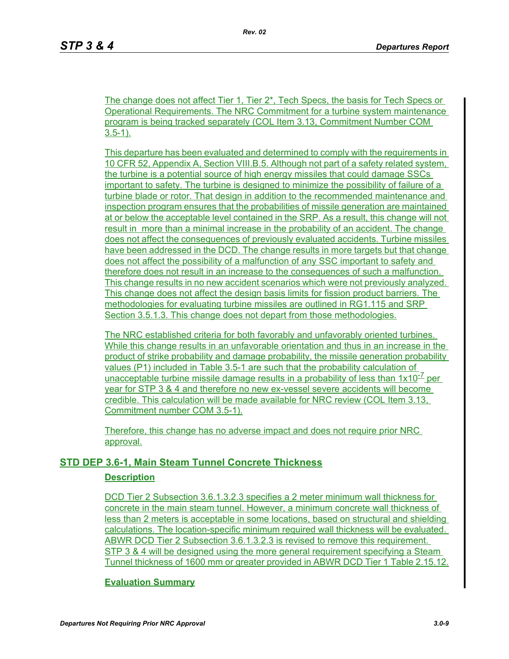The change does not affect Tier 1, Tier 2\*, Tech Specs, the basis for Tech Specs or Operational Requirements. The NRC Commitment for a turbine system maintenance program is being tracked separately (COL Item 3.13, Commitment Number COM  $3.5 - 1$ ).

This departure has been evaluated and determined to comply with the requirements in 10 CFR 52, Appendix A, Section VIII.B.5. Although not part of a safety related system, the turbine is a potential source of high energy missiles that could damage SSCs important to safety. The turbine is designed to minimize the possibility of failure of a turbine blade or rotor. That design in addition to the recommended maintenance and inspection program ensures that the probabilities of missile generation are maintained at or below the acceptable level contained in the SRP. As a result, this change will not result in more than a minimal increase in the probability of an accident. The change does not affect the consequences of previously evaluated accidents. Turbine missiles have been addressed in the DCD. The change results in more targets but that change does not affect the possibility of a malfunction of any SSC important to safety and therefore does not result in an increase to the consequences of such a malfunction. This change results in no new accident scenarios which were not previously analyzed. This change does not affect the design basis limits for fission product barriers. The methodologies for evaluating turbine missiles are outlined in RG1.115 and SRP Section 3.5.1.3. This change does not depart from those methodologies.

The NRC established criteria for both favorably and unfavorably oriented turbines. While this change results in an unfavorable orientation and thus in an increase in the product of strike probability and damage probability, the missile generation probability values (P1) included in Table 3.5-1 are such that the probability calculation of unacceptable turbine missile damage results in a probability of less than  $1 \times 10^{-7}$  per year for STP 3 & 4 and therefore no new ex-vessel severe accidents will become credible. This calculation will be made available for NRC review (COL Item 3.13, Commitment number COM 3.5-1).

Therefore, this change has no adverse impact and does not require prior NRC approval.

# **STD DEP 3.6-1, Main Steam Tunnel Concrete Thickness**

## **Description**

DCD Tier 2 Subsection 3.6.1.3.2.3 specifies a 2 meter minimum wall thickness for concrete in the main steam tunnel. However, a minimum concrete wall thickness of less than 2 meters is acceptable in some locations, based on structural and shielding calculations. The location-specific minimum required wall thickness will be evaluated. ABWR DCD Tier 2 Subsection 3.6.1.3.2.3 is revised to remove this requirement. STP 3 & 4 will be designed using the more general requirement specifying a Steam Tunnel thickness of 1600 mm or greater provided in ABWR DCD Tier 1 Table 2.15.12.

#### **Evaluation Summary**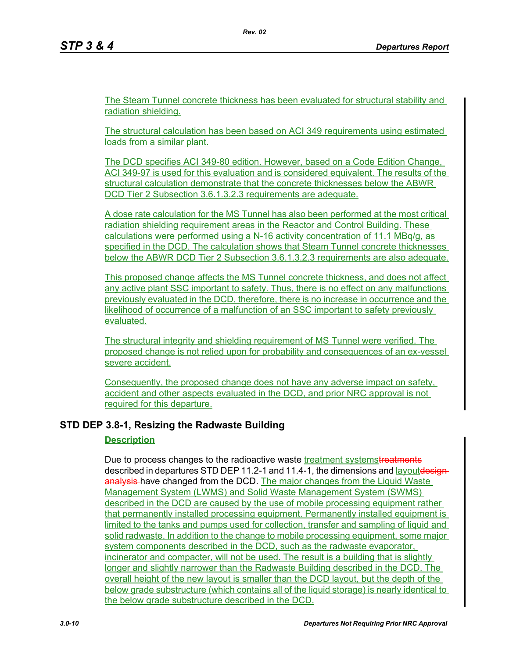The Steam Tunnel concrete thickness has been evaluated for structural stability and radiation shielding.

The structural calculation has been based on ACI 349 requirements using estimated loads from a similar plant.

The DCD specifies ACI 349-80 edition. However, based on a Code Edition Change, ACI 349-97 is used for this evaluation and is considered equivalent. The results of the structural calculation demonstrate that the concrete thicknesses below the ABWR DCD Tier 2 Subsection 3.6.1.3.2.3 requirements are adequate.

A dose rate calculation for the MS Tunnel has also been performed at the most critical radiation shielding requirement areas in the Reactor and Control Building. These calculations were performed using a N-16 activity concentration of 11.1 MBq/g, as specified in the DCD. The calculation shows that Steam Tunnel concrete thicknesses below the ABWR DCD Tier 2 Subsection 3.6.1.3.2.3 requirements are also adequate.

This proposed change affects the MS Tunnel concrete thickness, and does not affect any active plant SSC important to safety. Thus, there is no effect on any malfunctions previously evaluated in the DCD, therefore, there is no increase in occurrence and the likelihood of occurrence of a malfunction of an SSC important to safety previously evaluated.

The structural integrity and shielding requirement of MS Tunnel were verified. The proposed change is not relied upon for probability and consequences of an ex-vessel severe accident.

Consequently, the proposed change does not have any adverse impact on safety, accident and other aspects evaluated in the DCD, and prior NRC approval is not required for this departure.

# **STD DEP 3.8-1, Resizing the Radwaste Building**

## **Description**

Due to process changes to the radioactive waste treatment systemstreatments described in departures STD DEP 11.2-1 and 11.4-1, the dimensions and **layoutdesign**analysis-have changed from the DCD. The major changes from the Liquid Waste Management System (LWMS) and Solid Waste Management System (SWMS) described in the DCD are caused by the use of mobile processing equipment rather that permanently installed processing equipment. Permanently installed equipment is limited to the tanks and pumps used for collection, transfer and sampling of liquid and solid radwaste. In addition to the change to mobile processing equipment, some major system components described in the DCD, such as the radwaste evaporator, incinerator and compacter, will not be used. The result is a building that is slightly longer and slightly narrower than the Radwaste Building described in the DCD. The overall height of the new layout is smaller than the DCD layout, but the depth of the below grade substructure (which contains all of the liquid storage) is nearly identical to the below grade substructure described in the DCD.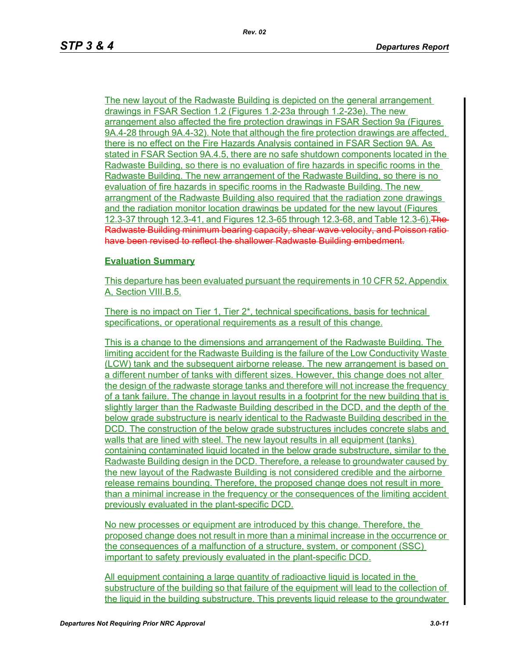The new layout of the Radwaste Building is depicted on the general arrangement drawings in FSAR Section 1.2 (Figures 1.2-23a through 1.2-23e). The new arrangement also affected the fire protection drawings in FSAR Section 9a (Figures 9A.4-28 through 9A.4-32). Note that although the fire protection drawings are affected, there is no effect on the Fire Hazards Analysis contained in FSAR Section 9A. As stated in FSAR Section 9A.4.5, there are no safe shutdown components located in the Radwaste Building, so there is no evaluation of fire hazards in specific rooms in the Radwaste Building. The new arrangement of the Radwaste Building, so there is no evaluation of fire hazards in specific rooms in the Radwaste Building. The new arrangment of the Radwaste Building also required that the radiation zone drawings and the radiation monitor location drawings be updated for the new layout (Figures 12.3-37 through 12.3-41, and Figures 12.3-65 through 12.3-68, and Table 12.3-6). The Radwaste Building minimum bearing capacity, shear wave velocity, and Poisson ratio have been revised to reflect the shallower Radwaste Building embedment.

### **Evaluation Summary**

This departure has been evaluated pursuant the requirements in 10 CFR 52, Appendix A, Section VIII.B.5.

There is no impact on Tier 1, Tier 2<sup>\*</sup>, technical specifications, basis for technical specifications, or operational requirements as a result of this change.

This is a change to the dimensions and arrangement of the Radwaste Building. The limiting accident for the Radwaste Building is the failure of the Low Conductivity Waste (LCW) tank and the subsequent airborne release. The new arrangement is based on a different number of tanks with different sizes. However, this change does not alter the design of the radwaste storage tanks and therefore will not increase the frequency of a tank failure. The change in layout results in a footprint for the new building that is slightly larger than the Radwaste Building described in the DCD, and the depth of the below grade substructure is nearly identical to the Radwaste Building described in the DCD. The construction of the below grade substructures includes concrete slabs and walls that are lined with steel. The new layout results in all equipment (tanks) containing contaminated liquid located in the below grade substructure, similar to the Radwaste Building design in the DCD. Therefore, a release to groundwater caused by the new layout of the Radwaste Building is not considered credible and the airborne release remains bounding. Therefore, the proposed change does not result in more than a minimal increase in the frequency or the consequences of the limiting accident previously evaluated in the plant-specific DCD.

No new processes or equipment are introduced by this change. Therefore, the proposed change does not result in more than a minimal increase in the occurrence or the consequences of a malfunction of a structure, system, or component (SSC) important to safety previously evaluated in the plant-specific DCD.

All equipment containing a large quantity of radioactive liquid is located in the substructure of the building so that failure of the equipment will lead to the collection of the liquid in the building substructure. This prevents liquid release to the groundwater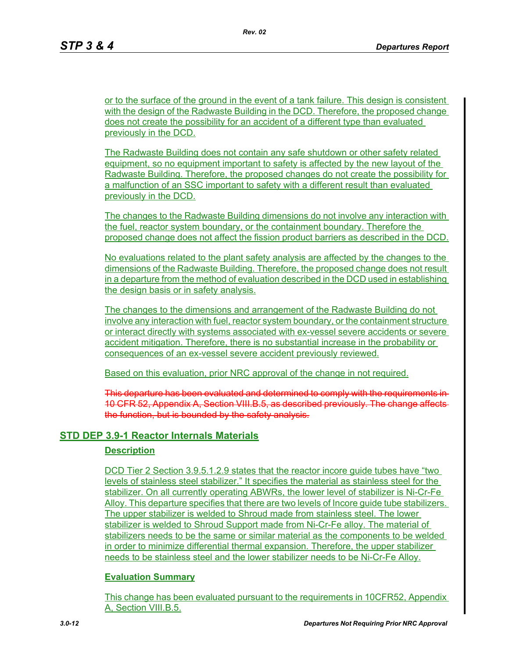or to the surface of the ground in the event of a tank failure. This design is consistent with the design of the Radwaste Building in the DCD. Therefore, the proposed change does not create the possibility for an accident of a different type than evaluated previously in the DCD.

The Radwaste Building does not contain any safe shutdown or other safety related equipment, so no equipment important to safety is affected by the new layout of the Radwaste Building. Therefore, the proposed changes do not create the possibility for a malfunction of an SSC important to safety with a different result than evaluated previously in the DCD.

The changes to the Radwaste Building dimensions do not involve any interaction with the fuel, reactor system boundary, or the containment boundary. Therefore the proposed change does not affect the fission product barriers as described in the DCD.

No evaluations related to the plant safety analysis are affected by the changes to the dimensions of the Radwaste Building. Therefore, the proposed change does not result in a departure from the method of evaluation described in the DCD used in establishing the design basis or in safety analysis.

The changes to the dimensions and arrangement of the Radwaste Building do not involve any interaction with fuel, reactor system boundary, or the containment structure or interact directly with systems associated with ex-vessel severe accidents or severe accident mitigation. Therefore, there is no substantial increase in the probability or consequences of an ex-vessel severe accident previously reviewed.

Based on this evaluation, prior NRC approval of the change in not required.

This departure has been evaluated and determined to comply with the requirements in 10 CFR 52, Appendix A, Section VIII.B.5, as described previously. The change affects the function, but is bounded by the safety analysis.

# **STD DEP 3.9-1 Reactor Internals Materials**

## **Description**

DCD Tier 2 Section 3.9.5.1.2.9 states that the reactor incore guide tubes have "two levels of stainless steel stabilizer." It specifies the material as stainless steel for the stabilizer. On all currently operating ABWRs, the lower level of stabilizer is Ni-Cr-Fe Alloy. This departure specifies that there are two levels of Incore guide tube stabilizers. The upper stabilizer is welded to Shroud made from stainless steel. The lower stabilizer is welded to Shroud Support made from Ni-Cr-Fe alloy. The material of stabilizers needs to be the same or similar material as the components to be welded in order to minimize differential thermal expansion. Therefore, the upper stabilizer needs to be stainless steel and the lower stabilizer needs to be Ni-Cr-Fe Alloy.

## **Evaluation Summary**

This change has been evaluated pursuant to the requirements in 10CFR52, Appendix A, Section VIII.B.5.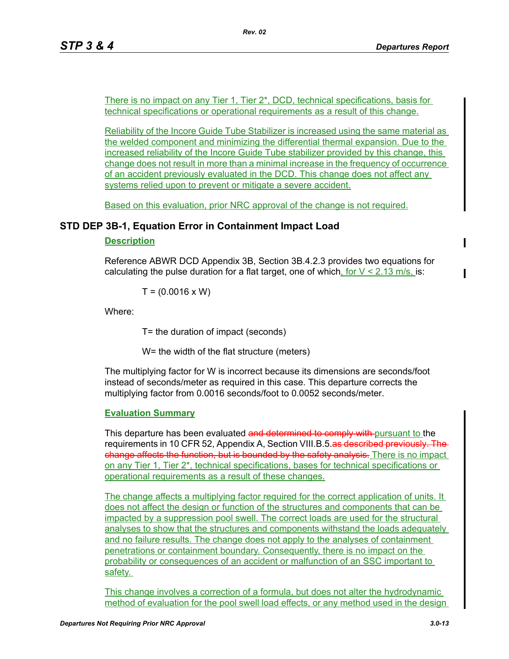There is no impact on any Tier 1, Tier 2\*, DCD, technical specifications, basis for technical specifications or operational requirements as a result of this change.

Reliability of the Incore Guide Tube Stabilizer is increased using the same material as the welded component and minimizing the differential thermal expansion. Due to the increased reliability of the Incore Guide Tube stabilizer provided by this change, this change does not result in more than a minimal increase in the frequency of occurrence of an accident previously evaluated in the DCD. This change does not affect any systems relied upon to prevent or mitigate a severe accident.

Based on this evaluation, prior NRC approval of the change is not required.

# **STD DEP 3B-1, Equation Error in Containment Impact Load**

## **Description**

Reference ABWR DCD Appendix 3B, Section 3B.4.2.3 provides two equations for calculating the pulse duration for a flat target, one of which, for  $V < 2.13$  m/s, is:

 $T = (0.0016 \times W)$ 

Where:

T= the duration of impact (seconds)

W= the width of the flat structure (meters)

The multiplying factor for W is incorrect because its dimensions are seconds/foot instead of seconds/meter as required in this case. This departure corrects the multiplying factor from 0.0016 seconds/foot to 0.0052 seconds/meter.

## **Evaluation Summary**

This departure has been evaluated and determined to comply with pursuant to the requirements in 10 CFR 52, Appendix A, Section VIII.B.5.as described previously. The change affects the function, but is bounded by the safety analysis. There is no impact on any Tier 1, Tier 2\*, technical specifications, bases for technical specifications or operational requirements as a result of these changes.

The change affects a multiplying factor required for the correct application of units. It does not affect the design or function of the structures and components that can be impacted by a suppression pool swell. The correct loads are used for the structural analyses to show that the structures and components withstand the loads adequately and no failure results. The change does not apply to the analyses of containment penetrations or containment boundary. Consequently, there is no impact on the probability or consequences of an accident or malfunction of an SSC important to safety.

This change involves a correction of a formula, but does not alter the hydrodynamic method of evaluation for the pool swell load effects, or any method used in the design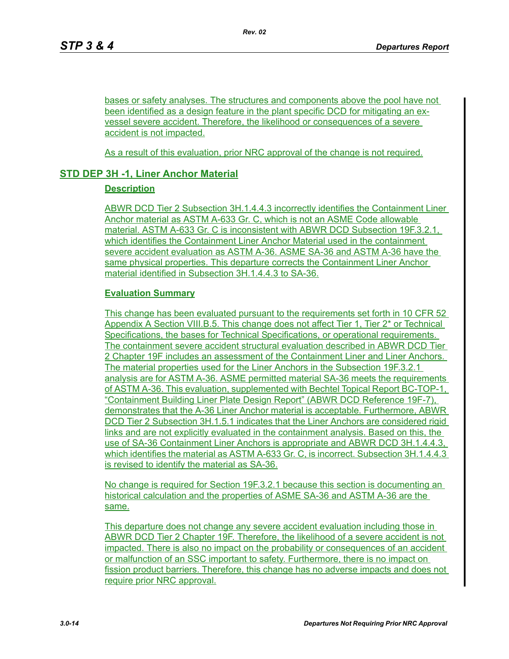bases or safety analyses. The structures and components above the pool have not been identified as a design feature in the plant specific DCD for mitigating an exvessel severe accident. Therefore, the likelihood or consequences of a severe accident is not impacted.

As a result of this evaluation, prior NRC approval of the change is not required.

# **STD DEP 3H -1, Liner Anchor Material**

## **Description**

ABWR DCD Tier 2 Subsection 3H.1.4.4.3 incorrectly identifies the Containment Liner Anchor material as ASTM A-633 Gr. C, which is not an ASME Code allowable material. ASTM A-633 Gr. C is inconsistent with ABWR DCD Subsection 19F.3.2.1, which identifies the Containment Liner Anchor Material used in the containment severe accident evaluation as ASTM A-36. ASME SA-36 and ASTM A-36 have the same physical properties. This departure corrects the Containment Liner Anchor material identified in Subsection 3H.1.4.4.3 to SA-36.

## **Evaluation Summary**

This change has been evaluated pursuant to the requirements set forth in 10 CFR 52 Appendix A Section VIII.B.5. This change does not affect Tier 1, Tier 2\* or Technical Specifications, the bases for Technical Specifications, or operational requirements. The containment severe accident structural evaluation described in ABWR DCD Tier 2 Chapter 19F includes an assessment of the Containment Liner and Liner Anchors. The material properties used for the Liner Anchors in the Subsection 19F.3.2.1 analysis are for ASTM A-36. ASME permitted material SA-36 meets the requirements of ASTM A-36. This evaluation, supplemented with Bechtel Topical Report BC-TOP-1, "Containment Building Liner Plate Design Report" (ABWR DCD Reference 19F-7), demonstrates that the A-36 Liner Anchor material is acceptable. Furthermore, ABWR DCD Tier 2 Subsection 3H.1.5.1 indicates that the Liner Anchors are considered rigid links and are not explicitly evaluated in the containment analysis. Based on this, the use of SA-36 Containment Liner Anchors is appropriate and ABWR DCD 3H.1.4.4.3, which identifies the material as ASTM A-633 Gr. C, is incorrect. Subsection 3H.1.4.4.3 is revised to identify the material as SA-36.

No change is required for Section 19F.3.2.1 because this section is documenting an historical calculation and the properties of ASME SA-36 and ASTM A-36 are the same.

This departure does not change any severe accident evaluation including those in ABWR DCD Tier 2 Chapter 19F. Therefore, the likelihood of a severe accident is not impacted. There is also no impact on the probability or consequences of an accident or malfunction of an SSC important to safety. Furthermore, there is no impact on fission product barriers. Therefore, this change has no adverse impacts and does not require prior NRC approval.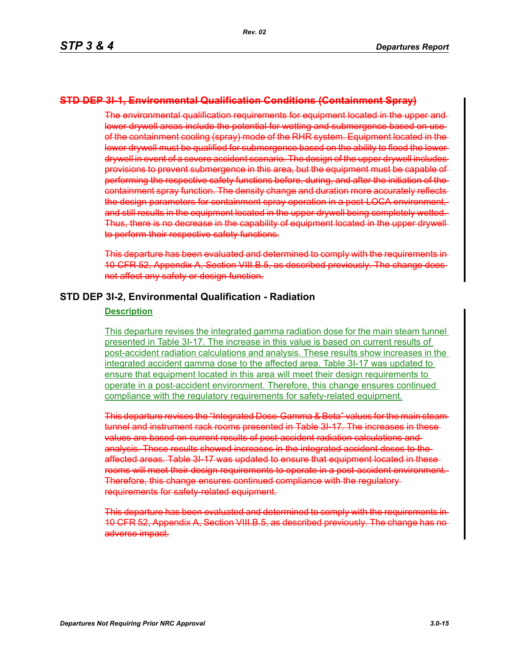## **STD DEP 3I-1, Environmental Qualification Conditions (Containment Spray)**

The environmental qualification requirements for equipment located in the upper and lower drywell areas include the potential for wetting and submergence based on useof the containment cooling (spray) mode of the RHR system. Equipment located in the lower drywell must be qualified for submergence based on the ability to flood the lower drywell in event of a severe accident scenario. The design of the upper drywell includes provisions to prevent submergence in this area, but the equipment must be capable of performing the respective safety functions before, during, and after the initiation of the containment spray function. The density change and duration more accurately reflects the design parameters for containment spray operation in a post-LOCA environment, and still results in the equipment located in the upper drywell being completely wetted. Thus, there is no decrease in the capability of equipment located in the upper drywell to perform their respective safety functions.

This departure has been evaluated and determined to comply with the requirements in 10 CFR 52, Appendix A, Section VIII.B.5, as described previously. The change does not affect any safety or design function.

### **STD DEP 3I-2, Environmental Qualification - Radiation**

#### **Description**

This departure revises the integrated gamma radiation dose for the main steam tunnel presented in Table 3I-17. The increase in this value is based on current results of post-accident radiation calculations and analysis. These results show increases in the integrated accident gamma dose to the affected area. Table 3I-17 was updated to ensure that equipment located in this area will meet their design requirements to operate in a post-accident environment. Therefore, this change ensures continued compliance with the regulatory requirements for safety-related equipment.

This departure revises the "Integrated Dose-Gamma & Beta" values for the main steam tunnel and instrument rack rooms presented in Table 3I-17. The increases in these values are based on current results of post-accident radiation calculations and analysis. Those results showed increases in the integrated accident doses to the affected areas. Table 3I-17 was updated to ensure that equipment located in these rooms will meet their design requirements to operate in a post-accident environment. Therefore, this change ensures continued compliance with the regulatory requirements for safety-related equipment.

This departure has been evaluated and determined to comply with the requirements in 10 CFR 52, Appendix A, Section VIII.B.5, as described previously. The change has no adverse impact.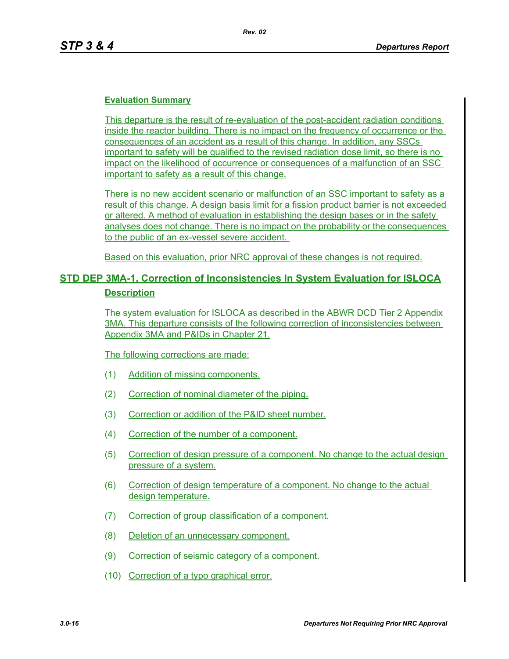## **Evaluation Summary**

This departure is the result of re-evaluation of the post-accident radiation conditions inside the reactor building. There is no impact on the frequency of occurrence or the consequences of an accident as a result of this change. In addition, any SSCs important to safety will be qualified to the revised radiation dose limit, so there is no impact on the likelihood of occurrence or consequences of a malfunction of an SSC important to safety as a result of this change.

There is no new accident scenario or malfunction of an SSC important to safety as a result of this change. A design basis limit for a fission product barrier is not exceeded or altered. A method of evaluation in establishing the design bases or in the safety analyses does not change. There is no impact on the probability or the consequences to the public of an ex-vessel severe accident.

Based on this evaluation, prior NRC approval of these changes is not required.

# **STD DEP 3MA-1, Correction of Inconsistencies In System Evaluation for ISLOCA Description**

The system evaluation for ISLOCA as described in the ABWR DCD Tier 2 Appendix 3MA. This departure consists of the following correction of inconsistencies between Appendix 3MA and P&IDs in Chapter 21.

The following corrections are made:

- (1) Addition of missing components.
- (2) Correction of nominal diameter of the piping.
- (3) Correction or addition of the P&ID sheet number.
- (4) Correction of the number of a component.
- (5) Correction of design pressure of a component. No change to the actual design pressure of a system.
- (6) Correction of design temperature of a component. No change to the actual design temperature.
- (7) Correction of group classification of a component.
- (8) Deletion of an unnecessary component.
- (9) Correction of seismic category of a component.
- (10) Correction of a typo graphical error.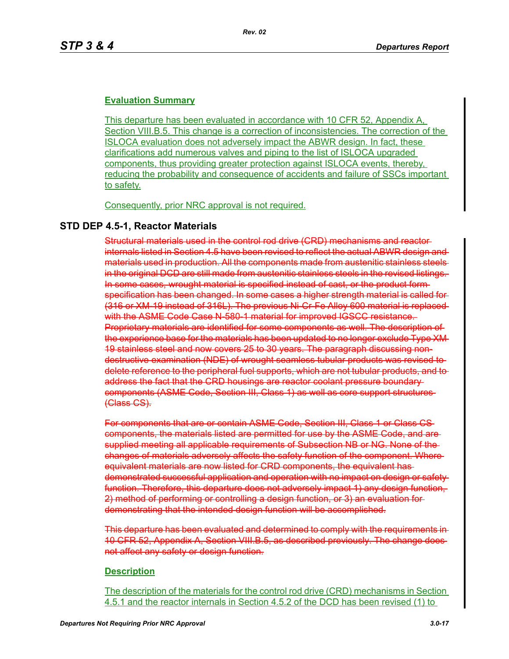## **Evaluation Summary**

This departure has been evaluated in accordance with 10 CFR 52, Appendix A, Section VIII.B.5. This change is a correction of inconsistencies. The correction of the ISLOCA evaluation does not adversely impact the ABWR design. In fact, these clarifications add numerous valves and piping to the list of ISLOCA upgraded components, thus providing greater protection against ISLOCA events, thereby, reducing the probability and consequence of accidents and failure of SSCs important to safety.

Consequently, prior NRC approval is not required.

## **STD DEP 4.5-1, Reactor Materials**

Structural materials used in the control rod drive (CRD) mechanisms and reactor internals listed in Section 4.5 have been revised to reflect the actual ABWR design and materials used in production. All the components made from austenitic stainless steels in the original DCD are still made from austenitic stainless steels in the revised listings. In some cases, wrought material is specified instead of cast, or the product form specification has been changed. In some cases a higher strength material is called for (316 or XM-19 instead of 316L). The previous Ni-Cr-Fe Alloy 600 material is replaced with the ASME Code Case N-580-1 material for improved IGSCC resistance. Proprietary materials are identified for some components as well. The description of the experience base for the materials has been updated to no longer exclude Type XM 19 stainless steel and now covers 25 to 30 years. The paragraph discussing nondestructive examination (NDE) of wrought seamless tubular products was revised to delete reference to the peripheral fuel supports, which are not tubular products, and to address the fact that the CRD housings are reactor coolant pressure boundary components (ASME Code, Section III, Class 1) as well as core support structures (Class CS).

For components that are or contain ASME Code, Section III, Class 1 or Class CS components, the materials listed are permitted for use by the ASME Code, and are supplied meeting all applicable requirements of Subsection NB or NG. None of the changes of materials adversely affects the safety function of the component. Where equivalent materials are now listed for CRD components, the equivalent has demonstrated successful application and operation with no impact on design or safety function. Therefore, this departure does not adversely impact 1) any design function, 2) method of performing or controlling a design function, or 3) an evaluation for demonstrating that the intended design function will be accomplished.

This departure has been evaluated and determined to comply with the requirements in 10 CFR 52, Appendix A, Section VIII.B.5, as described previously. The change does not affect any safety or design function.

### **Description**

The description of the materials for the control rod drive (CRD) mechanisms in Section 4.5.1 and the reactor internals in Section 4.5.2 of the DCD has been revised (1) to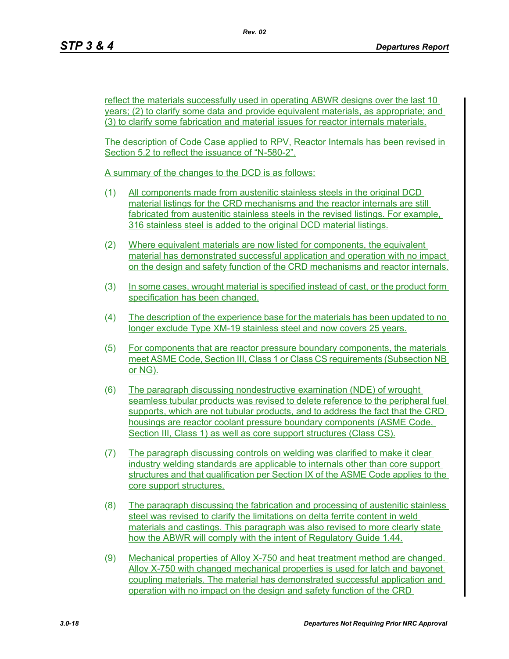reflect the materials successfully used in operating ABWR designs over the last 10 years; (2) to clarify some data and provide equivalent materials, as appropriate; and (3) to clarify some fabrication and material issues for reactor internals materials.

The description of Code Case applied to RPV, Reactor Internals has been revised in Section 5.2 to reflect the issuance of "N-580-2".

A summary of the changes to the DCD is as follows:

- (1) All components made from austenitic stainless steels in the original DCD material listings for the CRD mechanisms and the reactor internals are still fabricated from austenitic stainless steels in the revised listings. For example, 316 stainless steel is added to the original DCD material listings.
- (2) Where equivalent materials are now listed for components, the equivalent material has demonstrated successful application and operation with no impact on the design and safety function of the CRD mechanisms and reactor internals.
- (3) In some cases, wrought material is specified instead of cast, or the product form specification has been changed.
- (4) The description of the experience base for the materials has been updated to no longer exclude Type XM-19 stainless steel and now covers 25 years.
- (5) For components that are reactor pressure boundary components, the materials meet ASME Code, Section III, Class 1 or Class CS requirements (Subsection NB or NG).
- (6) The paragraph discussing nondestructive examination (NDE) of wrought seamless tubular products was revised to delete reference to the peripheral fuel supports, which are not tubular products, and to address the fact that the CRD housings are reactor coolant pressure boundary components (ASME Code, Section III, Class 1) as well as core support structures (Class CS).
- (7) The paragraph discussing controls on welding was clarified to make it clear industry welding standards are applicable to internals other than core support structures and that qualification per Section IX of the ASME Code applies to the core support structures.
- (8) The paragraph discussing the fabrication and processing of austenitic stainless steel was revised to clarify the limitations on delta ferrite content in weld materials and castings. This paragraph was also revised to more clearly state how the ABWR will comply with the intent of Regulatory Guide 1.44.
- (9) Mechanical properties of Alloy X-750 and heat treatment method are changed. Alloy X-750 with changed mechanical properties is used for latch and bayonet coupling materials. The material has demonstrated successful application and operation with no impact on the design and safety function of the CRD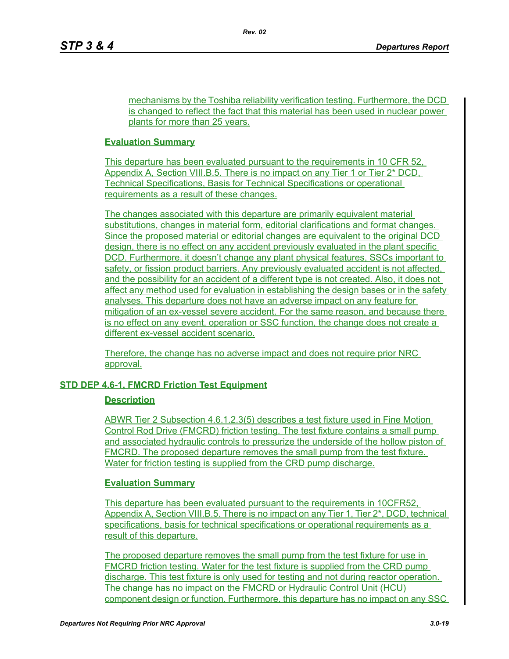mechanisms by the Toshiba reliability verification testing. Furthermore, the DCD is changed to reflect the fact that this material has been used in nuclear power plants for more than 25 years.

## **Evaluation Summary**

This departure has been evaluated pursuant to the requirements in 10 CFR 52. Appendix A, Section VIII.B.5. There is no impact on any Tier 1 or Tier 2\* DCD, Technical Specifications, Basis for Technical Specifications or operational requirements as a result of these changes.

The changes associated with this departure are primarily equivalent material substitutions, changes in material form, editorial clarifications and format changes. Since the proposed material or editorial changes are equivalent to the original DCD design, there is no effect on any accident previously evaluated in the plant specific DCD. Furthermore, it doesn't change any plant physical features, SSCs important to safety, or fission product barriers. Any previously evaluated accident is not affected, and the possibility for an accident of a different type is not created. Also, it does not affect any method used for evaluation in establishing the design bases or in the safety analyses. This departure does not have an adverse impact on any feature for mitigation of an ex-vessel severe accident. For the same reason, and because there is no effect on any event, operation or SSC function, the change does not create a different ex-vessel accident scenario.

Therefore, the change has no adverse impact and does not require prior NRC approval.

# **STD DEP 4.6-1, FMCRD Friction Test Equipment**

## **Description**

ABWR Tier 2 Subsection 4.6.1.2.3(5) describes a test fixture used in Fine Motion Control Rod Drive (FMCRD) friction testing. The test fixture contains a small pump and associated hydraulic controls to pressurize the underside of the hollow piston of FMCRD. The proposed departure removes the small pump from the test fixture. Water for friction testing is supplied from the CRD pump discharge.

## **Evaluation Summary**

This departure has been evaluated pursuant to the requirements in 10CFR52, Appendix A, Section VIII.B.5. There is no impact on any Tier 1, Tier 2\*, DCD, technical specifications, basis for technical specifications or operational requirements as a result of this departure.

The proposed departure removes the small pump from the test fixture for use in FMCRD friction testing. Water for the test fixture is supplied from the CRD pump discharge. This test fixture is only used for testing and not during reactor operation. The change has no impact on the FMCRD or Hydraulic Control Unit (HCU) component design or function. Furthermore, this departure has no impact on any SSC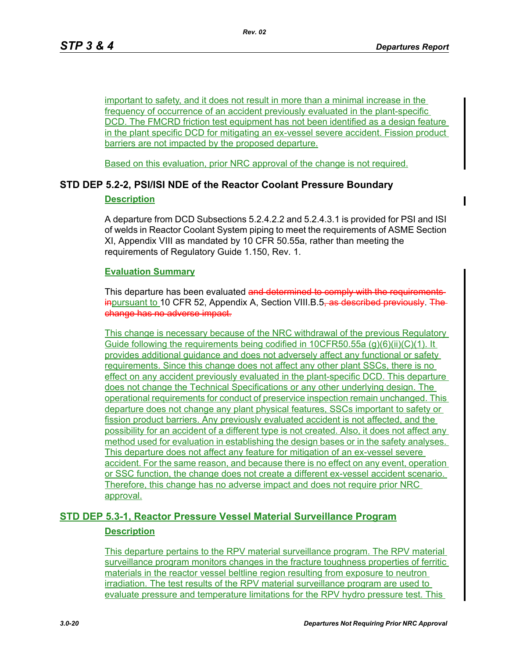important to safety, and it does not result in more than a minimal increase in the frequency of occurrence of an accident previously evaluated in the plant-specific DCD. The FMCRD friction test equipment has not been identified as a design feature in the plant specific DCD for mitigating an ex-vessel severe accident. Fission product barriers are not impacted by the proposed departure.

Based on this evaluation, prior NRC approval of the change is not required.

# **STD DEP 5.2-2, PSI/ISI NDE of the Reactor Coolant Pressure Boundary**

## **Description**

A departure from DCD Subsections 5.2.4.2.2 and 5.2.4.3.1 is provided for PSI and ISI of welds in Reactor Coolant System piping to meet the requirements of ASME Section XI, Appendix VIII as mandated by 10 CFR 50.55a, rather than meeting the requirements of Regulatory Guide 1.150, Rev. 1.

## **Evaluation Summary**

This departure has been evaluated and determined to comply with the requirements inpursuant to 10 CFR 52, Appendix A, Section VIII.B.5, as described previously. The change has no adverse impact.

This change is necessary because of the NRC withdrawal of the previous Regulatory Guide following the requirements being codified in 10CFR50.55a (g)(6)(ii)(C)(1). It provides additional guidance and does not adversely affect any functional or safety requirements. Since this change does not affect any other plant SSCs, there is no effect on any accident previously evaluated in the plant-specific DCD. This departure does not change the Technical Specifications or any other underlying design. The operational requirements for conduct of preservice inspection remain unchanged. This departure does not change any plant physical features, SSCs important to safety or fission product barriers. Any previously evaluated accident is not affected, and the possibility for an accident of a different type is not created. Also, it does not affect any method used for evaluation in establishing the design bases or in the safety analyses. This departure does not affect any feature for mitigation of an ex-vessel severe accident. For the same reason, and because there is no effect on any event, operation or SSC function, the change does not create a different ex-vessel accident scenario. Therefore, this change has no adverse impact and does not require prior NRC approval.

# **STD DEP 5.3-1, Reactor Pressure Vessel Material Surveillance Program Description**

This departure pertains to the RPV material surveillance program. The RPV material surveillance program monitors changes in the fracture toughness properties of ferritic materials in the reactor vessel beltline region resulting from exposure to neutron irradiation. The test results of the RPV material surveillance program are used to evaluate pressure and temperature limitations for the RPV hydro pressure test. This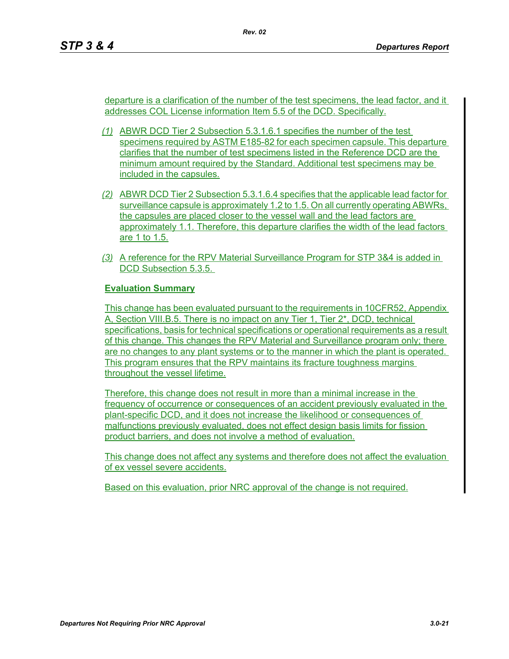departure is a clarification of the number of the test specimens, the lead factor, and it addresses COL License information Item 5.5 of the DCD. Specifically.

- *(1)* ABWR DCD Tier 2 Subsection 5.3.1.6.1 specifies the number of the test specimens required by ASTM E185-82 for each specimen capsule. This departure clarifies that the number of test specimens listed in the Reference DCD are the minimum amount required by the Standard. Additional test specimens may be included in the capsules.
- *(2)* ABWR DCD Tier 2 Subsection 5.3.1.6.4 specifies that the applicable lead factor for surveillance capsule is approximately 1.2 to 1.5. On all currently operating ABWRs, the capsules are placed closer to the vessel wall and the lead factors are approximately 1.1. Therefore, this departure clarifies the width of the lead factors are 1 to 1.5.
- *(3)* A reference for the RPV Material Surveillance Program for STP 3&4 is added in DCD Subsection 5.3.5.

# **Evaluation Summary**

This change has been evaluated pursuant to the requirements in 10CFR52, Appendix A, Section VIII.B.5. There is no impact on any Tier 1, Tier 2\*, DCD, technical specifications, basis for technical specifications or operational requirements as a result of this change. This changes the RPV Material and Surveillance program only; there are no changes to any plant systems or to the manner in which the plant is operated. This program ensures that the RPV maintains its fracture toughness margins throughout the vessel lifetime.

Therefore, this change does not result in more than a minimal increase in the frequency of occurrence or consequences of an accident previously evaluated in the plant-specific DCD, and it does not increase the likelihood or consequences of malfunctions previously evaluated, does not effect design basis limits for fission product barriers, and does not involve a method of evaluation.

This change does not affect any systems and therefore does not affect the evaluation of ex vessel severe accidents.

Based on this evaluation, prior NRC approval of the change is not required.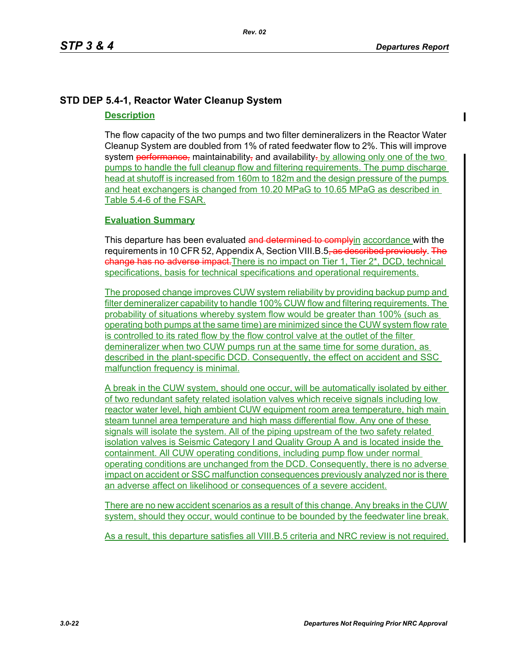# **STD DEP 5.4-1, Reactor Water Cleanup System**

## **Description**

The flow capacity of the two pumps and two filter demineralizers in the Reactor Water Cleanup System are doubled from 1% of rated feedwater flow to 2%. This will improve system performance, maintainability, and availability, by allowing only one of the two pumps to handle the full cleanup flow and filtering requirements. The pump discharge head at shutoff is increased from 160m to 182m and the design pressure of the pumps and heat exchangers is changed from 10.20 MPaG to 10.65 MPaG as described in Table 5.4-6 of the FSAR.

## **Evaluation Summary**

This departure has been evaluated and determined to complyin accordance with the requirements in 10 CFR 52, Appendix A, Section VIII.B.5<del>, as described previously. The</del> change has no adverse impact. There is no impact on Tier 1, Tier 2<sup>\*</sup>, DCD, technical specifications, basis for technical specifications and operational requirements.

The proposed change improves CUW system reliability by providing backup pump and filter demineralizer capability to handle 100% CUW flow and filtering requirements. The probability of situations whereby system flow would be greater than 100% (such as operating both pumps at the same time) are minimized since the CUW system flow rate is controlled to its rated flow by the flow control valve at the outlet of the filter demineralizer when two CUW pumps run at the same time for some duration, as described in the plant-specific DCD. Consequently, the effect on accident and SSC malfunction frequency is minimal.

A break in the CUW system, should one occur, will be automatically isolated by either of two redundant safety related isolation valves which receive signals including low reactor water level, high ambient CUW equipment room area temperature, high main steam tunnel area temperature and high mass differential flow. Any one of these signals will isolate the system. All of the piping upstream of the two safety related isolation valves is Seismic Category I and Quality Group A and is located inside the containment. All CUW operating conditions, including pump flow under normal operating conditions are unchanged from the DCD. Consequently, there is no adverse impact on accident or SSC malfunction consequences previously analyzed nor is there an adverse affect on likelihood or consequences of a severe accident.

There are no new accident scenarios as a result of this change. Any breaks in the CUW system, should they occur, would continue to be bounded by the feedwater line break.

As a result, this departure satisfies all VIII.B.5 criteria and NRC review is not required.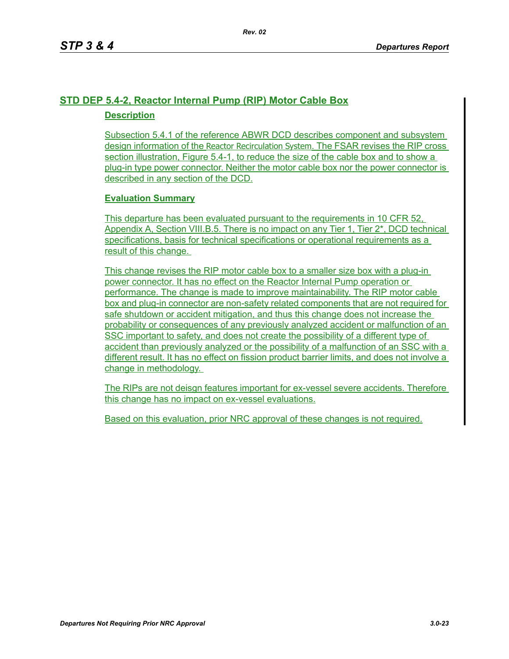# **STD DEP 5.4-2, Reactor Internal Pump (RIP) Motor Cable Box Description**

Subsection 5.4.1 of the reference ABWR DCD describes component and subsystem design information of the Reactor Recirculation System. The FSAR revises the RIP cross section illustration, Figure 5.4-1, to reduce the size of the cable box and to show a plug-in type power connector. Neither the motor cable box nor the power connector is described in any section of the DCD.

# **Evaluation Summary**

This departure has been evaluated pursuant to the requirements in 10 CFR 52, Appendix A, Section VIII.B.5. There is no impact on any Tier 1, Tier 2\*, DCD technical specifications, basis for technical specifications or operational requirements as a result of this change.

This change revises the RIP motor cable box to a smaller size box with a plug-in power connector. It has no effect on the Reactor Internal Pump operation or performance. The change is made to improve maintainability. The RIP motor cable box and plug-in connector are non-safety related components that are not required for safe shutdown or accident mitigation, and thus this change does not increase the probability or consequences of any previously analyzed accident or malfunction of an SSC important to safety, and does not create the possibility of a different type of accident than previously analyzed or the possibility of a malfunction of an SSC with a different result. It has no effect on fission product barrier limits, and does not involve a change in methodology.

The RIPs are not deisgn features important for ex-vessel severe accidents. Therefore this change has no impact on ex-vessel evaluations.

Based on this evaluation, prior NRC approval of these changes is not required.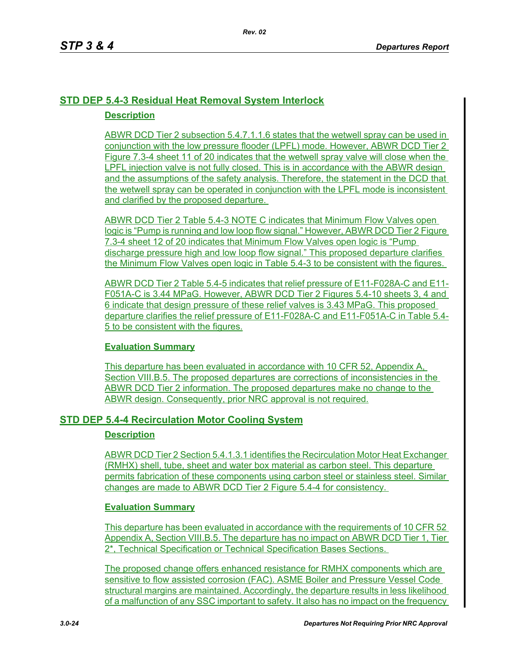# **STD DEP 5.4-3 Residual Heat Removal System Interlock Description**

ABWR DCD Tier 2 subsection 5.4.7.1.1.6 states that the wetwell spray can be used in conjunction with the low pressure flooder (LPFL) mode. However, ABWR DCD Tier 2 Figure 7.3-4 sheet 11 of 20 indicates that the wetwell spray valve will close when the LPFL injection valve is not fully closed. This is in accordance with the ABWR design and the assumptions of the safety analysis. Therefore, the statement in the DCD that the wetwell spray can be operated in conjunction with the LPFL mode is inconsistent and clarified by the proposed departure.

ABWR DCD Tier 2 Table 5.4-3 NOTE C indicates that Minimum Flow Valves open logic is "Pump is running and low loop flow signal." However, ABWR DCD Tier 2 Figure 7.3-4 sheet 12 of 20 indicates that Minimum Flow Valves open logic is "Pump discharge pressure high and low loop flow signal." This proposed departure clarifies the Minimum Flow Valves open logic in Table 5.4-3 to be consistent with the figures.

ABWR DCD Tier 2 Table 5.4-5 indicates that relief pressure of E11-F028A-C and E11- F051A-C is 3.44 MPaG. However, ABWR DCD Tier 2 Figures 5.4-10 sheets 3, 4 and 6 indicate that design pressure of these relief valves is 3.43 MPaG. This proposed departure clarifies the relief pressure of E11-F028A-C and E11-F051A-C in Table 5.4- 5 to be consistent with the figures.

# **Evaluation Summary**

This departure has been evaluated in accordance with 10 CFR 52, Appendix A, Section VIII.B.5. The proposed departures are corrections of inconsistencies in the ABWR DCD Tier 2 information. The proposed departures make no change to the ABWR design. Consequently, prior NRC approval is not required.

# **STD DEP 5.4-4 Recirculation Motor Cooling System**

## **Description**

ABWR DCD Tier 2 Section 5.4.1.3.1 identifies the Recirculation Motor Heat Exchanger (RMHX) shell, tube, sheet and water box material as carbon steel. This departure permits fabrication of these components using carbon steel or stainless steel. Similar changes are made to ABWR DCD Tier 2 Figure 5.4-4 for consistency.

## **Evaluation Summary**

This departure has been evaluated in accordance with the requirements of 10 CFR 52 Appendix A, Section VIII.B.5. The departure has no impact on ABWR DCD Tier 1, Tier 2\*, Technical Specification or Technical Specification Bases Sections.

The proposed change offers enhanced resistance for RMHX components which are sensitive to flow assisted corrosion (FAC). ASME Boiler and Pressure Vessel Code structural margins are maintained. Accordingly, the departure results in less likelihood of a malfunction of any SSC important to safety. It also has no impact on the frequency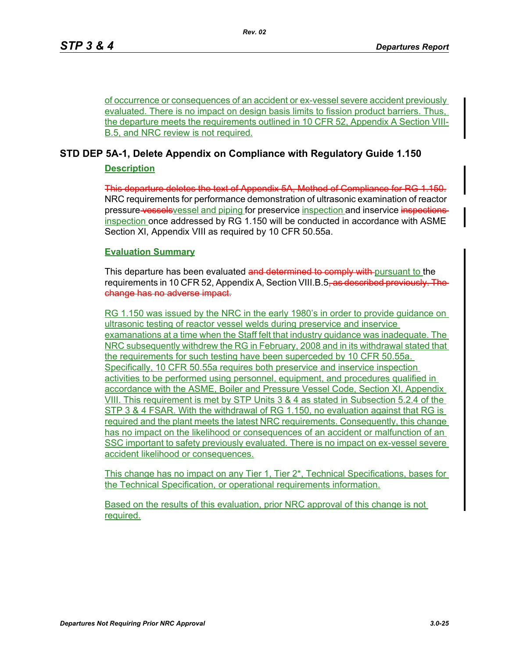of occurrence or consequences of an accident or ex-vessel severe accident previously evaluated. There is no impact on design basis limits to fission product barriers. Thus, the departure meets the requirements outlined in 10 CFR 52, Appendix A Section VIII-B.5, and NRC review is not required.

# **STD DEP 5A-1, Delete Appendix on Compliance with Regulatory Guide 1.150**

## **Description**

This departure deletes the text of Appendix 5A, Method of Compliance for RG 1.150. NRC requirements for performance demonstration of ultrasonic examination of reactor pressure vessels vessel and piping for preservice inspection and inservice inspections inspection once addressed by RG 1.150 will be conducted in accordance with ASME Section XI, Appendix VIII as required by 10 CFR 50.55a.

# **Evaluation Summary**

This departure has been evaluated and determined to comply with pursuant to the requirements in 10 CFR 52, Appendix A, Section VIII.B.5<del>, as described previously. The</del> change has no adverse impact.

RG 1.150 was issued by the NRC in the early 1980's in order to provide guidance on ultrasonic testing of reactor vessel welds during preservice and inservice examanations at a time when the Staff felt that industry guidance was inadequate. The NRC subsequently withdrew the RG in February, 2008 and in its withdrawal stated that the requirements for such testing have been superceded by 10 CFR 50.55a. Specifically, 10 CFR 50.55a requires both preservice and inservice inspection activities to be performed using personnel, equipment, and procedures qualified in accordance with the ASME, Boiler and Pressure Vessel Code, Section XI, Appendix VIII. This requirement is met by STP Units 3 & 4 as stated in Subsection 5.2.4 of the STP 3 & 4 FSAR. With the withdrawal of RG 1.150, no evaluation against that RG is required and the plant meets the latest NRC requirements. Consequently, this change has no impact on the likelihood or consequences of an accident or malfunction of an SSC important to safety previously evaluated. There is no impact on ex-vessel severe accident likelihood or consequences.

This change has no impact on any Tier 1, Tier 2\*, Technical Specifications, bases for the Technical Specification, or operational requirements information.

Based on the results of this evaluation, prior NRC approval of this change is not required.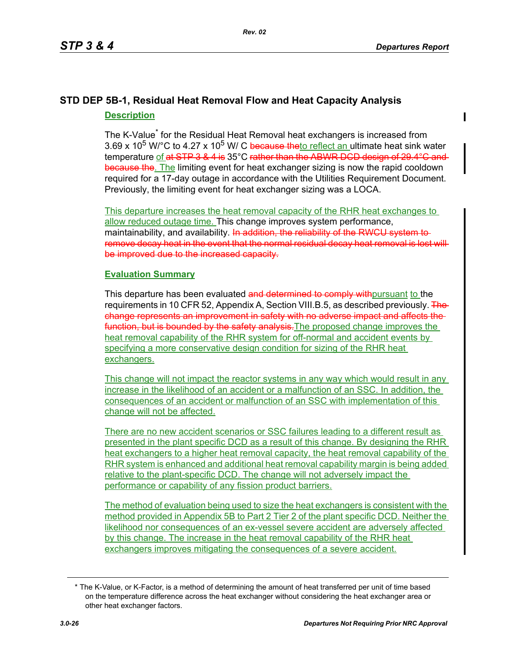# **STD DEP 5B-1, Residual Heat Removal Flow and Heat Capacity Analysis Description**

The K-Value<sup>\*</sup> for the Residual Heat Removal heat exchangers is increased from 3.69 x 10<sup>5</sup> W/°C to 4.27 x 10<sup>5</sup> W/ C because theto reflect an ultimate heat sink water temperature of at STP 3 & 4 is 35°C rather than the ABWR DCD design of 29.4°C and because the. The limiting event for heat exchanger sizing is now the rapid cooldown required for a 17-day outage in accordance with the Utilities Requirement Document. Previously, the limiting event for heat exchanger sizing was a LOCA.

This departure increases the heat removal capacity of the RHR heat exchanges to allow reduced outage time. This change improves system performance, maintainability, and availability. In addition, the reliability of the RWCU system to remove decay heat in the event that the normal residual decay heat removal is lost will be improved due to the increased capacity.

# **Evaluation Summary**

This departure has been evaluated and determined to comply withoursuant to the requirements in 10 CFR 52, Appendix A, Section VIII.B.5, as described previously. The change represents an improvement in safety with no adverse impact and affects the function, but is bounded by the safety analysis. The proposed change improves the heat removal capability of the RHR system for off-normal and accident events by specifying a more conservative design condition for sizing of the RHR heat exchangers.

This change will not impact the reactor systems in any way which would result in any increase in the likelihood of an accident or a malfunction of an SSC. In addition, the consequences of an accident or malfunction of an SSC with implementation of this change will not be affected.

There are no new accident scenarios or SSC failures leading to a different result as presented in the plant specific DCD as a result of this change. By designing the RHR heat exchangers to a higher heat removal capacity, the heat removal capability of the RHR system is enhanced and additional heat removal capability margin is being added relative to the plant-specific DCD. The change will not adversely impact the performance or capability of any fission product barriers.

The method of evaluation being used to size the heat exchangers is consistent with the method provided in Appendix 5B to Part 2 Tier 2 of the plant specific DCD. Neither the likelihood nor consequences of an ex-vessel severe accident are adversely affected by this change. The increase in the heat removal capability of the RHR heat exchangers improves mitigating the consequences of a severe accident.

<sup>\*</sup> The K-Value, or K-Factor, is a method of determining the amount of heat transferred per unit of time based on the temperature difference across the heat exchanger without considering the heat exchanger area or other heat exchanger factors.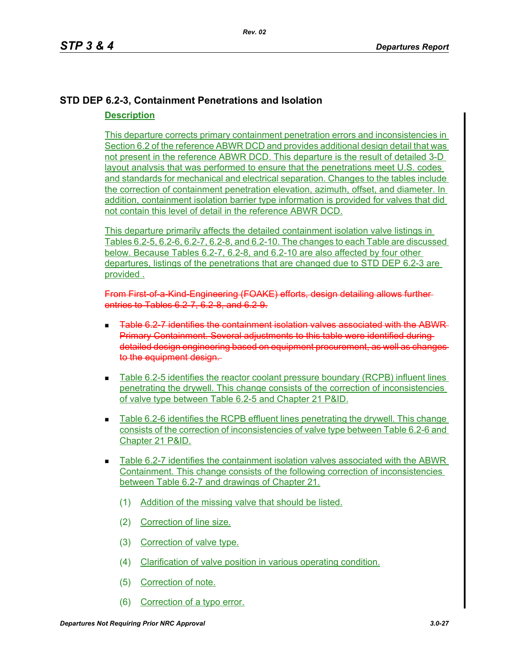# **STD DEP 6.2-3, Containment Penetrations and Isolation Description**

This departure corrects primary containment penetration errors and inconsistencies in Section 6.2 of the reference ABWR DCD and provides additional design detail that was not present in the reference ABWR DCD. This departure is the result of detailed 3-D layout analysis that was performed to ensure that the penetrations meet U.S. codes and standards for mechanical and electrical separation. Changes to the tables include the correction of containment penetration elevation, azimuth, offset, and diameter. In addition, containment isolation barrier type information is provided for valves that did not contain this level of detail in the reference ABWR DCD.

This departure primarily affects the detailed containment isolation valve listings in Tables 6.2-5, 6.2-6, 6.2-7, 6.2-8, and 6.2-10. The changes to each Table are discussed below. Because Tables 6.2-7, 6.2-8, and 6.2-10 are also affected by four other departures, listings of the penetrations that are changed due to STD DEP 6.2-3 are provided .

From First-of-a-Kind-Engineering (FOAKE) efforts, design detailing allows furtherentries to Tables 6.2-7, 6.2-8, and 6.2-9.

- Table 6.2-7 identifies the containment isolation valves associated with the ABWR Primary Containment. Several adjustments to this table were identified during detailed design engineering based on equipment procurement, as well as changes to the equipment design.
- Table 6.2-5 identifies the reactor coolant pressure boundary (RCPB) influent lines penetrating the drywell. This change consists of the correction of inconsistencies of valve type between Table 6.2-5 and Chapter 21 P&ID.
- Table 6.2-6 identifies the RCPB effluent lines penetrating the drywell. This change consists of the correction of inconsistencies of valve type between Table 6.2-6 and Chapter 21 P&ID.
- Table 6.2-7 identifies the containment isolation valves associated with the ABWR Containment. This change consists of the following correction of inconsistencies between Table 6.2-7 and drawings of Chapter 21.
	- (1) Addition of the missing valve that should be listed.
	- (2) Correction of line size.
	- (3) Correction of valve type.
	- (4) Clarification of valve position in various operating condition.
	- (5) Correction of note.
	- (6) Correction of a typo error.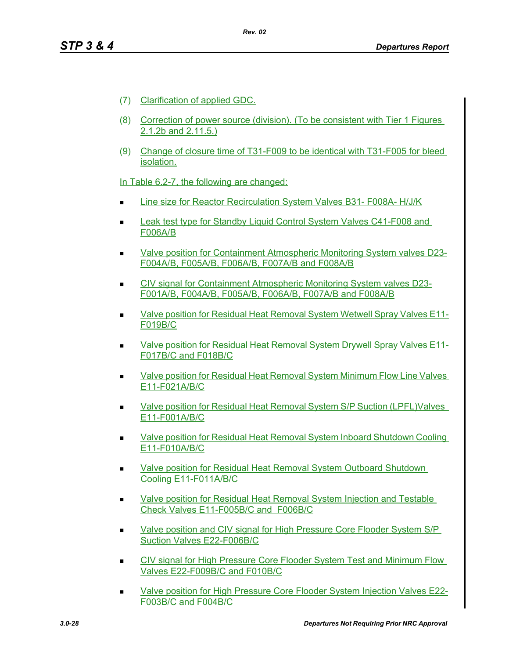- (7) Clarification of applied GDC.
- (8) Correction of power source (division). (To be consistent with Tier 1 Figures 2.1.2b and 2.11.5.)
- (9) Change of closure time of T31-F009 to be identical with T31-F005 for bleed isolation.

In Table 6.2-7, the following are changed:

- Line size for Reactor Recirculation System Valves B31- F008A- H/J/K
- Leak test type for Standby Liquid Control System Valves C41-F008 and F006A/B
- Valve position for Containment Atmospheric Monitoring System valves D23- F004A/B, F005A/B, F006A/B, F007A/B and F008A/B
- CIV signal for Containment Atmospheric Monitoring System valves D23- F001A/B, F004A/B, F005A/B, F006A/B, F007A/B and F008A/B
- Valve position for Residual Heat Removal System Wetwell Spray Valves E11-F019B/C
- Valve position for Residual Heat Removal System Drywell Spray Valves E11- F017B/C and F018B/C
- Valve position for Residual Heat Removal System Minimum Flow Line Valves E11-F021A/B/C
- Valve position for Residual Heat Removal System S/P Suction (LPFL)Valves E11-F001A/B/C
- Valve position for Residual Heat Removal System Inboard Shutdown Cooling E11-F010A/B/C
- Valve position for Residual Heat Removal System Outboard Shutdown Cooling E11-F011A/B/C
- Valve position for Residual Heat Removal System Injection and Testable Check Valves E11-F005B/C and F006B/C
- **Nalve position and CIV signal for High Pressure Core Flooder System S/P** Suction Valves E22-F006B/C
- **EXECT** CIV signal for High Pressure Core Flooder System Test and Minimum Flow Valves E22-F009B/C and F010B/C
- Valve position for High Pressure Core Flooder System Injection Valves E22- F003B/C and F004B/C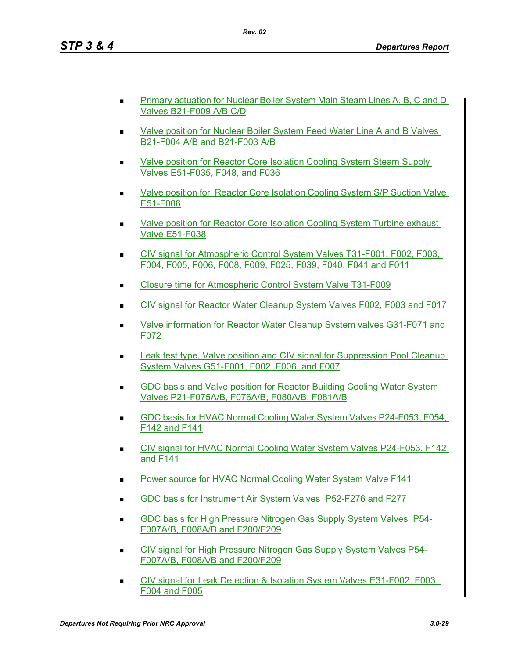- Primary actuation for Nuclear Boiler System Main Steam Lines A, B, C and D Valves B21-F009 A/B C/D
- Valve position for Nuclear Boiler System Feed Water Line A and B Valves B21-F004 A/B and B21-F003 A/B
- Valve position for Reactor Core Isolation Cooling System Steam Supply Valves E51-F035, F048, and F036
- Valve position for Reactor Core Isolation Cooling System S/P Suction Valve E51-F006
- Valve position for Reactor Core Isolation Cooling System Turbine exhaust Valve E51-F038
- CIV signal for Atmospheric Control System Valves T31-F001, F002, F003, F004, F005, F006, F008, F009, F025, F039, F040, F041 and F011
- Closure time for Atmospheric Control System Valve T31-F009
- CIV signal for Reactor Water Cleanup System Valves F002, F003 and F017
- Valve information for Reactor Water Cleanup System valves G31-F071 and F072
- **Leak test type, Valve position and CIV signal for Suppression Pool Cleanup** System Valves G51-F001, F002, F006, and F007
- GDC basis and Valve position for Reactor Building Cooling Water System Valves P21-F075A/B, F076A/B, F080A/B, F081A/B
- GDC basis for HVAC Normal Cooling Water System Valves P24-F053, F054, F142 and F141
- CIV signal for HVAC Normal Cooling Water System Valves P24-F053, F142 and F141
- Power source for HVAC Normal Cooling Water System Valve F141
- GDC basis for Instrument Air System Valves P52-F276 and F277
- GDC basis for High Pressure Nitrogen Gas Supply System Valves P54- F007A/B, F008A/B and F200/F209
- **CIV signal for High Pressure Nitrogen Gas Supply System Valves P54-**F007A/B, F008A/B and F200/F209
- CIV signal for Leak Detection & Isolation System Valves E31-F002, F003, F004 and F005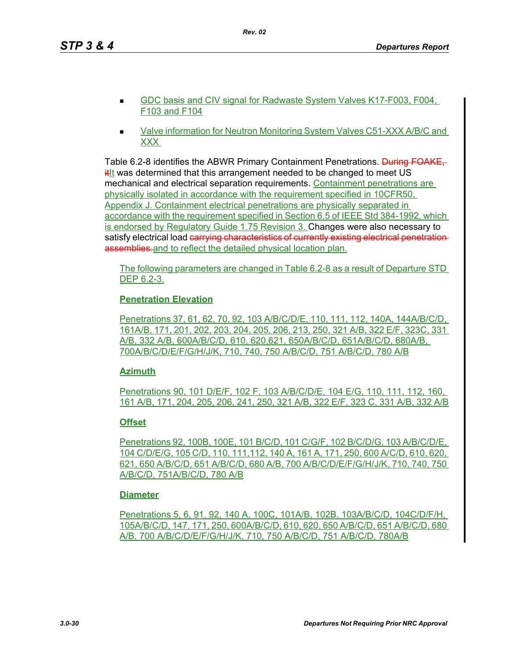- GDC basis and CIV signal for Radwaste System Valves K17-F003, F004, F103 and F104
- Valve information for Neutron Monitoring System Valves C51-XXX A/B/C and XXX

Table 6.2-8 identifies the ABWR Primary Containment Penetrations. During FOAKE,  $\frac{it}{it}$  was determined that this arrangement needed to be changed to meet US mechanical and electrical separation requirements. Containment penetrations are physically isolated in accordance with the requirement specified in 10CFR50, Appendix J. Containment electrical penetrations are physically separated in accordance with the requirement specified in Section 6.5 of IEEE Std 384-1992, which is endorsed by Regulatory Guide 1.75 Revision 3. Changes were also necessary to satisfy electrical load carrying characteristics of currently existing electrical penetration assemblies, and to reflect the detailed physical location plan.

The following parameters are changed in Table 6.2-8 as a result of Departure STD DEP 6.2-3.

# **Penetration Elevation**

Penetrations 37, 61, 62, 70, 92, 103 A/B/C/D/E, 110, 111, 112, 140A, 144A/B/C/D, 161A/B, 171, 201, 202, 203, 204, 205, 206, 213, 250, 321 A/B, 322 E/F, 323C, 331 A/B, 332 A/B, 600A/B/C/D, 610, 620,621, 650A/B/C/D, 651A/B/C/D, 680A/B, 700A/B/C/D/E/F/G/H/J/K, 710, 740, 750 A/B/C/D, 751 A/B/C/D, 780 A/B

## **Azimuth**

Penetrations 90, 101 D/E/F, 102 F, 103 A/B/C/D/E, 104 E/G, 110, 111, 112, 160, 161 A/B, 171, 204, 205, 206, 241, 250, 321 A/B, 322 E/F, 323 C, 331 A/B, 332 A/B

## **Offset**

Penetrations 92, 100B, 100E, 101 B/C/D, 101 C/G/F, 102 B/C/D/G, 103 A/B/C/D/E, 104 C/D/E/G, 105 C/D, 110, 111,112, 140 A, 161 A, 171, 250, 600 A/C/D, 610, 620, 621, 650 A/B/C/D, 651 A/B/C/D, 680 A/B, 700 A/B/C/D/E/F/G/H/J/K, 710, 740, 750 A/B/C/D, 751A/B/C/D, 780 A/B

## **Diameter**

Penetrations 5, 6, 91, 92, 140 A, 100C, 101A/B, 102B, 103A/B/C/D, 104C/D/F/H, 105A/B/C/D, 147, 171, 250, 600A/B/C/D, 610, 620, 650 A/B/C/D, 651 A/B/C/D, 680 A/B, 700 A/B/C/D/E/F/G/H/J/K, 710, 750 A/B/C/D, 751 A/B/C/D, 780A/B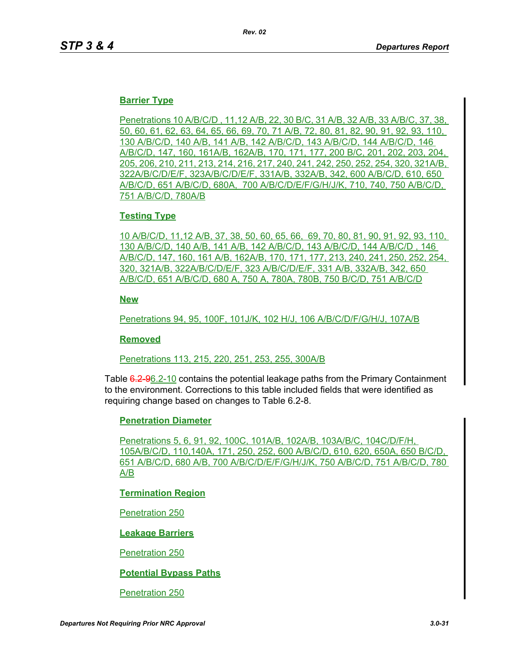## **Barrier Type**

Penetrations 10 A/B/C/D , 11,12 A/B, 22, 30 B/C, 31 A/B, 32 A/B, 33 A/B/C, 37, 38, 50, 60, 61, 62, 63, 64, 65, 66, 69, 70, 71 A/B, 72, 80, 81, 82, 90, 91, 92, 93, 110, 130 A/B/C/D, 140 A/B, 141 A/B, 142 A/B/C/D, 143 A/B/C/D, 144 A/B/C/D, 146 A/B/C/D, 147, 160, 161A/B, 162A/B, 170, 171, 177, 200 B/C, 201, 202, 203, 204, 205, 206, 210, 211, 213, 214, 216, 217, 240, 241, 242, 250, 252, 254, 320, 321A/B, 322A/B/C/D/E/F, 323A/B/C/D/E/F, 331A/B, 332A/B, 342, 600 A/B/C/D, 610, 650 A/B/C/D, 651 A/B/C/D, 680A, 700 A/B/C/D/E/F/G/H/J/K, 710, 740, 750 A/B/C/D, 751 A/B/C/D, 780A/B

## **Testing Type**

10 A/B/C/D, 11,12 A/B, 37, 38, 50, 60, 65, 66, 69, 70, 80, 81, 90, 91, 92, 93, 110, 130 A/B/C/D, 140 A/B, 141 A/B, 142 A/B/C/D, 143 A/B/C/D, 144 A/B/C/D , 146 A/B/C/D, 147, 160, 161 A/B, 162A/B, 170, 171, 177, 213, 240, 241, 250, 252, 254, 320, 321A/B, 322A/B/C/D/E/F, 323 A/B/C/D/E/F, 331 A/B, 332A/B, 342, 650 A/B/C/D, 651 A/B/C/D, 680 A, 750 A, 780A, 780B, 750 B/C/D, 751 A/B/C/D

### **New**

Penetrations 94, 95, 100F, 101J/K, 102 H/J, 106 A/B/C/D/F/G/H/J, 107A/B

### **Removed**

Penetrations 113, 215, 220, 251, 253, 255, 300A/B

Table 6.2-96.2-10 contains the potential leakage paths from the Primary Containment to the environment. Corrections to this table included fields that were identified as requiring change based on changes to Table 6.2-8.

### **Penetration Diameter**

Penetrations 5, 6, 91, 92, 100C, 101A/B, 102A/B, 103A/B/C, 104C/D/F/H, 105A/B/C/D, 110,140A, 171, 250, 252, 600 A/B/C/D, 610, 620, 650A, 650 B/C/D, 651 A/B/C/D, 680 A/B, 700 A/B/C/D/E/F/G/H/J/K, 750 A/B/C/D, 751 A/B/C/D, 780 A/B

## **Termination Region**

Penetration 250

## **Leakage Barriers**

### Penetration 250

## **Potential Bypass Paths**

### Penetration 250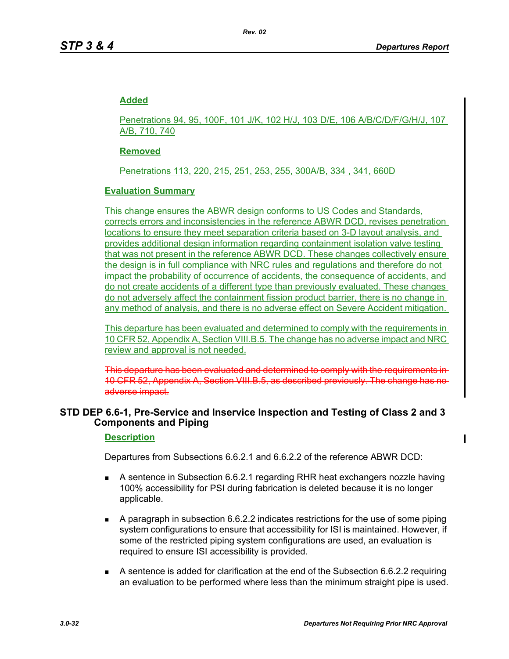## **Added**

Penetrations 94, 95, 100F, 101 J/K, 102 H/J, 103 D/E, 106 A/B/C/D/F/G/H/J, 107 A/B, 710, 740

## **Removed**

Penetrations 113, 220, 215, 251, 253, 255, 300A/B, 334 , 341, 660D

## **Evaluation Summary**

This change ensures the ABWR design conforms to US Codes and Standards, corrects errors and inconsistencies in the reference ABWR DCD, revises penetration locations to ensure they meet separation criteria based on 3-D layout analysis, and provides additional design information regarding containment isolation valve testing that was not present in the reference ABWR DCD. These changes collectively ensure the design is in full compliance with NRC rules and regulations and therefore do not impact the probability of occurrence of accidents, the consequence of accidents, and do not create accidents of a different type than previously evaluated. These changes do not adversely affect the containment fission product barrier, there is no change in any method of analysis, and there is no adverse effect on Severe Accident mitigation.

This departure has been evaluated and determined to comply with the requirements in 10 CFR 52, Appendix A, Section VIII.B.5. The change has no adverse impact and NRC review and approval is not needed.

This departure has been evaluated and determined to comply with the requirements 10 CFR 52, Appendix A, Section VIII.B.5, as described previously. The change l adverse impact.

## **STD DEP 6.6-1, Pre-Service and Inservice Inspection and Testing of Class 2 and 3 Components and Piping**

## **Description**

Departures from Subsections 6.6.2.1 and 6.6.2.2 of the reference ABWR DCD:

- A sentence in Subsection 6.6.2.1 regarding RHR heat exchangers nozzle having 100% accessibility for PSI during fabrication is deleted because it is no longer applicable.
- $\blacksquare$  A paragraph in subsection 6.6.2.2 indicates restrictions for the use of some piping system configurations to ensure that accessibility for ISI is maintained. However, if some of the restricted piping system configurations are used, an evaluation is required to ensure ISI accessibility is provided.
- A sentence is added for clarification at the end of the Subsection 6.6.2.2 requiring an evaluation to be performed where less than the minimum straight pipe is used.

 $\mathbf I$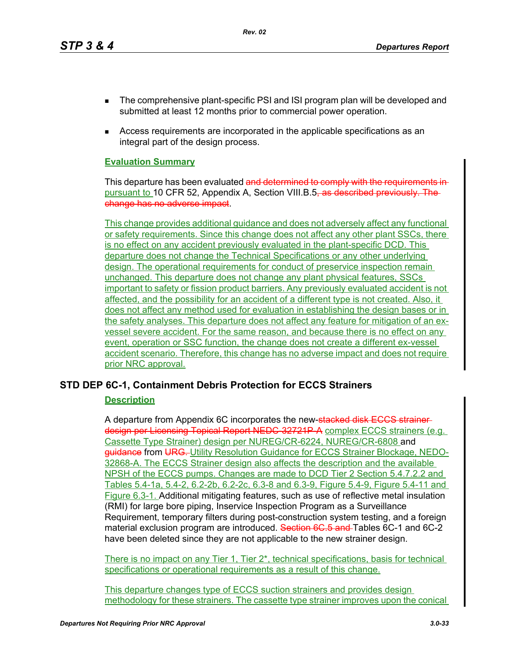*Rev. 02*

- **The comprehensive plant-specific PSI and ISI program plan will be developed and** submitted at least 12 months prior to commercial power operation.
- Access requirements are incorporated in the applicable specifications as an integral part of the design process.

## **Evaluation Summary**

This departure has been evaluated and determined to comply with the requirements in pursuant to 10 CFR 52, Appendix A, Section VIII.B.5, as described previously. change has no adverse impact.

This change provides additional guidance and does not adversely affect any functional or safety requirements. Since this change does not affect any other plant SSCs, there is no effect on any accident previously evaluated in the plant-specific DCD. This departure does not change the Technical Specifications or any other underlying design. The operational requirements for conduct of preservice inspection remain unchanged. This departure does not change any plant physical features, SSCs important to safety or fission product barriers. Any previously evaluated accident is not affected, and the possibility for an accident of a different type is not created. Also, it does not affect any method used for evaluation in establishing the design bases or in the safety analyses. This departure does not affect any feature for mitigation of an exvessel severe accident. For the same reason, and because there is no effect on any event, operation or SSC function, the change does not create a different ex-vessel accident scenario. Therefore, this change has no adverse impact and does not require prior NRC approval.

# **STD DEP 6C-1, Containment Debris Protection for ECCS Strainers**

# **Description**

A departure from Appendix 6C incorporates the new-stacked disk ECCS strainerdesign per Licensing Topical Report NEDC 32721P-A complex ECCS strainers (e.g. Cassette Type Strainer) design per NUREG/CR-6224, NUREG/CR-6808 and guidance from URG. Utility Resolution Guidance for ECCS Strainer Blockage, NEDO-32868-A. The ECCS Strainer design also affects the description and the available NPSH of the ECCS pumps. Changes are made to DCD Tier 2 Section 5.4.7.2.2 and Tables 5.4-1a, 5.4-2, 6.2-2b, 6.2-2c, 6.3-8 and 6.3-9, Figure 5.4-9, Figure 5.4-11 and Figure 6.3-1. Additional mitigating features, such as use of reflective metal insulation (RMI) for large bore piping, Inservice Inspection Program as a Surveillance Requirement, temporary filters during post-construction system testing, and a foreign material exclusion program are introduced. Section 6C.5 and Tables 6C-1 and 6C-2 have been deleted since they are not applicable to the new strainer design.

There is no impact on any Tier 1, Tier 2<sup>\*</sup>, technical specifications, basis for technical specifications or operational requirements as a result of this change.

This departure changes type of ECCS suction strainers and provides design methodology for these strainers. The cassette type strainer improves upon the conical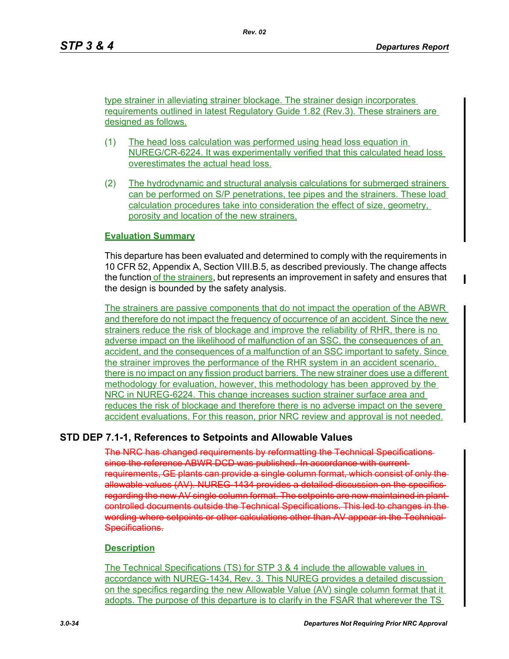type strainer in alleviating strainer blockage. The strainer design incorporates requirements outlined in latest Regulatory Guide 1.82 (Rev.3). These strainers are designed as follows.

- (1) The head loss calculation was performed using head loss equation in NUREG/CR-6224. It was experimentally verified that this calculated head loss overestimates the actual head loss.
- (2) The hydrodynamic and structural analysis calculations for submerged strainers can be performed on S/P penetrations, tee pipes and the strainers. These load calculation procedures take into consideration the effect of size, geometry, porosity and location of the new strainers.

### **Evaluation Summary**

This departure has been evaluated and determined to comply with the requirements in 10 CFR 52, Appendix A, Section VIII.B.5, as described previously. The change affects the function of the strainers, but represents an improvement in safety and ensures that the design is bounded by the safety analysis.

The strainers are passive components that do not impact the operation of the ABWR and therefore do not impact the frequency of occurrence of an accident. Since the new strainers reduce the risk of blockage and improve the reliability of RHR, there is no adverse impact on the likelihood of malfunction of an SSC, the consequences of an accident, and the consequences of a malfunction of an SSC important to safety. Since the strainer improves the performance of the RHR system in an accident scenario, there is no impact on any fission product barriers. The new strainer does use a different methodology for evaluation, however, this methodology has been approved by the NRC in NUREG-6224. This change increases suction strainer surface area and reduces the risk of blockage and therefore there is no adverse impact on the severe accident evaluations. For this reason, prior NRC review and approval is not needed.

## **STD DEP 7.1-1, References to Setpoints and Allowable Values**

The NRC has changed requirements by reformatting the Technical Specifications since the reference ABWR DCD was published. In accordance with currentrequirements, GE plants can provide a single column format, which consist of only the allowable values (AV). NUREG-1434 provides a detailed discussion on the specifics regarding the new AV single column format. The setpoints are now maintained in plantcontrolled documents outside the Technical Specifications. This led to changes in the wording where setpoints or other calculations other than AV appear in the Technical-Specifications.

### **Description**

The Technical Specifications (TS) for STP 3 & 4 include the allowable values in accordance with NUREG-1434, Rev. 3. This NUREG provides a detailed discussion on the specifics regarding the new Allowable Value (AV) single column format that it adopts. The purpose of this departure is to clarify in the FSAR that wherever the TS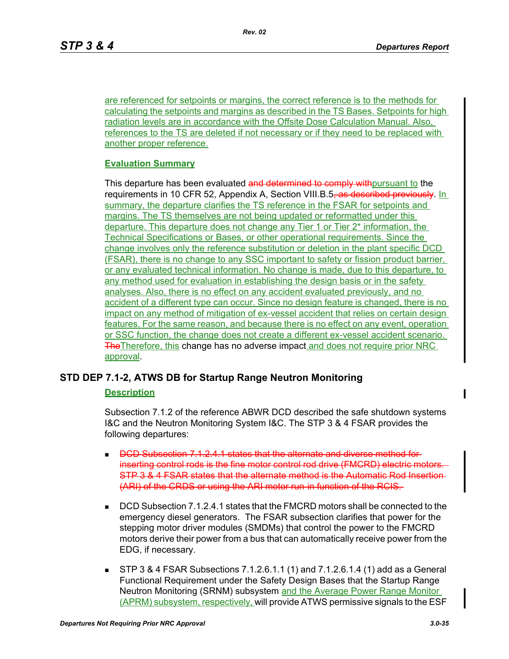are referenced for setpoints or margins, the correct reference is to the methods for calculating the setpoints and margins as described in the TS Bases. Setpoints for high radiation levels are in accordance with the Offsite Dose Calculation Manual. Also, references to the TS are deleted if not necessary or if they need to be replaced with another proper reference.

### **Evaluation Summary**

This departure has been evaluated and determined to comply with pursuant to the requirements in 10 CFR 52, Appendix A, Section VIII.B.5, as described previously. In summary, the departure clarifies the TS reference in the FSAR for setpoints and margins. The TS themselves are not being updated or reformatted under this departure. This departure does not change any Tier 1 or Tier 2\* information, the Technical Specifications or Bases, or other operational requirements. Since the change involves only the reference substitution or deletion in the plant specific DCD (FSAR), there is no change to any SSC important to safety or fission product barrier, or any evaluated technical information. No change is made, due to this departure, to any method used for evaluation in establishing the design basis or in the safety analyses. Also, there is no effect on any accident evaluated previously, and no accident of a different type can occur. Since no design feature is changed, there is no impact on any method of mitigation of ex-vessel accident that relies on certain design features. For the same reason, and because there is no effect on any event, operation or SSC function, the change does not create a different ex-vessel accident scenario. **The The Therefore, this change has no adverse impact and does not require prior NRC** approval.

## **STD DEP 7.1-2, ATWS DB for Startup Range Neutron Monitoring**

### **Description**

Subsection 7.1.2 of the reference ABWR DCD described the safe shutdown systems I&C and the Neutron Monitoring System I&C. The STP 3 & 4 FSAR provides the following departures:

- $\blacksquare$  DCD Subsection 7.1.2.4.1 states that the alternate and diverse method for inserting control rods is the fine motor control rod drive (FMCRD) electric motors STP 3 & 4 FSAR states that the alternate method is the Automatic Rod Insertion (ARI) of the CRDS or using the ARI motor run-in function of the RCIS.
- DCD Subsection 7.1.2.4.1 states that the FMCRD motors shall be connected to the emergency diesel generators. The FSAR subsection clarifies that power for the stepping motor driver modules (SMDMs) that control the power to the FMCRD motors derive their power from a bus that can automatically receive power from the EDG, if necessary.
- STP 3 & 4 FSAR Subsections 7.1.2.6.1.1 (1) and 7.1.2.6.1.4 (1) add as a General Functional Requirement under the Safety Design Bases that the Startup Range Neutron Monitoring (SRNM) subsystem and the Average Power Range Monitor (APRM) subsystem, respectively, will provide ATWS permissive signals to the ESF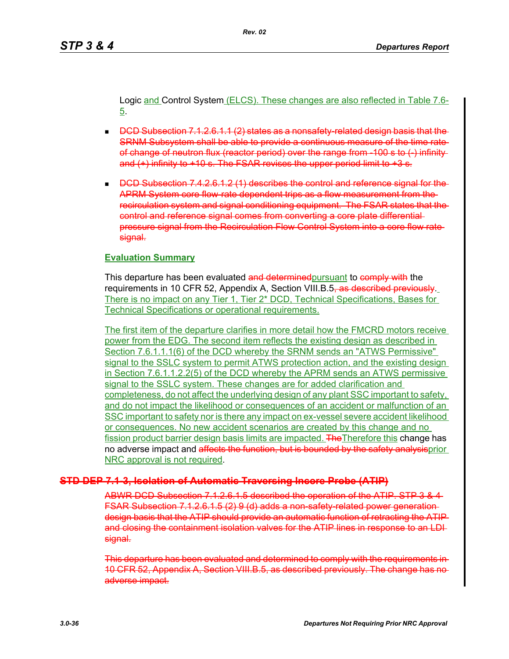Logic and Control System (ELCS). These changes are also reflected in Table 7.6- 5.

- $\Box$  DCD Subsection 7.1.2.6.1.1 (2) states as a nonsafety-related design basis that the SRNM Subsystem shall be able to provide a continuous measure of the time rate of change of neutron flux (reactor period) over the range from -100 s to (-) infinity and  $(+)$  infinity to  $+10$  s. The FSAR revises the upper period limit to  $+3$  s.
- $\Box$  DCD Subsection 7.4.2.6.1.2 (1) describes the control and reference signal for the APRM System core flow-rate dependent trips as a flow measurement from the recirculation system and signal conditioning equipment. The FSAR states that the control and reference signal comes from converting a core plate differential pressure signal from the Recirculation Flow Control System into a core flow rate signal.

### **Evaluation Summary**

This departure has been evaluated and determined pursuant to comply with the requirements in 10 CFR 52, Appendix A, Section VIII.B.5, as described previously. There is no impact on any Tier 1, Tier 2\* DCD, Technical Specifications, Bases for Technical Specifications or operational requirements.

The first item of the departure clarifies in more detail how the FMCRD motors receive power from the EDG. The second item reflects the existing design as described in Section 7.6.1.1.1(6) of the DCD whereby the SRNM sends an "ATWS Permissive" signal to the SSLC system to permit ATWS protection action, and the existing design in Section 7.6.1.1.2.2(5) of the DCD whereby the APRM sends an ATWS permissive signal to the SSLC system. These changes are for added clarification and completeness, do not affect the underlying design of any plant SSC important to safety, and do not impact the likelihood or consequences of an accident or malfunction of an SSC important to safety nor is there any impact on ex-vessel severe accident likelihood or consequences. No new accident scenarios are created by this change and no fission product barrier design basis limits are impacted. The Therefore this change has no adverse impact and affects the function, but is bounded by the safety analysisprior NRC approval is not required.

## **STD DEP 7.1-3, Isolation of Automatic Traversing Incore Probe (ATIP)**

ABWR DCD Subsection 7.1.2.6.1.5 described the operation of the ATIP. STP 3 & 4 FSAR Subsection 7.1.2.6.1.5 (2) 9 (d) adds a non-safety-related power generation design basis that the ATIP should provide an automatic function of retracting the ATIP and closing the containment isolation valves for the ATIP lines in response to an LDI signal.

This departure has been evaluated and determined to comply with the requirements in 10 CFR 52, Appendix A, Section VIII.B.5, as described previously. The change has no adverse impact.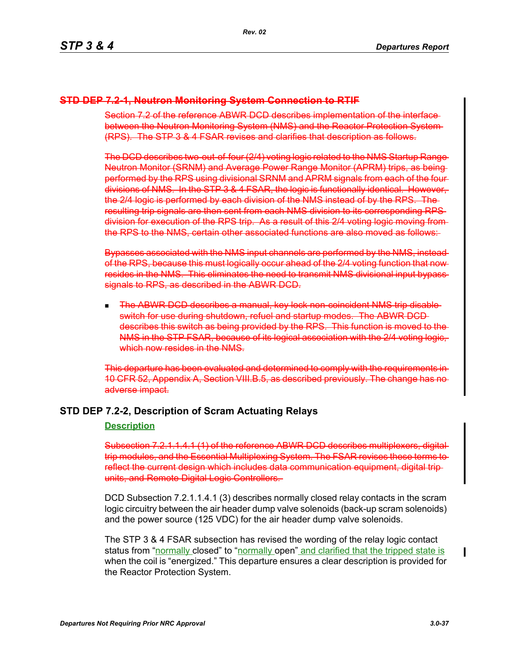### **STD DEP 7.2-1, Neutron Monitoring System Connection to RTIF**

Section 7.2 of the reference ABWR DCD describes implementation of the interface between the Neutron Monitoring System (NMS) and the Reactor Protection System (RPS). The STP 3 & 4 FSAR revises and clarifies that description as follows.

The DCD describes two-out-of-four (2/4) voting logic related to the NMS Startup Range Neutron Monitor (SRNM) and Average Power Range Monitor (APRM) trips, as being performed by the RPS using divisional SRNM and APRM signals from each of the four divisions of NMS. In the STP 3 & 4 FSAR, the logic is functionally identical. However, the 2/4 logic is performed by each division of the NMS instead of by the RPS. The resulting trip signals are then sent from each NMS division to its corresponding RPS division for execution of the RPS trip. As a result of this 2/4 voting logic moving from the RPS to the NMS, certain other associated functions are also moved as follows:

Bypasses associated with the NMS input channels are performed by the NMS, instead of the RPS, because this must logically occur ahead of the 2/4 voting function that now resides in the NMS. This eliminates the need to transmit NMS divisional input bypass signals to RPS, as described in the ABWR DCD.

 The ABWR DCD describes a manual, key lock non-coincident NMS trip disable switch for use during shutdown, refuel and startup modes. The ABWR DCD describes this switch as being provided by the RPS. This function is moved to the NMS in the STP FSAR, because of its logical association with the 2/4 voting logic, which now resides in the NMS.

This departure has been evaluated and determined to comply with the requirements in 10 CFR 52, Appendix A, Section VIII.B.5, as described previously. The change has no adverse impact.

# **STD DEP 7.2-2, Description of Scram Actuating Relays**

### **Description**

Subsection 7.2.1.1.4.1 (1) of the reference ABWR DCD describes multiplexers, digitaltrip modules, and the Essential Multiplexing System. The FSAR revises these terms to reflect the current design which includes data communication equipment, digital trip units, and Remote Digital Logic Controllers.

DCD Subsection 7.2.1.1.4.1 (3) describes normally closed relay contacts in the scram logic circuitry between the air header dump valve solenoids (back-up scram solenoids) and the power source (125 VDC) for the air header dump valve solenoids.

The STP 3 & 4 FSAR subsection has revised the wording of the relay logic contact status from "normally closed" to "normally open" and clarified that the tripped state is when the coil is "energized." This departure ensures a clear description is provided for the Reactor Protection System.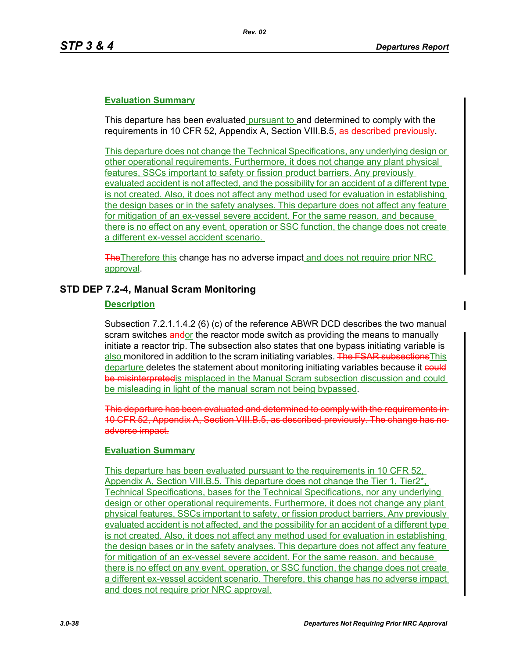This departure has been evaluated pursuant to and determined to comply with the requirements in 10 CFR 52, Appendix A, Section VIII.B.5<del>, as described previously</del>.

This departure does not change the Technical Specifications, any underlying design or other operational requirements. Furthermore, it does not change any plant physical features, SSCs important to safety or fission product barriers. Any previously evaluated accident is not affected, and the possibility for an accident of a different type is not created. Also, it does not affect any method used for evaluation in establishing the design bases or in the safety analyses. This departure does not affect any feature for mitigation of an ex-vessel severe accident. For the same reason, and because there is no effect on any event, operation or SSC function, the change does not create a different ex-vessel accident scenario.

The Therefore this change has no adverse impact and does not require prior NRC approval.

#### **STD DEP 7.2-4, Manual Scram Monitoring**

### **Description**

Subsection 7.2.1.1.4.2 (6) (c) of the reference ABWR DCD describes the two manual scram switches andor the reactor mode switch as providing the means to manually initiate a reactor trip. The subsection also states that one bypass initiating variable is also monitored in addition to the scram initiating variables. The FSAR subsections This departure deletes the statement about monitoring initiating variables because it could be misinterpreted is misplaced in the Manual Scram subsection discussion and could be misleading in light of the manual scram not being bypassed.

This departure has been evaluated and determined to comply with the requireme 10 CFR 52, Appendix A, Section VIII.B.5, as described previously. The change has adverse impact.

#### **Evaluation Summary**

This departure has been evaluated pursuant to the requirements in 10 CFR 52, Appendix A, Section VIII.B.5. This departure does not change the Tier 1, Tier2\*, Technical Specifications, bases for the Technical Specifications, nor any underlying design or other operational requirements. Furthermore, it does not change any plant physical features, SSCs important to safety, or fission product barriers. Any previously evaluated accident is not affected, and the possibility for an accident of a different type is not created. Also, it does not affect any method used for evaluation in establishing the design bases or in the safety analyses. This departure does not affect any feature for mitigation of an ex-vessel severe accident. For the same reason, and because there is no effect on any event, operation, or SSC function, the change does not create a different ex-vessel accident scenario. Therefore, this change has no adverse impact and does not require prior NRC approval.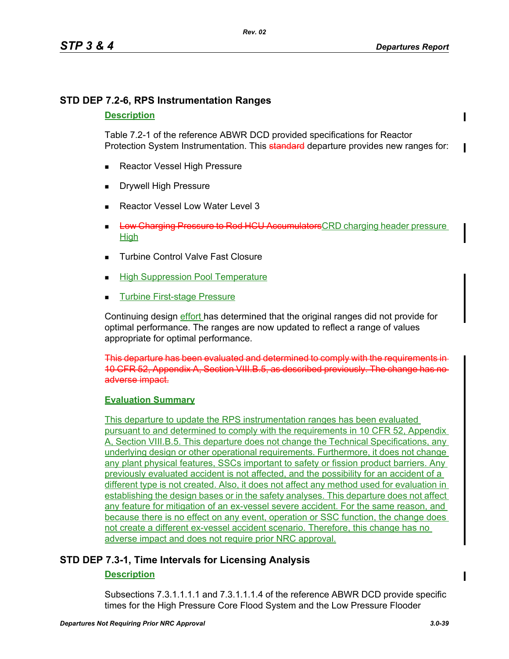# **STD DEP 7.2-6, RPS Instrumentation Ranges**

### **Description**

Table 7.2-1 of the reference ABWR DCD provided specifications for Reactor Protection System Instrumentation. This **standard** departure provides new ranges for:

- Reactor Vessel High Pressure
- Drywell High Pressure
- Reactor Vessel Low Water Level 3
- **Low Charging Pressure to Rod HCU Accumulators** CRD charging header pressure High
- Turbine Control Valve Fast Closure
- High Suppression Pool Temperature
- Turbine First-stage Pressure

Continuing design effort has determined that the original ranges did not provide for optimal performance. The ranges are now updated to reflect a range of values appropriate for optimal performance.

This departure has been evaluated and determined to comply with the requirements in 10 CFR 52, Appendix A, Section VIII.B.5, as described previously. The change has no adverse impact.

# **Evaluation Summary**

This departure to update the RPS instrumentation ranges has been evaluated pursuant to and determined to comply with the requirements in 10 CFR 52, Appendix A, Section VIII.B.5. This departure does not change the Technical Specifications, any underlying design or other operational requirements. Furthermore, it does not change any plant physical features, SSCs important to safety or fission product barriers. Any previously evaluated accident is not affected, and the possibility for an accident of a different type is not created. Also, it does not affect any method used for evaluation in establishing the design bases or in the safety analyses. This departure does not affect any feature for mitigation of an ex-vessel severe accident. For the same reason, and because there is no effect on any event, operation or SSC function, the change does not create a different ex-vessel accident scenario. Therefore, this change has no adverse impact and does not require prior NRC approval.

# **STD DEP 7.3-1, Time Intervals for Licensing Analysis**

# **Description**

Subsections 7.3.1.1.1.1 and 7.3.1.1.1.4 of the reference ABWR DCD provide specific times for the High Pressure Core Flood System and the Low Pressure Flooder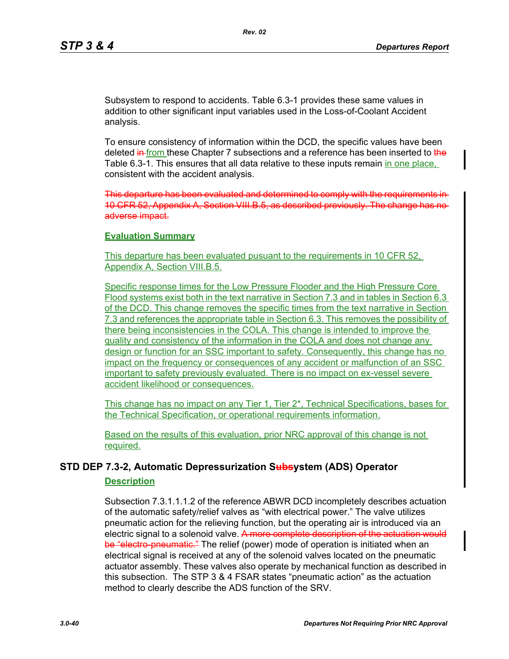Subsystem to respond to accidents. Table 6.3-1 provides these same values in addition to other significant input variables used in the Loss-of-Coolant Accident analysis.

To ensure consistency of information within the DCD, the specific values have been deleted in from these Chapter 7 subsections and a reference has been inserted to the Table 6.3-1. This ensures that all data relative to these inputs remain in one place, consistent with the accident analysis.

This departure has been evaluated and determined to comply with the requirements in 10 CFR 52, Appendix A, Section VIII.B.5, as described previously. The change has no adverse impact.

#### **Evaluation Summary**

This departure has been evaluated pusuant to the requirements in 10 CFR 52, Appendix A, Section VIII.B.5.

Specific response times for the Low Pressure Flooder and the High Pressure Core Flood systems exist both in the text narrative in Section 7.3 and in tables in Section 6.3 of the DCD. This change removes the specific times from the text narrative in Section 7.3 and references the appropriate table in Section 6.3. This removes the possibility of there being inconsistencies in the COLA. This change is intended to improve the quality and consistency of the information in the COLA and does not change any design or function for an SSC important to safety. Consequently, this change has no impact on the frequency or consequences of any accident or malfunction of an SSC important to safety previously evaluated. There is no impact on ex-vessel severe accident likelihood or consequences.

This change has no impact on any Tier 1, Tier 2\*, Technical Specifications, bases for the Technical Specification, or operational requirements information.

Based on the results of this evaluation, prior NRC approval of this change is not required.

# **STD DEP 7.3-2, Automatic Depressurization Subsystem (ADS) Operator**

#### **Description**

Subsection 7.3.1.1.1.2 of the reference ABWR DCD incompletely describes actuation of the automatic safety/relief valves as "with electrical power." The valve utilizes pneumatic action for the relieving function, but the operating air is introduced via an electric signal to a solenoid valve. A more complete description of the actuation would be "electro-pneumatic." The relief (power) mode of operation is initiated when an electrical signal is received at any of the solenoid valves located on the pneumatic actuator assembly. These valves also operate by mechanical function as described in this subsection. The STP 3 & 4 FSAR states "pneumatic action" as the actuation method to clearly describe the ADS function of the SRV.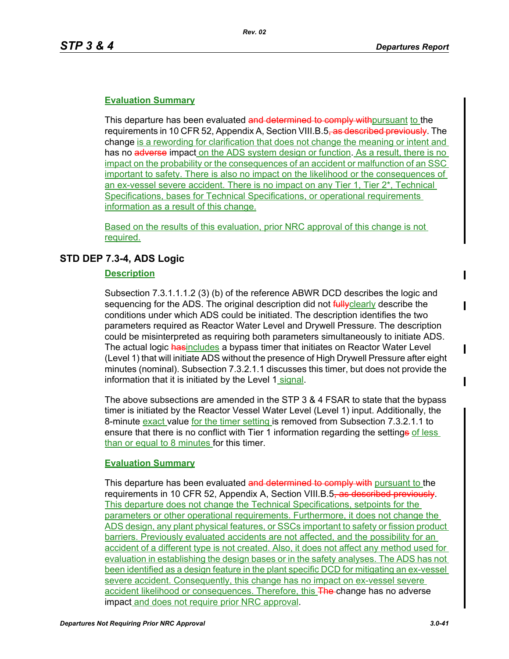This departure has been evaluated and determined to comply with pursuant to the requirements in 10 CFR 52, Appendix A, Section VIII.B.5<del>, as described previously</del>. The change is a rewording for clarification that does not change the meaning or intent and has no adverse impact on the ADS system design or function. As a result, there is no impact on the probability or the consequences of an accident or malfunction of an SSC important to safety. There is also no impact on the likelihood or the consequences of an ex-vessel severe accident. There is no impact on any Tier 1, Tier 2\*, Technical Specifications, bases for Technical Specifications, or operational requirements information as a result of this change.

Based on the results of this evaluation, prior NRC approval of this change is not required.

# **STD DEP 7.3-4, ADS Logic**

### **Description**

Subsection 7.3.1.1.1.2 (3) (b) of the reference ABWR DCD describes the logic and sequencing for the ADS. The original description did not **fully**clearly describe the conditions under which ADS could be initiated. The description identifies the two parameters required as Reactor Water Level and Drywell Pressure. The description could be misinterpreted as requiring both parameters simultaneously to initiate ADS. The actual logic hasincludes a bypass timer that initiates on Reactor Water Level (Level 1) that will initiate ADS without the presence of High Drywell Pressure after eight minutes (nominal). Subsection 7.3.2.1.1 discusses this timer, but does not provide the information that it is initiated by the Level 1 signal.

The above subsections are amended in the STP 3 & 4 FSAR to state that the bypass timer is initiated by the Reactor Vessel Water Level (Level 1) input. Additionally, the 8-minute exact value for the timer setting is removed from Subsection 7.3.2.1.1 to ensure that there is no conflict with Tier 1 information regarding the settinge of less than or equal to 8 minutes for this timer.

# **Evaluation Summary**

This departure has been evaluated and determined to comply with pursuant to the requirements in 10 CFR 52, Appendix A, Section VIII.B.5<del>, as described previously</del>. This departure does not change the Technical Specifications, setpoints for the parameters or other operational requirements. Furthermore, it does not change the ADS design, any plant physical features, or SSCs important to safety or fission product barriers. Previously evaluated accidents are not affected, and the possibility for an accident of a different type is not created. Also, it does not affect any method used for evaluation in establishing the design bases or in the safety analyses. The ADS has not been identified as a design feature in the plant specific DCD for mitigating an ex-vessel severe accident. Consequently, this change has no impact on ex-vessel severe accident likelihood or consequences. Therefore, this The change has no adverse impact and does not require prior NRC approval.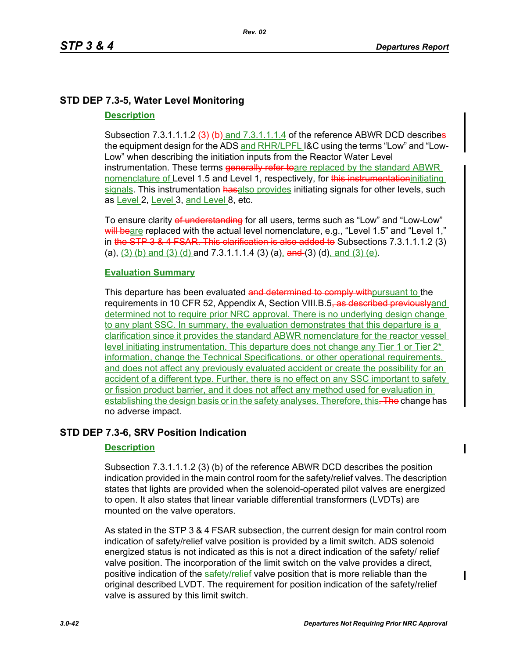# **STD DEP 7.3-5, Water Level Monitoring**

# **Description**

Subsection 7.3.1.1.1.2 $\left(3\right)$  (b) and 7.3.1.1.1.4 of the reference ABWR DCD describes the equipment design for the ADS and RHR/LPFL I&C using the terms "Low" and "Low-Low" when describing the initiation inputs from the Reactor Water Level instrumentation. These terms **generally refer to** are replaced by the standard ABWR nomenclature of Level 1.5 and Level 1, respectively, for this instrumentation initiating signals. This instrumentation hasalso provides initiating signals for other levels, such as Level 2, Level 3, and Level 8, etc.

To ensure clarity of understanding for all users, terms such as "Low" and "Low-Low" will beare replaced with the actual level nomenclature, e.g., "Level 1.5" and "Level 1," in the  $STP$  3 & 4 FSAR. This clarification is also added to Subsections 7.3.1.1.1.2 (3) (a),  $(3)$  (b) and  $(3)$  (d) and 7.3.1.1.1.4 (3) (a), and (3) (d), and (3) (e).

# **Evaluation Summary**

This departure has been evaluated and determined to comply with pursuant to the requirements in 10 CFR 52, Appendix A, Section VIII.B.5<del>, as described previously</del>and determined not to require prior NRC approval. There is no underlying design change to any plant SSC. In summary, the evaluation demonstrates that this departure is a clarification since it provides the standard ABWR nomenclature for the reactor vessel level initiating instrumentation. This departure does not change any Tier 1 or Tier 2<sup>\*</sup> information, change the Technical Specifications, or other operational requirements, and does not affect any previously evaluated accident or create the possibility for an accident of a different type. Further, there is no effect on any SSC important to safety or fission product barrier, and it does not affect any method used for evaluation in establishing the design basis or in the safety analyses. Therefore, this. The change has no adverse impact.

# **STD DEP 7.3-6, SRV Position Indication**

# **Description**

Subsection 7.3.1.1.1.2 (3) (b) of the reference ABWR DCD describes the position indication provided in the main control room for the safety/relief valves. The description states that lights are provided when the solenoid-operated pilot valves are energized to open. It also states that linear variable differential transformers (LVDTs) are mounted on the valve operators.

As stated in the STP 3 & 4 FSAR subsection, the current design for main control room indication of safety/relief valve position is provided by a limit switch. ADS solenoid energized status is not indicated as this is not a direct indication of the safety/ relief valve position. The incorporation of the limit switch on the valve provides a direct, positive indication of the safety/relief valve position that is more reliable than the original described LVDT. The requirement for position indication of the safety/relief valve is assured by this limit switch.

Π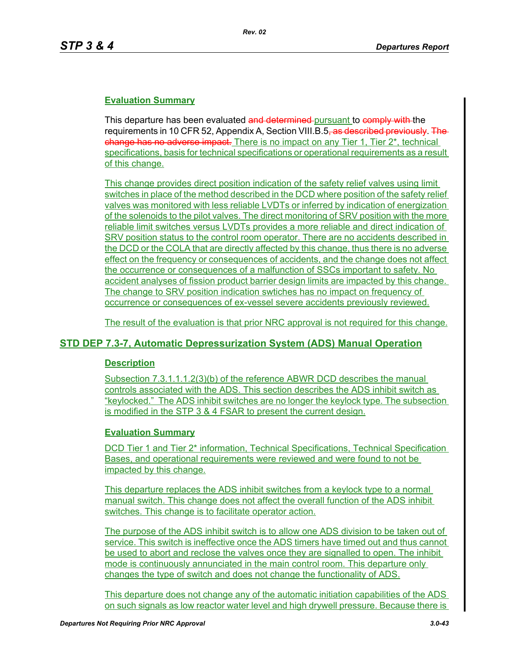This departure has been evaluated and determined pursuant to comply with the requirements in 10 CFR 52, Appendix A, Section VIII.B.5<del>, as described previously. The</del> change has no adverse impact. There is no impact on any Tier 1, Tier 2<sup>\*</sup>, technical specifications, basis for technical specifications or operational requirements as a result of this change.

This change provides direct position indication of the safety relief valves using limit switches in place of the method described in the DCD where position of the safety relief valves was monitored with less reliable LVDTs or inferred by indication of energization of the solenoids to the pilot valves. The direct monitoring of SRV position with the more reliable limit switches versus LVDTs provides a more reliable and direct indication of SRV position status to the control room operator. There are no accidents described in the DCD or the COLA that are directly affected by this change, thus there is no adverse effect on the frequency or consequences of accidents, and the change does not affect the occurrence or consequences of a malfunction of SSCs important to safety. No accident analyses of fission product barrier design limits are impacted by this change. The change to SRV position indication swtiches has no impact on frequency of occurrence or consequences of ex-vessel severe accidents previously reviewed.

The result of the evaluation is that prior NRC approval is not required for this change.

# **STD DEP 7.3-7, Automatic Depressurization System (ADS) Manual Operation**

# **Description**

Subsection 7.3.1.1.1.2(3)(b) of the reference ABWR DCD describes the manual controls associated with the ADS. This section describes the ADS inhibit switch as "keylocked." The ADS inhibit switches are no longer the keylock type. The subsection is modified in the STP 3 & 4 FSAR to present the current design.

# **Evaluation Summary**

DCD Tier 1 and Tier 2\* information, Technical Specifications, Technical Specification Bases, and operational requirements were reviewed and were found to not be impacted by this change.

This departure replaces the ADS inhibit switches from a keylock type to a normal manual switch. This change does not affect the overall function of the ADS inhibit switches. This change is to facilitate operator action.

The purpose of the ADS inhibit switch is to allow one ADS division to be taken out of service. This switch is ineffective once the ADS timers have timed out and thus cannot be used to abort and reclose the valves once they are signalled to open. The inhibit mode is continuously annunciated in the main control room. This departure only changes the type of switch and does not change the functionality of ADS.

This departure does not change any of the automatic initiation capabilities of the ADS on such signals as low reactor water level and high drywell pressure. Because there is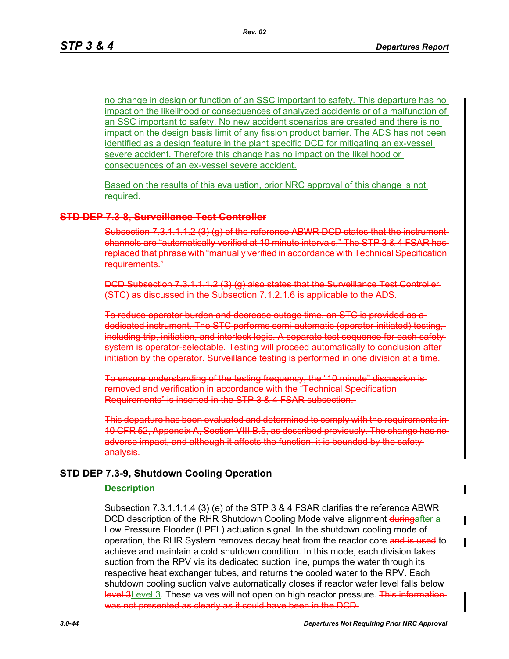no change in design or function of an SSC important to safety. This departure has no impact on the likelihood or consequences of analyzed accidents or of a malfunction of an SSC important to safety. No new accident scenarios are created and there is no impact on the design basis limit of any fission product barrier. The ADS has not been identified as a design feature in the plant specific DCD for mitigating an ex-vessel severe accident. Therefore this change has no impact on the likelihood or consequences of an ex-vessel severe accident.

Based on the results of this evaluation, prior NRC approval of this change is not required.

#### **STD DEP 7.3-8, Surveillance Test Controller**

Subsection 7.3.1.1.1.2 (3) (g) of the reference ABWR DCD states that the instrument channels are "automatically verified at 10 minute intervals." The STP 3 & 4 FSAR has replaced that phrase with "manually verified in accordance with Technical Specification requirements."

DCD Subsection 7.3.1.1.1.2 (3) (g) also states that the Surveillance Test Controller (STC) as discussed in the Subsection 7.1.2.1.6 is applicable to the ADS.

To reduce operator burden and decrease outage time, an STC is provided as a dedicated instrument. The STC performs semi-automatic (operator-initiated) test including trip, initiation, and interlock logic. A separate test sequence for each safe system is operator-selectable. Testing will proceed automatically to conclusion after initiation by the operator. Surveillance testing is performed in one division at a time.

To ensure understanding of the testing frequency, the "10 minute" discussion is removed and verification in accordance with the "Technical Specification Requirements" is inserted in the STP 3 & 4 FSAR subsection.

This departure has been evaluated and determined to comply with the requirements in 10 CFR 52, Appendix A, Section VIII.B.5, as described previously. The change has no adverse impact, and although it affects the function, it is bounded by the safety analysis.

#### **STD DEP 7.3-9, Shutdown Cooling Operation**

#### **Description**

Subsection 7.3.1.1.1.4 (3) (e) of the STP 3 & 4 FSAR clarifies the reference ABWR DCD description of the RHR Shutdown Cooling Mode valve alignment duringafter a Low Pressure Flooder (LPFL) actuation signal. In the shutdown cooling mode of operation, the RHR System removes decay heat from the reactor core and is used to achieve and maintain a cold shutdown condition. In this mode, each division takes suction from the RPV via its dedicated suction line, pumps the water through its respective heat exchanger tubes, and returns the cooled water to the RPV. Each shutdown cooling suction valve automatically closes if reactor water level falls below level 3Level 3. These valves will not open on high reactor pressure. This informationwas not presented as clearly as it could have been in the DCD.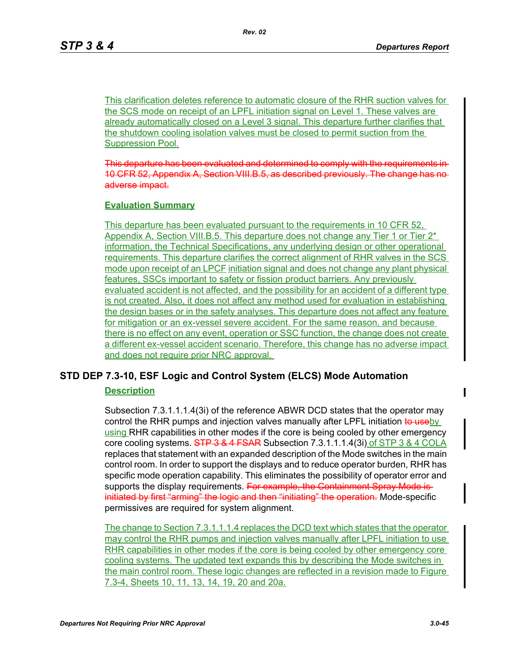This clarification deletes reference to automatic closure of the RHR suction valves for the SCS mode on receipt of an LPFL initiation signal on Level 1. These valves are already automatically closed on a Level 3 signal. This departure further clarifies that the shutdown cooling isolation valves must be closed to permit suction from the Suppression Pool.

This departure has been evaluated and determined to comply with the requirer 10 CFR 52, Appendix A, Section VIII.B.5, as described previously. The change has adverse impact.

### **Evaluation Summary**

This departure has been evaluated pursuant to the requirements in 10 CFR 52, Appendix A, Section VIII.B.5. This departure does not change any Tier 1 or Tier  $2^*$ information, the Technical Specifications, any underlying design or other operational requirements. This departure clarifies the correct alignment of RHR valves in the SCS mode upon receipt of an LPCF initiation signal and does not change any plant physical features, SSCs important to safety or fission product barriers. Any previously evaluated accident is not affected, and the possibility for an accident of a different type is not created. Also, it does not affect any method used for evaluation in establishing the design bases or in the safety analyses. This departure does not affect any feature for mitigation or an ex-vessel severe accident. For the same reason, and because there is no effect on any event, operation or SSC function, the change does not create a different ex-vessel accident scenario. Therefore, this change has no adverse impact and does not require prior NRC approval.

# **STD DEP 7.3-10, ESF Logic and Control System (ELCS) Mode Automation**

# **Description**

Subsection 7.3.1.1.1.4(3i) of the reference ABWR DCD states that the operator may control the RHR pumps and injection valves manually after LPFL initiation to useby using RHR capabilities in other modes if the core is being cooled by other emergency core cooling systems.  $\overline{STP}$  3 & 4 FSAR Subsection 7.3.1.1.1.4(3i) of STP 3 & 4 COLA replaces that statement with an expanded description of the Mode switches in the main control room. In order to support the displays and to reduce operator burden, RHR has specific mode operation capability. This eliminates the possibility of operator error and supports the display requirements. For example, the Containment Spray Mode is initiated by first "arming" the logic and then "initiating" the operation. Mode-specific permissives are required for system alignment.

The change to Section 7.3.1.1.1.4 replaces the DCD text which states that the operator may control the RHR pumps and injection valves manually after LPFL initiation to use RHR capabilities in other modes if the core is being cooled by other emergency core cooling systems. The updated text expands this by describing the Mode switches in the main control room. These logic changes are reflected in a revision made to Figure 7.3-4, Sheets 10, 11, 13, 14, 19, 20 and 20a.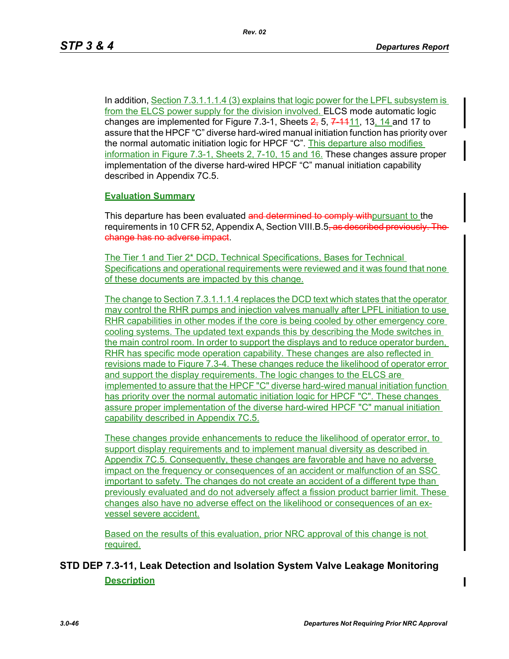In addition, Section 7.3.1.1.1.4 (3) explains that logic power for the LPFL subsystem is from the ELCS power supply for the division involved. ELCS mode automatic logic changes are implemented for Figure 7.3-1, Sheets  $2, 5, 7, 11, 13, 14$  and 17 to assure that the HPCF "C" diverse hard-wired manual initiation function has priority over the normal automatic initiation logic for HPCF "C". This departure also modifies information in Figure 7.3-1, Sheets 2, 7-10, 15 and 16. These changes assure proper implementation of the diverse hard-wired HPCF "C" manual initiation capability described in Appendix 7C.5.

#### **Evaluation Summary**

This departure has been evaluated and determined to comply with pursuant to the requirements in 10 CFR 52, Appendix A, Section VIII.B.5<del>, as described previously. The</del> change has no adverse impact.

The Tier 1 and Tier 2\* DCD, Technical Specifications, Bases for Technical Specifications and operational requirements were reviewed and it was found that none of these documents are impacted by this change.

The change to Section 7.3.1.1.1.4 replaces the DCD text which states that the operator may control the RHR pumps and injection valves manually after LPFL initiation to use RHR capabilities in other modes if the core is being cooled by other emergency core cooling systems. The updated text expands this by describing the Mode switches in the main control room. In order to support the displays and to reduce operator burden, RHR has specific mode operation capability. These changes are also reflected in revisions made to Figure 7.3-4. These changes reduce the likelihood of operator error and support the display requirements. The logic changes to the ELCS are implemented to assure that the HPCF "C" diverse hard-wired manual initiation function has priority over the normal automatic initiation logic for HPCF "C". These changes assure proper implementation of the diverse hard-wired HPCF "C" manual initiation capability described in Appendix 7C.5.

These changes provide enhancements to reduce the likelihood of operator error, to support display requirements and to implement manual diversity as described in Appendix 7C.5. Consequently, these changes are favorable and have no adverse impact on the frequency or consequences of an accident or malfunction of an SSC important to safety. The changes do not create an accident of a different type than previously evaluated and do not adversely affect a fission product barrier limit. These changes also have no adverse effect on the likelihood or consequences of an exvessel severe accident.

Based on the results of this evaluation, prior NRC approval of this change is not required.

# **STD DEP 7.3-11, Leak Detection and Isolation System Valve Leakage Monitoring Description**

П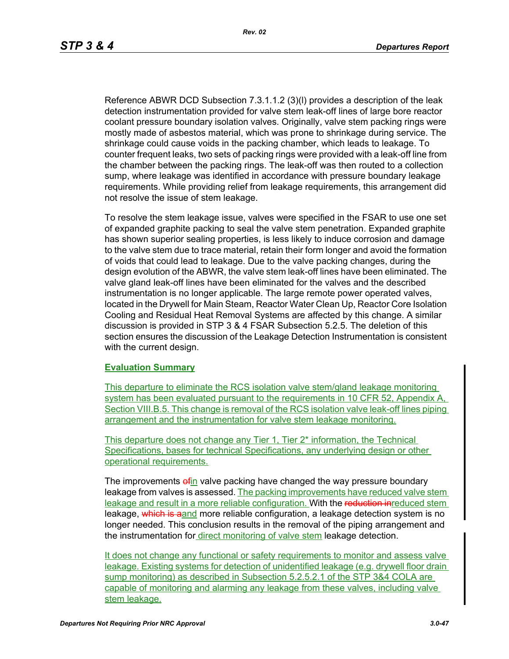Reference ABWR DCD Subsection 7.3.1.1.2 (3)(l) provides a description of the leak detection instrumentation provided for valve stem leak-off lines of large bore reactor coolant pressure boundary isolation valves. Originally, valve stem packing rings were mostly made of asbestos material, which was prone to shrinkage during service. The shrinkage could cause voids in the packing chamber, which leads to leakage. To counter frequent leaks, two sets of packing rings were provided with a leak-off line from the chamber between the packing rings. The leak-off was then routed to a collection sump, where leakage was identified in accordance with pressure boundary leakage requirements. While providing relief from leakage requirements, this arrangement did not resolve the issue of stem leakage.

To resolve the stem leakage issue, valves were specified in the FSAR to use one set of expanded graphite packing to seal the valve stem penetration. Expanded graphite has shown superior sealing properties, is less likely to induce corrosion and damage to the valve stem due to trace material, retain their form longer and avoid the formation of voids that could lead to leakage. Due to the valve packing changes, during the design evolution of the ABWR, the valve stem leak-off lines have been eliminated. The valve gland leak-off lines have been eliminated for the valves and the described instrumentation is no longer applicable. The large remote power operated valves, located in the Drywell for Main Steam, Reactor Water Clean Up, Reactor Core Isolation Cooling and Residual Heat Removal Systems are affected by this change. A similar discussion is provided in STP 3 & 4 FSAR Subsection 5.2.5. The deletion of this section ensures the discussion of the Leakage Detection Instrumentation is consistent with the current design.

### **Evaluation Summary**

This departure to eliminate the RCS isolation valve stem/gland leakage monitoring system has been evaluated pursuant to the requirements in 10 CFR 52, Appendix A, Section VIII.B.5. This change is removal of the RCS isolation valve leak-off lines piping arrangement and the instrumentation for valve stem leakage monitoring.

This departure does not change any Tier 1, Tier 2\* information, the Technical Specifications, bases for technical Specifications, any underlying design or other operational requirements.

The improvements of in valve packing have changed the way pressure boundary leakage from valves is assessed. The packing improvements have reduced valve stem leakage and result in a more reliable configuration. With the reduction inreduced stem leakage, which is aand more reliable configuration, a leakage detection system is no longer needed. This conclusion results in the removal of the piping arrangement and the instrumentation for direct monitoring of valve stem leakage detection.

It does not change any functional or safety requirements to monitor and assess valve leakage. Existing systems for detection of unidentified leakage (e.g. drywell floor drain sump monitoring) as described in Subsection 5.2.5.2.1 of the STP 3&4 COLA are capable of monitoring and alarming any leakage from these valves, including valve stem leakage.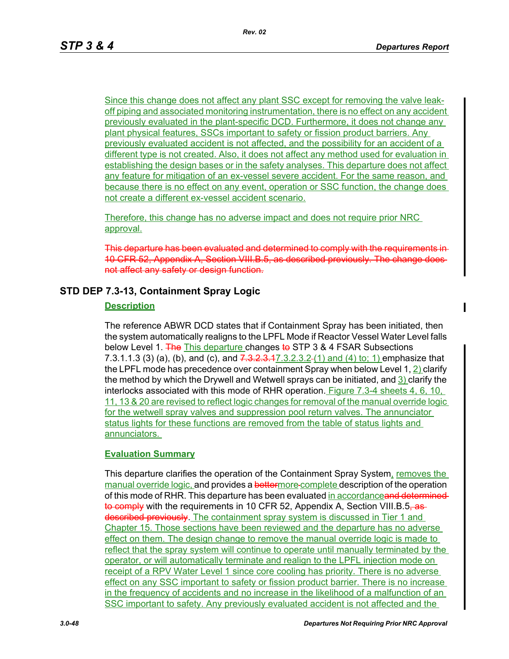П

Since this change does not affect any plant SSC except for removing the valve leakoff piping and associated monitoring instrumentation, there is no effect on any accident previously evaluated in the plant-specific DCD. Furthermore, it does not change any plant physical features, SSCs important to safety or fission product barriers. Any previously evaluated accident is not affected, and the possibility for an accident of a different type is not created. Also, it does not affect any method used for evaluation in establishing the design bases or in the safety analyses. This departure does not affect any feature for mitigation of an ex-vessel severe accident. For the same reason, and because there is no effect on any event, operation or SSC function, the change does not create a different ex-vessel accident scenario.

Therefore, this change has no adverse impact and does not require prior NRC approval.

This departure has been evaluated and determined to comply with the requirements in 10 CFR 52, Appendix A, Section VIII.B.5, as described previously. The change does not affect any safety or design function.

# **STD DEP 7.3-13, Containment Spray Logic**

# **Description**

The reference ABWR DCD states that if Containment Spray has been initiated, then the system automatically realigns to the LPFL Mode if Reactor Vessel Water Level falls below Level 1. The This departure changes to STP 3 & 4 FSAR Subsections 7.3.1.1.3 (3) (a), (b), and (c), and  $7.3.2.3.47.3.2.3.2(1)$  and (4) to; 1) emphasize that the LPFL mode has precedence over containment Spray when below Level 1, 2) clarify the method by which the Drywell and Wetwell sprays can be initiated, and  $3)$  clarify the interlocks associated with this mode of RHR operation. Figure 7.3-4 sheets 4, 6, 10, 11, 13 & 20 are revised to reflect logic changes for removal of the manual override logic for the wetwell spray valves and suppression pool return valves. The annunciator status lights for these functions are removed from the table of status lights and annunciators.

# **Evaluation Summary**

This departure clarifies the operation of the Containment Spray System, removes the manual override logic, and provides a bettermore complete description of the operation of this mode of RHR. This departure has been evaluated in accordanceand determinedto comply with the requirements in 10 CFR 52, Appendix A, Section VIII.B.5, as described previously. The containment spray system is discussed in Tier 1 and Chapter 15. Those sections have been reviewed and the departure has no adverse effect on them. The design change to remove the manual override logic is made to reflect that the spray system will continue to operate until manually terminated by the operator, or will automatically terminate and realign to the LPFL injection mode on receipt of a RPV Water Level 1 since core cooling has priority. There is no adverse effect on any SSC important to safety or fission product barrier. There is no increase in the frequency of accidents and no increase in the likelihood of a malfunction of an SSC important to safety. Any previously evaluated accident is not affected and the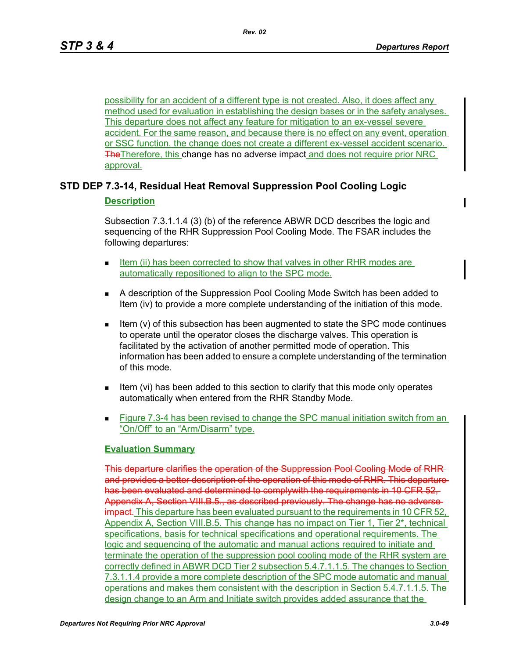possibility for an accident of a different type is not created. Also, it does affect any method used for evaluation in establishing the design bases or in the safety analyses. This departure does not affect any feature for mitigation to an ex-vessel severe accident. For the same reason, and because there is no effect on any event, operation or SSC function, the change does not create a different ex-vessel accident scenario. **The Therefore, this change has no adverse impact and does not require prior NRC** approval.

# **STD DEP 7.3-14, Residual Heat Removal Suppression Pool Cooling Logic**

# **Description**

Subsection 7.3.1.1.4 (3) (b) of the reference ABWR DCD describes the logic and sequencing of the RHR Suppression Pool Cooling Mode. The FSAR includes the following departures:

- Item (ii) has been corrected to show that valves in other RHR modes are automatically repositioned to align to the SPC mode.
- A description of the Suppression Pool Cooling Mode Switch has been added to Item (iv) to provide a more complete understanding of the initiation of this mode.
- Item (v) of this subsection has been augmented to state the SPC mode continues to operate until the operator closes the discharge valves. This operation is facilitated by the activation of another permitted mode of operation. This information has been added to ensure a complete understanding of the termination of this mode.
- Item (vi) has been added to this section to clarify that this mode only operates automatically when entered from the RHR Standby Mode.
- **Figure 7.3-4 has been revised to change the SPC manual initiation switch from an** "On/Off" to an "Arm/Disarm" type.

# **Evaluation Summary**

This departure clarifies the operation of the Suppression Pool Cooling Mode of RHR and provides a better description of the operation of this mode of RHR. This departure has been evaluated and determined to comply with the requirements in 10 CFR 52, Appendix A, Section VIII.B.5., as described previously. The change has no adverse impact. This departure has been evaluated pursuant to the requirements in 10 CFR 52, Appendix A, Section VIII.B.5. This change has no impact on Tier 1, Tier 2<sup>\*</sup>, technical specifications, basis for technical specifications and operational requirements. The logic and sequencing of the automatic and manual actions required to initiate and terminate the operation of the suppression pool cooling mode of the RHR system are correctly defined in ABWR DCD Tier 2 subsection 5.4.7.1.1.5. The changes to Section 7.3.1.1.4 provide a more complete description of the SPC mode automatic and manual operations and makes them consistent with the description in Section 5.4.7.1.1.5. The design change to an Arm and Initiate switch provides added assurance that the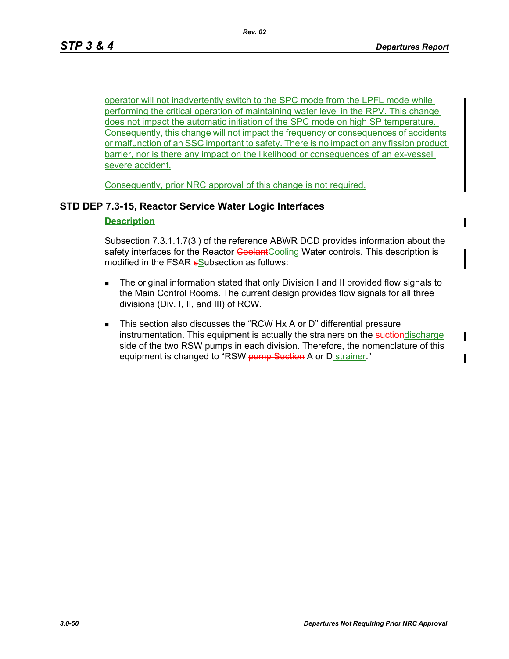$\mathbf I$ 

operator will not inadvertently switch to the SPC mode from the LPFL mode while performing the critical operation of maintaining water level in the RPV. This change does not impact the automatic initiation of the SPC mode on high SP temperature. Consequently, this change will not impact the frequency or consequences of accidents or malfunction of an SSC important to safety. There is no impact on any fission product barrier, nor is there any impact on the likelihood or consequences of an ex-vessel severe accident.

Consequently, prior NRC approval of this change is not required.

# **STD DEP 7.3-15, Reactor Service Water Logic Interfaces**

### **Description**

Subsection 7.3.1.1.7(3i) of the reference ABWR DCD provides information about the safety interfaces for the Reactor Coolant Cooling Water controls. This description is modified in the FSAR **s**Subsection as follows:

- The original information stated that only Division I and II provided flow signals to the Main Control Rooms. The current design provides flow signals for all three divisions (Div. I, II, and III) of RCW.
- This section also discusses the "RCW Hx A or D" differential pressure instrumentation. This equipment is actually the strainers on the suctional scharge side of the two RSW pumps in each division. Therefore, the nomenclature of this equipment is changed to "RSW pump Suction A or D strainer."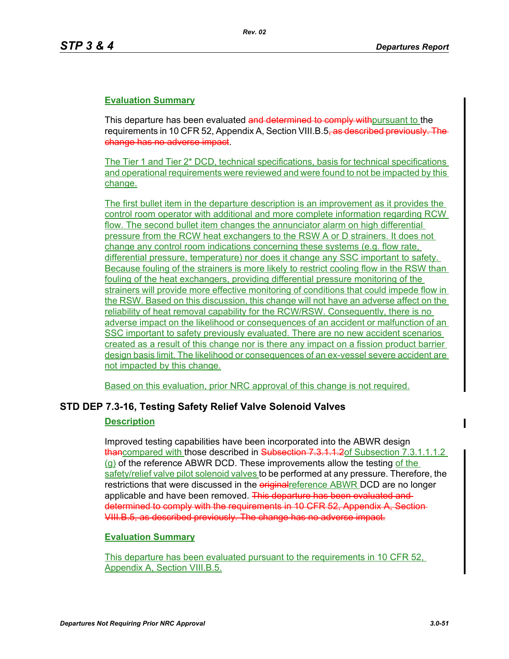This departure has been evaluated and determined to comply with pursuant to the requirements in 10 CFR 52, Appendix A, Section VIII.B.5<del>, as described previously. The</del> change has no adverse impact.

The Tier 1 and Tier 2\* DCD, technical specifications, basis for technical specifications and operational requirements were reviewed and were found to not be impacted by this change.

The first bullet item in the departure description is an improvement as it provides the control room operator with additional and more complete information regarding RCW flow. The second bullet item changes the annunciator alarm on high differential pressure from the RCW heat exchangers to the RSW A or D strainers. It does not change any control room indications concerning these systems (e.g. flow rate, differential pressure, temperature) nor does it change any SSC important to safety. Because fouling of the strainers is more likely to restrict cooling flow in the RSW than fouling of the heat exchangers, providing differential pressure monitoring of the strainers will provide more effective monitoring of conditions that could impede flow in the RSW. Based on this discussion, this change will not have an adverse affect on the reliability of heat removal capability for the RCW/RSW. Consequently, there is no adverse impact on the likelihood or consequences of an accident or malfunction of an SSC important to safety previously evaluated. There are no new accident scenarios created as a result of this change nor is there any impact on a fission product barrier design basis limit. The likelihood or consequences of an ex-vessel severe accident are not impacted by this change.

Based on this evaluation, prior NRC approval of this change is not required.

# **STD DEP 7.3-16, Testing Safety Relief Valve Solenoid Valves**

#### **Description**

Improved testing capabilities have been incorporated into the ABWR design thancompared with those described in Subsection 7.3.1.1.2of Subsection 7.3.1.1.1.2  $(q)$  of the reference ABWR DCD. These improvements allow the testing of the safety/relief valve pilot solenoid valves to be performed at any pressure. Therefore, the restrictions that were discussed in the *eriginal* reference ABWR DCD are no longer applicable and have been removed. This departure has been evaluated and determined to comply with the requirements in 10 CFR 52, Appendix A, Section VIII.B.5, as described previously. The change has no adverse impact.

#### **Evaluation Summary**

This departure has been evaluated pursuant to the requirements in 10 CFR 52, Appendix A, Section VIII.B.5.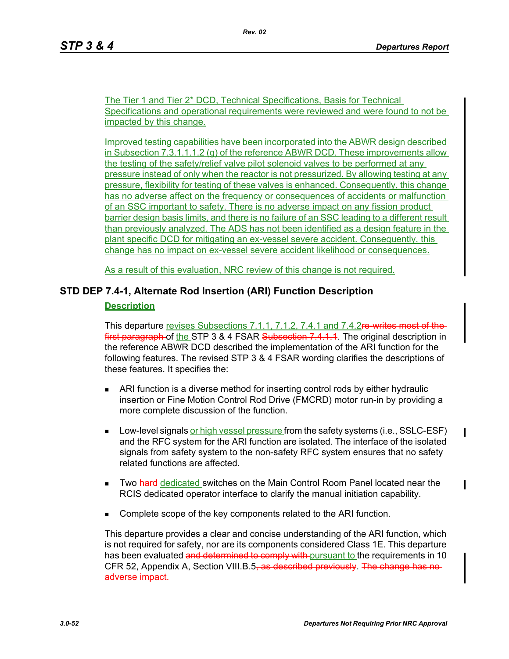The Tier 1 and Tier 2\* DCD, Technical Specifications, Basis for Technical Specifications and operational requirements were reviewed and were found to not be impacted by this change.

Improved testing capabilities have been incorporated into the ABWR design described in Subsection  $7.3.1.1.1.2$  (g) of the reference ABWR DCD. These improvements allow the testing of the safety/relief valve pilot solenoid valves to be performed at any pressure instead of only when the reactor is not pressurized. By allowing testing at any pressure, flexibility for testing of these valves is enhanced. Consequently, this change has no adverse affect on the frequency or consequences of accidents or malfunction of an SSC important to safety. There is no adverse impact on any fission product barrier design basis limits, and there is no failure of an SSC leading to a different result than previously analyzed. The ADS has not been identified as a design feature in the plant specific DCD for mitigating an ex-vessel severe accident. Consequently, this change has no impact on ex-vessel severe accident likelihood or consequences.

As a result of this evaluation, NRC review of this change is not required.

# **STD DEP 7.4-1, Alternate Rod Insertion (ARI) Function Description**

# **Description**

This departure revises Subsections 7.1.1, 7.1.2, 7.4.1 and 7.4.2re writes mos first paragraph of the STP 3 & 4 FSAR Subsection 7.4.1.1. The original description in the reference ABWR DCD described the implementation of the ARI function for the following features. The revised STP 3 & 4 FSAR wording clarifies the descriptions of these features. It specifies the:

- ARI function is a diverse method for inserting control rods by either hydraulic insertion or Fine Motion Control Rod Drive (FMCRD) motor run-in by providing a more complete discussion of the function.
- **Low-level signals or high vessel pressure from the safety systems (i.e., SSLC-ESF)** and the RFC system for the ARI function are isolated. The interface of the isolated signals from safety system to the non-safety RFC system ensures that no safety related functions are affected.
- **Two hard-dedicated switches on the Main Control Room Panel located near the** RCIS dedicated operator interface to clarify the manual initiation capability.
- Complete scope of the key components related to the ARI function.

This departure provides a clear and concise understanding of the ARI function, which is not required for safety, nor are its components considered Class 1E. This departure has been evaluated and determined to comply with pursuant to the requirements in 10 CFR 52, Appendix A, Section VIII.B.5, as described previously. The change has no adverse impact.

П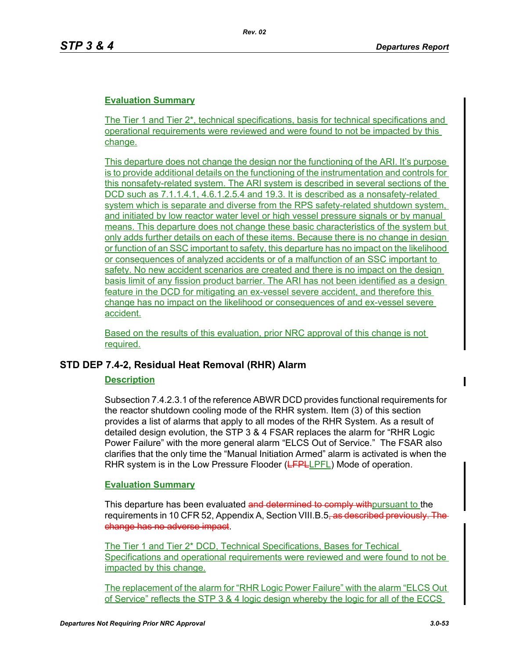The Tier 1 and Tier 2\*, technical specifications, basis for technical specifications and operational requirements were reviewed and were found to not be impacted by this change.

This departure does not change the design nor the functioning of the ARI. It's purpose is to provide additional details on the functioning of the instrumentation and controls for this nonsafety-related system. The ARI system is described in several sections of the DCD such as 7.1.1.4.1, 4.6.1.2.5.4 and 19.3. It is described as a nonsafety-related system which is separate and diverse from the RPS safety-related shutdown system, and initiated by low reactor water level or high vessel pressure signals or by manual means. This departure does not change these basic characteristics of the system but only adds further details on each of these items. Because there is no change in design or function of an SSC important to safety, this departure has no impact on the likelihood or consequences of analyzed accidents or of a malfunction of an SSC important to safety. No new accident scenarios are created and there is no impact on the design basis limit of any fission product barrier. The ARI has not been identified as a design feature in the DCD for mitigating an ex-vessel severe accident, and therefore this change has no impact on the likelihood or consequences of and ex-vessel severe accident.

Based on the results of this evaluation, prior NRC approval of this change is not required.

# **STD DEP 7.4-2, Residual Heat Removal (RHR) Alarm**

#### **Description**

Subsection 7.4.2.3.1 of the reference ABWR DCD provides functional requirements for the reactor shutdown cooling mode of the RHR system. Item (3) of this section provides a list of alarms that apply to all modes of the RHR System. As a result of detailed design evolution, the STP 3 & 4 FSAR replaces the alarm for "RHR Logic Power Failure" with the more general alarm "ELCS Out of Service." The FSAR also clarifies that the only time the "Manual Initiation Armed" alarm is activated is when the RHR system is in the Low Pressure Flooder (LFPLLPFL) Mode of operation.

#### **Evaluation Summary**

This departure has been evaluated and determined to comply with pursuant to the requirements in 10 CFR 52, Appendix A, Section VIII.B.5<del>, as described previously. The</del> change has no adverse impact.

The Tier 1 and Tier 2\* DCD, Technical Specifications, Bases for Techical Specifications and operational requirements were reviewed and were found to not be impacted by this change.

The replacement of the alarm for "RHR Logic Power Failure" with the alarm "ELCS Out of Service" reflects the STP 3 & 4 logic design whereby the logic for all of the ECCS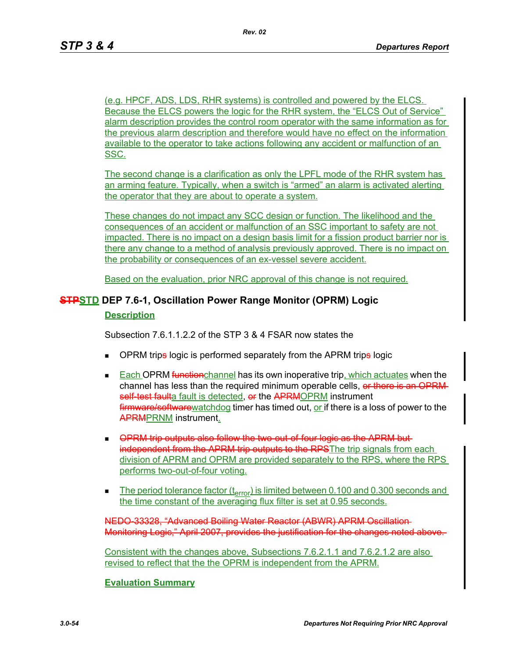(e.g. HPCF, ADS, LDS, RHR systems) is controlled and powered by the ELCS. Because the ELCS powers the logic for the RHR system, the "ELCS Out of Service" alarm description provides the control room operator with the same information as for the previous alarm description and therefore would have no effect on the information available to the operator to take actions following any accident or malfunction of an SSC.

The second change is a clarification as only the LPFL mode of the RHR system has an arming feature. Typically, when a switch is "armed" an alarm is activated alerting the operator that they are about to operate a system.

These changes do not impact any SCC design or function. The likelihood and the consequences of an accident or malfunction of an SSC important to safety are not impacted. There is no impact on a design basis limit for a fission product barrier nor is there any change to a method of analysis previously approved. There is no impact on the probability or consequences of an ex-vessel severe accident.

Based on the evaluation, prior NRC approval of this change is not required.

# **STPSTD DEP 7.6-1, Oscillation Power Range Monitor (OPRM) Logic**

### **Description**

Subsection 7.6.1.1.2.2 of the STP 3 & 4 FSAR now states the

- OPRM trips logic is performed separately from the APRM trips logic
- **Each OPRM function**channel has its own inoperative trip, which actuates when the channel has less than the required minimum operable cells, or there is an OPRMself test faulta fault is detected, or the APRMOPRM instrument firmware/software watchdog timer has timed out, or if there is a loss of power to the APRMPRNM instrument.
- **OPRM trip outputs also follow the two-out-of-four-logic as the APRM but**independent from the APRM trip outputs to the RPSThe trip signals from each division of APRM and OPRM are provided separately to the RPS, where the RPS performs two-out-of-four voting.
- The period tolerance factor  $(t_{error})$  is limited between 0.100 and 0.300 seconds and the time constant of the averaging flux filter is set at 0.95 seconds.

NEDO-33328, "Advanced Boiling Water Reactor (ABWR) APRM Oscillation Monitoring Logic," April 2007, provides the justification for the changes noted above.

Consistent with the changes above, Subsections 7.6.2.1.1 and 7.6.2.1.2 are also revised to reflect that the the OPRM is independent from the APRM.

### **Evaluation Summary**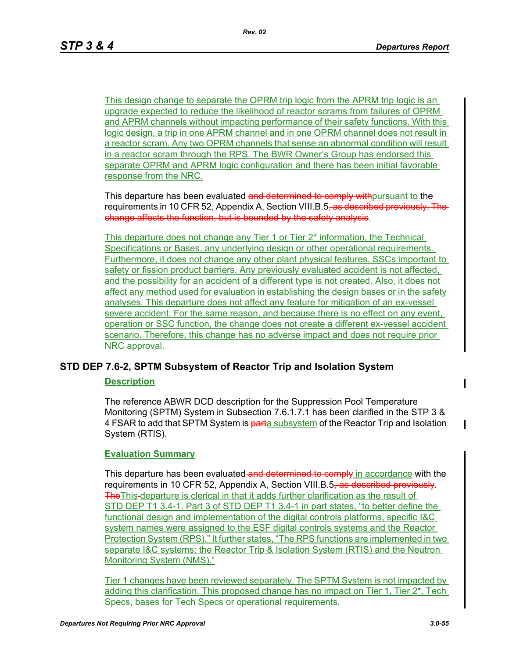This design change to separate the OPRM trip logic from the APRM trip logic is an upgrade expected to reduce the likelihood of reactor scrams from failures of OPRM and APRM channels without impacting performance of their safety functions. With this logic design, a trip in one APRM channel and in one OPRM channel does not result in a reactor scram. Any two OPRM channels that sense an abnormal condition will result in a reactor scram through the RPS. The BWR Owner's Group has endorsed this separate OPRM and APRM logic configuration and there has been initial favorable response from the NRC.

This departure has been evaluated and determined to comply with pursuant to the requirements in 10 CFR 52, Appendix A, Section VIII.B.5<del>, as described previously. The</del> change affects the function, but is bounded by the safety analysis.

This departure does not change any Tier 1 or Tier 2\* information, the Technical Specifications or Bases, any underlying design or other operational requirements. Furthermore, it does not change any other plant physical features, SSCs important to safety or fission product barriers. Any previously evaluated accident is not affected, and the possibility for an accident of a different type is not created. Also, it does not affect any method used for evaluation in establishing the design bases or in the safety analyses. This departure does not affect any feature for mitigation of an ex-vessel severe accident. For the same reason, and because there is no effect on any event, operation or SSC function, the change does not create a different ex-vessel accident scenario. Therefore, this change has no adverse impact and does not require prior NRC approval.

# **STD DEP 7.6-2, SPTM Subsystem of Reactor Trip and Isolation System**

# **Description**

The reference ABWR DCD description for the Suppression Pool Temperature Monitoring (SPTM) System in Subsection 7.6.1.7.1 has been clarified in the STP 3 & 4 FSAR to add that SPTM System is parta subsystem of the Reactor Trip and Isolation System (RTIS).

# **Evaluation Summary**

This departure has been evaluated and determined to comply in accordance with the requirements in 10 CFR 52, Appendix A, Section VIII.B.5<del>, as described previously</del>. The This-departure is clerical in that it adds further clarification as the result of STD DEP T1 3.4-1. Part 3 of STD DEP T1 3.4-1 in part states, "to better define the functional design and implementation of the digital controls platforms, specific I&C system names were assigned to the ESF digital controls systems and the Reactor Protection System (RPS)." It further states, "The RPS functions are implemented in two separate I&C systems: the Reactor Trip & Isolation System (RTIS) and the Neutron Monitoring System (NMS)."

Tier 1 changes have been reviewed separately. The SPTM System is not impacted by adding this clarification. This proposed change has no impact on Tier 1, Tier 2\*, Tech Specs, bases for Tech Specs or operational requirements.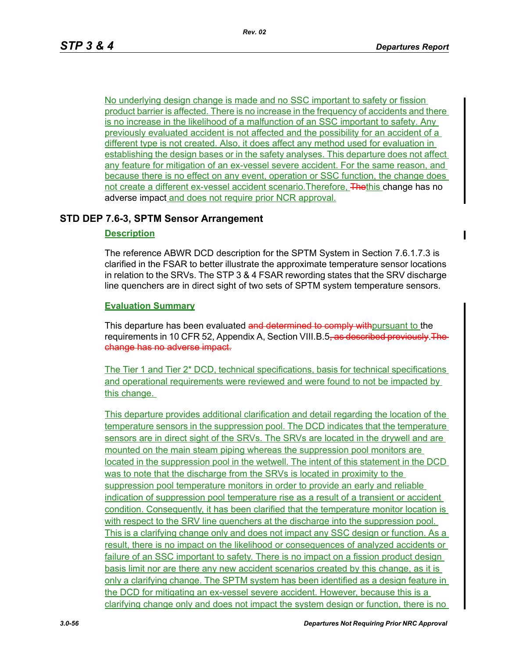No underlying design change is made and no SSC important to safety or fission product barrier is affected. There is no increase in the frequency of accidents and there is no increase in the likelihood of a malfunction of an SSC important to safety. Any previously evaluated accident is not affected and the possibility for an accident of a different type is not created. Also, it does affect any method used for evaluation in establishing the design bases or in the safety analyses. This departure does not affect any feature for mitigation of an ex-vessel severe accident. For the same reason, and because there is no effect on any event, operation or SSC function, the change does not create a different ex-vessel accident scenario. Therefore, Thethis change has no adverse impact and does not require prior NCR approval.

# **STD DEP 7.6-3, SPTM Sensor Arrangement**

### **Description**

The reference ABWR DCD description for the SPTM System in Section 7.6.1.7.3 is clarified in the FSAR to better illustrate the approximate temperature sensor locations in relation to the SRVs. The STP 3 & 4 FSAR rewording states that the SRV discharge line quenchers are in direct sight of two sets of SPTM system temperature sensors.

### **Evaluation Summary**

This departure has been evaluated and determined to comply with pursuant to the requirements in 10 CFR 52, Appendix A, Section VIII.B.5<del>, as described previously. The</del> change has no adverse impact.

The Tier 1 and Tier 2\* DCD, technical specifications, basis for technical specifications and operational requirements were reviewed and were found to not be impacted by this change.

This departure provides additional clarification and detail regarding the location of the temperature sensors in the suppression pool. The DCD indicates that the temperature sensors are in direct sight of the SRVs. The SRVs are located in the drywell and are mounted on the main steam piping whereas the suppression pool monitors are located in the suppression pool in the wetwell. The intent of this statement in the DCD was to note that the discharge from the SRVs is located in proximity to the suppression pool temperature monitors in order to provide an early and reliable indication of suppression pool temperature rise as a result of a transient or accident condition. Consequently, it has been clarified that the temperature monitor location is with respect to the SRV line quenchers at the discharge into the suppression pool. This is a clarifying change only and does not impact any SSC design or function. As a result, there is no impact on the likelihood or consequences of analyzed accidents or failure of an SSC important to safety. There is no impact on a fission product design basis limit nor are there any new accident scenarios created by this change, as it is only a clarifying change. The SPTM system has been identified as a design feature in the DCD for mitigating an ex-vessel severe accident. However, because this is a clarifying change only and does not impact the system design or function, there is no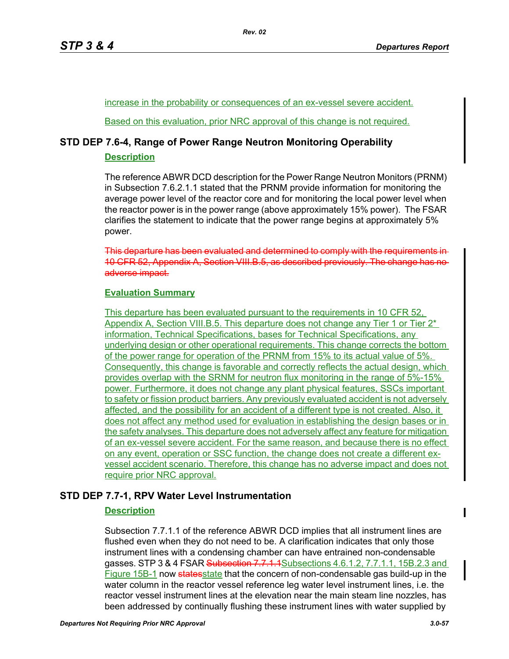increase in the probability or consequences of an ex-vessel severe accident.

Based on this evaluation, prior NRC approval of this change is not required.

# **STD DEP 7.6-4, Range of Power Range Neutron Monitoring Operability**

### **Description**

The reference ABWR DCD description for the Power Range Neutron Monitors (PRNM) in Subsection 7.6.2.1.1 stated that the PRNM provide information for monitoring the average power level of the reactor core and for monitoring the local power level when the reactor power is in the power range (above approximately 15% power). The FSAR clarifies the statement to indicate that the power range begins at approximately 5% power.

This departure has been evaluated and determined to comply with the requirements in 10 CFR 52, Appendix A, Section VIII.B.5, as described previously. The change has adverse impact.

# **Evaluation Summary**

This departure has been evaluated pursuant to the requirements in 10 CFR 52, Appendix A, Section VIII.B.5. This departure does not change any Tier 1 or Tier 2<sup>\*</sup> information, Technical Specifications, bases for Technical Specifications, any underlying design or other operational requirements. This change corrects the bottom of the power range for operation of the PRNM from 15% to its actual value of 5%. Consequently, this change is favorable and correctly reflects the actual design, which provides overlap with the SRNM for neutron flux monitoring in the range of 5%-15% power. Furthermore, it does not change any plant physical features, SSCs important to safety or fission product barriers. Any previously evaluated accident is not adversely affected, and the possibility for an accident of a different type is not created. Also, it does not affect any method used for evaluation in establishing the design bases or in the safety analyses. This departure does not adversely affect any feature for mitigation of an ex-vessel severe accident. For the same reason, and because there is no effect on any event, operation or SSC function, the change does not create a different exvessel accident scenario. Therefore, this change has no adverse impact and does not require prior NRC approval.

# **STD DEP 7.7-1, RPV Water Level Instrumentation**

# **Description**

Subsection 7.7.1.1 of the reference ABWR DCD implies that all instrument lines are flushed even when they do not need to be. A clarification indicates that only those instrument lines with a condensing chamber can have entrained non-condensable gasses. STP 3 & 4 FSAR Subsection 7.7.1.1 Subsections 4.6.1.2, 7.7.1.1, 15B.2.3 and Figure 15B-1 now states state that the concern of non-condensable gas build-up in the water column in the reactor vessel reference leg water level instrument lines, i.e. the reactor vessel instrument lines at the elevation near the main steam line nozzles, has been addressed by continually flushing these instrument lines with water supplied by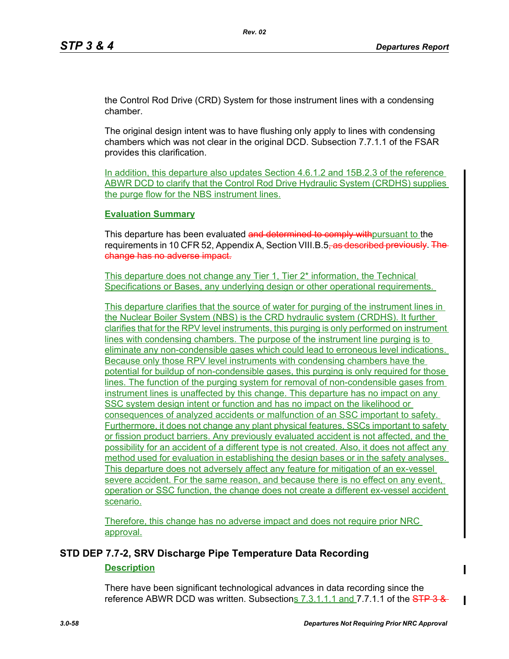the Control Rod Drive (CRD) System for those instrument lines with a condensing chamber.

The original design intent was to have flushing only apply to lines with condensing chambers which was not clear in the original DCD. Subsection 7.7.1.1 of the FSAR provides this clarification.

In addition, this departure also updates Section 4.6.1.2 and 15B.2.3 of the reference ABWR DCD to clarify that the Control Rod Drive Hydraulic System (CRDHS) supplies the purge flow for the NBS instrument lines.

### **Evaluation Summary**

This departure has been evaluated and determined to comply with pursuant to the requirements in 10 CFR 52, Appendix A, Section VIII.B.5<del>, as described previously. The</del> change has no adverse impact.

This departure does not change any Tier 1, Tier 2\* information, the Technical Specifications or Bases, any underlying design or other operational requirements.

This departure clarifies that the source of water for purging of the instrument lines in the Nuclear Boiler System (NBS) is the CRD hydraulic system (CRDHS). It further clarifies that for the RPV level instruments, this purging is only performed on instrument lines with condensing chambers. The purpose of the instrument line purging is to eliminate any non-condensible gases which could lead to erroneous level indications. Because only those RPV level instruments with condensing chambers have the potential for buildup of non-condensible gases, this purging is only required for those lines. The function of the purging system for removal of non-condensible gases from instrument lines is unaffected by this change. This departure has no impact on any SSC system design intent or function and has no impact on the likelihood or consequences of analyzed accidents or malfunction of an SSC important to safety. Furthermore, it does not change any plant physical features, SSCs important to safety or fission product barriers. Any previously evaluated accident is not affected, and the possibility for an accident of a different type is not created. Also, it does not affect any method used for evaluation in establishing the design bases or in the safety analyses. This departure does not adversely affect any feature for mitigation of an ex-vessel severe accident. For the same reason, and because there is no effect on any event, operation or SSC function, the change does not create a different ex-vessel accident scenario.

Therefore, this change has no adverse impact and does not require prior NRC approval.

# **STD DEP 7.7-2, SRV Discharge Pipe Temperature Data Recording**

# **Description**

There have been significant technological advances in data recording since the reference ABWR DCD was written. Subsections  $7.3.1.1.1$  and  $7.7.1.1$  of the  $STP3.8$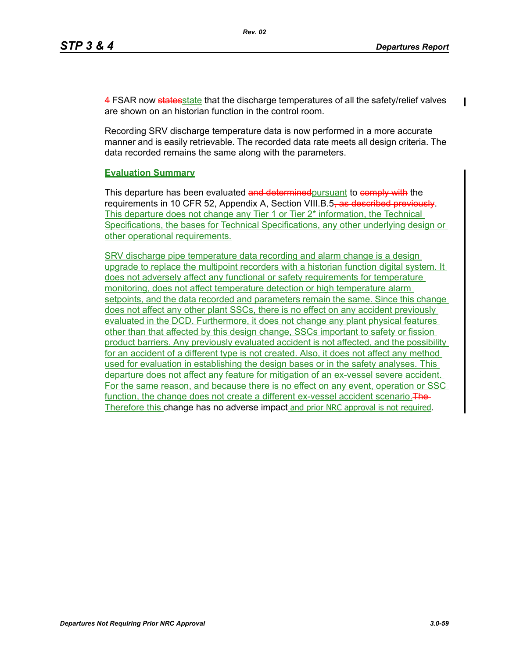4 FSAR now states state that the discharge temperatures of all the safety/relief valves are shown on an historian function in the control room.

Recording SRV discharge temperature data is now performed in a more accurate manner and is easily retrievable. The recorded data rate meets all design criteria. The data recorded remains the same along with the parameters.

### **Evaluation Summary**

This departure has been evaluated and determined pursuant to comply with the requirements in 10 CFR 52, Appendix A, Section VIII.B.5<del>, as described previously</del>. This departure does not change any Tier 1 or Tier 2\* information, the Technical Specifications, the bases for Technical Specifications, any other underlying design or other operational requirements.

SRV discharge pipe temperature data recording and alarm change is a design upgrade to replace the multipoint recorders with a historian function digital system. It does not adversely affect any functional or safety requirements for temperature monitoring, does not affect temperature detection or high temperature alarm setpoints, and the data recorded and parameters remain the same. Since this change does not affect any other plant SSCs, there is no effect on any accident previously evaluated in the DCD. Furthermore, it does not change any plant physical features other than that affected by this design change, SSCs important to safety or fission product barriers. Any previously evaluated accident is not affected, and the possibility for an accident of a different type is not created. Also, it does not affect any method used for evaluation in establishing the design bases or in the safety analyses. This departure does not affect any feature for mitigation of an ex-vessel severe accident. For the same reason, and because there is no effect on any event, operation or SSC function, the change does not create a different ex-vessel accident scenario. The Therefore this change has no adverse impact and prior NRC approval is not required.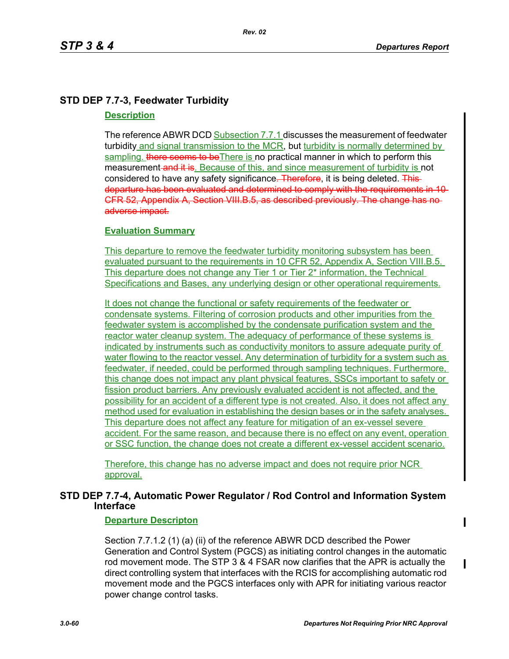# **STD DEP 7.7-3, Feedwater Turbidity**

### **Description**

The reference ABWR DCD Subsection 7.7.1 discusses the measurement of feedwater turbidity and signal transmission to the MCR, but turbidity is normally determined by sampling. there seems to be There is no practical manner in which to perform this measurement and it is. Because of this, and since measurement of turbidity is not considered to have any safety significance. Therefore, it is being deleted. This departure has been evaluated and determined to comply with the requirements in 10 CFR 52, Appendix A, Section VIII.B.5, as described previously. The change has no adverse impact.

# **Evaluation Summary**

This departure to remove the feedwater turbidity monitoring subsystem has been evaluated pursuant to the requirements in 10 CFR 52, Appendix A, Section VIII.B.5. This departure does not change any Tier 1 or Tier 2\* information, the Technical Specifications and Bases, any underlying design or other operational requirements.

It does not change the functional or safety requirements of the feedwater or condensate systems. Filtering of corrosion products and other impurities from the feedwater system is accomplished by the condensate purification system and the reactor water cleanup system. The adequacy of performance of these systems is indicated by instruments such as conductivity monitors to assure adequate purity of water flowing to the reactor vessel. Any determination of turbidity for a system such as feedwater, if needed, could be performed through sampling techniques. Furthermore, this change does not impact any plant physical features, SSCs important to safety or fission product barriers. Any previously evaluated accident is not affected, and the possibility for an accident of a different type is not created. Also, it does not affect any method used for evaluation in establishing the design bases or in the safety analyses. This departure does not affect any feature for mitigation of an ex-vessel severe accident. For the same reason, and because there is no effect on any event, operation or SSC function, the change does not create a different ex-vessel accident scenario.

Therefore, this change has no adverse impact and does not require prior NCR approval.

# **STD DEP 7.7-4, Automatic Power Regulator / Rod Control and Information System Interface**

# **Departure Descripton**

Section 7.7.1.2 (1) (a) (ii) of the reference ABWR DCD described the Power Generation and Control System (PGCS) as initiating control changes in the automatic rod movement mode. The STP 3 & 4 FSAR now clarifies that the APR is actually the direct controlling system that interfaces with the RCIS for accomplishing automatic rod movement mode and the PGCS interfaces only with APR for initiating various reactor power change control tasks.

 $\mathbf I$ 

 $\blacksquare$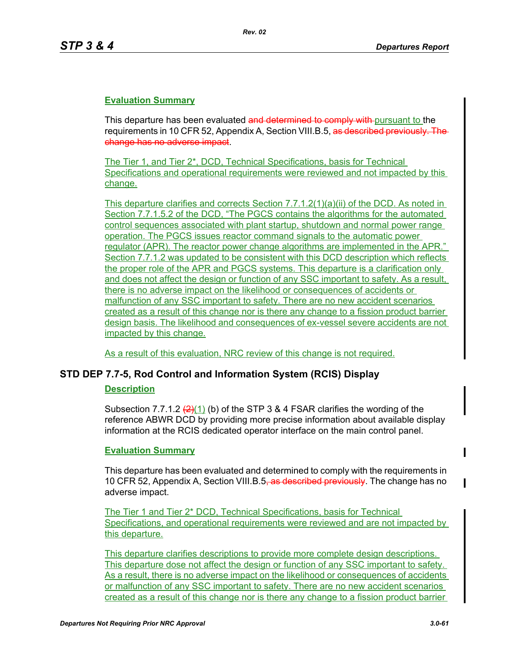This departure has been evaluated and determined to comply with pursuant to the requirements in 10 CFR 52, Appendix A, Section VIII.B.5, as described previously. The change has no adverse impact.

The Tier 1, and Tier 2\*, DCD, Technical Specifications, basis for Technical Specifications and operational requirements were reviewed and not impacted by this change.

This departure clarifies and corrects Section 7.7.1.2(1)(a)(ii) of the DCD. As noted in Section 7.7.1.5.2 of the DCD, "The PGCS contains the algorithms for the automated control sequences associated with plant startup, shutdown and normal power range operation. The PGCS issues reactor command signals to the automatic power regulator (APR). The reactor power change algorithms are implemented in the APR." Section 7.7.1.2 was updated to be consistent with this DCD description which reflects the proper role of the APR and PGCS systems. This departure is a clarification only and does not affect the design or function of any SSC important to safety. As a result, there is no adverse impact on the likelihood or consequences of accidents or malfunction of any SSC important to safety. There are no new accident scenarios created as a result of this change nor is there any change to a fission product barrier design basis. The likelihood and consequences of ex-vessel severe accidents are not impacted by this change.

As a result of this evaluation, NRC review of this change is not required.

# **STD DEP 7.7-5, Rod Control and Information System (RCIS) Display**

# **Description**

Subsection 7.7.1.2  $(2)(1)$  (b) of the STP 3 & 4 FSAR clarifies the wording of the reference ABWR DCD by providing more precise information about available display information at the RCIS dedicated operator interface on the main control panel.

# **Evaluation Summary**

This departure has been evaluated and determined to comply with the requirements in 10 CFR 52, Appendix A, Section VIII.B.5<del>, as described previously</del>. The change has no adverse impact.

The Tier 1 and Tier 2\* DCD, Technical Specifications, basis for Technical Specifications, and operational requirements were reviewed and are not impacted by this departure.

This departure clarifies descriptions to provide more complete design descriptions. This departure dose not affect the design or function of any SSC important to safety. As a result, there is no adverse impact on the likelihood or consequences of accidents or malfunction of any SSC important to safety. There are no new accident scenarios created as a result of this change nor is there any change to a fission product barrier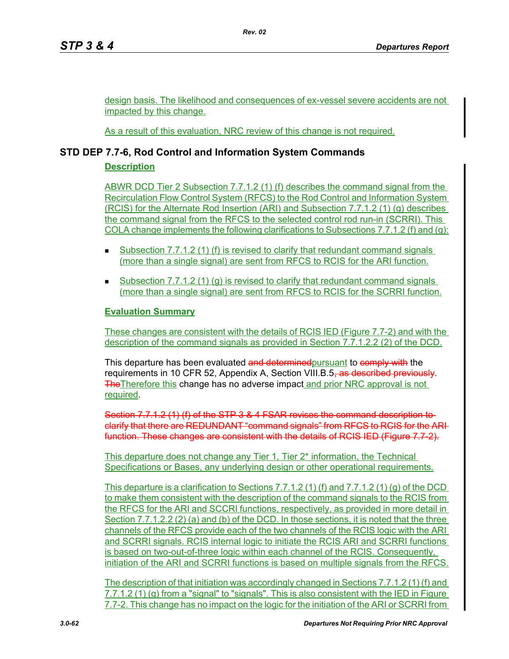design basis. The likelihood and consequences of ex-vessel severe accidents are not impacted by this change.

As a result of this evaluation, NRC review of this change is not required.

# **STD DEP 7.7-6, Rod Control and Information System Commands**

# **Description**

ABWR DCD Tier 2 Subsection 7.7.1.2 (1) (f) describes the command signal from the Recirculation Flow Control System (RFCS) to the Rod Control and Information System (RCIS) for the Alternate Rod Insertion (ARI) and Subsection 7.7.1.2 (1) (g) describes the command signal from the RFCS to the selected control rod run-in (SCRRI). This COLA change implements the following clarifications to Subsections 7.7.1.2 (f) and (g):

- Subsection 7.7.1.2 (1) (f) is revised to clarify that redundant command signals (more than a single signal) are sent from RFCS to RCIS for the ARI function.
- Subsection 7.7.1.2 (1) (g) is revised to clarify that redundant command signals (more than a single signal) are sent from RFCS to RCIS for the SCRRI function.

# **Evaluation Summary**

These changes are consistent with the details of RCIS IED (Figure 7.7-2) and with the description of the command signals as provided in Section 7.7.1.2.2 (2) of the DCD.

This departure has been evaluated and determined pursuant to comply with the requirements in 10 CFR 52, Appendix A, Section VIII.B.5<del>, as described previously</del>. The Therefore this change has no adverse impact and prior NRC approval is not required.

Section 7.7.1.2 (1) (f) of the STP 3 & 4 FSAR revises the command description to clarify that there are REDUNDANT "command signals" from RFCS to RCIS for the ARI function. These changes are consistent with the details of RCIS IED (Figure 7.7-2).

This departure does not change any Tier 1, Tier 2\* information, the Technical Specifications or Bases, any underlying design or other operational requirements.

This departure is a clarification to Sections 7.7.1.2 (1) (f) and 7.7.1.2 (1) (g) of the DCD to make them consistent with the description of the command signals to the RCIS from the RFCS for the ARI and SCCRI functions, respectively, as provided in more detail in Section 7.7.1.2.2 (2) (a) and (b) of the DCD. In those sections, it is noted that the three channels of the RFCS provide each of the two channels of the RCIS logic with the ARI and SCRRI signals. RCIS internal logic to initiate the RCIS ARI and SCRRI functions is based on two-out-of-three logic within each channel of the RCIS. Consequently, initiation of the ARI and SCRRI functions is based on multiple signals from the RFCS.

The description of that initiation was accordingly changed in Sections 7.7.1.2 (1) (f) and 7.7.1.2 (1) (g) from a "signal" to "signals". This is also consistent with the IED in Figure 7.7-2. This change has no impact on the logic for the initiation of the ARI or SCRRI from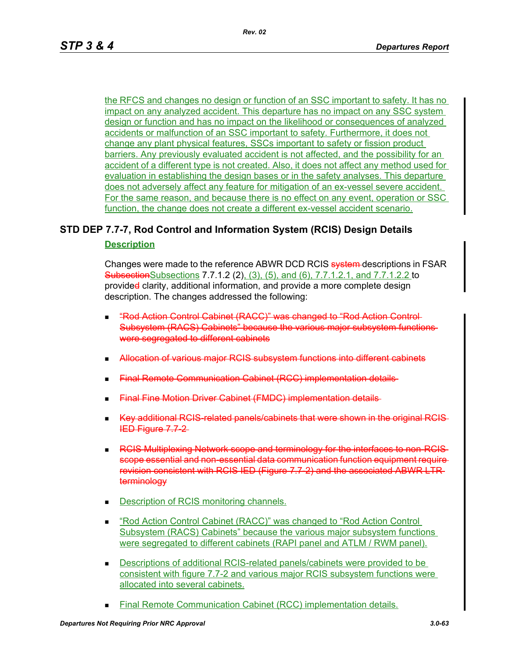the RFCS and changes no design or function of an SSC important to safety. It has no impact on any analyzed accident. This departure has no impact on any SSC system design or function and has no impact on the likelihood or consequences of analyzed accidents or malfunction of an SSC important to safety. Furthermore, it does not change any plant physical features, SSCs important to safety or fission product barriers. Any previously evaluated accident is not affected, and the possibility for an accident of a different type is not created. Also, it does not affect any method used for evaluation in establishing the design bases or in the safety analyses. This departure does not adversely affect any feature for mitigation of an ex-vessel severe accident. For the same reason, and because there is no effect on any event, operation or SSC function, the change does not create a different ex-vessel accident scenario.

# **STD DEP 7.7-7, Rod Control and Information System (RCIS) Design Details Description**

Changes were made to the reference ABWR DCD RCIS system-descriptions in FSAR SubsectionSubsections 7.7.1.2 (2), (3), (5), and (6), 7.7.1.2.1, and 7.7.1.2.2 to provided clarity, additional information, and provide a more complete design description. The changes addressed the following:

- "Rod Action Control Cabinet (RACC)" was changed to "Rod Action Control Subsystem (RACS) Cabinets" because the various major subsystem functions were segregated to different cabinets
- Allocation of various major RCIS subsystem functions into different cabinets
- Final Remote Communication Cabinet (RCC) implementation details
- Final Fine Motion Driver Cabinet (FMDC) implementation details
- Key additional RCIS-related panels/cabinets that were shown in the original RC IED Figure 7.7-2
- **RCIS Multiplexing Network scope and terminology for the interfaces to non-RCIS** scope essential and non-essential data communication function equipment require revision consistent with RCIS IED (Figure 7.7-2) and the associated ABWR LTR terminology
- **Description of RCIS monitoring channels.**
- "Rod Action Control Cabinet (RACC)" was changed to "Rod Action Control Subsystem (RACS) Cabinets" because the various major subsystem functions were segregated to different cabinets (RAPI panel and ATLM / RWM panel).
- Descriptions of additional RCIS-related panels/cabinets were provided to be consistent with figure 7.7-2 and various major RCIS subsystem functions were allocated into several cabinets.
- Final Remote Communication Cabinet (RCC) implementation details.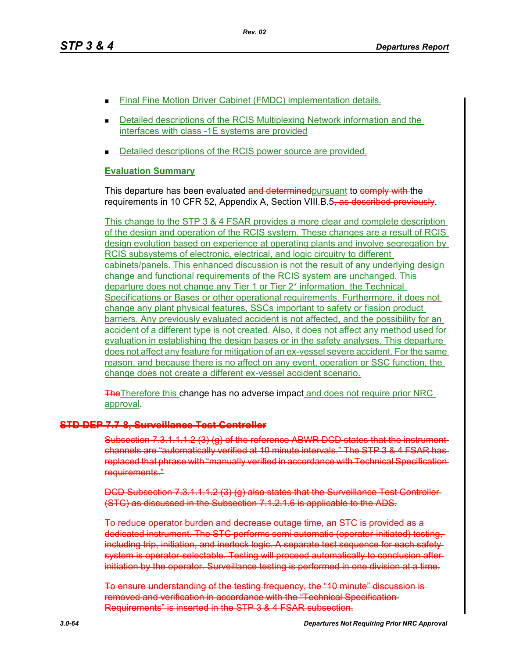- Final Fine Motion Driver Cabinet (FMDC) implementation details.
- **Detailed descriptions of the RCIS Multiplexing Network information and the** interfaces with class -1E systems are provided
- Detailed descriptions of the RCIS power source are provided.

This departure has been evaluated and determined pursuant to comply with the requirements in 10 CFR 52, Appendix A, Section VIII.B.5, as described previously.

This change to the STP 3 & 4 FSAR provides a more clear and complete description of the design and operation of the RCIS system. These changes are a result of RCIS design evolution based on experience at operating plants and involve segregation by RCIS subsystems of electronic, electrical, and logic circuitry to different cabinets/panels. This enhanced discussion is not the result of any underlying design change and functional requirements of the RCIS system are unchanged. This departure does not change any Tier 1 or Tier 2\* information, the Technical Specifications or Bases or other operational requirements. Furthermore, it does not change any plant physical features, SSCs important to safety or fission product barriers. Any previously evaluated accident is not affected, and the possibility for an accident of a different type is not created. Also, it does not affect any method used for evaluation in establishing the design bases or in the safety analyses. This departure does not affect any feature for mitigation of an ex-vessel severe accident. For the same reason, and because there is no affect on any event, operation or SSC function, the change does not create a different ex-vessel accident scenario.

**The Therefore this change has no adverse impact and does not require prior NRC** approval.

# **STD DEP 7.7-8, Surveillance Test Controller**

Subsection 7.3.1.1.1.2 (3) (g) of the reference ABWR DCD states that channels are "automatically verified at 10 minute intervals." The STP 3 & 4 FSAR has replaced that phrase with "manually verified in accordance with Technical Specification requirements."

DCD Subsection 7.3.1.1.1.2 (3) (g) also states that the Surveillance Test Controller (STC) as discussed in the Subsection 7.1.2.1.6 is applicable to the ADS.

To reduce operator burden and decrease outage time, an STC is provided as a dedicated instrument. The STC performs semi automatic (operator-initiated) testing, including trip, initiation, and inerlock logic. A separate test sequence for each safety system is operator-selectable. Testing will proceed automatically to conclusion afterinitiation by the operator. Surveillance testing is performed in one division at a time.

To ensure understanding of the testing frequency, the "10 minute" discussion is removed and verification in accordance with the "Technical Specification Requirements" is inserted in the STP 3 & 4 FSAR subsection.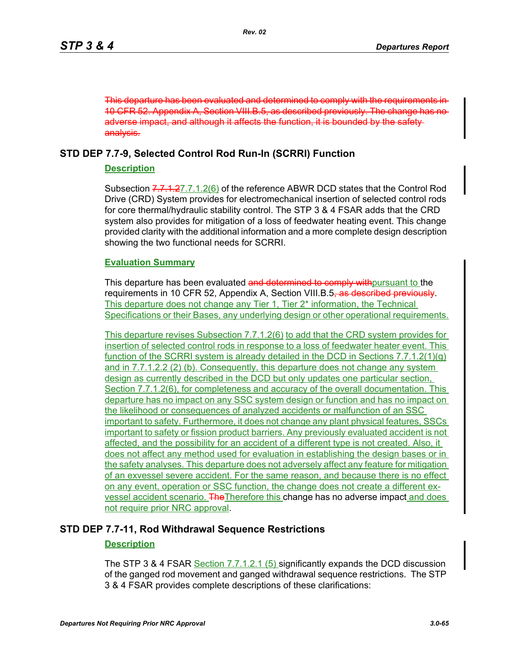This departure has been evaluated and determined to comply with the requirements in 10 CFR 52. Appendix A, Section VIII.B.5, as described previously. The change has no adverse impact, and although it affects the function, it is bounded by the safety analysis.

# **STD DEP 7.7-9, Selected Control Rod Run-In (SCRRI) Function**

### **Description**

Subsection 7.7.1.27.7.1.2(6) of the reference ABWR DCD states that the Control Rod Drive (CRD) System provides for electromechanical insertion of selected control rods for core thermal/hydraulic stability control. The STP 3 & 4 FSAR adds that the CRD system also provides for mitigation of a loss of feedwater heating event. This change provided clarity with the additional information and a more complete design description showing the two functional needs for SCRRI.

#### **Evaluation Summary**

This departure has been evaluated and determined to comply withpursuant to the requirements in 10 CFR 52, Appendix A, Section VIII.B.5<del>, as described previously</del>. This departure does not change any Tier 1, Tier 2<sup>\*</sup> information, the Technical Specifications or their Bases, any underlying design or other operational requirements.

This departure revises Subsection 7.7.1.2(6) to add that the CRD system provides for insertion of selected control rods in response to a loss of feedwater heater event. This function of the SCRRI system is already detailed in the DCD in Sections 7.7.1.2(1)(g) and in 7.7.1.2.2 (2) (b). Consequently, this departure does not change any system design as currently described in the DCD but only updates one particular section, Section 7.7.1.2(6), for completeness and accuracy of the overall documentation. This departure has no impact on any SSC system design or function and has no impact on the likelihood or consequences of analyzed accidents or malfunction of an SSC important to safety. Furthermore, it does not change any plant physical features, SSCs important to safety or fission product barriers. Any previously evaluated accident is not affected, and the possibility for an accident of a different type is not created. Also, it does not affect any method used for evaluation in establishing the design bases or in the safety analyses. This departure does not adversely affect any feature for mitigation of an exvessel severe accident. For the same reason, and because there is no effect on any event, operation or SSC function, the change does not create a different exvessel accident scenario. TheTherefore this change has no adverse impact and does not require prior NRC approval.

# **STD DEP 7.7-11, Rod Withdrawal Sequence Restrictions**

### **Description**

The STP 3 & 4 FSAR Section 7.7.1.2.1 (5) significantly expands the DCD discussion of the ganged rod movement and ganged withdrawal sequence restrictions. The STP 3 & 4 FSAR provides complete descriptions of these clarifications: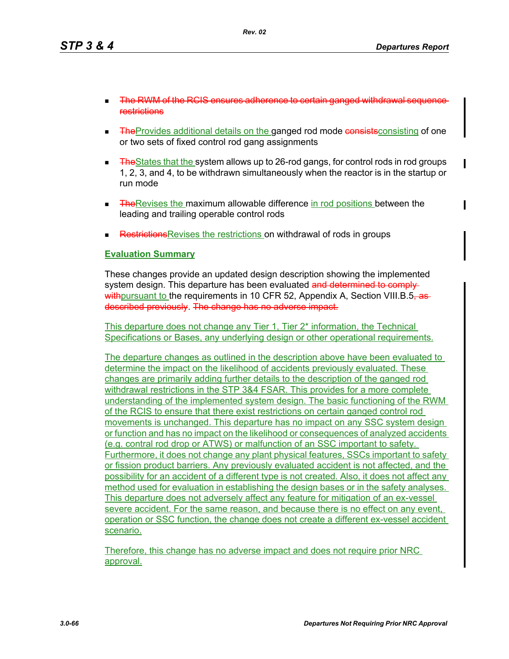- The RWM of the RCIS ensures adherence to certain ganged withdrawal sequence restrictions
- **TheProvides additional details on the ganged rod mode consistsconsisting of one** or two sets of fixed control rod gang assignments
- $\blacksquare$  The States that the system allows up to 26-rod gangs, for control rods in rod groups 1, 2, 3, and 4, to be withdrawn simultaneously when the reactor is in the startup or run mode
- **The Revises the maximum allowable difference in rod positions between the** leading and trailing operable control rods
- Restrictions Revises the restrictions on withdrawal of rods in groups

These changes provide an updated design description showing the implemented system design. This departure has been evaluated and determined to comply withpursuant to the requirements in 10 CFR 52, Appendix A, Section VIII.B.5, as described previously. The change has no adverse impact.

This departure does not change any Tier 1, Tier 2\* information, the Technical Specifications or Bases, any underlying design or other operational requirements.

The departure changes as outlined in the description above have been evaluated to determine the impact on the likelihood of accidents previously evaluated. These changes are primarily adding further details to the description of the ganged rod withdrawal restrictions in the STP 3&4 FSAR. This provides for a more complete understanding of the implemented system design. The basic functioning of the RWM of the RCIS to ensure that there exist restrictions on certain ganged control rod movements is unchanged. This departure has no impact on any SSC system design or function and has no impact on the likelihood or consequences of analyzed accidents (e.g. contral rod drop or ATWS) or malfunction of an SSC important to safety. Furthermore, it does not change any plant physical features, SSCs important to safety or fission product barriers. Any previously evaluated accident is not affected, and the possibility for an accident of a different type is not created. Also, it does not affect any method used for evaluation in establishing the design bases or in the safety analyses. This departure does not adversely affect any feature for mitigation of an ex-vessel severe accident. For the same reason, and because there is no effect on any event, operation or SSC function, the change does not create a different ex-vessel accident scenario.

Therefore, this change has no adverse impact and does not require prior NRC approval.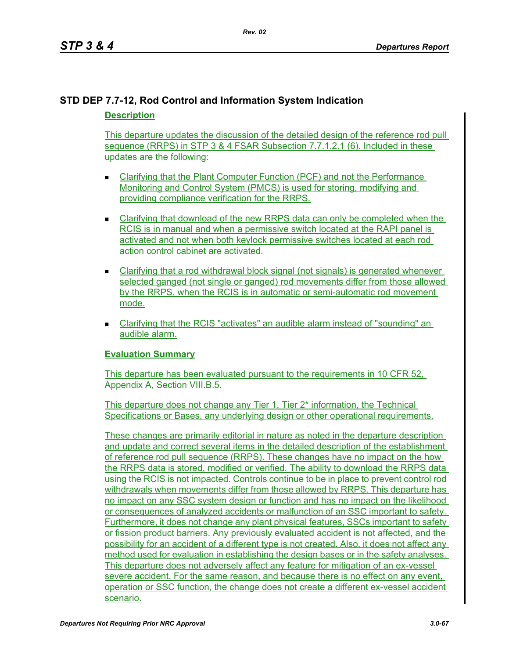# **STD DEP 7.7-12, Rod Control and Information System Indication Description**

This departure updates the discussion of the detailed design of the reference rod pull sequence (RRPS) in STP 3 & 4 FSAR Subsection 7.7.1.2.1 (6). Included in these updates are the following:

- Clarifying that the Plant Computer Function (PCF) and not the Performance Monitoring and Control System (PMCS) is used for storing, modifying and providing compliance verification for the RRPS.
- Clarifying that download of the new RRPS data can only be completed when the RCIS is in manual and when a permissive switch located at the RAPI panel is activated and not when both keylock permissive switches located at each rod action control cabinet are activated.
- Clarifying that a rod withdrawal block signal (not signals) is generated whenever selected ganged (not single or ganged) rod movements differ from those allowed by the RRPS, when the RCIS is in automatic or semi-automatic rod movement mode.
- Clarifying that the RCIS "activates" an audible alarm instead of "sounding" an audible alarm.

# **Evaluation Summary**

This departure has been evaluated pursuant to the requirements in 10 CFR 52, Appendix A, Section VIII.B.5.

This departure does not change any Tier 1, Tier 2\* information, the Technical Specifications or Bases, any underlying design or other operational requirements.

These changes are primarily editorial in nature as noted in the departure description and update and correct several items in the detailed description of the establishment of reference rod pull sequence (RRPS). These changes have no impact on the how the RRPS data is stored, modified or verified. The ability to download the RRPS data using the RCIS is not impacted. Controls continue to be in place to prevent control rod withdrawals when movements differ from those allowed by RRPS. This departure has no impact on any SSC system design or function and has no impact on the likelihood or consequences of analyzed accidents or malfunction of an SSC important to safety. Furthermore, it does not change any plant physical features, SSCs important to safety or fission product barriers. Any previously evaluated accident is not affected, and the possibility for an accident of a different type is not created. Also, it does not affect any method used for evaluation in establishing the design bases or in the safety analyses. This departure does not adversely affect any feature for mitigation of an ex-vessel severe accident. For the same reason, and because there is no effect on any event, operation or SSC function, the change does not create a different ex-vessel accident scenario.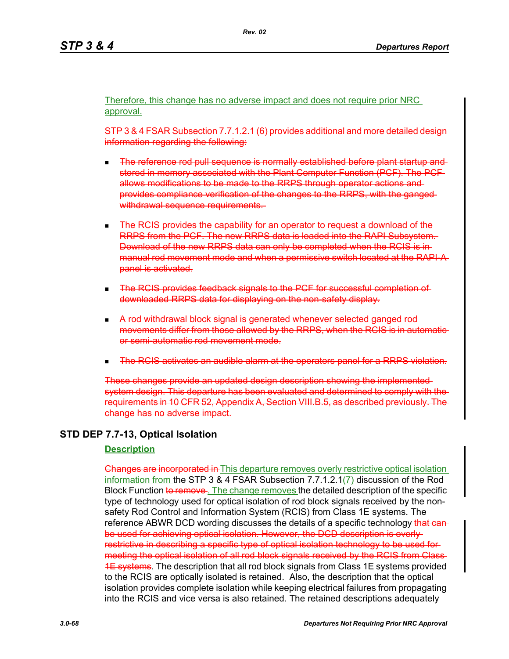Therefore, this change has no adverse impact and does not require prior NRC approval.

STP 3 & 4 FSAR Subsection 7.7.1.2.1 (6) provides additional and more detailed design information regarding the following:

- The reference rod pull sequence is normally established before plant startup and stored in memory associated with the Plant Computer Function (PCF). The PCF allows modifications to be made to the RRPS through operator actions and provides compliance verification of the changes to the RRPS, with the ganged withdrawal sequence requirements.
- The RCIS provides the capability for an operator to request a download of the RRPS from the PCF. The new RRPS data is loaded into the RAPI Subsystem. Download of the new RRPS data can only be completed when the RCIS is in manual rod movement mode and when a permissive switch located at the RAPI-A panel is activated.
- The RCIS provides feedback signals to the PCF for successful completion of downloaded RRPS data for displaying on the non-safety display.
- A rod withdrawal block signal is generated whenever selected ganged rod movements differ from those allowed by the RRPS, when the RCIS is in or semi-automatic rod movement mode.
- The RCIS activates an audible alarm at the operators panel for a RRPS violation.

These changes provide an updated design description showing the implemented system design. This departure has been evaluated and determined to comply with the requirements in 10 CFR 52, Appendix A, Section VIII.B.5, as described previously change has no adverse impact.

# **STD DEP 7.7-13, Optical Isolation**

#### **Description**

**Changes are incorporated in** This departure removes overly restrictive optical isolation information from the STP 3 & 4 FSAR Subsection 7.7.1.2.1(7) discussion of the Rod Block Function to remove. The change removes the detailed description of the specific type of technology used for optical isolation of rod block signals received by the nonsafety Rod Control and Information System (RCIS) from Class 1E systems. The reference ABWR DCD wording discusses the details of a specific technology that canbe used for achieving optical isolation. However, the DCD description is overly restrictive in describing a specific type of optical isolation technology to be used for meeting the optical isolation of all rod block signals received by the RCIS from Class **1E systems**. The description that all rod block signals from Class 1E systems provided to the RCIS are optically isolated is retained. Also, the description that the optical isolation provides complete isolation while keeping electrical failures from propagating into the RCIS and vice versa is also retained. The retained descriptions adequately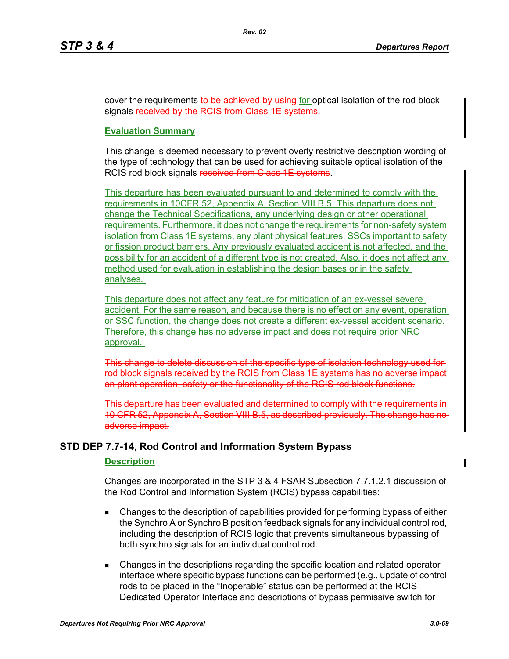cover the requirements to be achieved by using for optical isolation of the rod block signals received by the RCIS from Class 1E systems.

# **Evaluation Summary**

This change is deemed necessary to prevent overly restrictive description wording of the type of technology that can be used for achieving suitable optical isolation of the RCIS rod block signals received from Class 1E systems.

This departure has been evaluated pursuant to and determined to comply with the requirements in 10CFR 52, Appendix A, Section VIII B.5. This departure does not change the Technical Specifications, any underlying design or other operational requirements. Furthermore, it does not change the requirements for non-safety system isolation from Class 1E systems, any plant physical features, SSCs important to safety or fission product barriers. Any previously evaluated accident is not affected, and the possibility for an accident of a different type is not created. Also, it does not affect any method used for evaluation in establishing the design bases or in the safety analyses.

This departure does not affect any feature for mitigation of an ex-vessel severe accident. For the same reason, and because there is no effect on any event, operation or SSC function, the change does not create a different ex-vessel accident scenario. Therefore, this change has no adverse impact and does not require prior NRC approval.

This change to delete discussion of the specific type of isolation technology used for rod block signals received by the RCIS from Class 1E systems has no adverse impact on plant operation, safety or the functionality of the RCIS rod block functions.

This departure has been evaluated and determined to comply with the requirements in 10 CFR 52, Appendix A, Section VIII.B.5, as described previously. The change has no adverse impact.

# **STD DEP 7.7-14, Rod Control and Information System Bypass**

#### **Description**

Changes are incorporated in the STP 3 & 4 FSAR Subsection 7.7.1.2.1 discussion of the Rod Control and Information System (RCIS) bypass capabilities:

- Changes to the description of capabilities provided for performing bypass of either the Synchro A or Synchro B position feedback signals for any individual control rod, including the description of RCIS logic that prevents simultaneous bypassing of both synchro signals for an individual control rod.
- Changes in the descriptions regarding the specific location and related operator interface where specific bypass functions can be performed (e.g., update of control rods to be placed in the "Inoperable" status can be performed at the RCIS Dedicated Operator Interface and descriptions of bypass permissive switch for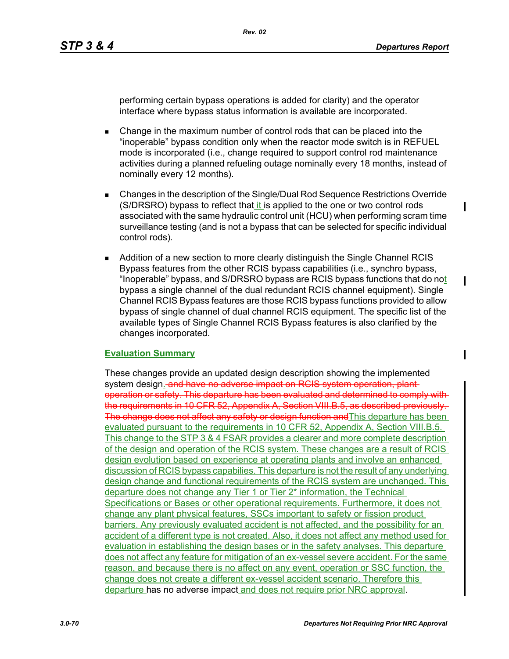$\blacksquare$ 

performing certain bypass operations is added for clarity) and the operator interface where bypass status information is available are incorporated.

- Change in the maximum number of control rods that can be placed into the "inoperable" bypass condition only when the reactor mode switch is in REFUEL mode is incorporated (i.e., change required to support control rod maintenance activities during a planned refueling outage nominally every 18 months, instead of nominally every 12 months).
- Changes in the description of the Single/Dual Rod Sequence Restrictions Override (S/DRSRO) bypass to reflect that it is applied to the one or two control rods associated with the same hydraulic control unit (HCU) when performing scram time surveillance testing (and is not a bypass that can be selected for specific individual control rods).
- **Addition of a new section to more clearly distinguish the Single Channel RCIS** Bypass features from the other RCIS bypass capabilities (i.e., synchro bypass, "Inoperable" bypass, and S/DRSRO bypass are RCIS bypass functions that do not bypass a single channel of the dual redundant RCIS channel equipment). Single Channel RCIS Bypass features are those RCIS bypass functions provided to allow bypass of single channel of dual channel RCIS equipment. The specific list of the available types of Single Channel RCIS Bypass features is also clarified by the changes incorporated.

# **Evaluation Summary**

These changes provide an updated design description showing the implemented system design. and have no adverse impact on RCIS system operation, plantoperation or safety. This departure has been evaluated and determined to comply with the requirements in 10 CFR 52, Appendix A, Section VIII.B.5, as described previously. The change does not affect any safety or design function and This departure has been evaluated pursuant to the requirements in 10 CFR 52, Appendix A, Section VIII.B.5. This change to the STP 3 & 4 FSAR provides a clearer and more complete description of the design and operation of the RCIS system. These changes are a result of RCIS design evolution based on experience at operating plants and involve an enhanced discussion of RCIS bypass capabilies. This departure is not the result of any underlying design change and functional requirements of the RCIS system are unchanged. This departure does not change any Tier 1 or Tier 2\* information, the Technical Specifications or Bases or other operational requirements. Furthermore, it does not change any plant physical features, SSCs important to safety or fission product barriers. Any previously evaluated accident is not affected, and the possibility for an accident of a different type is not created. Also, it does not affect any method used for evaluation in establishing the design bases or in the safety analyses. This departure does not affect any feature for mitigation of an ex-vessel severe accident. For the same reason, and because there is no affect on any event, operation or SSC function, the change does not create a different ex-vessel accident scenario. Therefore this departure has no adverse impact and does not require prior NRC approval.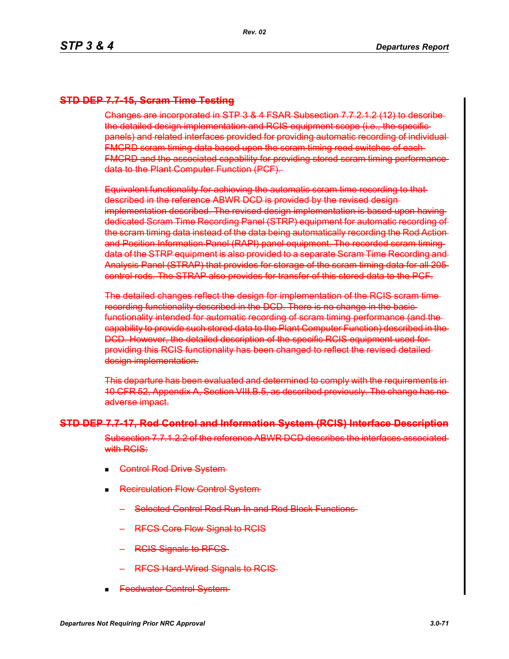# **STD DEP 7.7-15, Scram Time Testing**

Changes are incorporated in STP 3 & 4 FSAR Subsection 7.7.2.1.2 (12) to describe the detailed design implementation and RCIS equipment scope (i.e., the specific panels) and related interfaces provided for providing automatic recording of individual FMCRD scram timing data based upon the scram timing reed switches of each FMCRD and the associated capability for providing stored scram timing performance data to the Plant Computer Function (PCF).

Equivalent functionality for achieving the automatic scram time recording to that described in the reference ABWR DCD is provided by the revised design implementation described. The revised design implementation is based upon having dedicated Scram Time Recording Panel (STRP) equipment for automatic recording of the scram timing data instead of the data being automatically recording the Rod Action and Position Information Panel (RAPI) panel equipment. The recorded scram timing data of the STRP equipment is also provided to a separate Scram Time Recording and Analysis Panel (STRAP) that provides for storage of the scram timing data for all 205 control rods. The STRAP also provides for transfer of this stored data to the PCF.

The detailed changes reflect the design for implementation of the RCIS scram time recording functionality described in the DCD. There is no change in the basic functionality intended for automatic recording of scram timing performance (and the capability to provide such stored data to the Plant Computer Function) described in the DCD. However, the detailed description of the specific RCIS equipment used for providing this RCIS functionality has been changed to reflect the revised detailed design implementation.

This departure has been evaluated and determined to comply with the requirements in 10 CFR 52, Appendix A, Section VIII.B.5, as described previously. The change has no adverse impact.

#### **STD DEP 7.7-17, Rod Control and Information System (RCIS) Interface Description**

Subsection 7.7.1.2.2 of the reference ABWR DCD describes the interfaces associated with RCIS:

- **Control Rod Drive System-**
- **Recirculation Flow Control System** 
	- Selected Control Rod Run In and Rod Block Functions
	- RFCS Core Flow Signal to RCIS
	- RCIS Signals to RFCS
	- RFCS Hard-Wired Signals to RCIS
- Feedwater Control System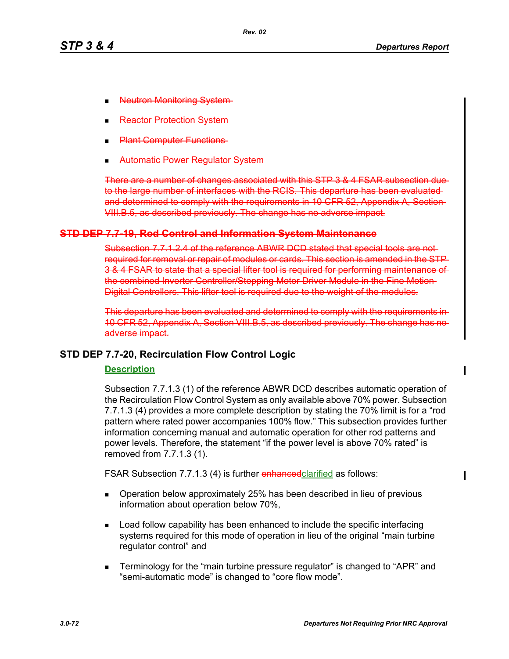- **Jeutron Monitoring**
- actor Protectior
- **Plant Computer Functions**
- Automatic Power Regulator System

There are a number of changes associated with this STP 3 & 4 FSAR subsection due to the large number of interfaces with the RCIS. This departure has been evaluated and determined to comply with the requirements in 10 CFR 52, Appendix A. Section-VIII.B.5, as described previously. The change has no adverse impact.

### **STD DEP 7.7-19, Rod Control and Information System Maintenance**

Subsection 7.7.1.2.4 of the reference ABWR DCD stated that special tools are not required for removal or repair of modules or cards. This section is amended in the STP 3 & 4 FSAR to state that a special lifter tool is required for performing maintenance of the combined Inverter Controller/Stepping Motor Driver Module in the Fine Motion Digital Controllers. This lifter tool is required due to the weight of the modules.

This departure has been evaluated and determined to comply with the requirements in 10 CFR 52, Appendix A, Section VIII.B.5, as described previously. The change has no adverse impact.

# **STD DEP 7.7-20, Recirculation Flow Control Logic**

#### **Description**

Subsection 7.7.1.3 (1) of the reference ABWR DCD describes automatic operation of the Recirculation Flow Control System as only available above 70% power. Subsection 7.7.1.3 (4) provides a more complete description by stating the 70% limit is for a "rod pattern where rated power accompanies 100% flow." This subsection provides further information concerning manual and automatic operation for other rod patterns and power levels. Therefore, the statement "if the power level is above 70% rated" is removed from 7.7.1.3 (1).

FSAR Subsection 7.7.1.3 (4) is further enhanced clarified as follows:

- **Dearation below approximately 25% has been described in lieu of previous** information about operation below 70%,
- **Load follow capability has been enhanced to include the specific interfacing** systems required for this mode of operation in lieu of the original "main turbine regulator control" and
- Terminology for the "main turbine pressure regulator" is changed to "APR" and "semi-automatic mode" is changed to "core flow mode".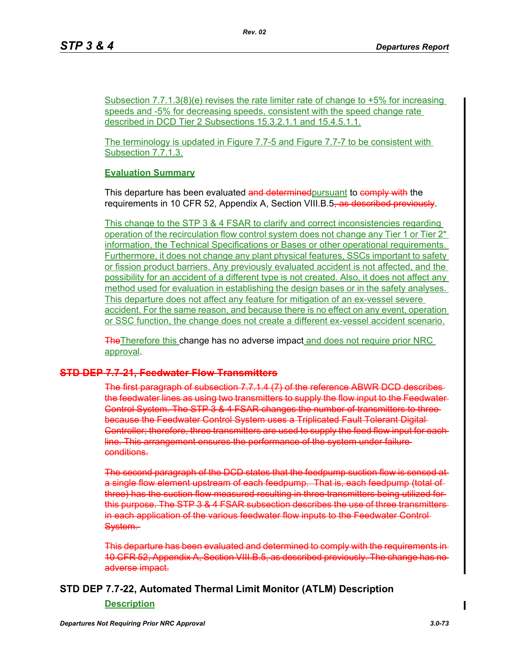Subsection 7.7.1.3(8)(e) revises the rate limiter rate of change to +5% for increasing speeds and -5% for decreasing speeds, consistent with the speed change rate described in DCD Tier 2 Subsections 15.3.2.1.1 and 15.4.5.1.1.

*Rev. 02*

The terminology is updated in Figure 7.7-5 and Figure 7.7-7 to be consistent with Subsection 7.7.1.3.

#### **Evaluation Summary**

This departure has been evaluated and determined pursuant to comply with the requirements in 10 CFR 52, Appendix A, Section VIII.B.5<del>, as described previously</del>.

This change to the STP 3 & 4 FSAR to clarify and correct inconsistencies regarding operation of the recirculation flow control system does not change any Tier 1 or Tier  $2^*$ information, the Technical Specifications or Bases or other operational requirements. Furthermore, it does not change any plant physical features, SSCs important to safety or fission product barriers. Any previously evaluated accident is not affected, and the possibility for an accident of a different type is not created. Also, it does not affect any method used for evaluation in establishing the design bases or in the safety analyses. This departure does not affect any feature for mitigation of an ex-vessel severe accident. For the same reason, and because there is no effect on any event, operation or SSC function, the change does not create a different ex-vessel accident scenario.

**The The Therefore this change has no adverse impact and does not require prior NRC** approval.

# **STD DEP 7.7-21, Feedwater Flow Transmitters**

The first paragraph of subsection 7.7.1.4 (7) of the reference ABWR DCD describes the feedwater lines as using two transmitters to supply the flow input to the Feedwater Control System. The STP 3 & 4 FSAR changes the number of transmitters to three because the Feedwater Control System uses a Triplicated Fault Tolerant Digital Controller; therefore, three transmitters are used to supply the feed flow input for each line. This arrangement ensures the performance of the system under failure conditions.

The second paragraph of the DCD states that the feedpump suction flow is sensed at a single flow element upstream of each feedpump. That is, each feedpump (total of three) has the suction flow measured resulting in three transmitters being utilized for this purpose. The STP 3 & 4 FSAR subsection describes the use of three transmitters in each application of the various feedwater flow inputs to the Feedwater Control System.

This departure has been evaluated and determined to comply with the requirements in 10 CFR 52, Appendix A, Section VIII.B.5, as described previously. The change has no adverse impact.

# **STD DEP 7.7-22, Automated Thermal Limit Monitor (ATLM) Description**

**Description**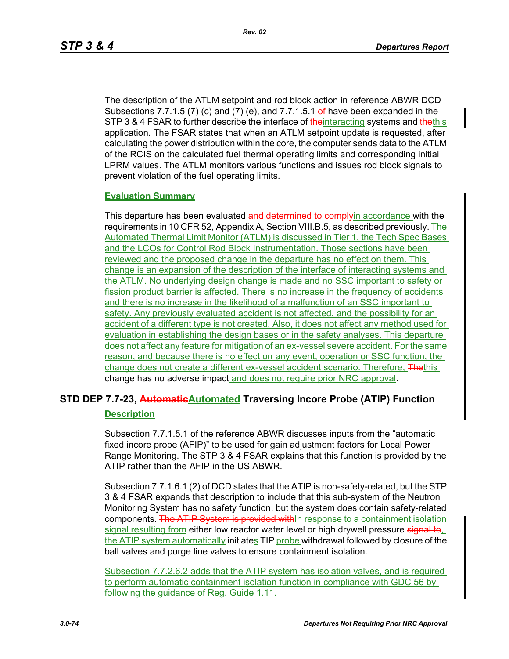The description of the ATLM setpoint and rod block action in reference ABWR DCD Subsections 7.7.1.5 (7) (c) and (7) (e), and 7.7.1.5.1 of have been expanded in the STP 3 & 4 FSAR to further describe the interface of the interacting systems and the this application. The FSAR states that when an ATLM setpoint update is requested, after calculating the power distribution within the core, the computer sends data to the ATLM of the RCIS on the calculated fuel thermal operating limits and corresponding initial LPRM values. The ATLM monitors various functions and issues rod block signals to prevent violation of the fuel operating limits.

#### **Evaluation Summary**

This departure has been evaluated and determined to complyin accordance with the requirements in 10 CFR 52, Appendix A, Section VIII.B.5, as described previously. The Automated Thermal Limit Monitor (ATLM) is discussed in Tier 1, the Tech Spec Bases and the LCOs for Control Rod Block Instrumentation. Those sections have been reviewed and the proposed change in the departure has no effect on them. This change is an expansion of the description of the interface of interacting systems and the ATLM. No underlying design change is made and no SSC important to safety or fission product barrier is affected. There is no increase in the frequency of accidents and there is no increase in the likelihood of a malfunction of an SSC important to safety. Any previously evaluated accident is not affected, and the possibility for an accident of a different type is not created. Also, it does not affect any method used for evaluation in establishing the design bases or in the safety analyses. This departure does not affect any feature for mitigation of an ex-vessel severe accident. For the same reason, and because there is no effect on any event, operation or SSC function, the change does not create a different ex-vessel accident scenario. Therefore, Thethis change has no adverse impact and does not require prior NRC approval.

# **STD DEP 7.7-23, AutomaticAutomated Traversing Incore Probe (ATIP) Function Description**

Subsection 7.7.1.5.1 of the reference ABWR discusses inputs from the "automatic fixed incore probe (AFIP)" to be used for gain adjustment factors for Local Power Range Monitoring. The STP 3 & 4 FSAR explains that this function is provided by the ATIP rather than the AFIP in the US ABWR.

Subsection 7.7.1.6.1 (2) of DCD states that the ATIP is non-safety-related, but the STP 3 & 4 FSAR expands that description to include that this sub-system of the Neutron Monitoring System has no safety function, but the system does contain safety-related components. The ATIP System is provided withIn response to a containment isolation signal resulting from either low reactor water level or high drywell pressure signal to. the ATIP system automatically initiates TIP probe withdrawal followed by closure of the ball valves and purge line valves to ensure containment isolation.

Subsection 7.7.2.6.2 adds that the ATIP system has isolation valves, and is required to perform automatic containment isolation function in compliance with GDC 56 by following the guidance of Reg. Guide 1.11.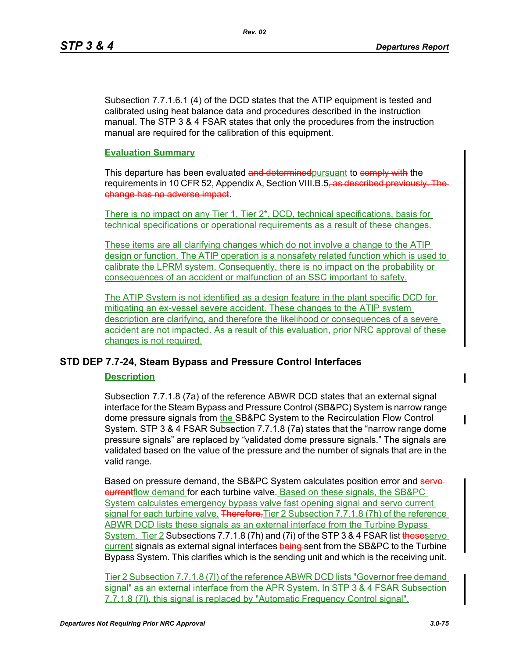Subsection 7.7.1.6.1 (4) of the DCD states that the ATIP equipment is tested and calibrated using heat balance data and procedures described in the instruction manual. The STP 3 & 4 FSAR states that only the procedures from the instruction manual are required for the calibration of this equipment.

#### **Evaluation Summary**

This departure has been evaluated and determined pursuant to comply with the requirements in 10 CFR 52, Appendix A, Section VIII.B.5<del>, as described previously. The</del> change has no adverse impact.

There is no impact on any Tier 1, Tier 2<sup>\*</sup>, DCD, technical specifications, basis for technical specifications or operational requirements as a result of these changes.

These items are all clarifying changes which do not involve a change to the ATIP design or function. The ATIP operation is a nonsafety related function which is used to calibrate the LPRM system. Consequently, there is no impact on the probability or consequences of an accident or malfunction of an SSC important to safety.

The ATIP System is not identified as a design feature in the plant specific DCD for mitigating an ex-vessel severe accident. These changes to the ATIP system description are clarifying, and therefore the likelihood or consequences of a severe accident are not impacted. As a result of this evaluation, prior NRC approval of these changes is not required.

# **STD DEP 7.7-24, Steam Bypass and Pressure Control Interfaces**

#### **Description**

Subsection 7.7.1.8 (7a) of the reference ABWR DCD states that an external signal interface for the Steam Bypass and Pressure Control (SB&PC) System is narrow range dome pressure signals from the SB&PC System to the Recirculation Flow Control System. STP 3 & 4 FSAR Subsection 7.7.1.8 (7a) states that the "narrow range dome pressure signals" are replaced by "validated dome pressure signals." The signals are validated based on the value of the pressure and the number of signals that are in the valid range.

Based on pressure demand, the SB&PC System calculates position error and servecurrentflow demand for each turbine valve. Based on these signals, the SB&PC System calculates emergency bypass valve fast opening signal and servo current signal for each turbine valve. Therefore, Tier 2 Subsection 7.7.1.8 (7h) of the reference ABWR DCD lists these signals as an external interface from the Turbine Bypass System. Tier 2 Subsections 7.7.1.8 (7h) and (7i) of the STP 3 & 4 FSAR list theseservo current signals as external signal interfaces being sent from the SB&PC to the Turbine Bypass System. This clarifies which is the sending unit and which is the receiving unit.

Tier 2 Subsection 7.7.1.8 (7l) of the reference ABWR DCD lists "Governor free demand signal" as an external interface from the APR System. In STP 3 & 4 FSAR Subsection 7.7.1.8 (7l), this signal is replaced by "Automatic Frequency Control signal".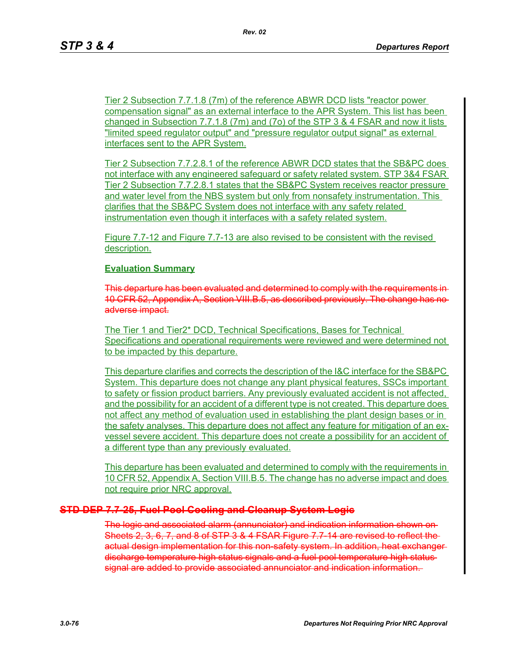Tier 2 Subsection 7.7.1.8 (7m) of the reference ABWR DCD lists "reactor power compensation signal" as an external interface to the APR System. This list has been changed in Subsection 7.7.1.8 (7m) and (7o) of the STP 3 & 4 FSAR and now it lists "limited speed regulator output" and "pressure regulator output signal" as external interfaces sent to the APR System.

Tier 2 Subsection 7.7.2.8.1 of the reference ABWR DCD states that the SB&PC does not interface with any engineered safeguard or safety related system. STP 3&4 FSAR Tier 2 Subsection 7.7.2.8.1 states that the SB&PC System receives reactor pressure and water level from the NBS system but only from nonsafety instrumentation. This clarifies that the SB&PC System does not interface with any safety related instrumentation even though it interfaces with a safety related system.

Figure 7.7-12 and Figure 7.7-13 are also revised to be consistent with the revised description.

#### **Evaluation Summary**

This departure has been evaluated and determined to comply with the requirements 10 CFR 52, Appendix A, Section VIII.B.5, as described previously. The change has adverse impact.

The Tier 1 and Tier2\* DCD, Technical Specifications, Bases for Technical Specifications and operational requirements were reviewed and were determined not to be impacted by this departure.

This departure clarifies and corrects the description of the I&C interface for the SB&PC System. This departure does not change any plant physical features, SSCs important to safety or fission product barriers. Any previously evaluated accident is not affected, and the possibility for an accident of a different type is not created. This departure does not affect any method of evaluation used in establishing the plant design bases or in the safety analyses. This departure does not affect any feature for mitigation of an exvessel severe accident. This departure does not create a possibility for an accident of a different type than any previously evaluated.

This departure has been evaluated and determined to comply with the requirements in 10 CFR 52, Appendix A, Section VIII.B.5. The change has no adverse impact and does not require prior NRC approval.

#### **STD DEP 7.7-25, Fuel Pool Cooling and Cleanup System Logic**

The logic and associated alarm (annunciator) and indication information shown on Sheets 2, 3, 6, 7, and 8 of STP 3 & 4 FSAR Figure 7.7-14 are revised to reflect the actual design implementation for this non-safety system. In addition, heat exchanger discharge temperature high status signals and a fuel pool temperature high status signal are added to provide associated annunciator and indication information.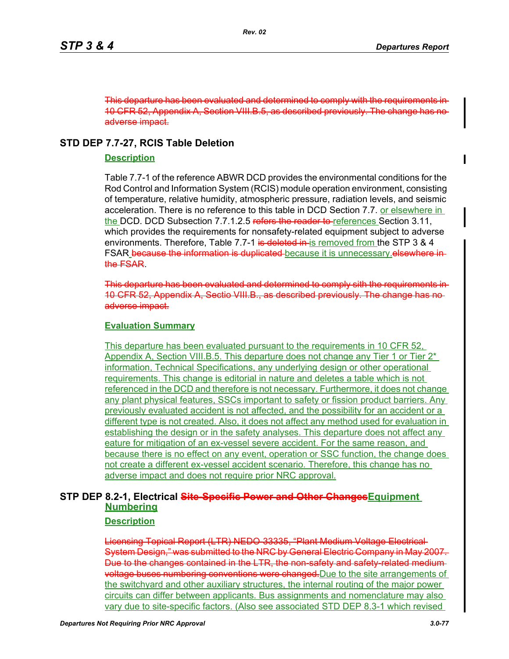This departure has been evaluated and determined to comply with the requirements in 10 CFR 52, Appendix A, Section VIII.B.5, as described previously. The change has no adverse impact.

# **STD DEP 7.7-27, RCIS Table Deletion**

# **Description**

Table 7.7-1 of the reference ABWR DCD provides the environmental conditions for the Rod Control and Information System (RCIS) module operation environment, consisting of temperature, relative humidity, atmospheric pressure, radiation levels, and seismic acceleration. There is no reference to this table in DCD Section 7.7. or elsewhere in the DCD. DCD Subsection 7.7.1.2.5 refers the reader to references Section 3.11, which provides the requirements for nonsafety-related equipment subject to adverse environments. Therefore, Table 7.7-1 is deleted in is removed from the STP 3 & 4 FSAR because the information is duplicated because it is unnecessary elsewhere inthe FSAR.

This departure has been evaluated and determined to comply sith the requirements in 10 CFR 52, Appendix A, Sectio VIII.B., as described previously. The change adverse impact.

# **Evaluation Summary**

This departure has been evaluated pursuant to the requirements in 10 CFR 52, Appendix A, Section VIII.B.5. This departure does not change any Tier 1 or Tier 2<sup>\*</sup> information, Technical Specifications, any underlying design or other operational requirements. This change is editorial in nature and deletes a table which is not referenced in the DCD and therefore is not necessary. Furthermore, it does not change any plant physical features, SSCs important to safety or fission product barriers. Any previously evaluated accident is not affected, and the possibility for an accident or a different type is not created. Also, it does not affect any method used for evaluation in establishing the design or in the safety analyses. This departure does not affect any eature for mitigation of an ex-vessel severe accident. For the same reason, and because there is no effect on any event, operation or SSC function, the change does not create a different ex-vessel accident scenario. Therefore, this change has no adverse impact and does not require prior NRC approval.

# **STP DEP 8.2-1, Electrical Site-Specific Power and Other ChangesEquipment Numbering**

# **Description**

Licensing Topical Report (LTR) NEDO-33335, "Plant Medium Voltage Electrical System Design," was submitted to the NRC by General Electric Company in May 2007. Due to the changes contained in the LTR, the non-safety and safety-related medium**voltage buses numbering conventions were changed.** Due to the site arrangements of the switchyard and other auxiliary structures, the internal routing of the major power circuits can differ between applicants. Bus assignments and nomenclature may also vary due to site-specific factors. (Also see associated STD DEP 8.3-1 which revised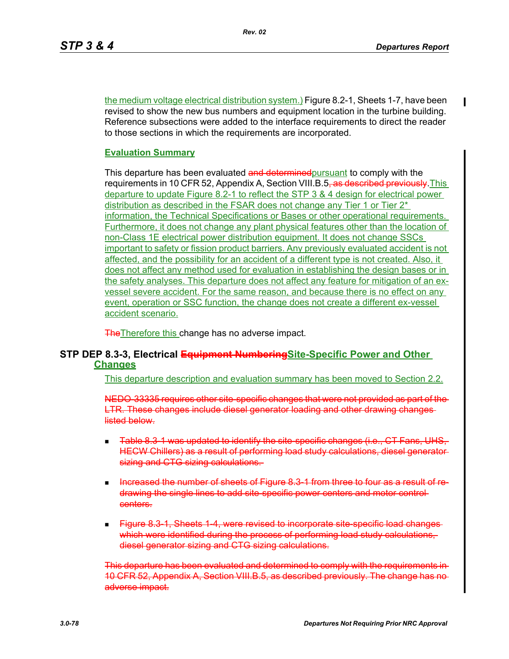the medium voltage electrical distribution system.) Figure 8.2-1, Sheets 1-7, have been revised to show the new bus numbers and equipment location in the turbine building. Reference subsections were added to the interface requirements to direct the reader to those sections in which the requirements are incorporated.

# **Evaluation Summary**

This departure has been evaluated and determined pursuant to comply with the requirements in 10 CFR 52, Appendix A, Section VIII.B.5<del>, as described previously</del>. This departure to update Figure 8.2-1 to reflect the STP 3 & 4 design for electrical power distribution as described in the FSAR does not change any Tier 1 or Tier 2<sup>\*</sup> information, the Technical Specifications or Bases or other operational requirements. Furthermore, it does not change any plant physical features other than the location of non-Class 1E electrical power distribution equipment. It does not change SSCs important to safety or fission product barriers. Any previously evaluated accident is not affected, and the possibility for an accident of a different type is not created. Also, it does not affect any method used for evaluation in establishing the design bases or in the safety analyses. This departure does not affect any feature for mitigation of an exvessel severe accident. For the same reason, and because there is no effect on any event, operation or SSC function, the change does not create a different ex-vessel accident scenario.

**The Therefore this change has no adverse impact.** 

# **STP DEP 8.3-3, Electrical Equipment NumberingSite-Specific Power and Other Changes**

This departure description and evaluation summary has been moved to Section 2.2.

NEDO-33335 requires other site-specific changes that were not provided as part of the LTR. These changes include diesel generator loading and other drawing changes listed below.

- Table 8.3-1 was updated to identify the site-specific changes (i.e., CT Fans, UHS, HECW Chillers) as a result of performing load study calculations, diesel generator sizing and CTG sizing calculations.
- Increased the number of sheets of Figure 8.3-1 from three to four as a result of redrawing the single lines to add site-specific power centers and motor control centers.
- **Figure 8.3-1, Sheets 1-4, were revised to incorporate site-specific load changes** which were identified during the process of performing load study calculations diesel generator sizing and CTG sizing calculations.

This departure has been evaluated and determined to comply with the requirer 10 CFR 52, Appendix A, Section VIII.B.5, as described previously. The change has adverse impact.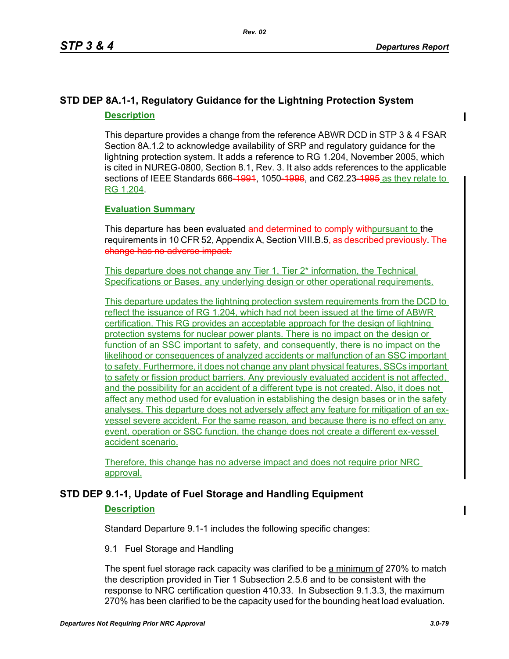# **STD DEP 8A.1-1, Regulatory Guidance for the Lightning Protection System Description**

This departure provides a change from the reference ABWR DCD in STP 3 & 4 FSAR Section 8A.1.2 to acknowledge availability of SRP and regulatory guidance for the lightning protection system. It adds a reference to RG 1.204, November 2005, which is cited in NUREG-0800, Section 8.1, Rev. 3. It also adds references to the applicable sections of IEEE Standards 666-1991, 1050-1996, and C62.23-1995 as they relate to RG 1.204.

# **Evaluation Summary**

This departure has been evaluated and determined to comply with pursuant to the requirements in 10 CFR 52, Appendix A, Section VIII.B.5<del>, as described previously. The</del> change has no adverse impact.

This departure does not change any Tier 1, Tier 2\* information, the Technical Specifications or Bases, any underlying design or other operational requirements.

This departure updates the lightning protection system requirements from the DCD to reflect the issuance of RG 1.204, which had not been issued at the time of ABWR certification. This RG provides an acceptable approach for the design of lightning protection systems for nuclear power plants. There is no impact on the design or function of an SSC important to safety, and consequently, there is no impact on the likelihood or consequences of analyzed accidents or malfunction of an SSC important to safety. Furthermore, it does not change any plant physical features, SSCs important to safety or fission product barriers. Any previously evaluated accident is not affected, and the possibility for an accident of a different type is not created. Also, it does not affect any method used for evaluation in establishing the design bases or in the safety analyses. This departure does not adversely affect any feature for mitigation of an exvessel severe accident. For the same reason, and because there is no effect on any event, operation or SSC function, the change does not create a different ex-vessel accident scenario.

Therefore, this change has no adverse impact and does not require prior NRC approval.

# **STD DEP 9.1-1, Update of Fuel Storage and Handling Equipment**

# **Description**

Standard Departure 9.1-1 includes the following specific changes:

# 9.1 Fuel Storage and Handling

The spent fuel storage rack capacity was clarified to be a minimum of 270% to match the description provided in Tier 1 Subsection 2.5.6 and to be consistent with the response to NRC certification question 410.33. In Subsection 9.1.3.3, the maximum 270% has been clarified to be the capacity used for the bounding heat load evaluation.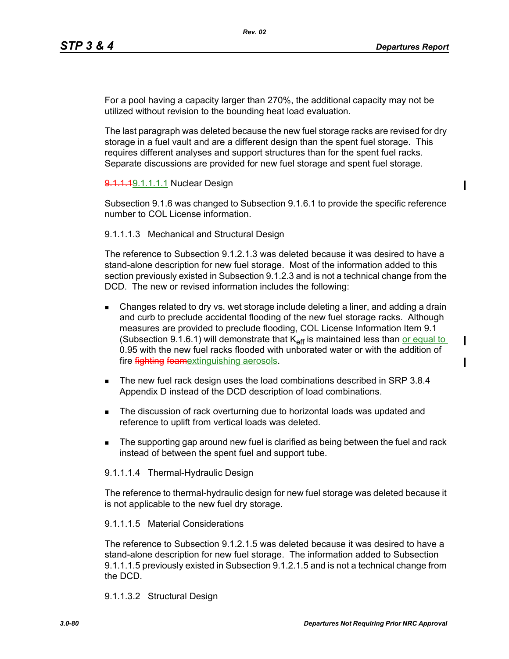$\blacksquare$ 

П

For a pool having a capacity larger than 270%, the additional capacity may not be utilized without revision to the bounding heat load evaluation.

The last paragraph was deleted because the new fuel storage racks are revised for dry storage in a fuel vault and are a different design than the spent fuel storage. This requires different analyses and support structures than for the spent fuel racks. Separate discussions are provided for new fuel storage and spent fuel storage.

#### 9.1.1.19.1.1.1.1 Nuclear Design

Subsection 9.1.6 was changed to Subsection 9.1.6.1 to provide the specific reference number to COL License information.

#### 9.1.1.1.3 Mechanical and Structural Design

The reference to Subsection 9.1.2.1.3 was deleted because it was desired to have a stand-alone description for new fuel storage. Most of the information added to this section previously existed in Subsection 9.1.2.3 and is not a technical change from the DCD. The new or revised information includes the following:

- **EXTER** Changes related to dry vs. wet storage include deleting a liner, and adding a drain and curb to preclude accidental flooding of the new fuel storage racks. Although measures are provided to preclude flooding, COL License Information Item 9.1 (Subsection 9.1.6.1) will demonstrate that  $K_{\text{eff}}$  is maintained less than or equal to 0.95 with the new fuel racks flooded with unborated water or with the addition of fire **fighting foamextinguishing aerosols**.
- The new fuel rack design uses the load combinations described in SRP 3.8.4 Appendix D instead of the DCD description of load combinations.
- The discussion of rack overturning due to horizontal loads was updated and reference to uplift from vertical loads was deleted.
- The supporting gap around new fuel is clarified as being between the fuel and rack instead of between the spent fuel and support tube.

#### 9.1.1.1.4 Thermal-Hydraulic Design

The reference to thermal-hydraulic design for new fuel storage was deleted because it is not applicable to the new fuel dry storage.

#### 9.1.1.1.5 Material Considerations

The reference to Subsection 9.1.2.1.5 was deleted because it was desired to have a stand-alone description for new fuel storage. The information added to Subsection 9.1.1.1.5 previously existed in Subsection 9.1.2.1.5 and is not a technical change from the DCD.

#### 9.1.1.3.2 Structural Design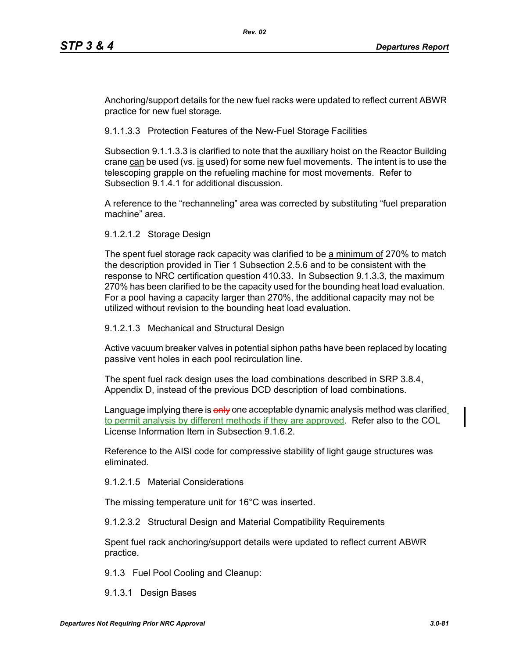Anchoring/support details for the new fuel racks were updated to reflect current ABWR practice for new fuel storage.

9.1.1.3.3 Protection Features of the New-Fuel Storage Facilities

Subsection 9.1.1.3.3 is clarified to note that the auxiliary hoist on the Reactor Building crane can be used (vs. is used) for some new fuel movements. The intent is to use the telescoping grapple on the refueling machine for most movements. Refer to Subsection 9.1.4.1 for additional discussion.

A reference to the "rechanneling" area was corrected by substituting "fuel preparation machine" area.

9.1.2.1.2 Storage Design

The spent fuel storage rack capacity was clarified to be a minimum of 270% to match the description provided in Tier 1 Subsection 2.5.6 and to be consistent with the response to NRC certification question 410.33. In Subsection 9.1.3.3, the maximum 270% has been clarified to be the capacity used for the bounding heat load evaluation. For a pool having a capacity larger than 270%, the additional capacity may not be utilized without revision to the bounding heat load evaluation.

9.1.2.1.3 Mechanical and Structural Design

Active vacuum breaker valves in potential siphon paths have been replaced by locating passive vent holes in each pool recirculation line.

The spent fuel rack design uses the load combinations described in SRP 3.8.4, Appendix D, instead of the previous DCD description of load combinations.

Language implying there is only one acceptable dynamic analysis method was clarified to permit analysis by different methods if they are approved. Refer also to the COL License Information Item in Subsection 9.1.6.2.

Reference to the AISI code for compressive stability of light gauge structures was eliminated.

9.1.2.1.5 Material Considerations

The missing temperature unit for 16°C was inserted.

9.1.2.3.2 Structural Design and Material Compatibility Requirements

Spent fuel rack anchoring/support details were updated to reflect current ABWR practice.

9.1.3 Fuel Pool Cooling and Cleanup:

9.1.3.1 Design Bases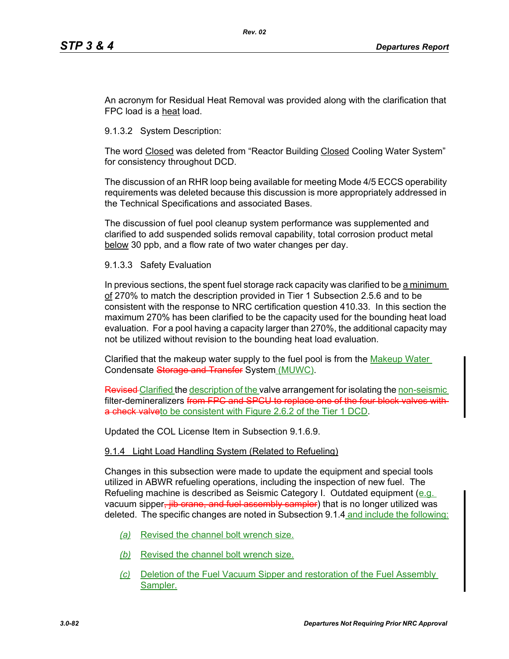An acronym for Residual Heat Removal was provided along with the clarification that FPC load is a heat load.

9.1.3.2 System Description:

The word Closed was deleted from "Reactor Building Closed Cooling Water System" for consistency throughout DCD.

The discussion of an RHR loop being available for meeting Mode 4/5 ECCS operability requirements was deleted because this discussion is more appropriately addressed in the Technical Specifications and associated Bases.

The discussion of fuel pool cleanup system performance was supplemented and clarified to add suspended solids removal capability, total corrosion product metal below 30 ppb, and a flow rate of two water changes per day.

9.1.3.3 Safety Evaluation

In previous sections, the spent fuel storage rack capacity was clarified to be a minimum of 270% to match the description provided in Tier 1 Subsection 2.5.6 and to be consistent with the response to NRC certification question 410.33. In this section the maximum 270% has been clarified to be the capacity used for the bounding heat load evaluation. For a pool having a capacity larger than 270%, the additional capacity may not be utilized without revision to the bounding heat load evaluation.

Clarified that the makeup water supply to the fuel pool is from the Makeup Water Condensate Storage and Transfer System (MUWC).

Revised Clarified the description of the valve arrangement for isolating the non-seismic filter-demineralizers from FPC and SPCU to re a check valveto be consistent with Figure 2.6.2 of the Tier 1 DCD.

Updated the COL License Item in Subsection 9.1.6.9.

#### 9.1.4 Light Load Handling System (Related to Refueling)

Changes in this subsection were made to update the equipment and special tools utilized in ABWR refueling operations, including the inspection of new fuel. The Refueling machine is described as Seismic Category I. Outdated equipment (e.g. vacuum sipper, jib crane, and fuel assembly sampler) that is no longer utilized was deleted. The specific changes are noted in Subsection 9.1.4 and include the following:

- *(a)* Revised the channel bolt wrench size.
- *(b)* Revised the channel bolt wrench size.
- *(c)* Deletion of the Fuel Vacuum Sipper and restoration of the Fuel Assembly Sampler.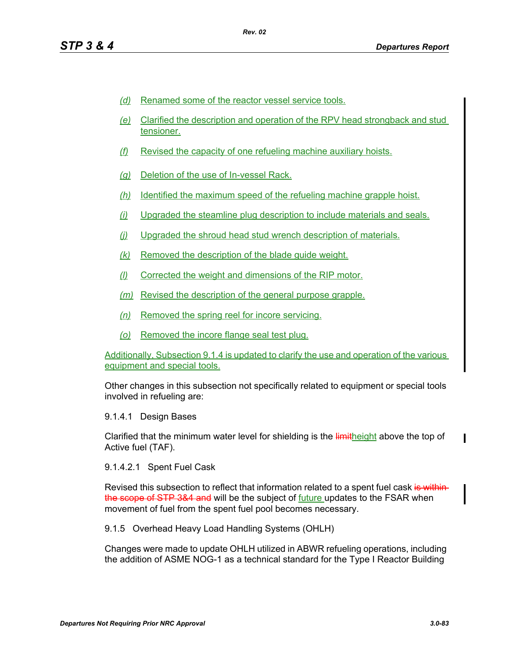- *(d)* Renamed some of the reactor vessel service tools.
- *(e)* Clarified the description and operation of the RPV head strongback and stud tensioner.
- *(f)* Revised the capacity of one refueling machine auxiliary hoists.
- *(g)* Deletion of the use of In-vessel Rack.
- *(h)* Identified the maximum speed of the refueling machine grapple hoist.
- *(i)* Upgraded the steamline plug description to include materials and seals.
- *(j)* Upgraded the shroud head stud wrench description of materials.
- *(k)* Removed the description of the blade guide weight.
- *(l)* Corrected the weight and dimensions of the RIP motor.
- *(m)* Revised the description of the general purpose grapple.
- *(n)* Removed the spring reel for incore servicing.
- *(o)* Removed the incore flange seal test plug.

Additionally, Subsection 9.1.4 is updated to clarify the use and operation of the various equipment and special tools.

Other changes in this subsection not specifically related to equipment or special tools involved in refueling are:

9.1.4.1 Design Bases

Clarified that the minimum water level for shielding is the limitheight above the top of Active fuel (TAF).

9.1.4.2.1 Spent Fuel Cask

Revised this subsection to reflect that information related to a spent fuel cask is within the scope of STP 3&4 and will be the subject of future updates to the FSAR when movement of fuel from the spent fuel pool becomes necessary.

9.1.5 Overhead Heavy Load Handling Systems (OHLH)

Changes were made to update OHLH utilized in ABWR refueling operations, including the addition of ASME NOG-1 as a technical standard for the Type I Reactor Building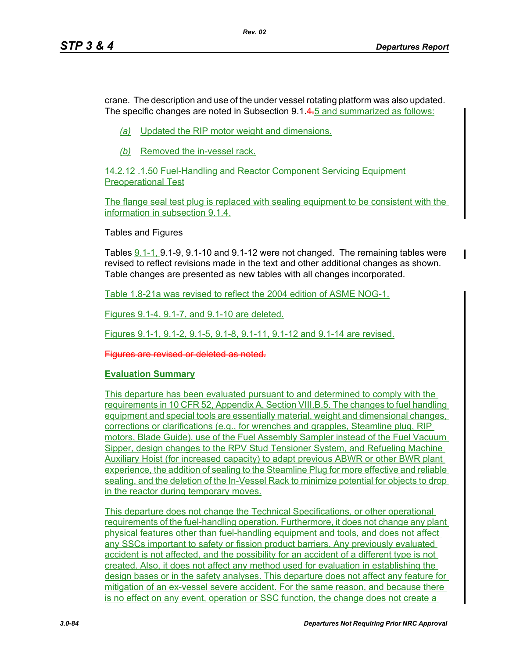crane. The description and use of the under vessel rotating platform was also updated. The specific changes are noted in Subsection 9.1.4.5 and summarized as follows:

- *(a)* Updated the RIP motor weight and dimensions.
- *(b)* Removed the in-vessel rack.

14.2.12 .1.50 Fuel-Handling and Reactor Component Servicing Equipment Preoperational Test

The flange seal test plug is replaced with sealing equipment to be consistent with the information in subsection 9.1.4.

Tables and Figures

Tables 9.1-1, 9.1-9, 9.1-10 and 9.1-12 were not changed. The remaining tables were revised to reflect revisions made in the text and other additional changes as shown. Table changes are presented as new tables with all changes incorporated.

Table 1.8-21a was revised to reflect the 2004 edition of ASME NOG-1.

Figures 9.1-4, 9.1-7, and 9.1-10 are deleted.

Figures 9.1-1, 9.1-2, 9.1-5, 9.1-8, 9.1-11, 9.1-12 and 9.1-14 are revised.

Figures are revised or deleted as noted.

# **Evaluation Summary**

This departure has been evaluated pursuant to and determined to comply with the requirements in 10 CFR 52, Appendix A, Section VIII.B.5. The changes to fuel handling equipment and special tools are essentially material, weight and dimensional changes, corrections or clarifications (e.g., for wrenches and grapples, Steamline plug, RIP motors, Blade Guide), use of the Fuel Assembly Sampler instead of the Fuel Vacuum Sipper, design changes to the RPV Stud Tensioner System, and Refueling Machine Auxiliary Hoist (for increased capacity) to adapt previous ABWR or other BWR plant experience, the addition of sealing to the Steamline Plug for more effective and reliable sealing, and the deletion of the In-Vessel Rack to minimize potential for objects to drop in the reactor during temporary moves.

This departure does not change the Technical Specifications, or other operational requirements of the fuel-handling operation. Furthermore, it does not change any plant physical features other than fuel-handling equipment and tools, and does not affect any SSCs important to safety or fission product barriers. Any previously evaluated accident is not affected, and the possibility for an accident of a different type is not created. Also, it does not affect any method used for evaluation in establishing the design bases or in the safety analyses. This departure does not affect any feature for mitigation of an ex-vessel severe accident. For the same reason, and because there is no effect on any event, operation or SSC function, the change does not create a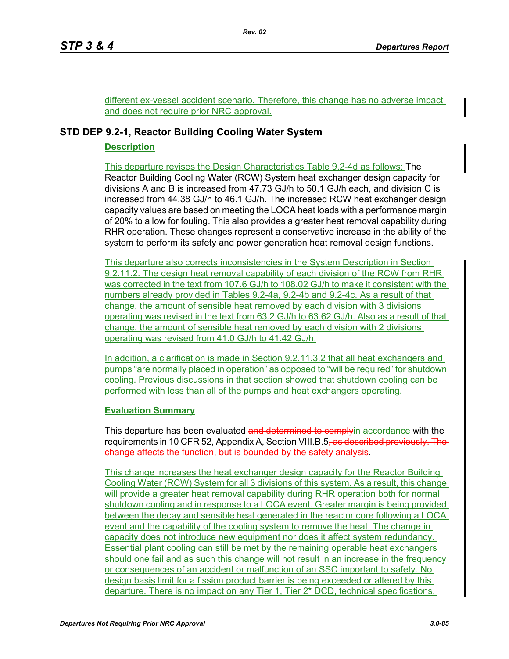different ex-vessel accident scenario. Therefore, this change has no adverse impact and does not require prior NRC approval.

# **STD DEP 9.2-1, Reactor Building Cooling Water System**

# **Description**

This departure revises the Design Characteristics Table 9.2-4d as follows: The Reactor Building Cooling Water (RCW) System heat exchanger design capacity for divisions A and B is increased from 47.73 GJ/h to 50.1 GJ/h each, and division C is increased from 44.38 GJ/h to 46.1 GJ/h. The increased RCW heat exchanger design capacity values are based on meeting the LOCA heat loads with a performance margin of 20% to allow for fouling. This also provides a greater heat removal capability during RHR operation. These changes represent a conservative increase in the ability of the system to perform its safety and power generation heat removal design functions.

This departure also corrects inconsistencies in the System Description in Section 9.2.11.2. The design heat removal capability of each division of the RCW from RHR was corrected in the text from 107.6 GJ/h to 108.02 GJ/h to make it consistent with the numbers already provided in Tables 9.2-4a, 9.2-4b and 9.2-4c. As a result of that change, the amount of sensible heat removed by each division with 3 divisions operating was revised in the text from 63.2 GJ/h to 63.62 GJ/h. Also as a result of that change, the amount of sensible heat removed by each division with 2 divisions operating was revised from 41.0 GJ/h to 41.42 GJ/h.

In addition, a clarification is made in Section 9.2.11.3.2 that all heat exchangers and pumps "are normally placed in operation" as opposed to "will be required" for shutdown cooling. Previous discussions in that section showed that shutdown cooling can be performed with less than all of the pumps and heat exchangers operating.

# **Evaluation Summary**

This departure has been evaluated and determined to complyin accordance with the requirements in 10 CFR 52, Appendix A, Section VIII.B.5<del>, as described previously. The</del> change affects the function, but is bounded by the safety analysis.

This change increases the heat exchanger design capacity for the Reactor Building Cooling Water (RCW) System for all 3 divisions of this system. As a result, this change will provide a greater heat removal capability during RHR operation both for normal shutdown cooling and in response to a LOCA event. Greater margin is being provided between the decay and sensible heat generated in the reactor core following a LOCA event and the capability of the cooling system to remove the heat. The change in capacity does not introduce new equipment nor does it affect system redundancy. Essential plant cooling can still be met by the remaining operable heat exchangers should one fail and as such this change will not result in an increase in the frequency or consequences of an accident or malfunction of an SSC important to safety. No design basis limit for a fission product barrier is being exceeded or altered by this departure. There is no impact on any Tier 1, Tier 2\* DCD, technical specifications,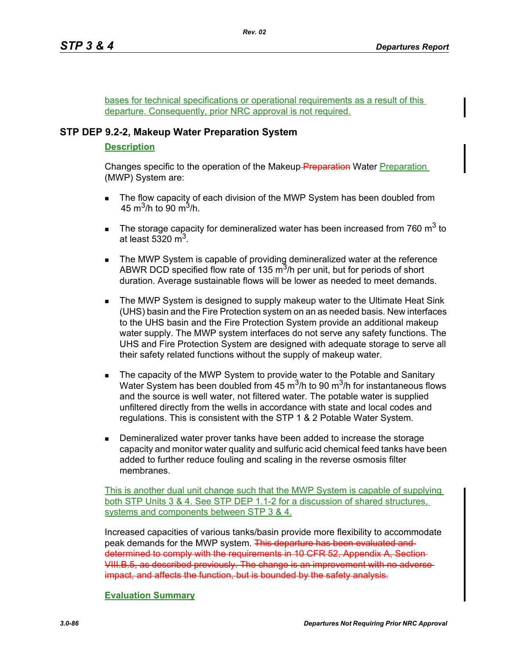bases for technical specifications or operational requirements as a result of this departure. Consequently, prior NRC approval is not required.

# **STP DEP 9.2-2, Makeup Water Preparation System**

# **Description**

Changes specific to the operation of the Makeup-Preparation Water Preparation (MWP) System are:

- **The flow capacity of each division of the MWP System has been doubled from** 45 m<sup>3</sup>/h to 90 m<sup>3</sup>/h.
- The storage capacity for demineralized water has been increased from 760  $\text{m}^3$  to at least  $5320 \text{ m}^3$ .
- **The MWP System is capable of providing demineralized water at the reference** ABWR DCD specified flow rate of 135  $\mathrm{m}^3$ /h per unit, but for periods of short duration. Average sustainable flows will be lower as needed to meet demands.
- **The MWP System is designed to supply makeup water to the Ultimate Heat Sink** (UHS) basin and the Fire Protection system on an as needed basis. New interfaces to the UHS basin and the Fire Protection System provide an additional makeup water supply. The MWP system interfaces do not serve any safety functions. The UHS and Fire Protection System are designed with adequate storage to serve all their safety related functions without the supply of makeup water.
- The capacity of the MWP System to provide water to the Potable and Sanitary Water System has been doubled from 45  $\mathrm{m}^3$ /h to 90  $\mathrm{m}^3$ /h for instantaneous flows and the source is well water, not filtered water. The potable water is supplied unfiltered directly from the wells in accordance with state and local codes and regulations. This is consistent with the STP 1 & 2 Potable Water System.
- Demineralized water prover tanks have been added to increase the storage capacity and monitor water quality and sulfuric acid chemical feed tanks have been added to further reduce fouling and scaling in the reverse osmosis filter membranes.

This is another dual unit change such that the MWP System is capable of supplying both STP Units 3 & 4. See STP DEP 1.1-2 for a discussion of shared structures, systems and components between STP 3 & 4.

Increased capacities of various tanks/basin provide more flexibility to accommodate peak demands for the MWP system. This departure has been evaluated and determined to comply with the requirements in 10 CFR 52, Appendix A, Section VIII.B.5, as described previously. The change is an improvement with no adverse impact, and affects the function, but is bounded by the safety analysis.

#### **Evaluation Summary**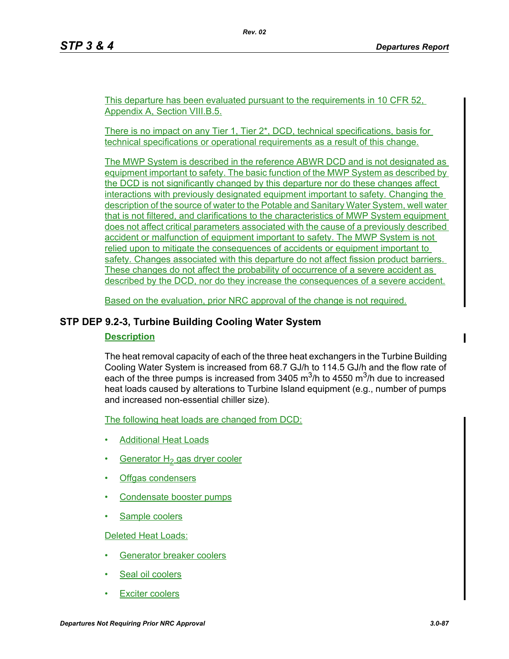This departure has been evaluated pursuant to the requirements in 10 CFR 52, Appendix A, Section VIII.B.5.

*Rev. 02*

There is no impact on any Tier 1, Tier 2\*, DCD, technical specifications, basis for technical specifications or operational requirements as a result of this change.

The MWP System is described in the reference ABWR DCD and is not designated as equipment important to safety. The basic function of the MWP System as described by the DCD is not significantly changed by this departure nor do these changes affect interactions with previously designated equipment important to safety. Changing the description of the source of water to the Potable and Sanitary Water System, well water that is not filtered, and clarifications to the characteristics of MWP System equipment does not affect critical parameters associated with the cause of a previously described accident or malfunction of equipment important to safety. The MWP System is not relied upon to mitigate the consequences of accidents or equipment important to safety. Changes associated with this departure do not affect fission product barriers. These changes do not affect the probability of occurrence of a severe accident as described by the DCD, nor do they increase the consequences of a severe accident.

Based on the evaluation, prior NRC approval of the change is not required.

# **STP DEP 9.2-3, Turbine Building Cooling Water System**

### **Description**

The heat removal capacity of each of the three heat exchangers in the Turbine Building Cooling Water System is increased from 68.7 GJ/h to 114.5 GJ/h and the flow rate of each of the three pumps is increased from 3405  $\mathrm{m}^3$ /h to 4550  $\mathrm{m}^3$ /h due to increased heat loads caused by alterations to Turbine Island equipment (e.g., number of pumps and increased non-essential chiller size).

The following heat loads are changed from DCD:

- Additional Heat Loads
- Generator  $H_2$  gas dryer cooler
- Offgas condensers
- Condensate booster pumps
- Sample coolers

Deleted Heat Loads:

- Generator breaker coolers
- Seal oil coolers
- **Exciter coolers**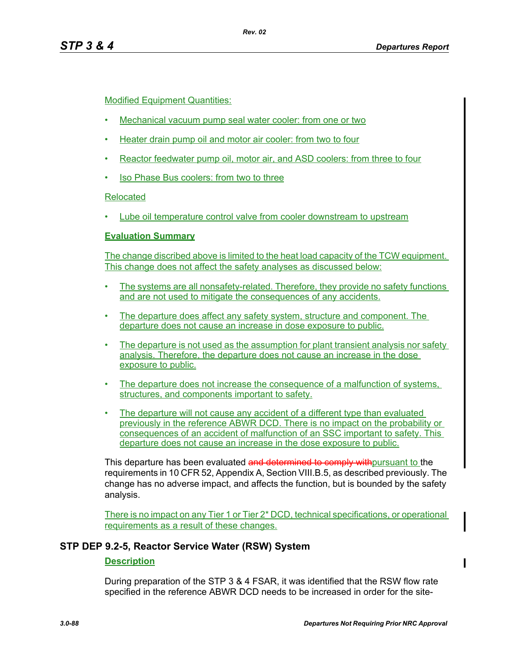# Modified Equipment Quantities:

- Mechanical vacuum pump seal water cooler: from one or two
- Heater drain pump oil and motor air cooler: from two to four
- Reactor feedwater pump oil, motor air, and ASD coolers: from three to four
- Iso Phase Bus coolers: from two to three

# Relocated

• Lube oil temperature control valve from cooler downstream to upstream

# **Evaluation Summary**

The change discribed above is limited to the heat load capacity of the TCW equipment. This change does not affect the safety analyses as discussed below:

- The systems are all nonsafety-related. Therefore, they provide no safety functions and are not used to mitigate the consequences of any accidents.
- The departure does affect any safety system, structure and component. The departure does not cause an increase in dose exposure to public.
- The departure is not used as the assumption for plant transient analysis nor safety analysis. Therefore, the departure does not cause an increase in the dose exposure to public.
- The departure does not increase the consequence of a malfunction of systems, structures, and components important to safety.
- The departure will not cause any accident of a different type than evaluated previously in the reference ABWR DCD. There is no impact on the probability or consequences of an accident of malfunction of an SSC important to safety. This departure does not cause an increase in the dose exposure to public.

This departure has been evaluated and determined to comply with pursuant to the requirements in 10 CFR 52, Appendix A, Section VIII.B.5, as described previously. The change has no adverse impact, and affects the function, but is bounded by the safety analysis.

There is no impact on any Tier 1 or Tier 2\* DCD, technical specifications, or operational requirements as a result of these changes.

# **STP DEP 9.2-5, Reactor Service Water (RSW) System**

# **Description**

During preparation of the STP 3 & 4 FSAR, it was identified that the RSW flow rate specified in the reference ABWR DCD needs to be increased in order for the site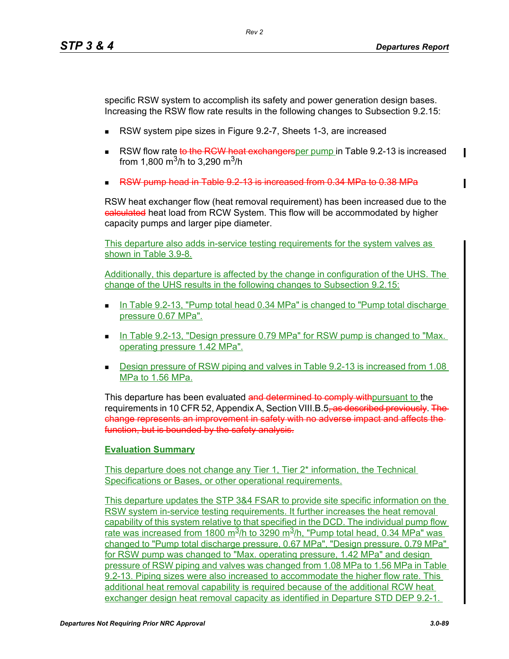specific RSW system to accomplish its safety and power generation design bases. Increasing the RSW flow rate results in the following changes to Subsection 9.2.15:

- RSW system pipe sizes in Figure 9.2-7, Sheets 1-3, are increased
- RSW flow rate to the RCW heat exchangersper pump in Table 9.2-13 is increased from 1,800 m<sup>3</sup>/h to 3,290 m<sup>3</sup>/h
- RSW pump head in Table 9.2-13 is increased from 0.34 MPa to 0.38 MPa

RSW heat exchanger flow (heat removal requirement) has been increased due to the ealculated heat load from RCW System. This flow will be accommodated by higher capacity pumps and larger pipe diameter.

This departure also adds in-service testing requirements for the system valves as shown in Table 3.9-8.

Additionally, this departure is affected by the change in configuration of the UHS. The change of the UHS results in the following changes to Subsection 9.2.15:

- In Table 9.2-13, "Pump total head 0.34 MPa" is changed to "Pump total discharge pressure 0.67 MPa".
- In Table 9.2-13, "Design pressure 0.79 MPa" for RSW pump is changed to "Max. operating pressure 1.42 MPa".
- Design pressure of RSW piping and valves in Table 9.2-13 is increased from 1.08 MPa to 1.56 MPa.

This departure has been evaluated and determined to comply with pursuant to the requirements in 10 CFR 52, Appendix A, Section VIII.B.5<del>, as described previously</del>. The change represents an improvement in safety with no adverse impact and affects the function, but is bounded by the safety analysis.

#### **Evaluation Summary**

This departure does not change any Tier 1, Tier 2\* information, the Technical Specifications or Bases, or other operational requirements.

This departure updates the STP 3&4 FSAR to provide site specific information on the RSW system in-service testing requirements. It further increases the heat removal capability of this system relative to that specified in the DCD. The individual pump flow rate was increased from 1800 m<sup>3</sup>/h to 3290 m<sup>3</sup>/h, "Pump total head, 0.34 MPa" was changed to "Pump total discharge pressure, 0.67 MPa", "Design pressure, 0.79 MPa" for RSW pump was changed to "Max. operating pressure, 1.42 MPa" and design pressure of RSW piping and valves was changed from 1.08 MPa to 1.56 MPa in Table 9.2-13. Piping sizes were also increased to accommodate the higher flow rate. This additional heat removal capability is required because of the additional RCW heat exchanger design heat removal capacity as identified in Departure STD DEP 9.2-1.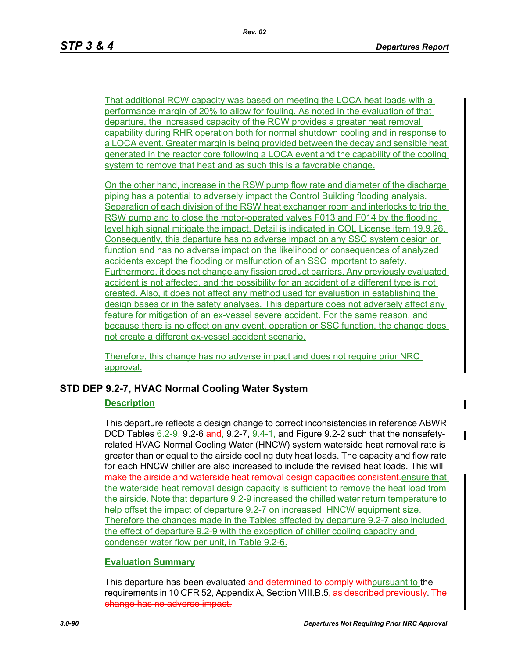That additional RCW capacity was based on meeting the LOCA heat loads with a performance margin of 20% to allow for fouling. As noted in the evaluation of that departure, the increased capacity of the RCW provides a greater heat removal capability during RHR operation both for normal shutdown cooling and in response to a LOCA event. Greater margin is being provided between the decay and sensible heat generated in the reactor core following a LOCA event and the capability of the cooling system to remove that heat and as such this is a favorable change.

On the other hand, increase in the RSW pump flow rate and diameter of the discharge piping has a potential to adversely impact the Control Building flooding analysis. Separation of each division of the RSW heat exchanger room and interlocks to trip the RSW pump and to close the motor-operated valves F013 and F014 by the flooding level high signal mitigate the impact. Detail is indicated in COL License item 19.9.26. Consequently, this departure has no adverse impact on any SSC system design or function and has no adverse impact on the likelihood or consequences of analyzed accidents except the flooding or malfunction of an SSC important to safety. Furthermore, it does not change any fission product barriers. Any previously evaluated accident is not affected, and the possibility for an accident of a different type is not created. Also, it does not affect any method used for evaluation in establishing the design bases or in the safety analyses. This departure does not adversely affect any feature for mitigation of an ex-vessel severe accident. For the same reason, and because there is no effect on any event, operation or SSC function, the change does not create a different ex-vessel accident scenario.

Therefore, this change has no adverse impact and does not require prior NRC approval.

# **STD DEP 9.2-7, HVAC Normal Cooling Water System**

#### **Description**

This departure reflects a design change to correct inconsistencies in reference ABWR DCD Tables  $6.2-9$ , 9.2-6-and, 9.2-7,  $9.4-1$ , and Figure 9.2-2 such that the nonsafetyrelated HVAC Normal Cooling Water (HNCW) system waterside heat removal rate is greater than or equal to the airside cooling duty heat loads. The capacity and flow rate for each HNCW chiller are also increased to include the revised heat loads. This will make the airside and waterside heat removal design capacities consistent.ensure that the waterside heat removal design capacity is sufficient to remove the heat load from the airside. Note that departure 9.2-9 increased the chilled water return temperature to help offset the impact of departure 9.2-7 on increased HNCW equipment size. Therefore the changes made in the Tables affected by departure 9.2-7 also included the effect of departure 9.2-9 with the exception of chiller cooling capacity and condenser water flow per unit, in Table 9.2-6.

# **Evaluation Summary**

This departure has been evaluated and determined to comply with pursuant to the requirements in 10 CFR 52, Appendix A, Section VIII.B.5<del>, as described previously. The</del> change has no adverse impact.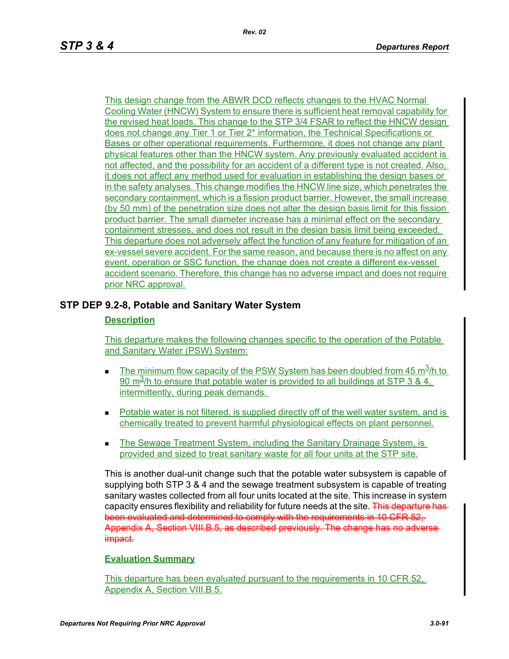This design change from the ABWR DCD reflects changes to the HVAC Normal Cooling Water (HNCW) System to ensure there is sufficient heat removal capability for the revised heat loads. This change to the STP 3/4 FSAR to reflect the HNCW design does not change any Tier 1 or Tier 2\* information, the Technical Specifications or Bases or other operational requirements. Furthermore, it does not change any plant physical features other than the HNCW system. Any previously evaluated accident is not affected, and the possibility for an accident of a different type is not created. Also, it does not affect any method used for evaluation in establishing the design bases or in the safety analyses. This change modifies the HNCW line size, which penetrates the secondary containment, which is a fission product barrier. However, the small increase (by 50 mm) of the penetration size does not alter the design basis limit for this fission product barrier. The small diameter increase has a minimal effect on the secondary containment stresses, and does not result in the design basis limit being exceeded. This departure does not adversely affect the function of any feature for mitigation of an ex-vessel severe accident. For the same reason, and because there is no affect on any event, operation or SSC function, the change does not create a different ex-vessel accident scenario. Therefore, this change has no adverse impact and does not require prior NRC approval.

# **STP DEP 9.2-8, Potable and Sanitary Water System**

### **Description**

This departure makes the following changes specific to the operation of the Potable and Sanitary Water (PSW) System:

- The minimum flow capacity of the PSW System has been doubled from 45  $\text{m}^3/\text{h}$  to 90 m<sup>3</sup>/h to ensure that potable water is provided to all buildings at STP 3 & 4. intermittently, during peak demands.
- Potable water is not filtered, is supplied directly off of the well water system, and is chemically treated to prevent harmful physiological effects on plant personnel.
- **The Sewage Treatment System, including the Sanitary Drainage System, is** provided and sized to treat sanitary waste for all four units at the STP site.

This is another dual-unit change such that the potable water subsystem is capable of supplying both STP 3 & 4 and the sewage treatment subsystem is capable of treating sanitary wastes collected from all four units located at the site. This increase in system capacity ensures flexibility and reliability for future needs at the site. This departure has been evaluated and determined to comply with the requirements in 10 CFR 52, Appendix A, Section VIII.B.5, as described previously. The change has no adver impact.

#### **Evaluation Summary**

This departure has been evaluated pursuant to the requirements in 10 CFR 52, Appendix A, Section VIII.B.5.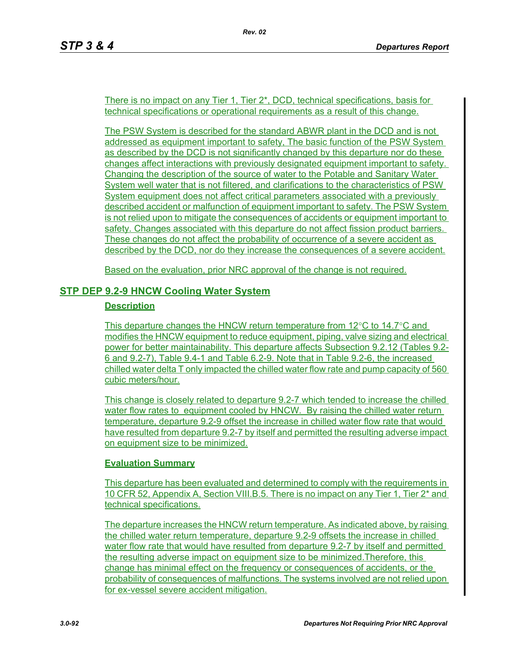There is no impact on any Tier 1, Tier 2\*, DCD, technical specifications, basis for technical specifications or operational requirements as a result of this change.

The PSW System is described for the standard ABWR plant in the DCD and is not addressed as equipment important to safety, The basic function of the PSW System as described by the DCD is not significantly changed by this departure nor do these changes affect interactions with previously designated equipment important to safety. Changing the description of the source of water to the Potable and Sanitary Water System well water that is not filtered, and clarifications to the characteristics of PSW System equipment does not affect critical parameters associated with a previously described accident or malfunction of equipment important to safety. The PSW System is not relied upon to mitigate the consequences of accidents or equipment important to safety. Changes associated with this departure do not affect fission product barriers. These changes do not affect the probability of occurrence of a severe accident as described by the DCD, nor do they increase the consequences of a severe accident.

Based on the evaluation, prior NRC approval of the change is not required.

# **STP DEP 9.2-9 HNCW Cooling Water System**

# **Description**

This departure changes the HNCW return temperature from  $12^{\circ}$ C to  $14.7^{\circ}$ C and modifies the HNCW equipment to reduce equipment, piping, valve sizing and electrical power for better maintainability. This departure affects Subsection 9.2.12 (Tables 9.2- 6 and 9.2-7), Table 9.4-1 and Table 6.2-9. Note that in Table 9.2-6, the increased chilled water delta T only impacted the chilled water flow rate and pump capacity of 560 cubic meters/hour.

This change is closely related to departure 9.2-7 which tended to increase the chilled water flow rates to equipment cooled by HNCW. By raising the chilled water return temperature, departure 9.2-9 offset the increase in chilled water flow rate that would have resulted from departure 9.2-7 by itself and permitted the resulting adverse impact on equipment size to be minimized.

# **Evaluation Summary**

This departure has been evaluated and determined to comply with the requirements in 10 CFR 52, Appendix A, Section VIII.B.5. There is no impact on any Tier 1, Tier 2\* and technical specifications.

The departure increases the HNCW return temperature. As indicated above, by raising the chilled water return temperature, departure 9.2-9 offsets the increase in chilled water flow rate that would have resulted from departure 9.2-7 by itself and permitted the resulting adverse impact on equipment size to be minimized.Therefore, this change has minimal effect on the frequency or consequences of accidents, or the probability of consequences of malfunctions. The systems involved are not relied upon for ex-vessel severe accident mitigation.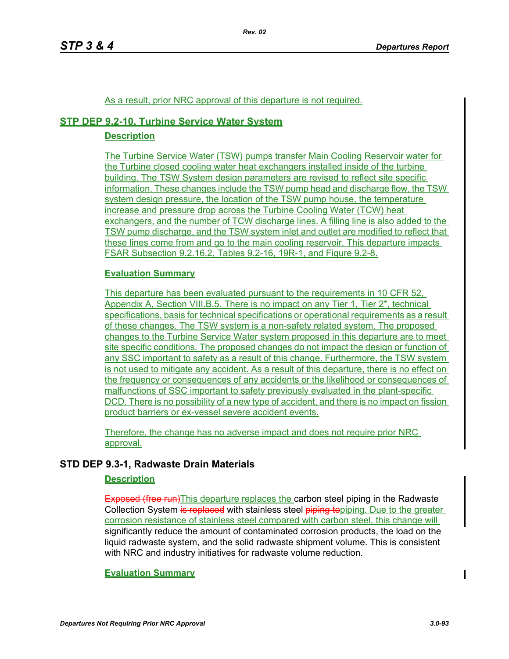# As a result, prior NRC approval of this departure is not required.

# **STP DEP 9.2-10, Turbine Service Water System**

#### **Description**

The Turbine Service Water (TSW) pumps transfer Main Cooling Reservoir water for the Turbine closed cooling water heat exchangers installed inside of the turbine building. The TSW System design parameters are revised to reflect site specific information. These changes include the TSW pump head and discharge flow, the TSW system design pressure, the location of the TSW pump house, the temperature increase and pressure drop across the Turbine Cooling Water (TCW) heat exchangers, and the number of TCW discharge lines. A filling line is also added to the TSW pump discharge, and the TSW system inlet and outlet are modified to reflect that these lines come from and go to the main cooling reservoir. This departure impacts FSAR Subsection 9.2.16.2, Tables 9.2-16, 19R-1, and Figure 9.2-8.

#### **Evaluation Summary**

This departure has been evaluated pursuant to the requirements in 10 CFR 52, Appendix A, Section VIII.B.5. There is no impact on any Tier 1, Tier 2\*, technical specifications, basis for technical specifications or operational requirements as a result of these changes. The TSW system is a non-safety related system. The proposed changes to the Turbine Service Water system proposed in this departure are to meet site specific conditions. The proposed changes do not impact the design or function of any SSC important to safety as a result of this change. Furthermore, the TSW system is not used to mitigate any accident. As a result of this departure, there is no effect on the frequency or consequences of any accidents or the likelihood or consequences of malfunctions of SSC important to safety previously evaluated in the plant-specific DCD. There is no possibility of a new type of accident, and there is no impact on fission product barriers or ex-vessel severe accident events.

Therefore, the change has no adverse impact and does not require prior NRC approval.

# **STD DEP 9.3-1, Radwaste Drain Materials**

#### **Description**

Exposed (free run)This departure replaces the carbon steel piping in the Radwaste Collection System is replaced with stainless steel piping topiping. Due to the greater corrosion resistance of stainless steel compared with carbon steel, this change will significantly reduce the amount of contaminated corrosion products, the load on the liquid radwaste system, and the solid radwaste shipment volume. This is consistent with NRC and industry initiatives for radwaste volume reduction.

# **Evaluation Summary**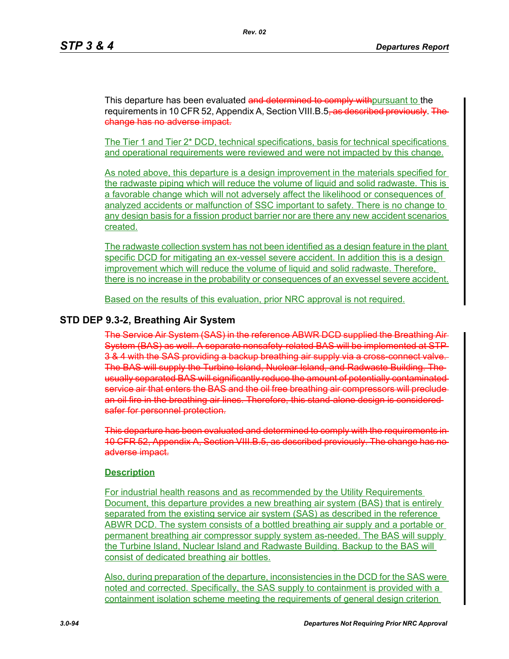This departure has been evaluated and determined to comply with pursuant to the requirements in 10 CFR 52, Appendix A, Section VIII.B.5<del>, as described previously. The</del> change has no adverse impact.

The Tier 1 and Tier 2\* DCD, technical specifications, basis for technical specifications and operational requirements were reviewed and were not impacted by this change.

As noted above, this departure is a design improvement in the materials specified for the radwaste piping which will reduce the volume of liquid and solid radwaste. This is a favorable change which will not adversely affect the likelihood or consequences of analyzed accidents or malfunction of SSC important to safety. There is no change to any design basis for a fission product barrier nor are there any new accident scenarios created.

The radwaste collection system has not been identified as a design feature in the plant specific DCD for mitigating an ex-vessel severe accident. In addition this is a design improvement which will reduce the volume of liquid and solid radwaste. Therefore, there is no increase in the probability or consequences of an exvessel severe accident.

Based on the results of this evaluation, prior NRC approval is not required.

# **STD DEP 9.3-2, Breathing Air System**

The Service Air System (SAS) in the reference ABWR DCD supplied the Breathing Air System (BAS) as well. A separate nonsafety-related BAS will be implemented at STP-3 & 4 with the SAS providing a backup breathing air supply via a cross-connect valve. The BAS will supply the Turbine Island, Nuclear Island, and Radwaste Building. The usually separated BAS will significantly reduce the amount of potentially contaminated service air that enters the BAS and the oil free breathing air compressors will preclude an oil fire in the breathing air lines. Therefore, this stand-alone design is considered safer for personnel protection.

This departure has been evaluated and determined to comply with the requirements in 10 CFR 52, Appendix A, Section VIII.B.5, as described previously. The change has no adverse impact.

#### **Description**

For industrial health reasons and as recommended by the Utility Requirements Document, this departure provides a new breathing air system (BAS) that is entirely separated from the existing service air system (SAS) as described in the reference ABWR DCD. The system consists of a bottled breathing air supply and a portable or permanent breathing air compressor supply system as-needed. The BAS will supply the Turbine Island, Nuclear Island and Radwaste Building. Backup to the BAS will consist of dedicated breathing air bottles.

Also, during preparation of the departure, inconsistencies in the DCD for the SAS were noted and corrected. Specifically, the SAS supply to containment is provided with a containment isolation scheme meeting the requirements of general design criterion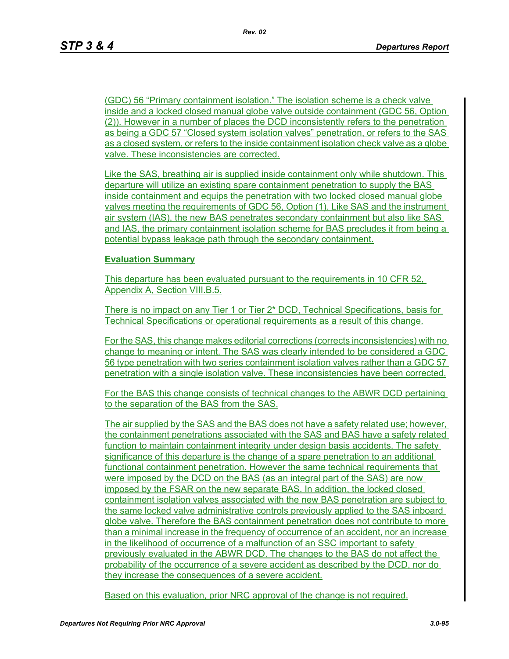(GDC) 56 "Primary containment isolation." The isolation scheme is a check valve inside and a locked closed manual globe valve outside containment (GDC 56, Option (2)). However in a number of places the DCD inconsistently refers to the penetration as being a GDC 57 "Closed system isolation valves" penetration, or refers to the SAS as a closed system, or refers to the inside containment isolation check valve as a globe valve. These inconsistencies are corrected.

Like the SAS, breathing air is supplied inside containment only while shutdown. This departure will utilize an existing spare containment penetration to supply the BAS inside containment and equips the penetration with two locked closed manual globe valves meeting the requirements of GDC 56, Option (1). Like SAS and the instrument air system (IAS), the new BAS penetrates secondary containment but also like SAS and IAS, the primary containment isolation scheme for BAS precludes it from being a potential bypass leakage path through the secondary containment.

#### **Evaluation Summary**

This departure has been evaluated pursuant to the requirements in 10 CFR 52, Appendix A, Section VIII.B.5.

There is no impact on any Tier 1 or Tier 2\* DCD, Technical Specifications, basis for Technical Specifications or operational requirements as a result of this change.

For the SAS, this change makes editorial corrections (corrects inconsistencies) with no change to meaning or intent. The SAS was clearly intended to be considered a GDC 56 type penetration with two series containment isolation valves rather than a GDC 57 penetration with a single isolation valve. These inconsistencies have been corrected.

For the BAS this change consists of technical changes to the ABWR DCD pertaining to the separation of the BAS from the SAS.

The air supplied by the SAS and the BAS does not have a safety related use; however, the containment penetrations associated with the SAS and BAS have a safety related function to maintain containment integrity under design basis accidents. The safety significance of this departure is the change of a spare penetration to an additional functional containment penetration. However the same technical requirements that were imposed by the DCD on the BAS (as an integral part of the SAS) are now imposed by the FSAR on the new separate BAS. In addition, the locked closed containment isolation valves associated with the new BAS penetration are subject to the same locked valve administrative controls previously applied to the SAS inboard globe valve. Therefore the BAS containment penetration does not contribute to more than a minimal increase in the frequency of occurrence of an accident, nor an increase in the likelihood of occurrence of a malfunction of an SSC important to safety previously evaluated in the ABWR DCD. The changes to the BAS do not affect the probability of the occurrence of a severe accident as described by the DCD, nor do they increase the consequences of a severe accident.

Based on this evaluation, prior NRC approval of the change is not required.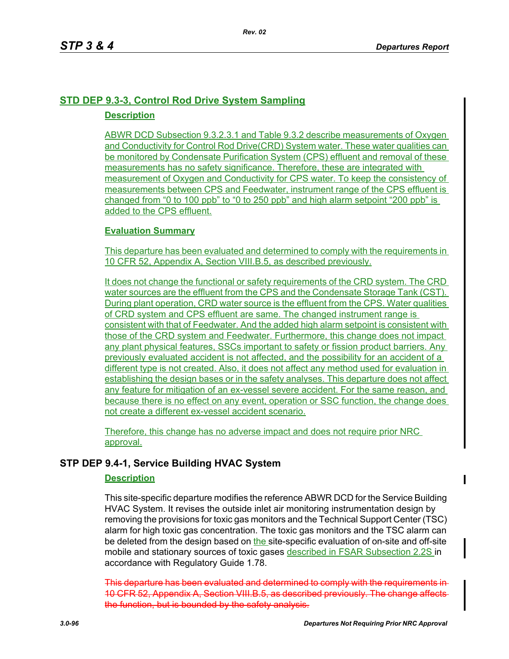# **STD DEP 9.3-3, Control Rod Drive System Sampling**

# **Description**

ABWR DCD Subsection 9.3.2.3.1 and Table 9.3.2 describe measurements of Oxygen and Conductivity for Control Rod Drive(CRD) System water. These water qualities can be monitored by Condensate Purification System (CPS) effluent and removal of these measurements has no safety significance. Therefore, these are integrated with measurement of Oxygen and Conductivity for CPS water. To keep the consistency of measurements between CPS and Feedwater, instrument range of the CPS effluent is changed from "0 to 100 ppb" to "0 to 250 ppb" and high alarm setpoint "200 ppb" is added to the CPS effluent.

# **Evaluation Summary**

This departure has been evaluated and determined to comply with the requirements in 10 CFR 52, Appendix A, Section VIII.B.5, as described previously.

It does not change the functional or safety requirements of the CRD system. The CRD water sources are the effluent from the CPS and the Condensate Storage Tank (CST). During plant operation, CRD water source is the effluent from the CPS. Water qualities of CRD system and CPS effluent are same. The changed instrument range is consistent with that of Feedwater. And the added high alarm setpoint is consistent with those of the CRD system and Feedwater. Furthermore, this change does not impact any plant physical features, SSCs important to safety or fission product barriers. Any previously evaluated accident is not affected, and the possibility for an accident of a different type is not created. Also, it does not affect any method used for evaluation in establishing the design bases or in the safety analyses. This departure does not affect any feature for mitigation of an ex-vessel severe accident. For the same reason, and because there is no effect on any event, operation or SSC function, the change does not create a different ex-vessel accident scenario.

Therefore, this change has no adverse impact and does not require prior NRC approval.

# **STP DEP 9.4-1, Service Building HVAC System**

# **Description**

This site-specific departure modifies the reference ABWR DCD for the Service Building HVAC System. It revises the outside inlet air monitoring instrumentation design by removing the provisions for toxic gas monitors and the Technical Support Center (TSC) alarm for high toxic gas concentration. The toxic gas monitors and the TSC alarm can be deleted from the design based on the site-specific evaluation of on-site and off-site mobile and stationary sources of toxic gases described in FSAR Subsection 2.2S in accordance with Regulatory Guide 1.78.

This departure has been evaluated and determined to comply with the requirem 10 CFR 52, Appendix A, Section VIII.B.5, as described previously. The change after the function, but is bounded by the safety analysis.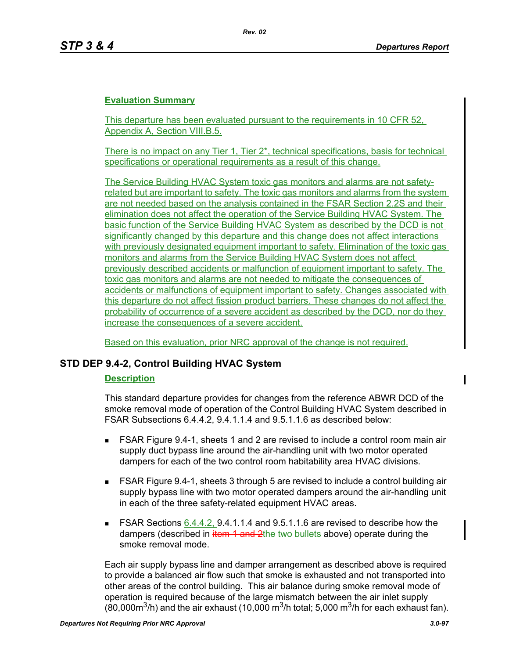# **Evaluation Summary**

This departure has been evaluated pursuant to the requirements in 10 CFR 52, Appendix A, Section VIII.B.5.

There is no impact on any Tier 1, Tier  $2^*$ , technical specifications, basis for technical specifications or operational requirements as a result of this change.

The Service Building HVAC System toxic gas monitors and alarms are not safetyrelated but are important to safety. The toxic gas monitors and alarms from the system are not needed based on the analysis contained in the FSAR Section 2.2S and their elimination does not affect the operation of the Service Building HVAC System. The basic function of the Service Building HVAC System as described by the DCD is not significantly changed by this departure and this change does not affect interactions with previously designated equipment important to safety. Elimination of the toxic gas monitors and alarms from the Service Building HVAC System does not affect previously described accidents or malfunction of equipment important to safety. The toxic gas monitors and alarms are not needed to mitigate the consequences of accidents or malfunctions of equipment important to safety. Changes associated with this departure do not affect fission product barriers. These changes do not affect the probability of occurrence of a severe accident as described by the DCD, nor do they increase the consequences of a severe accident.

Based on this evaluation, prior NRC approval of the change is not required.

# **STD DEP 9.4-2, Control Building HVAC System**

# **Description**

This standard departure provides for changes from the reference ABWR DCD of the smoke removal mode of operation of the Control Building HVAC System described in FSAR Subsections 6.4.4.2, 9.4.1.1.4 and 9.5.1.1.6 as described below:

- FSAR Figure 9.4-1, sheets 1 and 2 are revised to include a control room main air supply duct bypass line around the air-handling unit with two motor operated dampers for each of the two control room habitability area HVAC divisions.
- FSAR Figure 9.4-1, sheets 3 through 5 are revised to include a control building air supply bypass line with two motor operated dampers around the air-handling unit in each of the three safety-related equipment HVAC areas.
- FSAR Sections  $6.4.4.2$ , 9.4.1.1.4 and 9.5.1.1.6 are revised to describe how the dampers (described in item 1 and 2the two bullets above) operate during the smoke removal mode.

Each air supply bypass line and damper arrangement as described above is required to provide a balanced air flow such that smoke is exhausted and not transported into other areas of the control building. This air balance during smoke removal mode of operation is required because of the large mismatch between the air inlet supply (80,000 $\text{m}^3$ /h) and the air exhaust (10,000  $\text{m}^3$ /h total; 5,000  $\text{m}^3$ /h for each exhaust fan).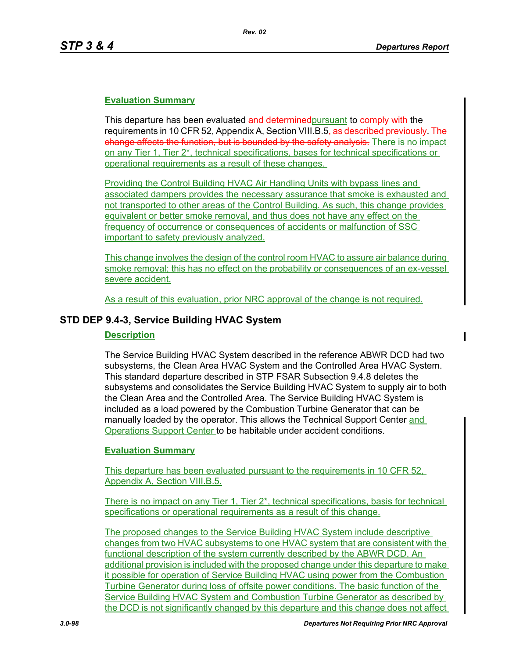# **Evaluation Summary**

This departure has been evaluated and determined pursuant to comply with the requirements in 10 CFR 52, Appendix A, Section VIII.B.5, as described previously. The change affects the function, but is bounded by the safety analysis. There is no impact on any Tier 1, Tier 2\*, technical specifications, bases for technical specifications or operational requirements as a result of these changes.

Providing the Control Building HVAC Air Handling Units with bypass lines and associated dampers provides the necessary assurance that smoke is exhausted and not transported to other areas of the Control Building. As such, this change provides equivalent or better smoke removal, and thus does not have any effect on the frequency of occurrence or consequences of accidents or malfunction of SSC important to safety previously analyzed.

This change involves the design of the control room HVAC to assure air balance during smoke removal; this has no effect on the probability or consequences of an ex-vessel severe accident.

As a result of this evaluation, prior NRC approval of the change is not required.

# **STD DEP 9.4-3, Service Building HVAC System**

#### **Description**

The Service Building HVAC System described in the reference ABWR DCD had two subsystems, the Clean Area HVAC System and the Controlled Area HVAC System. This standard departure described in STP FSAR Subsection 9.4.8 deletes the subsystems and consolidates the Service Building HVAC System to supply air to both the Clean Area and the Controlled Area. The Service Building HVAC System is included as a load powered by the Combustion Turbine Generator that can be manually loaded by the operator. This allows the Technical Support Center and Operations Support Center to be habitable under accident conditions.

#### **Evaluation Summary**

This departure has been evaluated pursuant to the requirements in 10 CFR 52, Appendix A, Section VIII.B.5.

There is no impact on any Tier 1, Tier 2\*, technical specifications, basis for technical specifications or operational requirements as a result of this change.

The proposed changes to the Service Building HVAC System include descriptive changes from two HVAC subsystems to one HVAC system that are consistent with the functional description of the system currently described by the ABWR DCD. An additional provision is included with the proposed change under this departure to make it possible for operation of Service Building HVAC using power from the Combustion Turbine Generator during loss of offsite power conditions. The basic function of the Service Building HVAC System and Combustion Turbine Generator as described by the DCD is not significantly changed by this departure and this change does not affect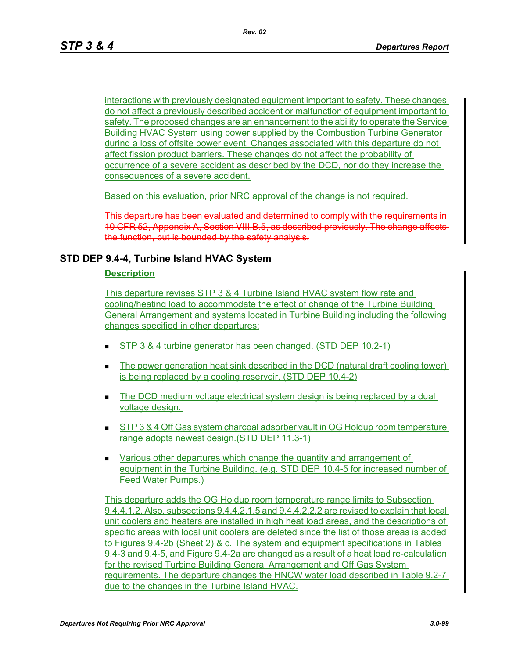interactions with previously designated equipment important to safety. These changes do not affect a previously described accident or malfunction of equipment important to safety. The proposed changes are an enhancement to the ability to operate the Service Building HVAC System using power supplied by the Combustion Turbine Generator during a loss of offsite power event. Changes associated with this departure do not affect fission product barriers. These changes do not affect the probability of occurrence of a severe accident as described by the DCD, nor do they increase the consequences of a severe accident.

Based on this evaluation, prior NRC approval of the change is not required.

This departure has been evaluated and determined to comply with the re 10 CFR 52, Appendix A, Section VIII.B.5, as described previously. The change affects the function, but is bounded by the safety analysis.

# **STD DEP 9.4-4, Turbine Island HVAC System**

#### **Description**

This departure revises STP 3 & 4 Turbine Island HVAC system flow rate and cooling/heating load to accommodate the effect of change of the Turbine Building General Arrangement and systems located in Turbine Building including the following changes specified in other departures:

- STP 3 & 4 turbine generator has been changed. (STD DEP 10.2-1)
- The power generation heat sink described in the DCD (natural draft cooling tower) is being replaced by a cooling reservoir. (STD DEP 10.4-2)
- The DCD medium voltage electrical system design is being replaced by a dual voltage design.
- **STP 3 & 4 Off Gas system charcoal adsorber vault in OG Holdup room temperature** range adopts newest design.(STD DEP 11.3-1)
- Various other departures which change the quantity and arrangement of equipment in the Turbine Building. (e.g. STD DEP 10.4-5 for increased number of Feed Water Pumps.)

This departure adds the OG Holdup room temperature range limits to Subsection 9.4.4.1.2. Also, subsections 9.4.4.2.1.5 and 9.4.4.2.2.2 are revised to explain that local unit coolers and heaters are installed in high heat load areas, and the descriptions of specific areas with local unit coolers are deleted since the list of those areas is added to Figures 9.4-2b (Sheet 2) & c. The system and equipment specifications in Tables 9.4-3 and 9.4-5, and Figure 9.4-2a are changed as a result of a heat load re-calculation for the revised Turbine Building General Arrangement and Off Gas System requirements. The departure changes the HNCW water load described in Table 9.2-7 due to the changes in the Turbine Island HVAC.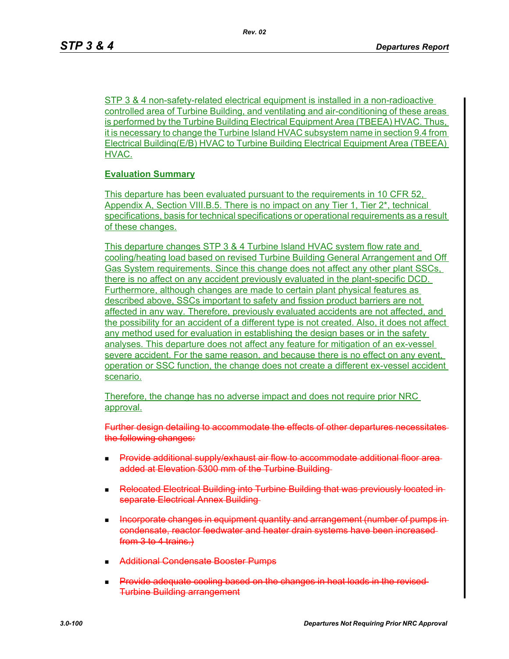STP 3 & 4 non-safety-related electrical equipment is installed in a non-radioactive controlled area of Turbine Building, and ventilating and air-conditioning of these areas is performed by the Turbine Building Electrical Equipment Area (TBEEA) HVAC. Thus, it is necessary to change the Turbine Island HVAC subsystem name in section 9.4 from Electrical Building(E/B) HVAC to Turbine Building Electrical Equipment Area (TBEEA) HVAC.

# **Evaluation Summary**

This departure has been evaluated pursuant to the requirements in 10 CFR 52, Appendix A, Section VIII.B.5. There is no impact on any Tier 1, Tier 2\*, technical specifications, basis for technical specifications or operational requirements as a result of these changes.

This departure changes STP 3 & 4 Turbine Island HVAC system flow rate and cooling/heating load based on revised Turbine Building General Arrangement and Off Gas System requirements. Since this change does not affect any other plant SSCs, there is no affect on any accident previously evaluated in the plant-specific DCD. Furthermore, although changes are made to certain plant physical features as described above, SSCs important to safety and fission product barriers are not affected in any way. Therefore, previously evaluated accidents are not affected, and the possibility for an accident of a different type is not created. Also, it does not affect any method used for evaluation in establishing the design bases or in the safety analyses. This departure does not affect any feature for mitigation of an ex-vessel severe accident. For the same reason, and because there is no effect on any event, operation or SSC function, the change does not create a different ex-vessel accident scenario.

Therefore, the change has no adverse impact and does not require prior NRC approval.

Further design detailing to accommodate the effects of other departures necessitates the following changes:

- **Provide additional supply/exhaust air flow to accommodate additional floor area**added at Elevation 5300 mm of the Turbine Building
- **Relocated Electrical Building into Turbine Building that was previously located in**separate Electrical Annex Building
- Incorporate changes in equipment quantity and arrangement (number of pumps in condensate, reactor feedwater and heater drain systems have been increased from 3 to 4 trains.)
- **Additional Condensate Booster Pumps**
- Provide adequate cooling based on the changes in heat loads in the revised Turbine Building arrangement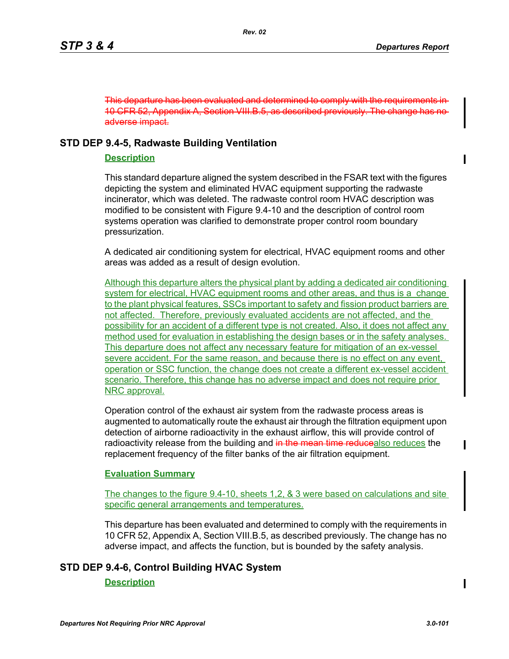This departure has been evaluated and determined to comply with the require 10 CFR 52, Appendix A, Section VIII.B.5, as described previously. The change has no adverse impact.

# **STD DEP 9.4-5, Radwaste Building Ventilation**

# **Description**

This standard departure aligned the system described in the FSAR text with the figures depicting the system and eliminated HVAC equipment supporting the radwaste incinerator, which was deleted. The radwaste control room HVAC description was modified to be consistent with Figure 9.4-10 and the description of control room systems operation was clarified to demonstrate proper control room boundary pressurization.

A dedicated air conditioning system for electrical, HVAC equipment rooms and other areas was added as a result of design evolution.

Although this departure alters the physical plant by adding a dedicated air conditioning system for electrical, HVAC equipment rooms and other areas, and thus is a change to the plant physical features, SSCs important to safety and fission product barriers are not affected. Therefore, previously evaluated accidents are not affected, and the possibility for an accident of a different type is not created. Also, it does not affect any method used for evaluation in establishing the design bases or in the safety analyses. This departure does not affect any necessary feature for mitigation of an ex-vessel severe accident. For the same reason, and because there is no effect on any event, operation or SSC function, the change does not create a different ex-vessel accident scenario. Therefore, this change has no adverse impact and does not require prior NRC approval.

Operation control of the exhaust air system from the radwaste process areas is augmented to automatically route the exhaust air through the filtration equipment upon detection of airborne radioactivity in the exhaust airflow, this will provide control of radioactivity release from the building and in the mean time reducealso reduces the replacement frequency of the filter banks of the air filtration equipment.

# **Evaluation Summary**

The changes to the figure 9.4-10, sheets 1,2, & 3 were based on calculations and site specific general arrangements and temperatures.

This departure has been evaluated and determined to comply with the requirements in 10 CFR 52, Appendix A, Section VIII.B.5, as described previously. The change has no adverse impact, and affects the function, but is bounded by the safety analysis.

# **STD DEP 9.4-6, Control Building HVAC System**

#### **Description**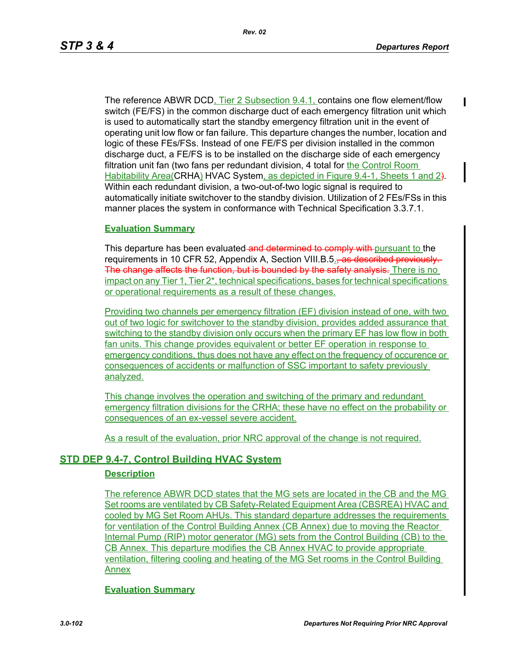The reference ABWR DCD, Tier 2 Subsection 9.4.1, contains one flow element/flow switch (FE/FS) in the common discharge duct of each emergency filtration unit which is used to automatically start the standby emergency filtration unit in the event of operating unit low flow or fan failure. This departure changes the number, location and logic of these FEs/FSs. Instead of one FE/FS per division installed in the common discharge duct, a FE/FS is to be installed on the discharge side of each emergency filtration unit fan (two fans per redundant division, 4 total for the Control Room Habitability Area(CRHA) HVAC System, as depicted in Figure 9.4-1, Sheets 1 and 2). Within each redundant division, a two-out-of-two logic signal is required to automatically initiate switchover to the standby division. Utilization of 2 FEs/FSs in this manner places the system in conformance with Technical Specification 3.3.7.1.

#### **Evaluation Summary**

This departure has been evaluated and determined to comply with pursuant to the requirements in 10 CFR 52, Appendix A, Section VIII.B.5., as described previously. The change affects the function, but is bounded by the safety analysis. There is no impact on any Tier 1, Tier 2\*, technical specifications, bases for technical specifications or operational requirements as a result of these changes.

Providing two channels per emergency filtration (EF) division instead of one, with two out of two logic for switchover to the standby division, provides added assurance that switching to the standby division only occurs when the primary EF has low flow in both fan units. This change provides equivalent or better EF operation in response to emergency conditions, thus does not have any effect on the frequency of occurence or consequences of accidents or malfunction of SSC important to safety previously analyzed.

This change involves the operation and switching of the primary and redundant emergency filtration divisions for the CRHA; these have no effect on the probability or consequences of an ex-vessel severe accident.

As a result of the evaluation, prior NRC approval of the change is not required.

# **STD DEP 9.4-7, Control Building HVAC System**

#### **Description**

The reference ABWR DCD states that the MG sets are located in the CB and the MG Set rooms are ventilated by CB Safety-Related Equipment Area (CBSREA) HVAC and cooled by MG Set Room AHUs. This standard departure addresses the requirements for ventilation of the Control Building Annex (CB Annex) due to moving the Reactor Internal Pump (RIP) motor generator (MG) sets from the Control Building (CB) to the CB Annex. This departure modifies the CB Annex HVAC to provide appropriate ventilation, filtering cooling and heating of the MG Set rooms in the Control Building Annex

#### **Evaluation Summary**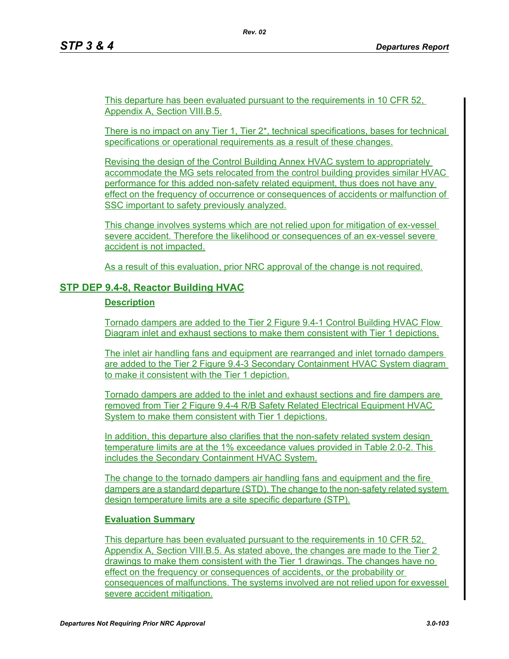This departure has been evaluated pursuant to the requirements in 10 CFR 52, Appendix A, Section VIII.B.5.

There is no impact on any Tier 1, Tier  $2^*$ , technical specifications, bases for technical specifications or operational requirements as a result of these changes.

Revising the design of the Control Building Annex HVAC system to appropriately accommodate the MG sets relocated from the control building provides similar HVAC performance for this added non-safety related equipment, thus does not have any effect on the frequency of occurrence or consequences of accidents or malfunction of SSC important to safety previously analyzed.

This change involves systems which are not relied upon for mitigation of ex-vessel severe accident. Therefore the likelihood or consequences of an ex-vessel severe accident is not impacted.

As a result of this evaluation, prior NRC approval of the change is not required.

# **STP DEP 9.4-8, Reactor Building HVAC**

#### **Description**

Tornado dampers are added to the Tier 2 Figure 9.4-1 Control Building HVAC Flow Diagram inlet and exhaust sections to make them consistent with Tier 1 depictions.

The inlet air handling fans and equipment are rearranged and inlet tornado dampers are added to the Tier 2 Figure 9.4-3 Secondary Containment HVAC System diagram to make it consistent with the Tier 1 depiction.

Tornado dampers are added to the inlet and exhaust sections and fire dampers are removed from Tier 2 Figure 9.4-4 R/B Safety Related Electrical Equipment HVAC System to make them consistent with Tier 1 depictions.

In addition, this departure also clarifies that the non-safety related system design temperature limits are at the 1% exceedance values provided in Table 2.0-2. This includes the Secondary Containment HVAC System.

The change to the tornado dampers air handling fans and equipment and the fire dampers are a standard departure (STD). The change to the non-safety related system design temperature limits are a site specific departure (STP).

# **Evaluation Summary**

This departure has been evaluated pursuant to the requirements in 10 CFR 52, Appendix A, Section VIII.B.5. As stated above, the changes are made to the Tier 2 drawings to make them consistent with the Tier 1 drawings. The changes have no effect on the frequency or consequences of accidents, or the probability or consequences of malfunctions. The systems involved are not relied upon for exvessel severe accident mitigation.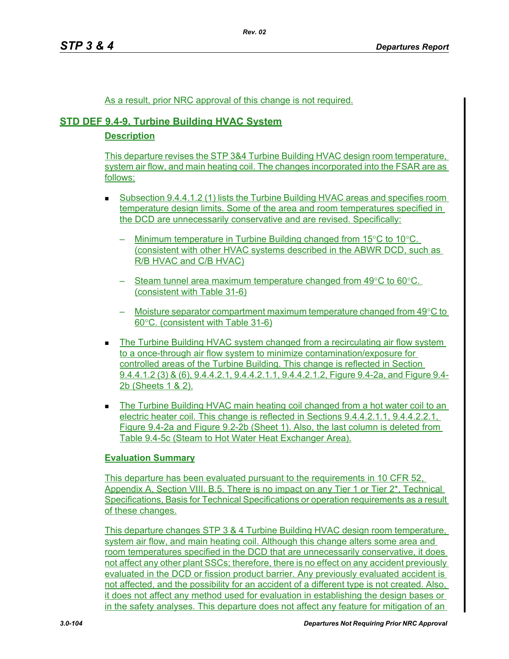*Rev. 02*

### As a result, prior NRC approval of this change is not required.

# **STD DEF 9.4-9, Turbine Building HVAC System**

### **Description**

This departure revises the STP 3&4 Turbine Building HVAC design room temperature, system air flow, and main heating coil. The changes incorporated into the FSAR are as follows:

- Subsection 9.4.4.1.2 (1) lists the Turbine Building HVAC areas and specifies room temperature design limits. Some of the area and room temperatures specified in the DCD are unnecessarily conservative and are revised. Specifically:
	- $-$  Minimum temperature in Turbine Building changed from 15 $\mathrm{°C}$  to 10 $\mathrm{°C}$ . (consistent with other HVAC systems described in the ABWR DCD, such as R/B HVAC and C/B HVAC)
	- Steam tunnel area maximum temperature changed from 49°C to 60°C. (consistent with Table 31-6)
	- $-$  Moisture separator compartment maximum temperature changed from 49 $\degree$ C to 60°C. (consistent with Table 31-6)
- **The Turbine Building HVAC system changed from a recirculating air flow system** to a once-through air flow system to minimize contamination/exposure for controlled areas of the Turbine Building. This change is reflected in Section 9.4.4.1.2 (3) & (6), 9.4.4.2.1, 9.4.4.2.1.1, 9.4.4.2.1.2, Figure 9.4-2a, and Figure 9.4- 2b (Sheets 1 & 2).
- The Turbine Building HVAC main heating coil changed from a hot water coil to an electric heater coil. This change is reflected in Sections 9.4.4.2.1.1, 9.4.4.2.2.1, Figure 9.4-2a and Figure 9.2-2b (Sheet 1). Also, the last column is deleted from Table 9.4-5c (Steam to Hot Water Heat Exchanger Area).

# **Evaluation Summary**

This departure has been evaluated pursuant to the requirements in 10 CFR 52. Appendix A, Section VIII. B.5. There is no impact on any Tier 1 or Tier 2\*, Technical Specifications, Basis for Technical Specifications or operation requirements as a result of these changes.

This departure changes STP 3 & 4 Turbine Building HVAC design room temperature, system air flow, and main heating coil. Although this change alters some area and room temperatures specified in the DCD that are unnecessarily conservative, it does not affect any other plant SSCs; therefore, there is no effect on any accident previously evaluated in the DCD or fission product barrier. Any previously evaluated accident is not affected, and the possibility for an accident of a different type is not created. Also, it does not affect any method used for evaluation in establishing the design bases or in the safety analyses. This departure does not affect any feature for mitigation of an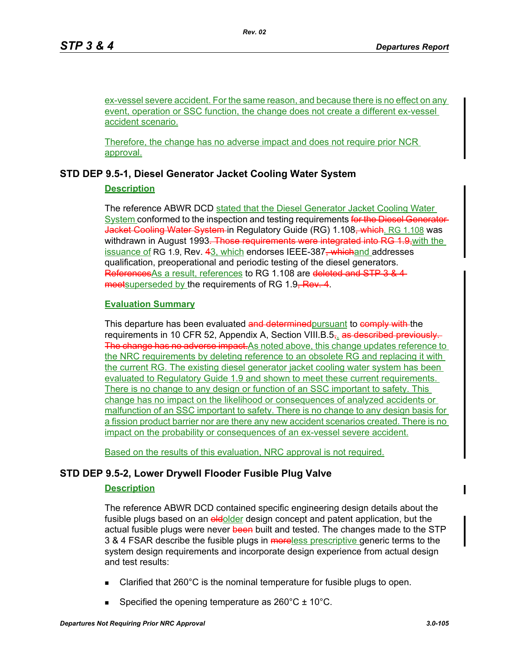ex-vessel severe accident. For the same reason, and because there is no effect on any event, operation or SSC function, the change does not create a different ex-vessel accident scenario.

Therefore, the change has no adverse impact and does not require prior NCR approval.

# **STD DEP 9.5-1, Diesel Generator Jacket Cooling Water System**

# **Description**

The reference ABWR DCD stated that the Diesel Generator Jacket Cooling Water System conformed to the inspection and testing requirements for the Diesel Generator-Jacket Cooling Water System in Regulatory Guide (RG) 1.108, which. RG 1.108 was withdrawn in August 1993. Those requirements were integrated into RG 1.9, with the issuance of RG 1.9, Rev. 43, which endorses IEEE-387, whichand addresses qualification, preoperational and periodic testing of the diesel generators. References As a result, references to RG 1.108 are deleted and STP 3 & 4 meetsuperseded by the requirements of RG 1.9, Rev. 4.

# **Evaluation Summary**

This departure has been evaluated and determined pursuant to comply with the requirements in 10 CFR 52, Appendix A, Section VIII.B.5, as described previously. The change has no adverse impact. As noted above, this change updates reference to the NRC requirements by deleting reference to an obsolete RG and replacing it with the current RG. The existing diesel generator jacket cooling water system has been evaluated to Regulatory Guide 1.9 and shown to meet these current requirements. There is no change to any design or function of an SSC important to safety. This change has no impact on the likelihood or consequences of analyzed accidents or malfunction of an SSC important to safety. There is no change to any design basis for a fission product barrier nor are there any new accident scenarios created. There is no impact on the probability or consequences of an ex-vessel severe accident.

Based on the results of this evaluation, NRC approval is not required.

# **STD DEP 9.5-2, Lower Drywell Flooder Fusible Plug Valve**

# **Description**

The reference ABWR DCD contained specific engineering design details about the fusible plugs based on an **oldolder** design concept and patent application, but the actual fusible plugs were never been built and tested. The changes made to the STP 3 & 4 FSAR describe the fusible plugs in moreless prescriptive generic terms to the system design requirements and incorporate design experience from actual design and test results:

- Clarified that 260°C is the nominal temperature for fusible plugs to open.
- Specified the opening temperature as  $260^{\circ}$ C  $\pm$  10<sup>o</sup>C.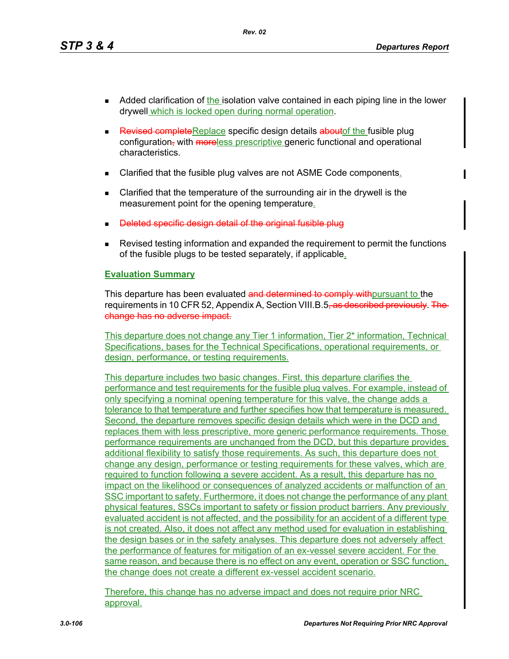*Rev. 02*

- Added clarification of the isolation valve contained in each piping line in the lower drywell which is locked open during normal operation.
- Revised complete Replace specific design details about the fusible plug configuration, with moreless prescriptive generic functional and operational characteristics.
- Clarified that the fusible plug valves are not ASME Code components.
- Clarified that the temperature of the surrounding air in the drywell is the measurement point for the opening temperature.
- Deleted specific design detail of the original fusible plug
- Revised testing information and expanded the requirement to permit the functions of the fusible plugs to be tested separately, if applicable.

# **Evaluation Summary**

This departure has been evaluated and determined to comply withoursuant to the requirements in 10 CFR 52, Appendix A, Section VIII.B.5<del>, as described previously. The</del> change has no adverse impact.

This departure does not change any Tier 1 information, Tier 2\* information, Technical Specifications, bases for the Technical Specifications, operational requirements, or design, performance, or testing requirements.

This departure includes two basic changes. First, this departure clarifies the performance and test requirements for the fusible plug valves. For example, instead of only specifying a nominal opening temperature for this valve, the change adds a tolerance to that temperature and further specifies how that temperature is measured. Second, the departure removes specific design details which were in the DCD and replaces them with less prescriptive, more generic performance requirements. Those performance requirements are unchanged from the DCD, but this departure provides additional flexibility to satisfy those requirements. As such, this departure does not change any design, performance or testing requirements for these valves, which are required to function following a severe accident. As a result, this departure has no impact on the likelihood or consequences of analyzed accidents or malfunction of an SSC important to safety. Furthermore, it does not change the performance of any plant physical features, SSCs important to safety or fission product barriers. Any previously evaluated accident is not affected, and the possibility for an accident of a different type is not created. Also, it does not affect any method used for evaluation in establishing the design bases or in the safety analyses. This departure does not adversely affect the performance of features for mitigation of an ex-vessel severe accident. For the same reason, and because there is no effect on any event, operation or SSC function, the change does not create a different ex-vessel accident scenario.

Therefore, this change has no adverse impact and does not require prior NRC approval.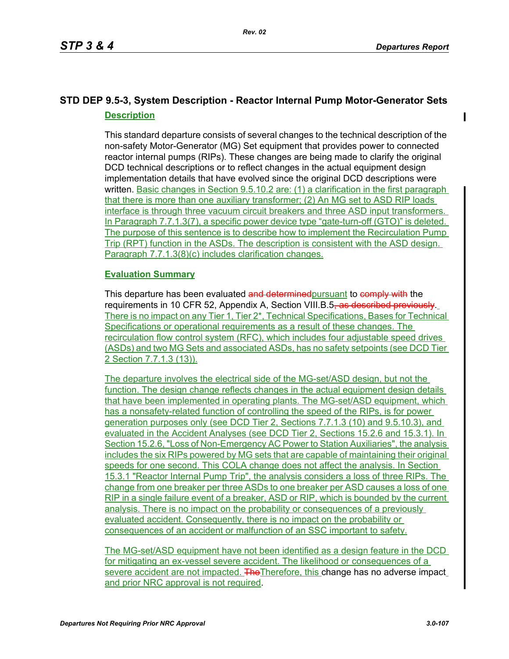П

# **STD DEP 9.5-3, System Description - Reactor Internal Pump Motor-Generator Sets Description**

This standard departure consists of several changes to the technical description of the non-safety Motor-Generator (MG) Set equipment that provides power to connected reactor internal pumps (RIPs). These changes are being made to clarify the original DCD technical descriptions or to reflect changes in the actual equipment design implementation details that have evolved since the original DCD descriptions were written. Basic changes in Section 9.5.10.2 are: (1) a clarification in the first paragraph that there is more than one auxiliary transformer; (2) An MG set to ASD RIP loads interface is through three vacuum circuit breakers and three ASD input transformers. In Paragraph 7.7.1.3(7), a specific power device type "gate-turn-off (GTO)" is deleted. The purpose of this sentence is to describe how to implement the Recirculation Pump Trip (RPT) function in the ASDs. The description is consistent with the ASD design. Paragraph 7.7.1.3(8)(c) includes clarification changes.

# **Evaluation Summary**

This departure has been evaluated and determined pursuant to comply with the requirements in 10 CFR 52, Appendix A, Section VIII.B.5, as described previously. There is no impact on any Tier 1, Tier 2\*, Technical Specifications, Bases for Technical Specifications or operational requirements as a result of these changes. The recirculation flow control system (RFC), which includes four adjustable speed drives (ASDs) and two MG Sets and associated ASDs, has no safety setpoints (see DCD Tier 2 Section 7.7.1.3 (13)).

The departure involves the electrical side of the MG-set/ASD design, but not the function. The design change reflects changes in the actual equipment design details that have been implemented in operating plants. The MG-set/ASD equipment, which has a nonsafety-related function of controlling the speed of the RIPs, is for power generation purposes only (see DCD Tier 2, Sections 7.7.1.3 (10) and 9.5.10.3), and evaluated in the Accident Analyses (see DCD Tier 2, Sections 15.2.6 and 15.3.1). In Section 15.2.6, "Loss of Non-Emergency AC Power to Station Auxiliaries", the analysis includes the six RIPs powered by MG sets that are capable of maintaining their original speeds for one second. This COLA change does not affect the analysis. In Section 15.3.1 "Reactor Internal Pump Trip", the analysis considers a loss of three RIPs. The change from one breaker per three ASDs to one breaker per ASD causes a loss of one RIP in a single failure event of a breaker, ASD or RIP, which is bounded by the current analysis. There is no impact on the probability or consequences of a previously evaluated accident. Consequently, there is no impact on the probability or consequences of an accident or malfunction of an SSC important to safety.

The MG-set/ASD equipment have not been identified as a design feature in the DCD for mitigating an ex-vessel severe accident. The likelihood or consequences of a severe accident are not impacted. The Therefore, this change has no adverse impact and prior NRC approval is not required.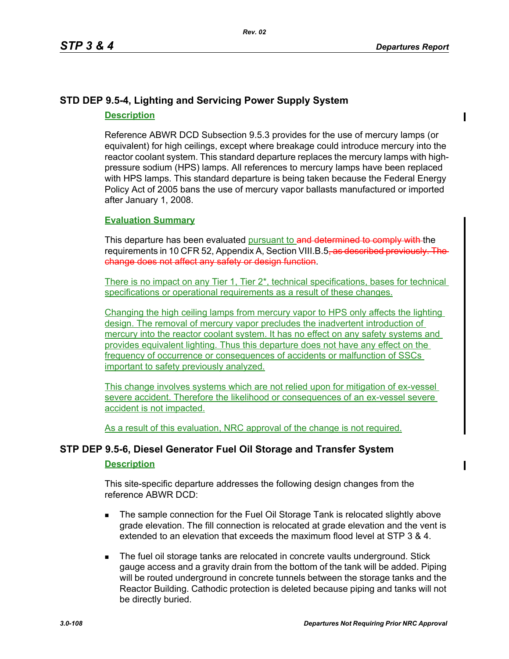# **STD DEP 9.5-4, Lighting and Servicing Power Supply System Description**

Reference ABWR DCD Subsection 9.5.3 provides for the use of mercury lamps (or equivalent) for high ceilings, except where breakage could introduce mercury into the reactor coolant system. This standard departure replaces the mercury lamps with highpressure sodium (HPS) lamps. All references to mercury lamps have been replaced with HPS lamps. This standard departure is being taken because the Federal Energy Policy Act of 2005 bans the use of mercury vapor ballasts manufactured or imported after January 1, 2008.

#### **Evaluation Summary**

This departure has been evaluated pursuant to and determined to comply with the requirements in 10 CFR 52, Appendix A, Section VIII.B.5, as described previously change does not affect any safety or design function.

There is no impact on any Tier 1, Tier 2<sup>\*</sup>, technical specifications, bases for technical specifications or operational requirements as a result of these changes.

Changing the high ceiling lamps from mercury vapor to HPS only affects the lighting design. The removal of mercury vapor precludes the inadvertent introduction of mercury into the reactor coolant system. It has no effect on any safety systems and provides equivalent lighting. Thus this departure does not have any effect on the frequency of occurrence or consequences of accidents or malfunction of SSCs important to safety previously analyzed.

This change involves systems which are not relied upon for mitigation of ex-vessel severe accident. Therefore the likelihood or consequences of an ex-vessel severe accident is not impacted.

As a result of this evaluation, NRC approval of the change is not required.

# **STP DEP 9.5-6, Diesel Generator Fuel Oil Storage and Transfer System**

### **Description**

This site-specific departure addresses the following design changes from the reference ABWR DCD:

- The sample connection for the Fuel Oil Storage Tank is relocated slightly above grade elevation. The fill connection is relocated at grade elevation and the vent is extended to an elevation that exceeds the maximum flood level at STP 3 & 4.
- The fuel oil storage tanks are relocated in concrete vaults underground. Stick gauge access and a gravity drain from the bottom of the tank will be added. Piping will be routed underground in concrete tunnels between the storage tanks and the Reactor Building. Cathodic protection is deleted because piping and tanks will not be directly buried.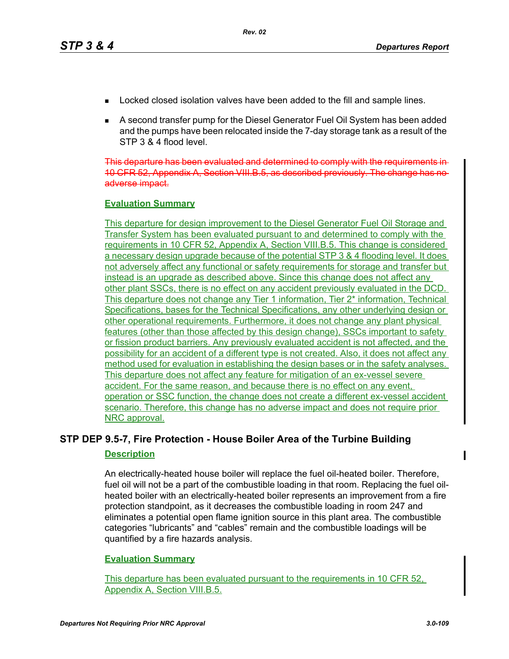- Locked closed isolation valves have been added to the fill and sample lines.
- A second transfer pump for the Diesel Generator Fuel Oil System has been added and the pumps have been relocated inside the 7-day storage tank as a result of the STP 3 & 4 flood level.

This departure has been evaluated and determined to comply with the requirements in 10 CFR 52, Appendix A, Section VIII.B.5, as described previously. The change has no adverse impact.

## **Evaluation Summary**

This departure for design improvement to the Diesel Generator Fuel Oil Storage and Transfer System has been evaluated pursuant to and determined to comply with the requirements in 10 CFR 52, Appendix A, Section VIII.B.5. This change is considered a necessary design upgrade because of the potential STP 3 & 4 flooding level. It does not adversely affect any functional or safety requirements for storage and transfer but instead is an upgrade as described above. Since this change does not affect any other plant SSCs, there is no effect on any accident previously evaluated in the DCD. This departure does not change any Tier 1 information, Tier 2\* information, Technical Specifications, bases for the Technical Specifications, any other underlying design or other operational requirements. Furthermore, it does not change any plant physical features (other than those affected by this design change), SSCs important to safety or fission product barriers. Any previously evaluated accident is not affected, and the possibility for an accident of a different type is not created. Also, it does not affect any method used for evaluation in establishing the design bases or in the safety analyses. This departure does not affect any feature for mitigation of an ex-vessel severe accident. For the same reason, and because there is no effect on any event, operation or SSC function, the change does not create a different ex-vessel accident scenario. Therefore, this change has no adverse impact and does not require prior NRC approval.

## **STP DEP 9.5-7, Fire Protection - House Boiler Area of the Turbine Building**

#### **Description**

An electrically-heated house boiler will replace the fuel oil-heated boiler. Therefore, fuel oil will not be a part of the combustible loading in that room. Replacing the fuel oilheated boiler with an electrically-heated boiler represents an improvement from a fire protection standpoint, as it decreases the combustible loading in room 247 and eliminates a potential open flame ignition source in this plant area. The combustible categories "lubricants" and "cables" remain and the combustible loadings will be quantified by a fire hazards analysis.

## **Evaluation Summary**

This departure has been evaluated pursuant to the requirements in 10 CFR 52, Appendix A, Section VIII.B.5.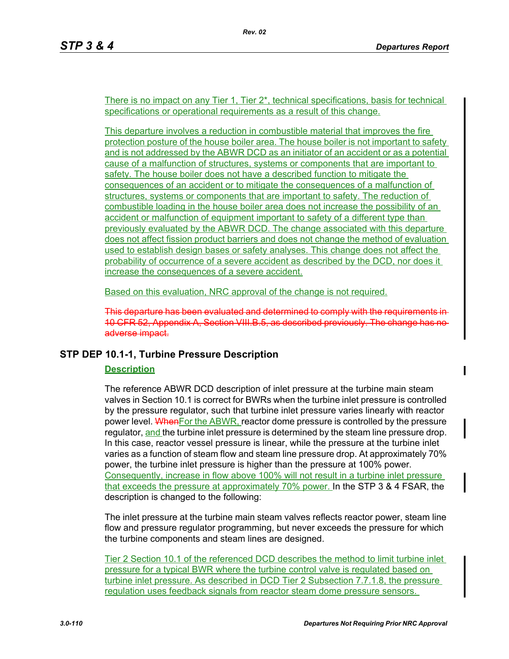There is no impact on any Tier 1, Tier 2\*, technical specifications, basis for technical specifications or operational requirements as a result of this change.

This departure involves a reduction in combustible material that improves the fire protection posture of the house boiler area. The house boiler is not important to safety and is not addressed by the ABWR DCD as an initiator of an accident or as a potential cause of a malfunction of structures, systems or components that are important to safety. The house boiler does not have a described function to mitigate the consequences of an accident or to mitigate the consequences of a malfunction of structures, systems or components that are important to safety. The reduction of combustible loading in the house boiler area does not increase the possibility of an accident or malfunction of equipment important to safety of a different type than previously evaluated by the ABWR DCD. The change associated with this departure does not affect fission product barriers and does not change the method of evaluation used to establish design bases or safety analyses. This change does not affect the probability of occurrence of a severe accident as described by the DCD, nor does it increase the consequences of a severe accident.

Based on this evaluation, NRC approval of the change is not required.

This departure has been evaluated and determined to comply with the requirements in 10 CFR 52, Appendix A, Section VIII.B.5, as described previously. The change has adverse impact.

## **STP DEP 10.1-1, Turbine Pressure Description**

## **Description**

The reference ABWR DCD description of inlet pressure at the turbine main steam valves in Section 10.1 is correct for BWRs when the turbine inlet pressure is controlled by the pressure regulator, such that turbine inlet pressure varies linearly with reactor power level. When For the ABWR, reactor dome pressure is controlled by the pressure regulator, and the turbine inlet pressure is determined by the steam line pressure drop. In this case, reactor vessel pressure is linear, while the pressure at the turbine inlet varies as a function of steam flow and steam line pressure drop. At approximately 70% power, the turbine inlet pressure is higher than the pressure at 100% power. Consequently, increase in flow above 100% will not result in a turbine inlet pressure that exceeds the pressure at approximately 70% power. In the STP 3 & 4 FSAR, the description is changed to the following:

The inlet pressure at the turbine main steam valves reflects reactor power, steam line flow and pressure regulator programming, but never exceeds the pressure for which the turbine components and steam lines are designed.

Tier 2 Section 10.1 of the referenced DCD describes the method to limit turbine inlet pressure for a typical BWR where the turbine control valve is regulated based on turbine inlet pressure. As described in DCD Tier 2 Subsection 7.7.1.8, the pressure regulation uses feedback signals from reactor steam dome pressure sensors.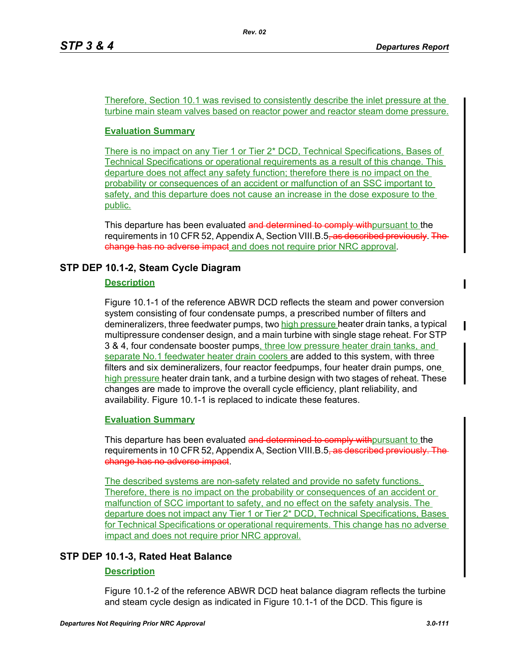Therefore, Section 10.1 was revised to consistently describe the inlet pressure at the turbine main steam valves based on reactor power and reactor steam dome pressure.

## **Evaluation Summary**

There is no impact on any Tier 1 or Tier 2\* DCD, Technical Specifications, Bases of Technical Specifications or operational requirements as a result of this change. This departure does not affect any safety function; therefore there is no impact on the probability or consequences of an accident or malfunction of an SSC important to safety, and this departure does not cause an increase in the dose exposure to the public.

This departure has been evaluated and determined to comply with pursuant to the requirements in 10 CFR 52, Appendix A, Section VIII.B.5<del>, as described previously. The</del> change has no adverse impact and does not require prior NRC approval.

## **STP DEP 10.1-2, Steam Cycle Diagram**

## **Description**

Figure 10.1-1 of the reference ABWR DCD reflects the steam and power conversion system consisting of four condensate pumps, a prescribed number of filters and demineralizers, three feedwater pumps, two high pressure heater drain tanks, a typical multipressure condenser design, and a main turbine with single stage reheat. For STP 3 & 4, four condensate booster pumps, three low pressure heater drain tanks, and separate No.1 feedwater heater drain coolers are added to this system, with three filters and six demineralizers, four reactor feedpumps, four heater drain pumps, one high pressure heater drain tank, and a turbine design with two stages of reheat. These changes are made to improve the overall cycle efficiency, plant reliability, and availability. Figure 10.1-1 is replaced to indicate these features.

## **Evaluation Summary**

This departure has been evaluated and determined to comply with pursuant to the requirements in 10 CFR 52, Appendix A, Section VIII.B.5<del>, as described previously. The</del> change has no adverse impact.

The described systems are non-safety related and provide no safety functions. Therefore, there is no impact on the probability or consequences of an accident or malfunction of SCC important to safety, and no effect on the safety analysis. The departure does not impact any Tier 1 or Tier 2\* DCD, Technical Specifications, Bases for Technical Specifications or operational requirements. This change has no adverse impact and does not require prior NRC approval.

## **STP DEP 10.1-3, Rated Heat Balance**

## **Description**

Figure 10.1-2 of the reference ABWR DCD heat balance diagram reflects the turbine and steam cycle design as indicated in Figure 10.1-1 of the DCD. This figure is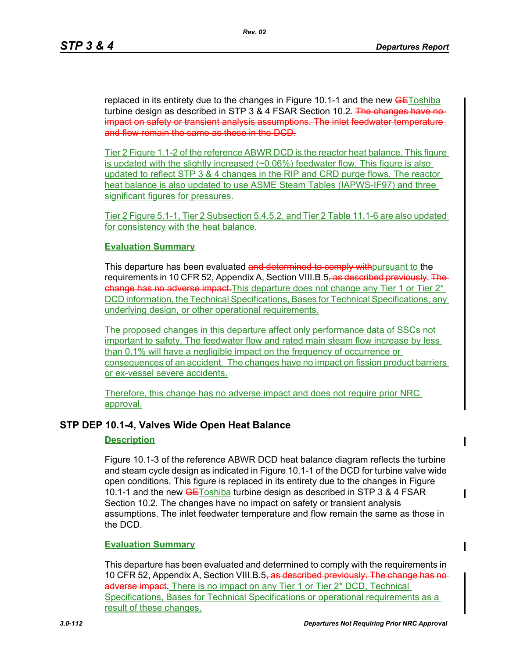replaced in its entirety due to the changes in Figure 10.1-1 and the new **GEToshiba** turbine design as described in STP 3 & 4 FSAR Section 10.2. The changes have noimpact on safety or transient analysis assumptions. The inlet feedwater temperature and flow remain the same as those in the DCD.

Tier 2 Figure 1.1-2 of the reference ABWR DCD is the reactor heat balance. This figure is updated with the slightly increased  $(\sim 0.06\%)$  feedwater flow. This figure is also updated to reflect STP 3 & 4 changes in the RIP and CRD purge flows. The reactor heat balance is also updated to use ASME Steam Tables (IAPWS-IF97) and three significant figures for pressures.

Tier 2 Figure 5.1-1, Tier 2 Subsection 5.4.5.2, and Tier 2 Table 11.1-6 are also updated for consistency with the heat balance.

### **Evaluation Summary**

This departure has been evaluated and determined to comply with pursuant to the requirements in 10 CFR 52, Appendix A, Section VIII.B.5<del>, as described previously. The</del> change has no adverse impact. This departure does not change any Tier 1 or Tier 2<sup>\*</sup> DCD information, the Technical Specifications, Bases for Technical Specifications, any underlying design, or other operational requirements.

The proposed changes in this departure affect only performance data of SSCs not important to safety. The feedwater flow and rated main steam flow increase by less than 0.1% will have a negligible impact on the frequency of occurrence or consequences of an accident. The changes have no impact on fission product barriers or ex-vessel severe accidents.

Therefore, this change has no adverse impact and does not require prior NRC approval.

## **STP DEP 10.1-4, Valves Wide Open Heat Balance**

#### **Description**

Figure 10.1-3 of the reference ABWR DCD heat balance diagram reflects the turbine and steam cycle design as indicated in Figure 10.1-1 of the DCD for turbine valve wide open conditions. This figure is replaced in its entirety due to the changes in Figure 10.1-1 and the new **GEToshiba** turbine design as described in STP 3 & 4 FSAR Section 10.2. The changes have no impact on safety or transient analysis assumptions. The inlet feedwater temperature and flow remain the same as those in the DCD.

#### **Evaluation Summary**

This departure has been evaluated and determined to comply with the requirements in 10 CFR 52, Appendix A, Section VIII.B.5<del>, as described previously. The change has no</del> adverse impact. There is no impact on any Tier 1 or Tier 2\* DCD, Technical Specifications, Bases for Technical Specifications or operational requirements as a result of these changes.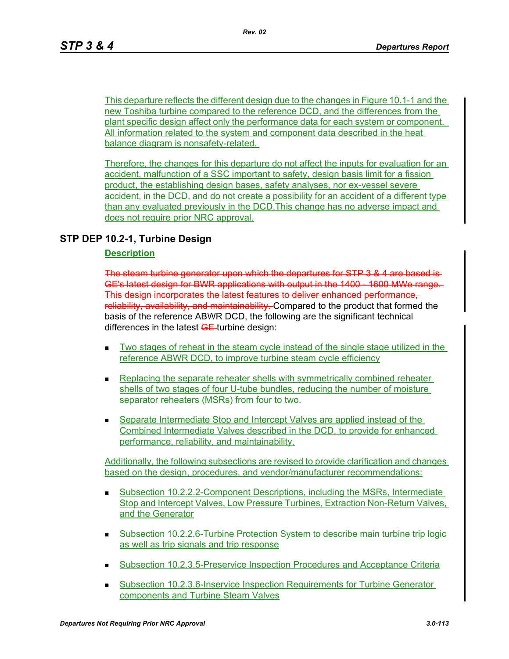This departure reflects the different design due to the changes in Figure 10.1-1 and the new Toshiba turbine compared to the reference DCD, and the differences from the plant specific design affect only the performance data for each system or component. All information related to the system and component data described in the heat balance diagram is nonsafety-related.

Therefore, the changes for this departure do not affect the inputs for evaluation for an accident, malfunction of a SSC important to safety, design basis limit for a fission product, the establishing design bases, safety analyses, nor ex-vessel severe accident, in the DCD, and do not create a possibility for an accident of a different type than any evaluated previously in the DCD.This change has no adverse impact and does not require prior NRC approval.

## **STP DEP 10.2-1, Turbine Design**

### **Description**

The steam turbine generator upon which the departures for STP 3 & 4 are ba GE's latest design for BWR applications with output in the 1400 - 1600 MWe range. This design incorporates the latest features to deliver enhanced performance, reliability, availability, and maintainability. Compared to the product that formed the basis of the reference ABWR DCD, the following are the significant technical differences in the latest  $GE$ -turbine design:

- Two stages of reheat in the steam cycle instead of the single stage utilized in the reference ABWR DCD, to improve turbine steam cycle efficiency
- **Replacing the separate reheater shells with symmetrically combined reheater** shells of two stages of four U-tube bundles, reducing the number of moisture separator reheaters (MSRs) from four to two.
- Separate Intermediate Stop and Intercept Valves are applied instead of the Combined Intermediate Valves described in the DCD, to provide for enhanced performance, reliability, and maintainability.

Additionally, the following subsections are revised to provide clarification and changes based on the design, procedures, and vendor/manufacturer recommendations:

- Subsection 10.2.2.2-Component Descriptions, including the MSRs, Intermediate Stop and Intercept Valves, Low Pressure Turbines, Extraction Non-Return Valves, and the Generator
- Subsection 10.2.2.6-Turbine Protection System to describe main turbine trip logic as well as trip signals and trip response
- Subsection 10.2.3.5-Preservice Inspection Procedures and Acceptance Criteria
- **Subsection 10.2.3.6-Inservice Inspection Requirements for Turbine Generator** components and Turbine Steam Valves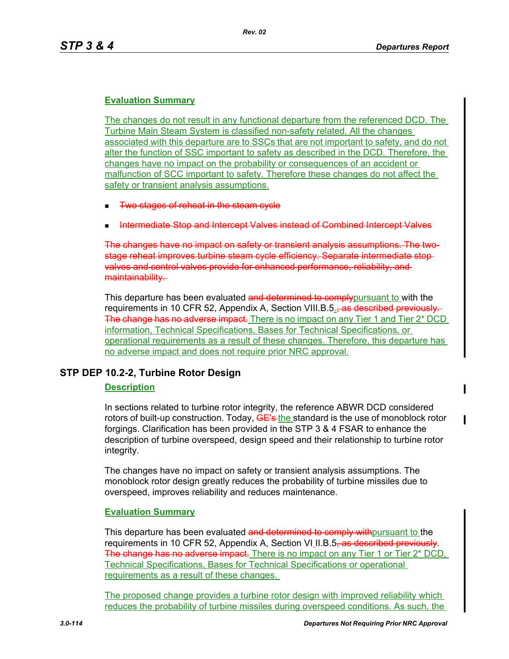## **Evaluation Summary**

The changes do not result in any functional departure from the referenced DCD. The Turbine Main Steam System is classified non-safety related. All the changes associated with this departure are to SSCs that are not important to safety, and do not alter the function of SSC important to safety as described in the DCD. Therefore, the changes have no impact on the probability or consequences of an accident or malfunction of SCC important to safety. Therefore these changes do not affect the safety or transient analysis assumptions.

- Two stages of reheat in the steam cycle
- Intermediate Stop and Intercept Valves instead of Combined Intercept Valves

The changes have no impact on safety or transient analysis assumptions. The twostage reheat improves turbine steam cycle efficiency. Separate intermediate stop valves and control valves provide for enhanced performance, reliability, and maintainability.

This departure has been evaluated and determined to comply pursuant to with the requirements in 10 CFR 52, Appendix A, Section VIII.B.5. as described previously The change has no adverse impact. There is no impact on any Tier 1 and Tier 2<sup>\*</sup> DCD information, Technical Specifications, Bases for Technical Specifications, or operational requirements as a result of these changes. Therefore, this departure has no adverse impact and does not require prior NRC approval.

## **STP DEP 10.2-2, Turbine Rotor Design**

## **Description**

In sections related to turbine rotor integrity, the reference ABWR DCD considered rotors of built-up construction. Today, GE's-the standard is the use of monoblock rotor forgings. Clarification has been provided in the STP 3 & 4 FSAR to enhance the description of turbine overspeed, design speed and their relationship to turbine rotor integrity.

The changes have no impact on safety or transient analysis assumptions. The monoblock rotor design greatly reduces the probability of turbine missiles due to overspeed, improves reliability and reduces maintenance.

## **Evaluation Summary**

This departure has been evaluated and determined to comply with pursuant to the requirements in 10 CFR 52, Appendix A, Section VI II.B.5<del>, as described previously</del>. The change has no adverse impact. There is no impact on any Tier 1 or Tier 2\* DCD, Technical Specifications, Bases for Technical Specifications or operational requirements as a result of these changes.

The proposed change provides a turbine rotor design with improved reliability which reduces the probability of turbine missiles during overspeed conditions. As such, the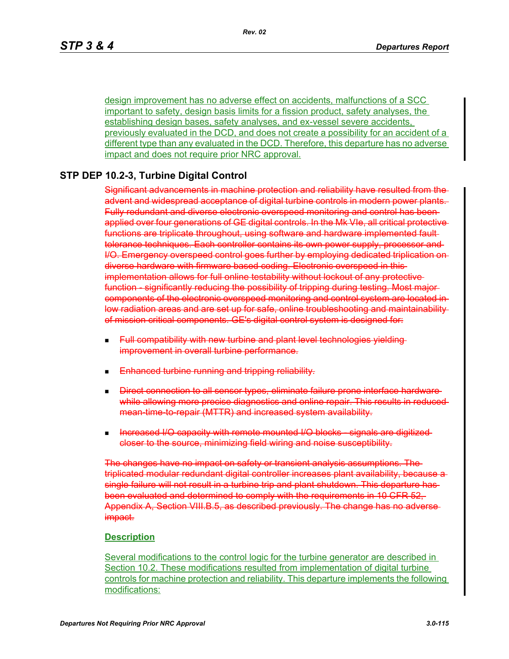design improvement has no adverse effect on accidents, malfunctions of a SCC important to safety, design basis limits for a fission product, safety analyses, the establishing design bases, safety analyses, and ex-vessel severe accidents, previously evaluated in the DCD, and does not create a possibility for an accident of a different type than any evaluated in the DCD. Therefore, this departure has no adverse impact and does not require prior NRC approval.

## **STP DEP 10.2-3, Turbine Digital Control**

Significant advancements in machine protection and reliability have resulted from the advent and widespread acceptance of digital turbine controls in modern power plants. Fully redundant and diverse electronic overspeed monitoring and control has been applied over four generations of GE digital controls. In the Mk VIe, all critical protective functions are triplicate throughout, using software and hardware implemented fault tolerance techniques. Each controller contains its own power supply, processor and I/O. Emergency overspeed control goes further by employing dedicated triplication on diverse hardware with firmware based coding. Electronic overspeed in this implementation allows for full online testability without lockout of any protective function significantly reducing the possibility of tripping during testing. Most majorcomponents of the electronic overspeed monitoring and control system are located in low radiation areas and are set up for safe, online troubleshooting and maintainability of mission critical components. GE's digital control system is designed for:

- Full compatibility with new turbine and plant level technologies yieldingimprovement in overall turbine performance.
- Enhanced turbine running and tripping reliability.
- **Direct connection to all sensor types, eliminate failure prone interface hardware**while allowing more precise diagnostics and online repair. This results in reducedmean-time-to-repair (MTTR) and increased system availability.
- Increased I/O capacity with remote mounted I/O blocks signals are digitized closer to the source, minimizing field wiring and noise susceptibility.

The changes have no impact on safety or transient analysis assumptions. The triplicated modular redundant digital controller increases plant availability, because a single failure will not result in a turbine trip and plant shutdown. This departure has been evaluated and determined to comply with the requirements in 10 CFR 52, Appendix A, Section VIII.B.5, as described previously. The change has no adverse impact.

#### **Description**

Several modifications to the control logic for the turbine generator are described in Section 10.2. These modifications resulted from implementation of digital turbine controls for machine protection and reliability. This departure implements the following modifications: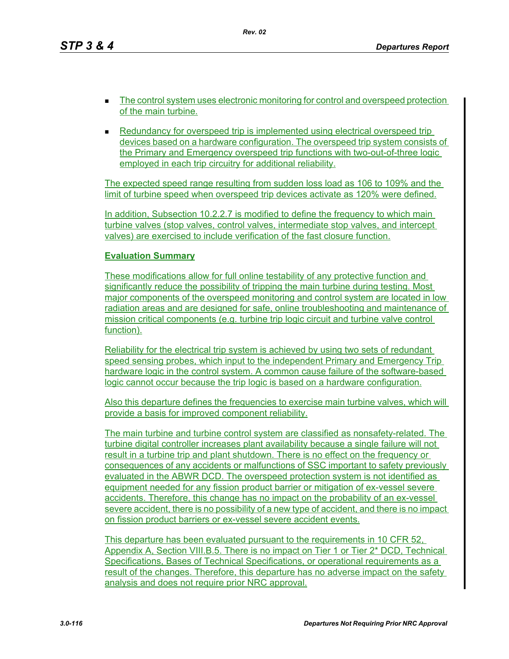*Rev. 02*

- The control system uses electronic monitoring for control and overspeed protection of the main turbine.
- **Redundancy for overspeed trip is implemented using electrical overspeed trip** devices based on a hardware configuration. The overspeed trip system consists of the Primary and Emergency overspeed trip functions with two-out-of-three logic employed in each trip circuitry for additional reliability.

The expected speed range resulting from sudden loss load as 106 to 109% and the limit of turbine speed when overspeed trip devices activate as 120% were defined.

In addition, Subsection 10.2.2.7 is modified to define the frequency to which main turbine valves (stop valves, control valves, intermediate stop valves, and intercept valves) are exercised to include verification of the fast closure function.

## **Evaluation Summary**

These modifications allow for full online testability of any protective function and significantly reduce the possibility of tripping the main turbine during testing. Most major components of the overspeed monitoring and control system are located in low radiation areas and are designed for safe, online troubleshooting and maintenance of mission critical components (e.g. turbine trip logic circuit and turbine valve control function).

Reliability for the electrical trip system is achieved by using two sets of redundant speed sensing probes, which input to the independent Primary and Emergency Trip hardware logic in the control system. A common cause failure of the software-based logic cannot occur because the trip logic is based on a hardware configuration.

Also this departure defines the frequencies to exercise main turbine valves, which will provide a basis for improved component reliability.

The main turbine and turbine control system are classified as nonsafety-related. The turbine digital controller increases plant availability because a single failure will not result in a turbine trip and plant shutdown. There is no effect on the frequency or consequences of any accidents or malfunctions of SSC important to safety previously evaluated in the ABWR DCD. The overspeed protection system is not identified as equipment needed for any fission product barrier or mitigation of ex-vessel severe accidents. Therefore, this change has no impact on the probability of an ex-vessel severe accident, there is no possibility of a new type of accident, and there is no impact on fission product barriers or ex-vessel severe accident events.

This departure has been evaluated pursuant to the requirements in 10 CFR 52, Appendix A, Section VIII.B.5. There is no impact on Tier 1 or Tier 2\* DCD, Technical Specifications, Bases of Technical Specifications, or operational requirements as a result of the changes. Therefore, this departure has no adverse impact on the safety analysis and does not require prior NRC approval.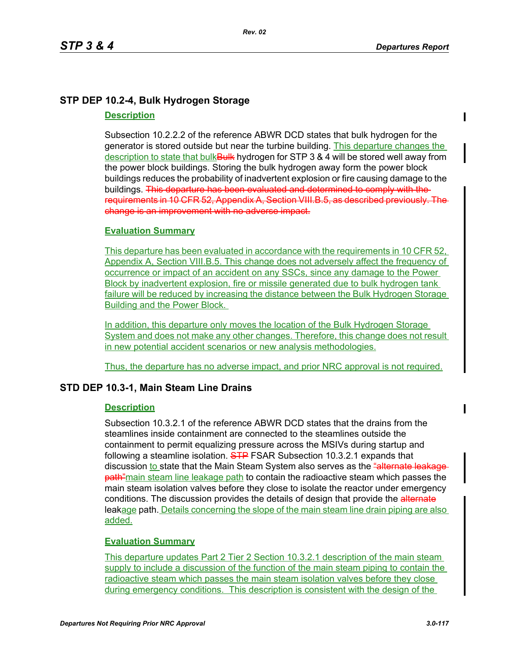# **STP DEP 10.2-4, Bulk Hydrogen Storage**

## **Description**

Subsection 10.2.2.2 of the reference ABWR DCD states that bulk hydrogen for the generator is stored outside but near the turbine building. This departure changes the description to state that bulk Bulk hydrogen for STP 3 & 4 will be stored well away from the power block buildings. Storing the bulk hydrogen away form the power block buildings reduces the probability of inadvertent explosion or fire causing damage to the buildings. This departure has been evaluated and determined to comply with the requirements in 10 CFR 52, Appendix A, Section VIII.B.5, as described previously. The change is an improvement with no adverse impact.

## **Evaluation Summary**

This departure has been evaluated in accordance with the requirements in 10 CFR 52, Appendix A, Section VIII.B.5. This change does not adversely affect the frequency of occurrence or impact of an accident on any SSCs, since any damage to the Power Block by inadvertent explosion, fire or missile generated due to bulk hydrogen tank failure will be reduced by increasing the distance between the Bulk Hydrogen Storage Building and the Power Block.

In addition, this departure only moves the location of the Bulk Hydrogen Storage System and does not make any other changes. Therefore, this change does not result in new potential accident scenarios or new analysis methodologies.

Thus, the departure has no adverse impact, and prior NRC approval is not required.

## **STD DEP 10.3-1, Main Steam Line Drains**

## **Description**

Subsection 10.3.2.1 of the reference ABWR DCD states that the drains from the steamlines inside containment are connected to the steamlines outside the containment to permit equalizing pressure across the MSIVs during startup and following a steamline isolation. STP FSAR Subsection 10.3.2.1 expands that discussion to state that the Main Steam System also serves as the "alternate leads **path** "main steam line leakage path to contain the radioactive steam which passes the main steam isolation valves before they close to isolate the reactor under emergency conditions. The discussion provides the details of design that provide the alternate leakage path. Details concerning the slope of the main steam line drain piping are also added.

## **Evaluation Summary**

This departure updates Part 2 Tier 2 Section 10.3.2.1 description of the main steam supply to include a discussion of the function of the main steam piping to contain the radioactive steam which passes the main steam isolation valves before they close during emergency conditions. This description is consistent with the design of the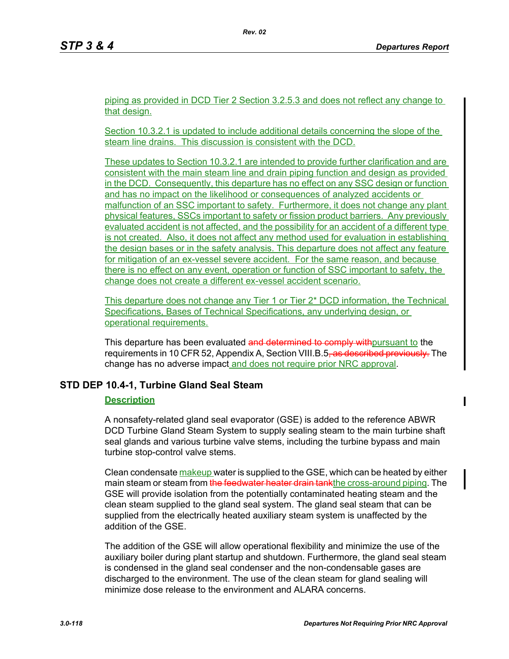piping as provided in DCD Tier 2 Section 3.2.5.3 and does not reflect any change to that design.

Section 10.3.2.1 is updated to include additional details concerning the slope of the steam line drains. This discussion is consistent with the DCD.

These updates to Section 10.3.2.1 are intended to provide further clarification and are consistent with the main steam line and drain piping function and design as provided in the DCD. Consequently, this departure has no effect on any SSC design or function and has no impact on the likelihood or consequences of analyzed accidents or malfunction of an SSC important to safety. Furthermore, it does not change any plant physical features, SSCs important to safety or fission product barriers. Any previously evaluated accident is not affected, and the possibility for an accident of a different type is not created. Also, it does not affect any method used for evaluation in establishing the design bases or in the safety analysis. This departure does not affect any feature for mitigation of an ex-vessel severe accident. For the same reason, and because there is no effect on any event, operation or function of SSC important to safety, the change does not create a different ex-vessel accident scenario.

This departure does not change any Tier 1 or Tier 2\* DCD information, the Technical Specifications, Bases of Technical Specifications, any underlying design, or operational requirements.

This departure has been evaluated and determined to comply with pursuant to the requirements in 10 CFR 52, Appendix A, Section VIII.B.5, as described previously. The change has no adverse impact and does not require prior NRC approval.

## **STD DEP 10.4-1, Turbine Gland Seal Steam**

## **Description**

A nonsafety-related gland seal evaporator (GSE) is added to the reference ABWR DCD Turbine Gland Steam System to supply sealing steam to the main turbine shaft seal glands and various turbine valve stems, including the turbine bypass and main turbine stop-control valve stems.

Clean condensate makeup water is supplied to the GSE, which can be heated by either main steam or steam from the feedwater heater drain tankthe cross-around piping. The GSE will provide isolation from the potentially contaminated heating steam and the clean steam supplied to the gland seal system. The gland seal steam that can be supplied from the electrically heated auxiliary steam system is unaffected by the addition of the GSE.

The addition of the GSE will allow operational flexibility and minimize the use of the auxiliary boiler during plant startup and shutdown. Furthermore, the gland seal steam is condensed in the gland seal condenser and the non-condensable gases are discharged to the environment. The use of the clean steam for gland sealing will minimize dose release to the environment and ALARA concerns.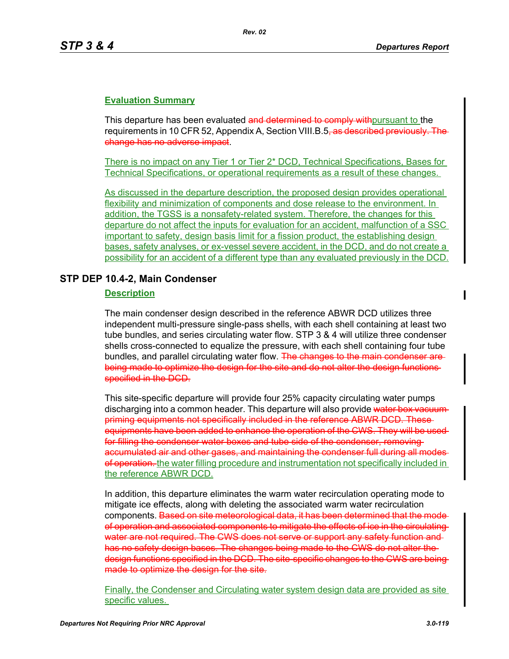## **Evaluation Summary**

This departure has been evaluated and determined to comply with pursuant to the requirements in 10 CFR 52, Appendix A, Section VIII.B.5<del>, as described previously. The</del> change has no adverse impact.

There is no impact on any Tier 1 or Tier 2\* DCD, Technical Specifications, Bases for Technical Specifications, or operational requirements as a result of these changes.

As discussed in the departure description, the proposed design provides operational flexibility and minimization of components and dose release to the environment. In addition, the TGSS is a nonsafety-related system. Therefore, the changes for this departure do not affect the inputs for evaluation for an accident, malfunction of a SSC important to safety, design basis limit for a fission product, the establishing design bases, safety analyses, or ex-vessel severe accident, in the DCD, and do not create a possibility for an accident of a different type than any evaluated previously in the DCD.

## **STP DEP 10.4-2, Main Condenser**

### **Description**

The main condenser design described in the reference ABWR DCD utilizes three independent multi-pressure single-pass shells, with each shell containing at least two tube bundles, and series circulating water flow. STP 3 & 4 will utilize three condenser shells cross-connected to equalize the pressure, with each shell containing four tube bundles, and parallel circulating water flow. The changes to the main condenser are being made to optimize the design for the site and do not alter the design functions specified in the DCD.

This site-specific departure will provide four 25% capacity circulating water pumps discharging into a common header. This departure will also provide water box vacuum priming equipments not specifically included in the reference ABWR DCD. These equipments have been added to enhance the operation of the CWS. They will be used for filling the condenser water boxes and tube side of the condenser, removing accumulated air and other gases, and maintaining the condenser full during all modes of operation. the water filling procedure and instrumentation not specifically included in the reference ABWR DCD.

In addition, this departure eliminates the warm water recirculation operating mode to mitigate ice effects, along with deleting the associated warm water recirculation components. Based on site meteorological data, it has been determined that the modeof operation and associated components to mitigate the effects of ice in the circulating water are not required. The CWS does not serve or support any safety function and has no safety design bases. The changes being made to the CWS do not alter the design functions specified in the DCD. The site-specific changes to the CWS are being made to optimize the design for the site.

Finally, the Condenser and Circulating water system design data are provided as site specific values.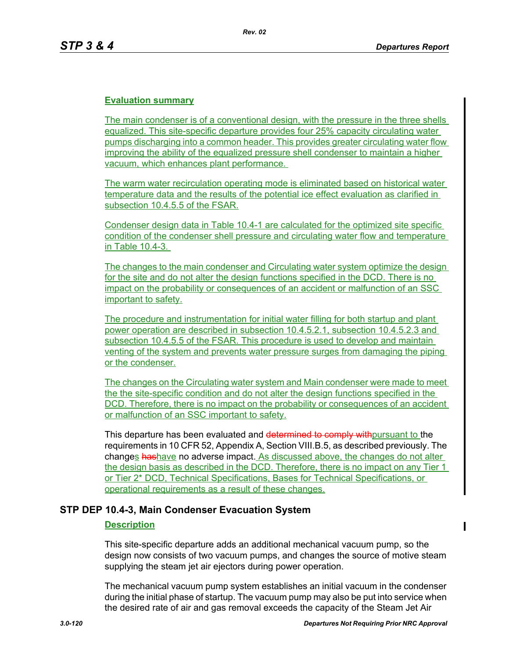## **Evaluation summary**

The main condenser is of a conventional design, with the pressure in the three shells equalized. This site-specific departure provides four 25% capacity circulating water pumps discharging into a common header. This provides greater circulating water flow improving the ability of the equalized pressure shell condenser to maintain a higher vacuum, which enhances plant performance.

The warm water recirculation operating mode is eliminated based on historical water temperature data and the results of the potential ice effect evaluation as clarified in subsection 10.4.5.5 of the FSAR.

Condenser design data in Table 10.4-1 are calculated for the optimized site specific condition of the condenser shell pressure and circulating water flow and temperature in Table 10.4-3.

The changes to the main condenser and Circulating water system optimize the design for the site and do not alter the design functions specified in the DCD. There is no impact on the probability or consequences of an accident or malfunction of an SSC important to safety.

The procedure and instrumentation for initial water filling for both startup and plant power operation are described in subsection 10.4.5.2.1, subsection 10.4.5.2.3 and subsection 10.4.5.5 of the FSAR. This procedure is used to develop and maintain venting of the system and prevents water pressure surges from damaging the piping or the condenser.

The changes on the Circulating water system and Main condenser were made to meet the the site-specific condition and do not alter the design functions specified in the DCD. Therefore, there is no impact on the probability or consequences of an accident or malfunction of an SSC important to safety.

This departure has been evaluated and determined to comply with pursuant to the requirements in 10 CFR 52, Appendix A, Section VIII.B.5, as described previously. The changes hashave no adverse impact. As discussed above, the changes do not alter the design basis as described in the DCD. Therefore, there is no impact on any Tier 1 or Tier 2\* DCD, Technical Specifications, Bases for Technical Specifications, or operational requirements as a result of these changes.

## **STP DEP 10.4-3, Main Condenser Evacuation System**

#### **Description**

This site-specific departure adds an additional mechanical vacuum pump, so the design now consists of two vacuum pumps, and changes the source of motive steam supplying the steam jet air ejectors during power operation.

The mechanical vacuum pump system establishes an initial vacuum in the condenser during the initial phase of startup. The vacuum pump may also be put into service when the desired rate of air and gas removal exceeds the capacity of the Steam Jet Air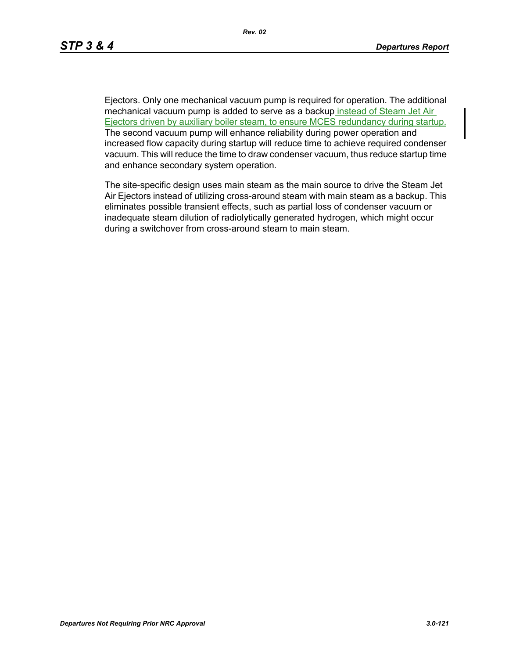Ejectors. Only one mechanical vacuum pump is required for operation. The additional mechanical vacuum pump is added to serve as a backup instead of Steam Jet Air Ejectors driven by auxiliary boiler steam, to ensure MCES redundancy during startup. The second vacuum pump will enhance reliability during power operation and increased flow capacity during startup will reduce time to achieve required condenser vacuum. This will reduce the time to draw condenser vacuum, thus reduce startup time and enhance secondary system operation.

The site-specific design uses main steam as the main source to drive the Steam Jet Air Ejectors instead of utilizing cross-around steam with main steam as a backup. This eliminates possible transient effects, such as partial loss of condenser vacuum or inadequate steam dilution of radiolytically generated hydrogen, which might occur during a switchover from cross-around steam to main steam.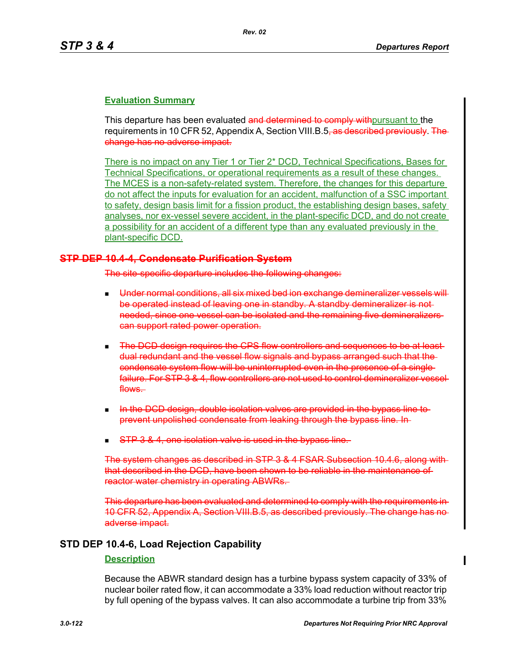## **Evaluation Summary**

This departure has been evaluated and determined to comply with pursuant to the requirements in 10 CFR 52, Appendix A, Section VIII.B.5<del>, as described previously. The</del> change has no adverse impact.

There is no impact on any Tier 1 or Tier 2\* DCD, Technical Specifications, Bases for Technical Specifications, or operational requirements as a result of these changes. The MCES is a non-safety-related system. Therefore, the changes for this departure do not affect the inputs for evaluation for an accident, malfunction of a SSC important to safety, design basis limit for a fission product, the establishing design bases, safety analyses, nor ex-vessel severe accident, in the plant-specific DCD, and do not create a possibility for an accident of a different type than any evaluated previously in the plant-specific DCD.

### **STP DEP 10.4-4, Condensate Purification System**

The site-specific departure includes the following changes:

- Under normal conditions, all six mixed bed ion exchange demineralizer vessels will be operated instead of leaving one in standby. A standby demineralizer is not needed, since one vessel can be isolated and the remaining five demineralizers can support rated power operation.
- **The DCD design requires the CPS flow controllers and sequences to be at least**dual redundant and the vessel flow signals and bypass arranged such that the condensate system flow will be uninterrupted even in the presence of a single failure. For STP 3 & 4, flow controllers are not used to control demineralizer vessel flows.
- In the DCD design, double isolation valves are provided in the bypass line to prevent unpolished condensate from leaking through the bypass line. In
- STP 3 & 4, one isolation valve is used in the bypass line.

The system changes as described in STP 3 & 4 FSAR Subsection 10.4.6, along w that described in the DCD, have been shown to be reliable in the maintenance of reactor water chemistry in operating ABWRs.

This departure has been evaluated and determined to comply with the requirements in 10 CFR 52, Appendix A, Section VIII.B.5, as described previously. The change has no adverse impact.

## **STD DEP 10.4-6, Load Rejection Capability**

#### **Description**

Because the ABWR standard design has a turbine bypass system capacity of 33% of nuclear boiler rated flow, it can accommodate a 33% load reduction without reactor trip by full opening of the bypass valves. It can also accommodate a turbine trip from 33%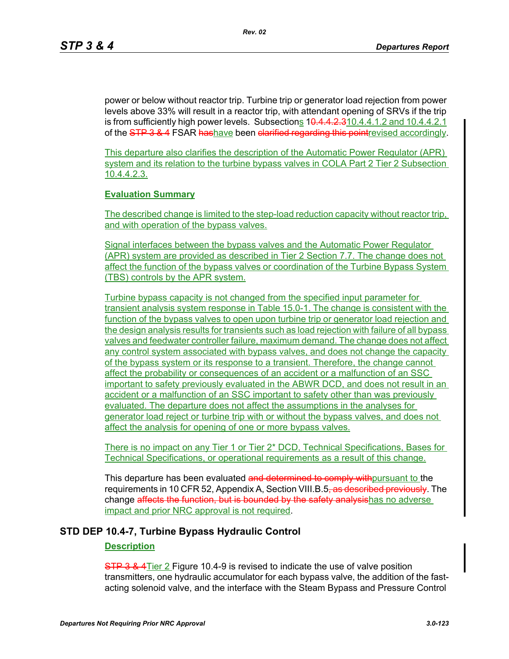power or below without reactor trip. Turbine trip or generator load rejection from power levels above 33% will result in a reactor trip, with attendant opening of SRVs if the trip is from sufficiently high power levels. Subsections 1<del>0.4.4.2.3</del>10.4.4.1.2 and 10.4.4.2.1 of the STP 3 & 4 FSAR hashave been clarified regarding this point revised accordingly.

This departure also clarifies the description of the Automatic Power Regulator (APR) system and its relation to the turbine bypass valves in COLA Part 2 Tier 2 Subsection 10.4.4.2.3.

### **Evaluation Summary**

The described change is limited to the step-load reduction capacity without reactor trip, and with operation of the bypass valves.

Signal interfaces between the bypass valves and the Automatic Power Regulator (APR) system are provided as described in Tier 2 Section 7.7. The change does not affect the function of the bypass valves or coordination of the Turbine Bypass System (TBS) controls by the APR system.

Turbine bypass capacity is not changed from the specified input parameter for transient analysis system response in Table 15.0-1. The change is consistent with the function of the bypass valves to open upon turbine trip or generator load rejection and the design analysis results for transients such as load rejection with failure of all bypass valves and feedwater controller failure, maximum demand. The change does not affect any control system associated with bypass valves, and does not change the capacity of the bypass system or its response to a transient. Therefore, the change cannot affect the probability or consequences of an accident or a malfunction of an SSC important to safety previously evaluated in the ABWR DCD, and does not result in an accident or a malfunction of an SSC important to safety other than was previously evaluated. The departure does not affect the assumptions in the analyses for generator load reject or turbine trip with or without the bypass valves, and does not affect the analysis for opening of one or more bypass valves.

There is no impact on any Tier 1 or Tier 2\* DCD, Technical Specifications, Bases for Technical Specifications, or operational requirements as a result of this change.

This departure has been evaluated and determined to comply with pursuant to the requirements in 10 CFR 52, Appendix A, Section VIII.B.5<del>, as described previously</del>. The change affects the function, but is bounded by the safety analysishas no adverse impact and prior NRC approval is not required.

## **STD DEP 10.4-7, Turbine Bypass Hydraulic Control**

#### **Description**

**STP 3 & 4** Tier 2 Figure 10.4-9 is revised to indicate the use of valve position transmitters, one hydraulic accumulator for each bypass valve, the addition of the fastacting solenoid valve, and the interface with the Steam Bypass and Pressure Control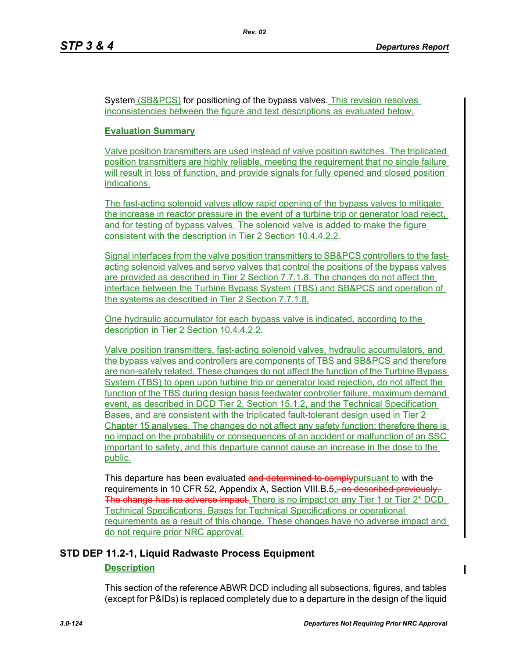System (SB&PCS) for positioning of the bypass valves. This revision resolves inconsistencies between the figure and text descriptions as evaluated below.

## **Evaluation Summary**

Valve position transmitters are used instead of valve position switches. The triplicated position transmitters are highly reliable, meeting the requirement that no single failure will result in loss of function, and provide signals for fully opened and closed position indications.

The fast-acting solenoid valves allow rapid opening of the bypass valves to mitigate the increase in reactor pressure in the event of a turbine trip or generator load reject, and for testing of bypass valves. The solenoid valve is added to make the figure consistent with the description in Tier 2 Section 10.4.4.2.2.

Signal interfaces from the valve position transmitters to SB&PCS controllers to the fastacting solenoid valves and servo valves that control the positions of the bypass valves are provided as described in Tier 2 Section 7.7.1.8. The changes do not affect the interface between the Turbine Bypass System (TBS) and SB&PCS and operation of the systems as described in Tier 2 Section 7.7.1.8.

One hydraulic accumulator for each bypass valve is indicated, according to the description in Tier 2 Section 10.4.4.2.2.

Valve position transmitters, fast-acting solenoid valves, hydraulic accumulators, and the bypass valves and controllers are components of TBS and SB&PCS and therefore are non-safety related. These changes do not affect the function of the Turbine Bypass System (TBS) to open upon turbine trip or generator load rejection, do not affect the function of the TBS during design basis feedwater controller failure, maximum demand event, as described in DCD Tier 2, Section 15.1.2, and the Technical Specification Bases, and are consistent with the triplicated fault-tolerant design used in Tier 2 Chapter 15 analyses. The changes do not affect any safety function; therefore there is no impact on the probability or consequences of an accident or malfunction of an SSC important to safety, and this departure cannot cause an increase in the dose to the public.

This departure has been evaluated and determined to comply pursuant to with the requirements in 10 CFR 52, Appendix A, Section VIII.B.5., as described previously. The change has no adverse impact. There is no impact on any Tier 1 or Tier 2<sup>\*</sup> DCD. Technical Specifications, Bases for Technical Specifications or operational requirements as a result of this change. These changes have no adverse impact and do not require prior NRC approval.

## **STD DEP 11.2-1, Liquid Radwaste Process Equipment**

## **Description**

This section of the reference ABWR DCD including all subsections, figures, and tables (except for P&IDs) is replaced completely due to a departure in the design of the liquid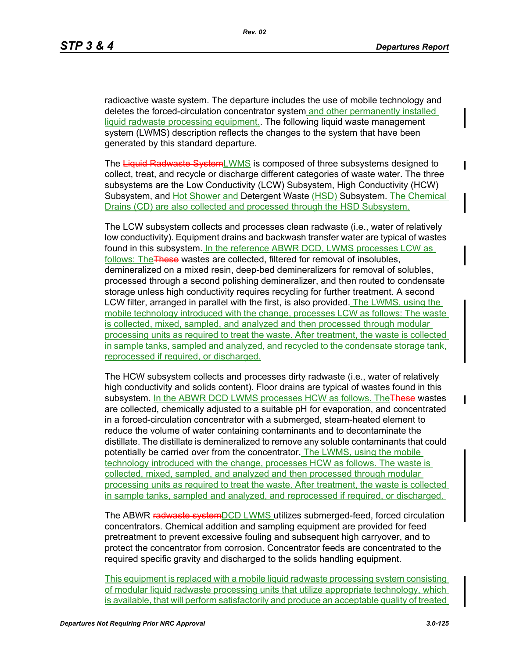radioactive waste system. The departure includes the use of mobile technology and deletes the forced-circulation concentrator system and other permanently installed liquid radwaste processing equipment. The following liquid waste management system (LWMS) description reflects the changes to the system that have been generated by this standard departure.

The Liquid Radwaste SystemLWMS is composed of three subsystems designed to collect, treat, and recycle or discharge different categories of waste water. The three subsystems are the Low Conductivity (LCW) Subsystem, High Conductivity (HCW) Subsystem, and Hot Shower and Detergent Waste (HSD) Subsystem. The Chemical Drains (CD) are also collected and processed through the HSD Subsystem.

The LCW subsystem collects and processes clean radwaste (i.e., water of relatively low conductivity). Equipment drains and backwash transfer water are typical of wastes found in this subsystem. In the reference ABWR DCD, LWMS processes LCW as follows: The These wastes are collected, filtered for removal of insolubles, demineralized on a mixed resin, deep-bed demineralizers for removal of solubles, processed through a second polishing demineralizer, and then routed to condensate storage unless high conductivity requires recycling for further treatment. A second LCW filter, arranged in parallel with the first, is also provided. The LWMS, using the mobile technology introduced with the change, processes LCW as follows: The waste is collected, mixed, sampled, and analyzed and then processed through modular processing units as required to treat the waste. After treatment, the waste is collected in sample tanks, sampled and analyzed, and recycled to the condensate storage tank, reprocessed if required, or discharged.

The HCW subsystem collects and processes dirty radwaste (i.e., water of relatively high conductivity and solids content). Floor drains are typical of wastes found in this subsystem. In the ABWR DCD LWMS processes HCW as follows. The These wastes are collected, chemically adjusted to a suitable pH for evaporation, and concentrated in a forced-circulation concentrator with a submerged, steam-heated element to reduce the volume of water containing contaminants and to decontaminate the distillate. The distillate is demineralized to remove any soluble contaminants that could potentially be carried over from the concentrator. The LWMS, using the mobile technology introduced with the change, processes HCW as follows. The waste is collected, mixed, sampled, and analyzed and then processed through modular processing units as required to treat the waste. After treatment, the waste is collected in sample tanks, sampled and analyzed, and reprocessed if required, or discharged.

The ABWR radwaste systemDCD LWMS utilizes submerged-feed, forced circulation concentrators. Chemical addition and sampling equipment are provided for feed pretreatment to prevent excessive fouling and subsequent high carryover, and to protect the concentrator from corrosion. Concentrator feeds are concentrated to the required specific gravity and discharged to the solids handling equipment.

This equipment is replaced with a mobile liquid radwaste processing system consisting of modular liquid radwaste processing units that utilize appropriate technology, which is available, that will perform satisfactorily and produce an acceptable quality of treated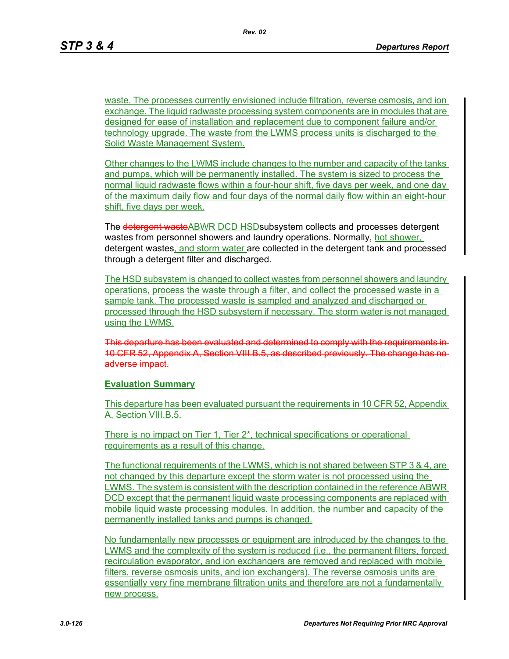waste. The processes currently envisioned include filtration, reverse osmosis, and ion exchange. The liquid radwaste processing system components are in modules that are designed for ease of installation and replacement due to component failure and/or technology upgrade. The waste from the LWMS process units is discharged to the Solid Waste Management System.

Other changes to the LWMS include changes to the number and capacity of the tanks and pumps, which will be permanently installed. The system is sized to process the normal liquid radwaste flows within a four-hour shift, five days per week, and one day of the maximum daily flow and four days of the normal daily flow within an eight-hour shift, five days per week.

The detergent wasteABWR DCD HSD subsystem collects and processes detergent wastes from personnel showers and laundry operations. Normally, hot shower, detergent wastes, and storm water are collected in the detergent tank and processed through a detergent filter and discharged.

The HSD subsystem is changed to collect wastes from personnel showers and laundry operations, process the waste through a filter, and collect the processed waste in a sample tank. The processed waste is sampled and analyzed and discharged or processed through the HSD subsystem if necessary. The storm water is not managed using the LWMS.

This departure has been evaluated and determined to comply with the requiremer 10 CFR 52, Appendix A, Section VIII.B.5, as described previously. The change ha adverse impact.

#### **Evaluation Summary**

This departure has been evaluated pursuant the requirements in 10 CFR 52, Appendix A, Section VIII.B.5.

There is no impact on Tier 1, Tier 2<sup>\*</sup>, technical specifications or operational requirements as a result of this change.

The functional requirements of the LWMS, which is not shared between STP 3 & 4, are not changed by this departure except the storm water is not processed using the LWMS. The system is consistent with the description contained in the reference ABWR DCD except that the permanent liquid waste processing components are replaced with mobile liquid waste processing modules. In addition, the number and capacity of the permanently installed tanks and pumps is changed.

No fundamentally new processes or equipment are introduced by the changes to the LWMS and the complexity of the system is reduced (i.e., the permanent filters, forced recirculation evaporator, and ion exchangers are removed and replaced with mobile filters, reverse osmosis units, and ion exchangers). The reverse osmosis units are essentially very fine membrane filtration units and therefore are not a fundamentally new process.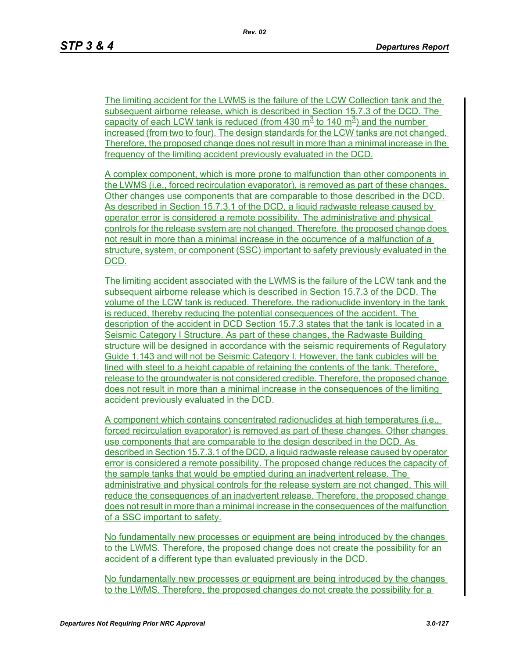The limiting accident for the LWMS is the failure of the LCW Collection tank and the subsequent airborne release, which is described in Section 15.7.3 of the DCD. The capacity of each LCW tank is reduced (from 430  $\mathrm{m}^3$  to 140  $\mathrm{m}^3$ ) and the number increased (from two to four). The design standards for the LCW tanks are not changed. Therefore, the proposed change does not result in more than a minimal increase in the frequency of the limiting accident previously evaluated in the DCD.

A complex component, which is more prone to malfunction than other components in the LWMS (i.e., forced recirculation evaporator), is removed as part of these changes. Other changes use components that are comparable to those described in the DCD. As described in Section 15.7.3.1 of the DCD, a liquid radwaste release caused by operator error is considered a remote possibility. The administrative and physical controls for the release system are not changed. Therefore, the proposed change does not result in more than a minimal increase in the occurrence of a malfunction of a structure, system, or component (SSC) important to safety previously evaluated in the DCD.

The limiting accident associated with the LWMS is the failure of the LCW tank and the subsequent airborne release which is described in Section 15.7.3 of the DCD. The volume of the LCW tank is reduced. Therefore, the radionuclide inventory in the tank is reduced, thereby reducing the potential consequences of the accident. The description of the accident in DCD Section 15.7.3 states that the tank is located in a Seismic Category I Structure. As part of these changes, the Radwaste Building structure will be designed in accordance with the seismic requirements of Regulatory Guide 1.143 and will not be Seismic Category I. However, the tank cubicles will be lined with steel to a height capable of retaining the contents of the tank. Therefore, release to the groundwater is not considered credible. Therefore, the proposed change does not result in more than a minimal increase in the consequences of the limiting accident previously evaluated in the DCD.

A component which contains concentrated radionuclides at high temperatures (i.e., forced recirculation evaporator) is removed as part of these changes. Other changes use components that are comparable to the design described in the DCD. As described in Section 15.7.3.1 of the DCD, a liquid radwaste release caused by operator error is considered a remote possibility. The proposed change reduces the capacity of the sample tanks that would be emptied during an inadvertent release. The administrative and physical controls for the release system are not changed. This will reduce the consequences of an inadvertent release. Therefore, the proposed change does not result in more than a minimal increase in the consequences of the malfunction of a SSC important to safety.

No fundamentally new processes or equipment are being introduced by the changes to the LWMS. Therefore, the proposed change does not create the possibility for an accident of a different type than evaluated previously in the DCD.

No fundamentally new processes or equipment are being introduced by the changes to the LWMS. Therefore, the proposed changes do not create the possibility for a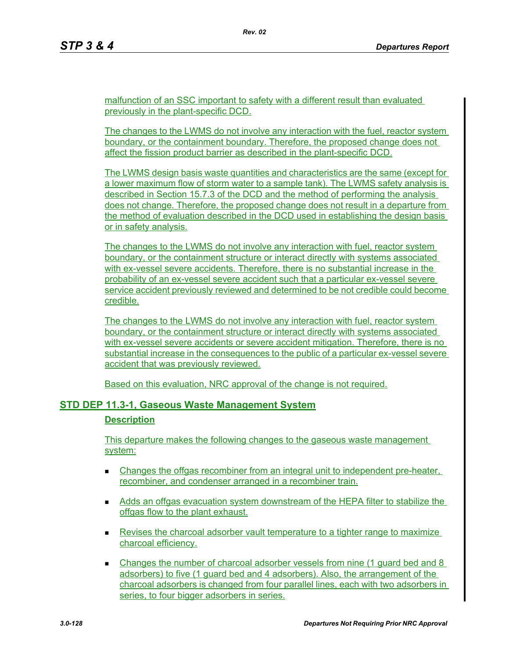malfunction of an SSC important to safety with a different result than evaluated previously in the plant-specific DCD.

The changes to the LWMS do not involve any interaction with the fuel, reactor system boundary, or the containment boundary. Therefore, the proposed change does not affect the fission product barrier as described in the plant-specific DCD.

The LWMS design basis waste quantities and characteristics are the same (except for a lower maximum flow of storm water to a sample tank). The LWMS safety analysis is described in Section 15.7.3 of the DCD and the method of performing the analysis does not change. Therefore, the proposed change does not result in a departure from the method of evaluation described in the DCD used in establishing the design basis or in safety analysis.

The changes to the LWMS do not involve any interaction with fuel, reactor system boundary, or the containment structure or interact directly with systems associated with ex-vessel severe accidents. Therefore, there is no substantial increase in the probability of an ex-vessel severe accident such that a particular ex-vessel severe service accident previously reviewed and determined to be not credible could become credible.

The changes to the LWMS do not involve any interaction with fuel, reactor system boundary, or the containment structure or interact directly with systems associated with ex-vessel severe accidents or severe accident mitigation. Therefore, there is no substantial increase in the consequences to the public of a particular ex-vessel severe accident that was previously reviewed.

Based on this evaluation, NRC approval of the change is not required.

## **STD DEP 11.3-1, Gaseous Waste Management System**

#### **Description**

This departure makes the following changes to the gaseous waste management system:

- **EXECH** Changes the offgas recombiner from an integral unit to independent pre-heater, recombiner, and condenser arranged in a recombiner train.
- Adds an offgas evacuation system downstream of the HEPA filter to stabilize the offgas flow to the plant exhaust.
- **Revises the charcoal adsorber vault temperature to a tighter range to maximize** charcoal efficiency.
- Changes the number of charcoal adsorber vessels from nine (1 guard bed and 8 adsorbers) to five (1 guard bed and 4 adsorbers). Also, the arrangement of the charcoal adsorbers is changed from four parallel lines, each with two adsorbers in series, to four bigger adsorbers in series.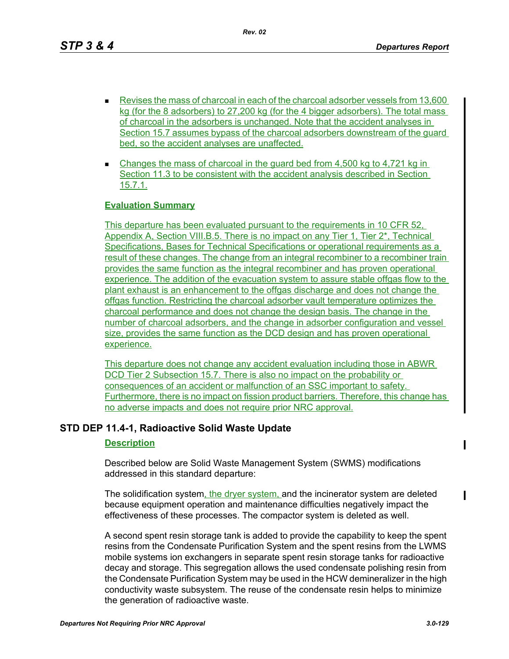*Rev. 02*

- Revises the mass of charcoal in each of the charcoal adsorber vessels from 13,600 kg (for the 8 adsorbers) to 27,200 kg (for the 4 bigger adsorbers). The total mass of charcoal in the adsorbers is unchanged. Note that the accident analyses in Section 15.7 assumes bypass of the charcoal adsorbers downstream of the guard bed, so the accident analyses are unaffected.
- Changes the mass of charcoal in the guard bed from  $4,500$  kg to  $4,721$  kg in Section 11.3 to be consistent with the accident analysis described in Section 15.7.1.

## **Evaluation Summary**

This departure has been evaluated pursuant to the requirements in 10 CFR 52, Appendix A, Section VIII.B.5. There is no impact on any Tier 1, Tier 2<sup>\*</sup>, Technical Specifications, Bases for Technical Specifications or operational requirements as a result of these changes. The change from an integral recombiner to a recombiner train provides the same function as the integral recombiner and has proven operational experience. The addition of the evacuation system to assure stable offgas flow to the plant exhaust is an enhancement to the offgas discharge and does not change the offgas function. Restricting the charcoal adsorber vault temperature optimizes the charcoal performance and does not change the design basis. The change in the number of charcoal adsorbers, and the change in adsorber configuration and vessel size, provides the same function as the DCD design and has proven operational experience.

This departure does not change any accident evaluation including those in ABWR DCD Tier 2 Subsection 15.7. There is also no impact on the probability or consequences of an accident or malfunction of an SSC important to safety. Furthermore, there is no impact on fission product barriers. Therefore, this change has no adverse impacts and does not require prior NRC approval.

## **STD DEP 11.4-1, Radioactive Solid Waste Update**

## **Description**

Described below are Solid Waste Management System (SWMS) modifications addressed in this standard departure:

The solidification system, the dryer system, and the incinerator system are deleted because equipment operation and maintenance difficulties negatively impact the effectiveness of these processes. The compactor system is deleted as well.

A second spent resin storage tank is added to provide the capability to keep the spent resins from the Condensate Purification System and the spent resins from the LWMS mobile systems ion exchangers in separate spent resin storage tanks for radioactive decay and storage. This segregation allows the used condensate polishing resin from the Condensate Purification System may be used in the HCW demineralizer in the high conductivity waste subsystem. The reuse of the condensate resin helps to minimize the generation of radioactive waste.

П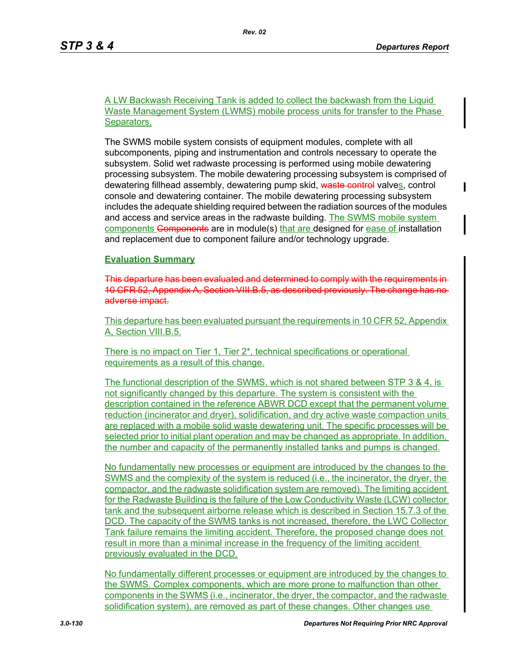П

A LW Backwash Receiving Tank is added to collect the backwash from the Liquid Waste Management System (LWMS) mobile process units for transfer to the Phase Separators.

The SWMS mobile system consists of equipment modules, complete with all subcomponents, piping and instrumentation and controls necessary to operate the subsystem. Solid wet radwaste processing is performed using mobile dewatering processing subsystem. The mobile dewatering processing subsystem is comprised of dewatering fillhead assembly, dewatering pump skid, waste control valves, control console and dewatering container. The mobile dewatering processing subsystem includes the adequate shielding required between the radiation sources of the modules and access and service areas in the radwaste building. The SWMS mobile system components Components are in module(s) that are designed for ease of installation and replacement due to component failure and/or technology upgrade.

**Evaluation Summary**

This departure has been evaluated and determined to comply with the requirement 10 CFR 52, Appendix A, Section VIII.B.5, as described previously. The change has no adverse impact.

This departure has been evaluated pursuant the requirements in 10 CFR 52, Appendix A, Section VIII.B.5.

There is no impact on Tier 1, Tier 2\*, technical specifications or operational requirements as a result of this change.

The functional description of the SWMS, which is not shared between STP 3 & 4, is not significantly changed by this departure. The system is consistent with the description contained in the reference ABWR DCD except that the permanent volume reduction (incinerator and dryer), solidification, and dry active waste compaction units are replaced with a mobile solid waste dewatering unit. The specific processes will be selected prior to initial plant operation and may be changed as appropriate. In addition, the number and capacity of the permanently installed tanks and pumps is changed.

No fundamentally new processes or equipment are introduced by the changes to the SWMS and the complexity of the system is reduced (i.e., the incinerator, the dryer, the compactor, and the radwaste solidification system are removed). The limiting accident for the Radwaste Building is the failure of the Low Conductivity Waste (LCW) collector tank and the subsequent airborne release which is described in Section 15.7.3 of the DCD. The capacity of the SWMS tanks is not increased, therefore, the LWC Collector Tank failure remains the limiting accident. Therefore, the proposed change does not result in more than a minimal increase in the frequency of the limiting accident previously evaluated in the DCD.

No fundamentally different processes or equipment are introduced by the changes to the SWMS. Complex components, which are more prone to malfunction than other components in the SWMS (i.e., incinerator, the dryer, the compactor, and the radwaste solidification system), are removed as part of these changes. Other changes use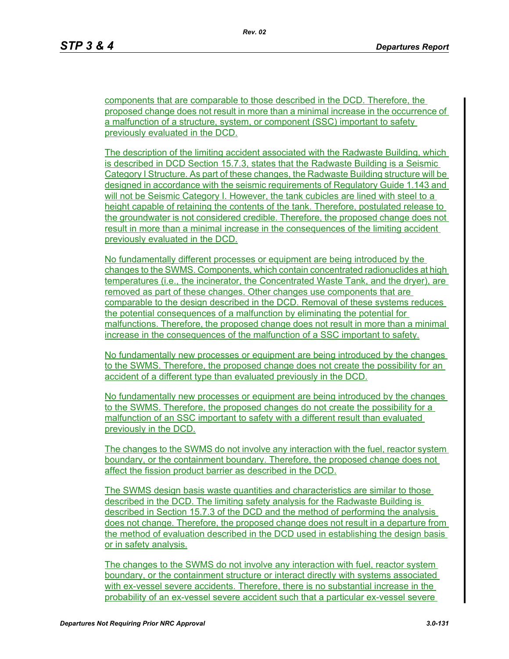components that are comparable to those described in the DCD. Therefore, the proposed change does not result in more than a minimal increase in the occurrence of a malfunction of a structure, system, or component (SSC) important to safety previously evaluated in the DCD.

The description of the limiting accident associated with the Radwaste Building, which is described in DCD Section 15.7.3, states that the Radwaste Building is a Seismic Category I Structure. As part of these changes, the Radwaste Building structure will be designed in accordance with the seismic requirements of Regulatory Guide 1.143 and will not be Seismic Category I. However, the tank cubicles are lined with steel to a height capable of retaining the contents of the tank. Therefore, postulated release to the groundwater is not considered credible. Therefore, the proposed change does not result in more than a minimal increase in the consequences of the limiting accident previously evaluated in the DCD.

No fundamentally different processes or equipment are being introduced by the changes to the SWMS. Components, which contain concentrated radionuclides at high temperatures (i.e., the incinerator, the Concentrated Waste Tank, and the dryer), are removed as part of these changes. Other changes use components that are comparable to the design described in the DCD. Removal of these systems reduces the potential consequences of a malfunction by eliminating the potential for malfunctions. Therefore, the proposed change does not result in more than a minimal increase in the consequences of the malfunction of a SSC important to safety.

No fundamentally new processes or equipment are being introduced by the changes to the SWMS. Therefore, the proposed change does not create the possibility for an accident of a different type than evaluated previously in the DCD.

No fundamentally new processes or equipment are being introduced by the changes to the SWMS. Therefore, the proposed changes do not create the possibility for a malfunction of an SSC important to safety with a different result than evaluated previously in the DCD.

The changes to the SWMS do not involve any interaction with the fuel, reactor system boundary, or the containment boundary. Therefore, the proposed change does not affect the fission product barrier as described in the DCD.

The SWMS design basis waste quantities and characteristics are similar to those described in the DCD. The limiting safety analysis for the Radwaste Building is described in Section 15.7.3 of the DCD and the method of performing the analysis does not change. Therefore, the proposed change does not result in a departure from the method of evaluation described in the DCD used in establishing the design basis or in safety analysis.

The changes to the SWMS do not involve any interaction with fuel, reactor system boundary, or the containment structure or interact directly with systems associated with ex-vessel severe accidents. Therefore, there is no substantial increase in the probability of an ex-vessel severe accident such that a particular ex-vessel severe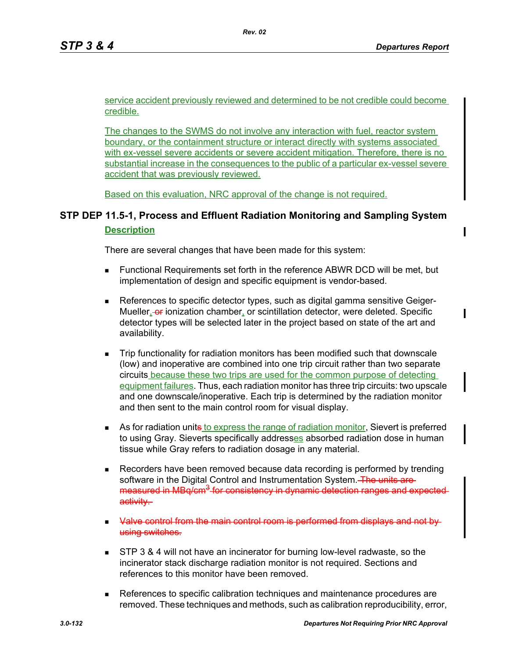service accident previously reviewed and determined to be not credible could become credible.

The changes to the SWMS do not involve any interaction with fuel, reactor system boundary, or the containment structure or interact directly with systems associated with ex-vessel severe accidents or severe accident mitigation. Therefore, there is no substantial increase in the consequences to the public of a particular ex-vessel severe accident that was previously reviewed.

Based on this evaluation, NRC approval of the change is not required.

# **STP DEP 11.5-1, Process and Effluent Radiation Monitoring and Sampling System Description**

There are several changes that have been made for this system:

- Functional Requirements set forth in the reference ABWR DCD will be met, but implementation of design and specific equipment is vendor-based.
- **References to specific detector types, such as digital gamma sensitive Geiger-**Mueller, or ionization chamber, or scintillation detector, were deleted. Specific detector types will be selected later in the project based on state of the art and availability.
- Trip functionality for radiation monitors has been modified such that downscale (low) and inoperative are combined into one trip circuit rather than two separate circuits because these two trips are used for the common purpose of detecting equipment failures. Thus, each radiation monitor has three trip circuits: two upscale and one downscale/inoperative. Each trip is determined by the radiation monitor and then sent to the main control room for visual display.
- As for radiation unite to express the range of radiation monitor, Sievert is preferred to using Gray. Sieverts specifically addresses absorbed radiation dose in human tissue while Gray refers to radiation dosage in any material.
- Recorders have been removed because data recording is performed by trending software in the Digital Control and Instrumentation System. The units aremeasured in MBq/cm<sup>3</sup> for consistency in dynamic detection ranges and expected activity.
- Valve control from the main control room is performed from displays and not by using switches.
- **STP 3 & 4 will not have an incinerator for burning low-level radwaste, so the** incinerator stack discharge radiation monitor is not required. Sections and references to this monitor have been removed.
- References to specific calibration techniques and maintenance procedures are removed. These techniques and methods, such as calibration reproducibility, error,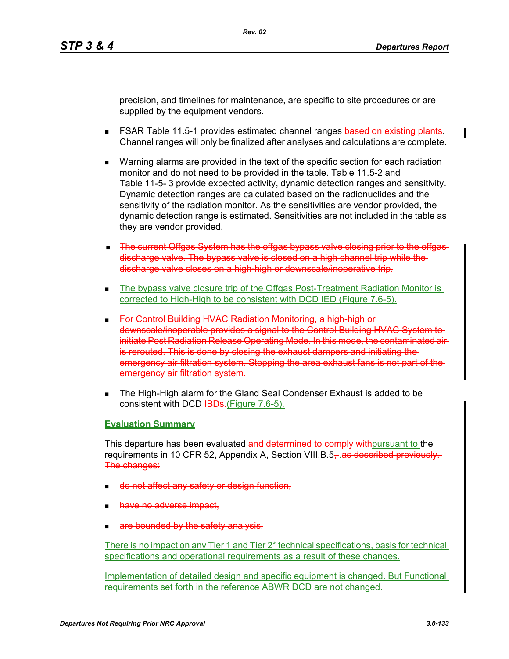precision, and timelines for maintenance, are specific to site procedures or are supplied by the equipment vendors.

- **FSAR Table 11.5-1 provides estimated channel ranges <del>based on existing plants</del>.** Channel ranges will only be finalized after analyses and calculations are complete.
- Warning alarms are provided in the text of the specific section for each radiation monitor and do not need to be provided in the table. Table 11.5-2 and Table 11-5- 3 provide expected activity, dynamic detection ranges and sensitivity. Dynamic detection ranges are calculated based on the radionuclides and the sensitivity of the radiation monitor. As the sensitivities are vendor provided, the dynamic detection range is estimated. Sensitivities are not included in the table as they are vendor provided.
- The current Offgas System has the offgas bypass valve closing prior to the offgas discharge valve. The bypass valve is closed on a high channel trip while the discharge valve closes on a high-high or downscale/inoperative trip.
- The bypass valve closure trip of the Offgas Post-Treatment Radiation Monitor is corrected to High-High to be consistent with DCD IED (Figure 7.6-5).
- For Control Building HVAC Radiation Monitoring, a high-high or downscale/inoperable provides a signal to the Control Building HVAC System to initiate Post Radiation Release Operating Mode. In this mode, the contaminated air is rerouted. This is done by closing the exhaust dampers and initiating the emergency air filtration system. Stopping the area exhaust fans is not part of the emergency air filtration system.
- **The High-High alarm for the Gland Seal Condenser Exhaust is added to be** consistent with DCD IBDs. (Figure 7.6-5).

## **Evaluation Summary**

This departure has been evaluated and determined to comply with pursuant to the requirements in 10 CFR 52, Appendix A, Section VIII.B.5, as described previously. The changes:

- do not affect any safety or design function,
- have no adverse impact,
- are bounded by the safety analysis.

There is no impact on any Tier 1 and Tier 2\* technical specifications, basis for technical specifications and operational requirements as a result of these changes.

Implementation of detailed design and specific equipment is changed. But Functional requirements set forth in the reference ABWR DCD are not changed.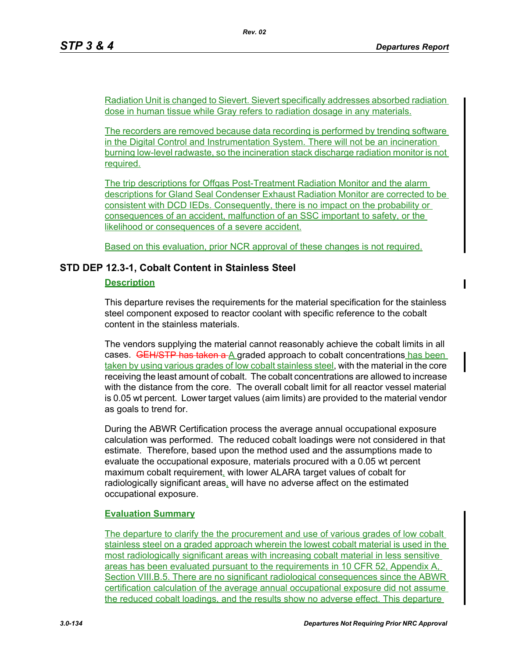Radiation Unit is changed to Sievert. Sievert specifically addresses absorbed radiation dose in human tissue while Gray refers to radiation dosage in any materials.

The recorders are removed because data recording is performed by trending software in the Digital Control and Instrumentation System. There will not be an incineration burning low-level radwaste, so the incineration stack discharge radiation monitor is not required.

The trip descriptions for Offgas Post-Treatment Radiation Monitor and the alarm descriptions for Gland Seal Condenser Exhaust Radiation Monitor are corrected to be consistent with DCD IEDs. Consequently, there is no impact on the probability or consequences of an accident, malfunction of an SSC important to safety, or the likelihood or consequences of a severe accident.

Based on this evaluation, prior NCR approval of these changes is not required.

## **STD DEP 12.3-1, Cobalt Content in Stainless Steel**

### **Description**

This departure revises the requirements for the material specification for the stainless steel component exposed to reactor coolant with specific reference to the cobalt content in the stainless materials.

The vendors supplying the material cannot reasonably achieve the cobalt limits in all cases. GEH/STP has taken  $a \wedge a$  graded approach to cobalt concentrations has been taken by using various grades of low cobalt stainless steel, with the material in the core receiving the least amount of cobalt. The cobalt concentrations are allowed to increase with the distance from the core. The overall cobalt limit for all reactor vessel material is 0.05 wt percent. Lower target values (aim limits) are provided to the material vendor as goals to trend for.

During the ABWR Certification process the average annual occupational exposure calculation was performed. The reduced cobalt loadings were not considered in that estimate. Therefore, based upon the method used and the assumptions made to evaluate the occupational exposure, materials procured with a 0.05 wt percent maximum cobalt requirement, with lower ALARA target values of cobalt for radiologically significant areas, will have no adverse affect on the estimated occupational exposure.

## **Evaluation Summary**

The departure to clarify the the procurement and use of various grades of low cobalt stainless steel on a graded approach wherein the lowest cobalt material is used in the most radiologically significant areas with increasing cobalt material in less sensitive areas has been evaluated pursuant to the requirements in 10 CFR 52, Appendix A, Section VIII.B.5. There are no significant radiological consequences since the ABWR certification calculation of the average annual occupational exposure did not assume the reduced cobalt loadings, and the results show no adverse effect. This departure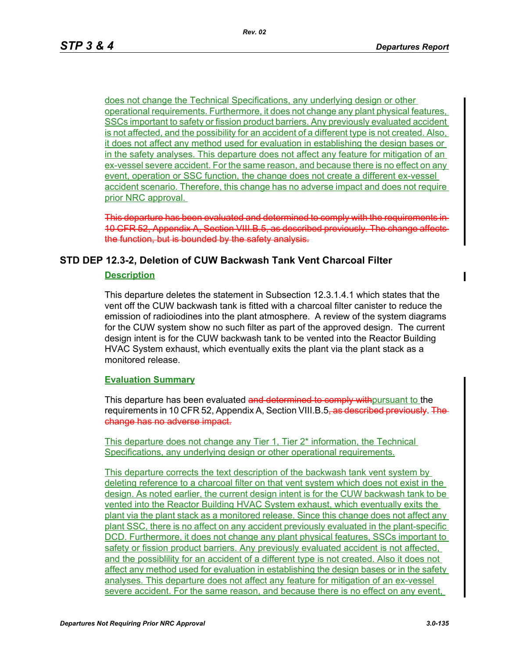does not change the Technical Specifications, any underlying design or other operational requirements. Furthermore, it does not change any plant physical features, SSCs important to safety or fission product barriers. Any previously evaluated accident is not affected, and the possibility for an accident of a different type is not created. Also, it does not affect any method used for evaluation in establishing the design bases or in the safety analyses. This departure does not affect any feature for mitigation of an ex-vessel severe accident. For the same reason, and because there is no effect on any event, operation or SSC function, the change does not create a different ex-vessel accident scenario. Therefore, this change has no adverse impact and does not require prior NRC approval.

This departure has been evaluated and determined to comply with the requirements in 10 CFR 52, Appendix A, Section VIII.B.5, as described previously. The change affects the function, but is bounded by the safety analysis.

## **STD DEP 12.3-2, Deletion of CUW Backwash Tank Vent Charcoal Filter**

#### **Description**

This departure deletes the statement in Subsection 12.3.1.4.1 which states that the vent off the CUW backwash tank is fitted with a charcoal filter canister to reduce the emission of radioiodines into the plant atmosphere. A review of the system diagrams for the CUW system show no such filter as part of the approved design. The current design intent is for the CUW backwash tank to be vented into the Reactor Building HVAC System exhaust, which eventually exits the plant via the plant stack as a monitored release.

#### **Evaluation Summary**

This departure has been evaluated and determined to comply with pursuant to the requirements in 10 CFR 52, Appendix A, Section VIII.B.5<del>, as described previously. The</del> change has no adverse impact.

This departure does not change any Tier 1, Tier 2\* information, the Technical Specifications, any underlying design or other operational requirements.

This departure corrects the text description of the backwash tank vent system by deleting reference to a charcoal filter on that vent system which does not exist in the design. As noted earlier, the current design intent is for the CUW backwash tank to be vented into the Reactor Building HVAC System exhaust, which eventually exits the plant via the plant stack as a monitored release. Since this change does not affect any plant SSC, there is no affect on any accident previously evaluated in the plant-specific DCD. Furthermore, it does not change any plant physical features, SSCs important to safety or fission product barriers. Any previously evaluated accident is not affected, and the possiblility for an accident of a different type is not created. Also it does not affect any method used for evaluation in establishing the design bases or in the safety analyses. This departure does not affect any feature for mitigation of an ex-vessel severe accident. For the same reason, and because there is no effect on any event,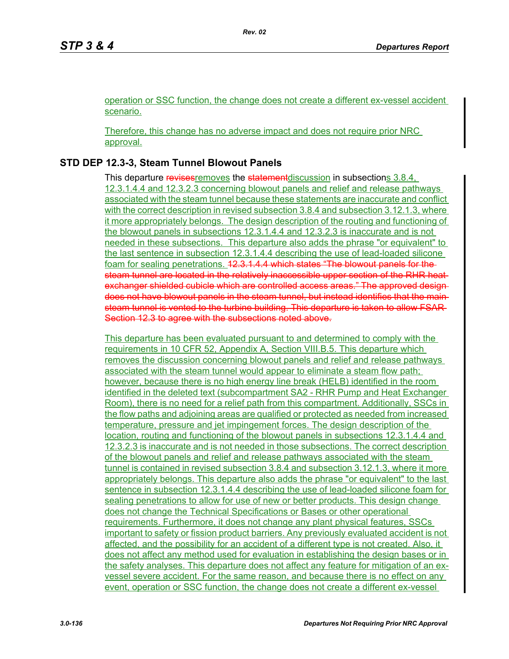operation or SSC function, the change does not create a different ex-vessel accident scenario.

Therefore, this change has no adverse impact and does not require prior NRC approval.

## **STD DEP 12.3-3, Steam Tunnel Blowout Panels**

This departure revises removes the statement discussion in subsections 3.8.4, 12.3.1.4.4 and 12.3.2.3 concerning blowout panels and relief and release pathways associated with the steam tunnel because these statements are inaccurate and conflict with the correct description in revised subsection 3.8.4 and subsection 3.12.1.3, where it more appropriately belongs. The design description of the routing and functioning of the blowout panels in subsections 12.3.1.4.4 and 12.3.2.3 is inaccurate and is not needed in these subsections. This departure also adds the phrase "or equivalent" to the last sentence in subsection 12.3.1.4.4 describing the use of lead-loaded silicone foam for sealing penetrations. 42.3.1.4.4 which states "The blowout panels for thesteam tunnel are located in the relatively inaccessible upper section of the RHR heat exchanger shielded cubicle which are controlled access areas." The approved design does not have blowout panels in the steam tunnel, but instead identifies that the main steam tunnel is vented to the turbine building. This departure is taken to allow FSAR Section 12.3 to agree with the subsections noted above.

This departure has been evaluated pursuant to and determined to comply with the requirements in 10 CFR 52, Appendix A, Section VIII.B.5. This departure which removes the discussion concerning blowout panels and relief and release pathways associated with the steam tunnel would appear to eliminate a steam flow path; however, because there is no high energy line break (HELB) identified in the room identified in the deleted text (subcompartment SA2 - RHR Pump and Heat Exchanger Room), there is no need for a relief path from this compartment. Additionally, SSCs in the flow paths and adjoining areas are qualified or protected as needed from increased temperature, pressure and jet impingement forces. The design description of the location, routing and functioning of the blowout panels in subsections 12.3.1.4.4 and 12.3.2.3 is inaccurate and is not needed in those subsections. The correct description of the blowout panels and relief and release pathways associated with the steam tunnel is contained in revised subsection 3.8.4 and subsection 3.12.1.3, where it more appropriately belongs. This departure also adds the phrase "or equivalent" to the last sentence in subsection 12.3.1.4.4 describing the use of lead-loaded silicone foam for sealing penetrations to allow for use of new or better products. This design change does not change the Technical Specifications or Bases or other operational requirements. Furthermore, it does not change any plant physical features, SSCs important to safety or fission product barriers. Any previously evaluated accident is not affected, and the possibility for an accident of a different type is not created. Also, it does not affect any method used for evaluation in establishing the design bases or in the safety analyses. This departure does not affect any feature for mitigation of an exvessel severe accident. For the same reason, and because there is no effect on any event, operation or SSC function, the change does not create a different ex-vessel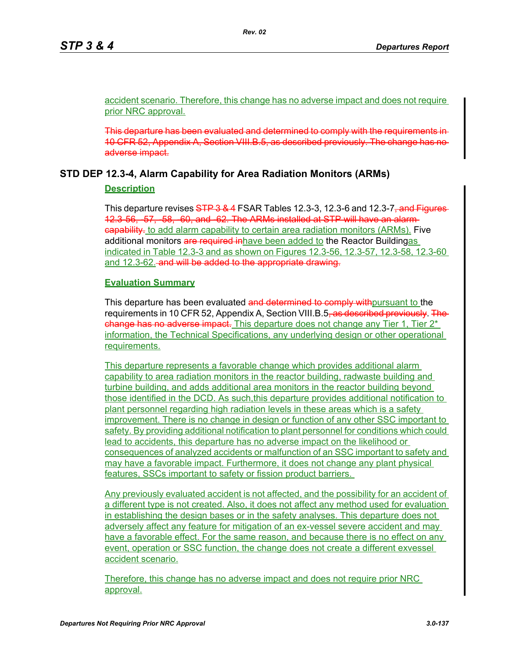accident scenario. Therefore, this change has no adverse impact and does not require prior NRC approval.

This departure has been evaluated and determined to comply with the requirements in 10 CFR 52, Appendix A, Section VIII.B.5, as described previously. The change has no adverse impact.

## **STD DEP 12.3-4, Alarm Capability for Area Radiation Monitors (ARMs)**

## **Description**

This departure revises STP 3 & 4 FSAR Tables 12.3-3, 12.3-6 and 12.3-7<del>, and Figures</del> 12.3-56, -57, -58, -60, and -62. The ARMs installed at STP will have an alarm **capability**, to add alarm capability to certain area radiation monitors (ARMs). Five additional monitors are required inhave been added to the Reactor Buildingas indicated in Table 12.3-3 and as shown on Figures 12.3-56, 12.3-57, 12.3-58, 12.3-60 and 12.3-62. and will be added to the appropriate drawing.

## **Evaluation Summary**

This departure has been evaluated and determined to comply with pursuant to the requirements in 10 CFR 52, Appendix A, Section VIII.B.5<del>, as described previously. The</del> change has no adverse impact. This departure does not change any Tier 1, Tier  $2^*$ information, the Technical Specifications, any underlying design or other operational requirements.

This departure represents a favorable change which provides additional alarm capability to area radiation monitors in the reactor building, radwaste building and turbine building, and adds additional area monitors in the reactor building beyond those identified in the DCD. As such,this departure provides additional notification to plant personnel regarding high radiation levels in these areas which is a safety improvement. There is no change in design or function of any other SSC important to safety. By providing additional notification to plant personnel for conditions which could lead to accidents, this departure has no adverse impact on the likelihood or consequences of analyzed accidents or malfunction of an SSC important to safety and may have a favorable impact. Furthermore, it does not change any plant physical features, SSCs important to safety or fission product barriers.

Any previously evaluated accident is not affected, and the possibility for an accident of a different type is not created. Also, it does not affect any method used for evaluation in establishing the design bases or in the safety analyses. This departure does not adversely affect any feature for mitigation of an ex-vessel severe accident and may have a favorable effect. For the same reason, and because there is no effect on any event, operation or SSC function, the change does not create a different exvessel accident scenario.

Therefore, this change has no adverse impact and does not require prior NRC approval.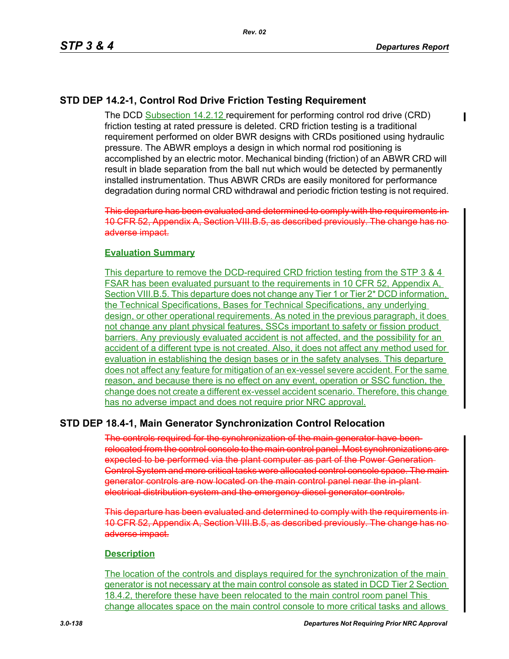## **STD DEP 14.2-1, Control Rod Drive Friction Testing Requirement**

The DCD Subsection 14.2.12 requirement for performing control rod drive (CRD) friction testing at rated pressure is deleted. CRD friction testing is a traditional requirement performed on older BWR designs with CRDs positioned using hydraulic pressure. The ABWR employs a design in which normal rod positioning is accomplished by an electric motor. Mechanical binding (friction) of an ABWR CRD will result in blade separation from the ball nut which would be detected by permanently installed instrumentation. Thus ABWR CRDs are easily monitored for performance degradation during normal CRD withdrawal and periodic friction testing is not required.

This departure has been evaluated and determined to comply with the requirements in 10 CFR 52, Appendix A, Section VIII.B.5, as described previously. The change has no adverse impact.

#### **Evaluation Summary**

This departure to remove the DCD-required CRD friction testing from the STP 3 & 4 FSAR has been evaluated pursuant to the requirements in 10 CFR 52, Appendix A, Section VIII.B.5. This departure does not change any Tier 1 or Tier 2<sup>\*</sup> DCD information, the Technical Specifications, Bases for Technical Specifications, any underlying design, or other operational requirements. As noted in the previous paragraph, it does not change any plant physical features, SSCs important to safety or fission product barriers. Any previously evaluated accident is not affected, and the possibility for an accident of a different type is not created. Also, it does not affect any method used for evaluation in establishing the design bases or in the safety analyses. This departure does not affect any feature for mitigation of an ex-vessel severe accident. For the same reason, and because there is no effect on any event, operation or SSC function, the change does not create a different ex-vessel accident scenario. Therefore, this change has no adverse impact and does not require prior NRC approval.

## **STD DEP 18.4-1, Main Generator Synchronization Control Relocation**

The controls required for the synchronization of the main generator have been relocated from the control console to the main control panel. Most synchronizations are expected to be performed via the plant computer as part of the Power Generation Control System and more critical tasks were allocated control console space. The main generator controls are now located on the main control panel near the in-plant electrical distribution system and the emergency diesel generator controls.

This departure has been evaluated and determined to comply with the requirements in 10 CFR 52, Appendix A, Section VIII.B.5, as described previously. The change has no adverse impact.

#### **Description**

The location of the controls and displays required for the synchronization of the main generator is not necessary at the main control console as stated in DCD Tier 2 Section 18.4.2, therefore these have been relocated to the main control room panel This change allocates space on the main control console to more critical tasks and allows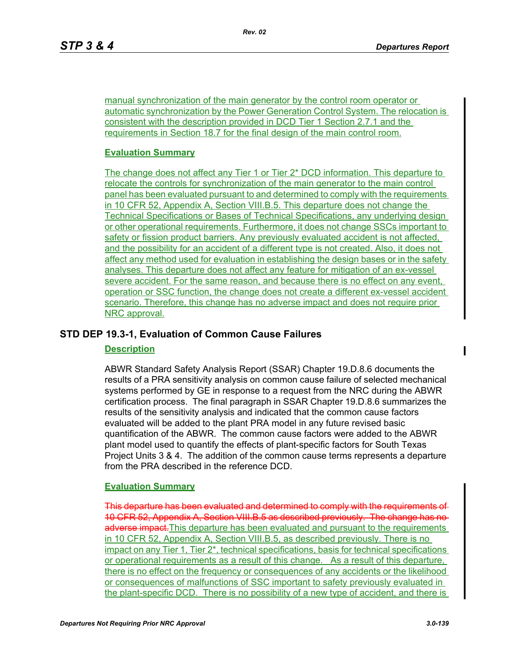manual synchronization of the main generator by the control room operator or automatic synchronization by the Power Generation Control System. The relocation is consistent with the description provided in DCD Tier 1 Section 2.7.1 and the requirements in Section 18.7 for the final design of the main control room.

## **Evaluation Summary**

The change does not affect any Tier 1 or Tier 2\* DCD information. This departure to relocate the controls for synchronization of the main generator to the main control panel has been evaluated pursuant to and determined to comply with the requirements in 10 CFR 52, Appendix A, Section VIII.B.5. This departure does not change the Technical Specifications or Bases of Technical Specifications, any underlying design or other operational requirements. Furthermore, it does not change SSCs important to safety or fission product barriers. Any previously evaluated accident is not affected, and the possibility for an accident of a different type is not created. Also, it does not affect any method used for evaluation in establishing the design bases or in the safety analyses. This departure does not affect any feature for mitigation of an ex-vessel severe accident. For the same reason, and because there is no effect on any event, operation or SSC function, the change does not create a different ex-vessel accident scenario. Therefore, this change has no adverse impact and does not require prior NRC approval.

## **STD DEP 19.3-1, Evaluation of Common Cause Failures**

#### **Description**

ABWR Standard Safety Analysis Report (SSAR) Chapter 19.D.8.6 documents the results of a PRA sensitivity analysis on common cause failure of selected mechanical systems performed by GE in response to a request from the NRC during the ABWR certification process. The final paragraph in SSAR Chapter 19.D.8.6 summarizes the results of the sensitivity analysis and indicated that the common cause factors evaluated will be added to the plant PRA model in any future revised basic quantification of the ABWR. The common cause factors were added to the ABWR plant model used to quantify the effects of plant-specific factors for South Texas Project Units 3 & 4. The addition of the common cause terms represents a departure from the PRA described in the reference DCD.

## **Evaluation Summary**

This departure has been evaluated and determined to comply with the requirements of 10 CFR 52, Appendix A, Section VIII.B.5 as described previously. The change has no adverse impact. This departure has been evaluated and pursuant to the requirements in 10 CFR 52, Appendix A, Section VIII.B.5, as described previously. There is no impact on any Tier 1, Tier 2\*, technical specifications, basis for technical specifications or operational requirements as a result of this change. As a result of this departure, there is no effect on the frequency or consequences of any accidents or the likelihood or consequences of malfunctions of SSC important to safety previously evaluated in the plant-specific DCD. There is no possibility of a new type of accident, and there is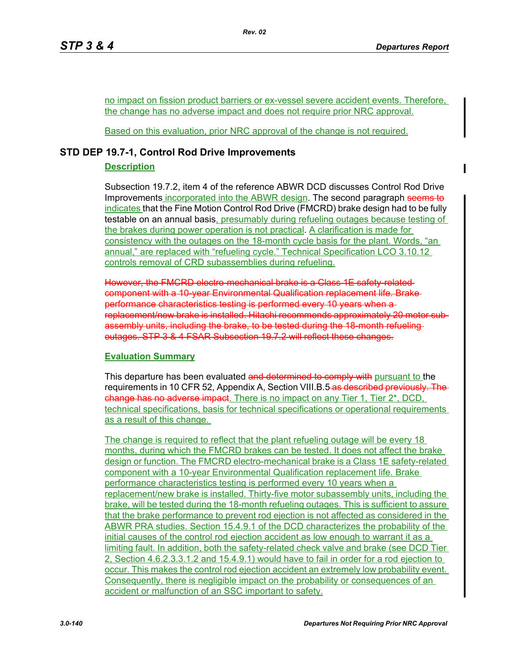no impact on fission product barriers or ex-vessel severe accident events. Therefore, the change has no adverse impact and does not require prior NRC approval.

Based on this evaluation, prior NRC approval of the change is not required.

## **STD DEP 19.7-1, Control Rod Drive Improvements**

## **Description**

Subsection 19.7.2, item 4 of the reference ABWR DCD discusses Control Rod Drive Improvements incorporated into the ABWR design. The second paragraph seems to indicates that the Fine Motion Control Rod Drive (FMCRD) brake design had to be fully testable on an annual basis, presumably during refueling outages because testing of the brakes during power operation is not practical. A clarification is made for consistency with the outages on the 18-month cycle basis for the plant. Words, "an annual," are replaced with "refueling cycle." Technical Specification LCO 3.10.12 controls removal of CRD subassemblies during refueling.

However, the FMCRD electro-mechanical brake is a Class 1E safety-relatedcomponent with a 10-year Environmental Qualification replacement life. Brake performance characteristics testing is performed every 10 years when a replacement/new brake is installed. Hitachi recommends approximately 20 motor subassembly units, including the brake, to be tested during the 18-month refueling outages. STP 3 & 4 FSAR Subsection 19.7.2 will reflect these changes.

## **Evaluation Summary**

This departure has been evaluated and determined to comply with pursuant to the requirements in 10 CFR 52, Appendix A, Section VIII.B.5 as described previously. change has no adverse impact. There is no impact on any Tier 1, Tier 2\*, DCD, technical specifications, basis for technical specifications or operational requirements as a result of this change.

The change is required to reflect that the plant refueling outage will be every 18 months, during which the FMCRD brakes can be tested. It does not affect the brake design or function. The FMCRD electro-mechanical brake is a Class 1E safety-related component with a 10-year Environmental Qualification replacement life. Brake performance characteristics testing is performed every 10 years when a replacement/new brake is installed. Thirty-five motor subassembly units, including the brake, will be tested during the 18-month refueling outages. This is sufficient to assure that the brake performance to prevent rod ejection is not affected as considered in the ABWR PRA studies. Section 15.4.9.1 of the DCD characterizes the probability of the initial causes of the control rod ejection accident as low enough to warrant it as a limiting fault. In addition, both the safety-related check valve and brake (see DCD Tier 2, Section 4.6.2.3.3.1.2 and 15.4.9.1) would have to fail in order for a rod ejection to occur. This makes the control rod ejection accident an extremely low probability event. Consequently, there is negligible impact on the probability or consequences of an accident or malfunction of an SSC important to safety.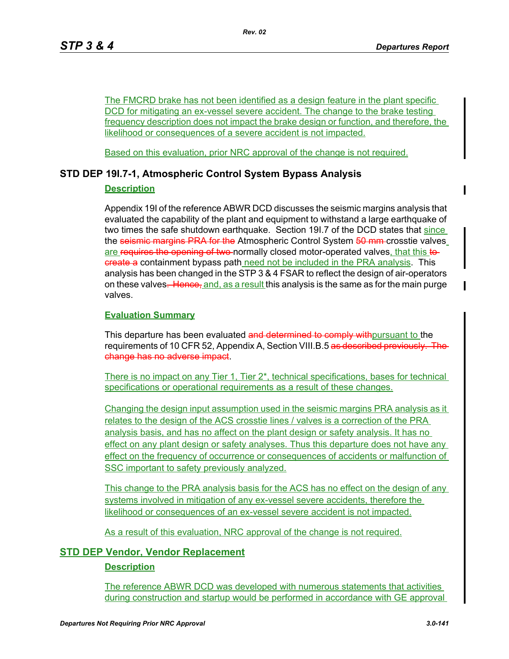The FMCRD brake has not been identified as a design feature in the plant specific DCD for mitigating an ex-vessel severe accident. The change to the brake testing frequency description does not impact the brake design or function, and therefore, the likelihood or consequences of a severe accident is not impacted.

Based on this evaluation, prior NRC approval of the change is not required.

## **STD DEP 19I.7-1, Atmospheric Control System Bypass Analysis**

### **Description**

Appendix 19I of the reference ABWR DCD discusses the seismic margins analysis that evaluated the capability of the plant and equipment to withstand a large earthquake of two times the safe shutdown earthquake. Section 19I.7 of the DCD states that since the seismic margins PRA for the Atmospheric Control System 50 mm-crosstie valves are requires the opening of two-normally closed motor-operated valves, that this tocreate a containment bypass path need not be included in the PRA analysis. This analysis has been changed in the STP 3 & 4 FSAR to reflect the design of air-operators on these valves. Hence, and, as a result this analysis is the same as for the main purge valves.

### **Evaluation Summary**

This departure has been evaluated and determined to comply with pursuant to the requirements of 10 CFR 52, Appendix A, Section VIII.B.5 as described previously. change has no adverse impact.

There is no impact on any Tier 1, Tier 2\*, technical specifications, bases for technical specifications or operational requirements as a result of these changes.

Changing the design input assumption used in the seismic margins PRA analysis as it relates to the design of the ACS crosstie lines / valves is a correction of the PRA analysis basis, and has no affect on the plant design or safety analysis. It has no effect on any plant design or safety analyses. Thus this departure does not have any effect on the frequency of occurrence or consequences of accidents or malfunction of SSC important to safety previously analyzed.

This change to the PRA analysis basis for the ACS has no effect on the design of any systems involved in mitigation of any ex-vessel severe accidents, therefore the likelihood or consequences of an ex-vessel severe accident is not impacted.

As a result of this evaluation, NRC approval of the change is not required.

## **STD DEP Vendor, Vendor Replacement**

## **Description**

The reference ABWR DCD was developed with numerous statements that activities during construction and startup would be performed in accordance with GE approval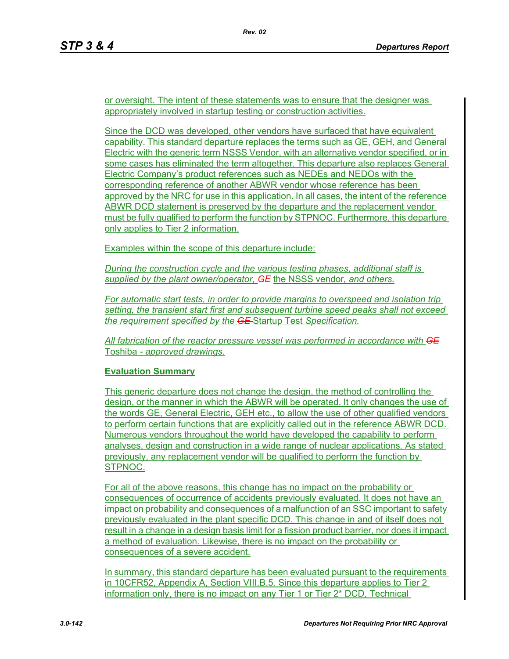or oversight. The intent of these statements was to ensure that the designer was appropriately involved in startup testing or construction activities.

Since the DCD was developed, other vendors have surfaced that have equivalent capability. This standard departure replaces the terms such as GE, GEH, and General Electric with the generic term NSSS Vendor, with an alternative vendor specified, or in some cases has eliminated the term altogether. This departure also replaces General Electric Company's product references such as NEDEs and NEDOs with the corresponding reference of another ABWR vendor whose reference has been approved by the NRC for use in this application. In all cases, the intent of the reference ABWR DCD statement is preserved by the departure and the replacement vendor must be fully qualified to perform the function by STPNOC. Furthermore, this departure only applies to Tier 2 information.

Examples within the scope of this departure include:

*During the construction cycle and the various testing phases, additional staff is supplied by the plant owner/operator, GE* the NSSS vendor*, and others.*

*For automatic start tests, in order to provide margins to overspeed and isolation trip setting, the transient start first and subsequent turbine speed peaks shall not exceed the requirement specified by the GE* Startup Test *Specification.*

*All fabrication of the reactor pressure vessel was performed in accordance with GE* Toshiba *- approved drawings.*

## **Evaluation Summary**

This generic departure does not change the design, the method of controlling the design, or the manner in which the ABWR will be operated. It only changes the use of the words GE, General Electric, GEH etc., to allow the use of other qualified vendors to perform certain functions that are explicitly called out in the reference ABWR DCD. Numerous vendors throughout the world have developed the capability to perform analyses, design and construction in a wide range of nuclear applications. As stated previously, any replacement vendor will be qualified to perform the function by STPNOC.

For all of the above reasons, this change has no impact on the probability or consequences of occurrence of accidents previously evaluated. It does not have an impact on probability and consequences of a malfunction of an SSC important to safety previously evaluated in the plant specific DCD. This change in and of itself does not result in a change in a design basis limit for a fission product barrier, nor does it impact a method of evaluation. Likewise, there is no impact on the probability or consequences of a severe accident.

In summary, this standard departure has been evaluated pursuant to the requirements in 10CFR52, Appendix A, Section VIII.B.5. Since this departure applies to Tier 2 information only, there is no impact on any Tier 1 or Tier 2\* DCD, Technical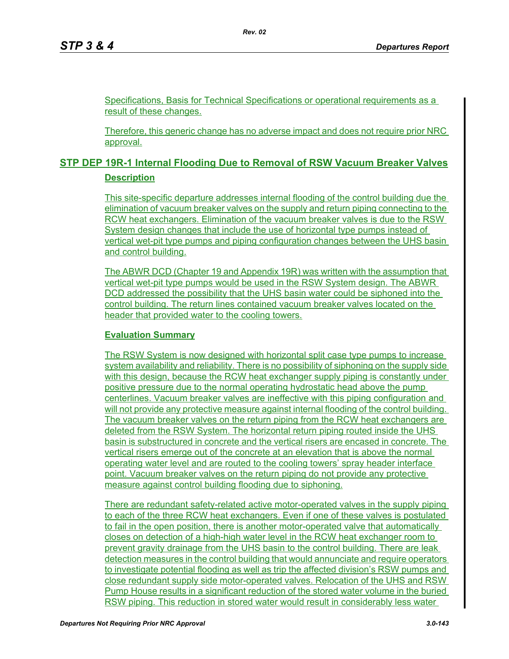Specifications, Basis for Technical Specifications or operational requirements as a result of these changes.

Therefore, this generic change has no adverse impact and does not require prior NRC approval.

## **STP DEP 19R-1 Internal Flooding Due to Removal of RSW Vacuum Breaker Valves Description**

This site-specific departure addresses internal flooding of the control building due the elimination of vacuum breaker valves on the supply and return piping connecting to the RCW heat exchangers. Elimination of the vacuum breaker valves is due to the RSW System design changes that include the use of horizontal type pumps instead of vertical wet-pit type pumps and piping configuration changes between the UHS basin and control building.

The ABWR DCD (Chapter 19 and Appendix 19R) was written with the assumption that vertical wet-pit type pumps would be used in the RSW System design. The ABWR DCD addressed the possibility that the UHS basin water could be siphoned into the control building. The return lines contained vacuum breaker valves located on the header that provided water to the cooling towers.

#### **Evaluation Summary**

The RSW System is now designed with horizontal split case type pumps to increase system availability and reliability. There is no possibility of siphoning on the supply side with this design, because the RCW heat exchanger supply piping is constantly under positive pressure due to the normal operating hydrostatic head above the pump centerlines. Vacuum breaker valves are ineffective with this piping configuration and will not provide any protective measure against internal flooding of the control building. The vacuum breaker valves on the return piping from the RCW heat exchangers are deleted from the RSW System. The horizontal return piping routed inside the UHS basin is substructured in concrete and the vertical risers are encased in concrete. The vertical risers emerge out of the concrete at an elevation that is above the normal operating water level and are routed to the cooling towers' spray header interface point. Vacuum breaker valves on the return piping do not provide any protective measure against control building flooding due to siphoning.

There are redundant safety-related active motor-operated valves in the supply piping to each of the three RCW heat exchangers. Even if one of these valves is postulated to fail in the open position, there is another motor-operated valve that automatically closes on detection of a high-high water level in the RCW heat exchanger room to prevent gravity drainage from the UHS basin to the control building. There are leak detection measures in the control building that would annunciate and require operators to investigate potential flooding as well as trip the affected division's RSW pumps and close redundant supply side motor-operated valves. Relocation of the UHS and RSW Pump House results in a significant reduction of the stored water volume in the buried RSW piping. This reduction in stored water would result in considerably less water